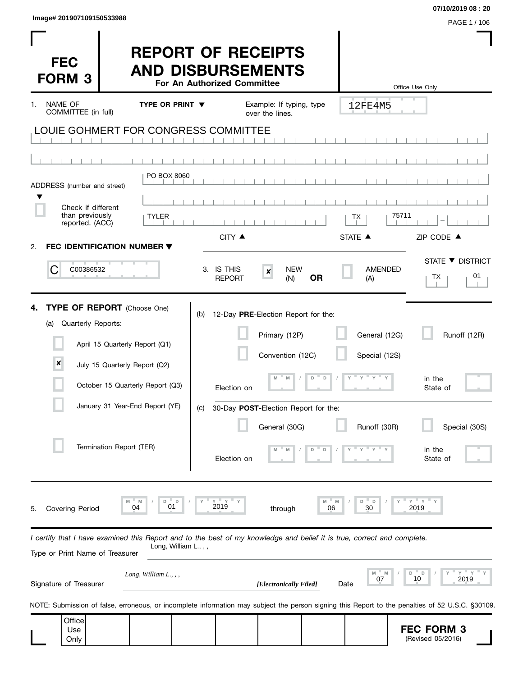| Image# 201907109150533988 | PAGE 1 / 106 |
|---------------------------|--------------|
|                           |              |

| <b>FEC</b><br><b>FORM 3</b>                                                                                                                                                                |                                                                 |                               |                                      | For An Authorized Committee   | <b>REPORT OF RECEIPTS</b><br><b>AND DISBURSEMENTS</b>                    |           |                                | Office Use Only                                                                                                                                  |
|--------------------------------------------------------------------------------------------------------------------------------------------------------------------------------------------|-----------------------------------------------------------------|-------------------------------|--------------------------------------|-------------------------------|--------------------------------------------------------------------------|-----------|--------------------------------|--------------------------------------------------------------------------------------------------------------------------------------------------|
| <b>NAME OF</b><br>COMMITTEE (in full)                                                                                                                                                      |                                                                 | <b>TYPE OR PRINT ▼</b>        |                                      |                               | Example: If typing, type<br>over the lines.                              |           | 12FE4M5                        |                                                                                                                                                  |
| LOUIE GOHMERT FOR CONGRESS COMMITTEE                                                                                                                                                       |                                                                 |                               |                                      |                               |                                                                          |           |                                |                                                                                                                                                  |
| ADDRESS (number and street)                                                                                                                                                                |                                                                 | PO BOX 8060                   |                                      |                               |                                                                          |           |                                |                                                                                                                                                  |
| Check if different<br>than previously<br>reported. (ACC)                                                                                                                                   |                                                                 | <b>TYLER</b>                  |                                      |                               |                                                                          |           | ТX                             | 75711                                                                                                                                            |
| FEC IDENTIFICATION NUMBER ▼<br>2.                                                                                                                                                          |                                                                 |                               |                                      | CITY ▲                        |                                                                          |           | STATE A                        | ZIP CODE ▲                                                                                                                                       |
| C<br>C00386532                                                                                                                                                                             |                                                                 |                               |                                      | 3. IS THIS<br><b>REPORT</b>   | <b>NEW</b><br>$\pmb{\times}$<br>(N)                                      | <b>OR</b> | <b>AMENDED</b><br>(A)          | STATE ▼ DISTRICT<br>01<br>TX.                                                                                                                    |
| TYPE OF REPORT (Choose One)<br>4.<br>Quarterly Reports:<br>(a)<br>$\boldsymbol{x}$                                                                                                         | April 15 Quarterly Report (Q1)<br>July 15 Quarterly Report (Q2) |                               | (b)                                  |                               | 12-Day PRE-Election Report for the:<br>Primary (12P)<br>Convention (12C) | D<br>D    | General (12G)<br>Special (12S) | Runoff (12R)<br>in the                                                                                                                           |
|                                                                                                                                                                                            | October 15 Quarterly Report (Q3)                                |                               |                                      | Election on                   |                                                                          |           |                                | State of                                                                                                                                         |
|                                                                                                                                                                                            | January 31 Year-End Report (YE)<br>Termination Report (TER)     |                               | (C)                                  | Election on                   | 30-Day POST-Election Report for the:<br>General (30G)<br>M<br>M          | D<br>D    | Runoff (30R)                   | Special (30S)<br>in the<br>State of                                                                                                              |
| <b>Covering Period</b><br>5.<br>I certify that I have examined this Report and to the best of my knowledge and belief it is true, correct and complete.<br>Type or Print Name of Treasurer | M<br>04                                                         | M<br>D<br>01                  | $\mathsf D$<br>Long, William L., , , | γ <sup>. π</sup><br>Y<br>2019 | through                                                                  | M<br>06   | M<br>D<br>D<br>30              | $-$ Y<br>Υ<br>2019                                                                                                                               |
| Signature of Treasurer                                                                                                                                                                     |                                                                 | Long, William $L_{\cdot}$ , , |                                      |                               | [Electronically Filed]                                                   |           | 07<br>Date                     | $Y$ $Y$<br>D<br>D<br>2019<br>10                                                                                                                  |
|                                                                                                                                                                                            |                                                                 |                               |                                      |                               |                                                                          |           |                                | NOTE: Submission of false, erroneous, or incomplete information may subject the person signing this Report to the penalties of 52 U.S.C. §30109. |
| Office<br>Use<br>Only                                                                                                                                                                      |                                                                 |                               |                                      |                               |                                                                          |           |                                | <b>FEC FORM 3</b><br>(Revised 05/2016)                                                                                                           |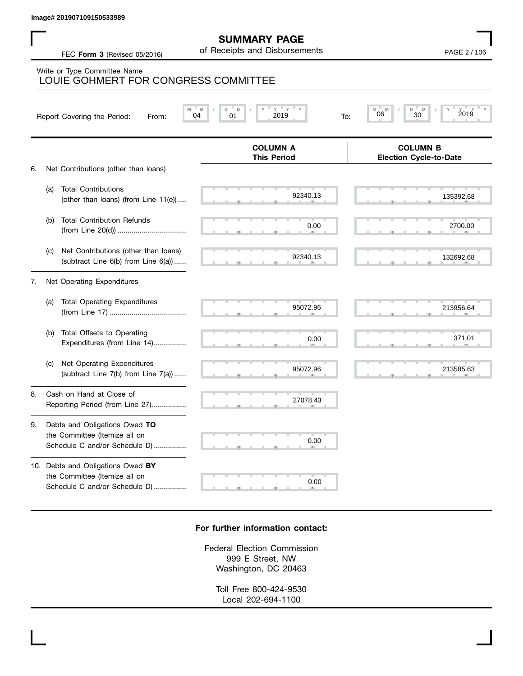## **SUMMARY PAGE**

|    |     | lmage# 201907109150533989                                                                                  |                                                      |                                                  |
|----|-----|------------------------------------------------------------------------------------------------------------|------------------------------------------------------|--------------------------------------------------|
|    |     | FEC Form 3 (Revised 05/2016)                                                                               | <b>SUMMARY PAGE</b><br>of Receipts and Disbursements | PAGE 2 / 106                                     |
|    |     | Write or Type Committee Name<br>LOUIE GOHMERT FOR CONGRESS COMMITTEE                                       |                                                      |                                                  |
|    |     | M<br>Report Covering the Period:<br>From:                                                                  | $Y$ $Y$<br>M<br>D<br>D<br>2019<br>04<br>01<br>To:    | $Y$ =<br>D<br>D<br>2019<br>06<br>30              |
| 6. |     |                                                                                                            | <b>COLUMN A</b><br><b>This Period</b>                | <b>COLUMN B</b><br><b>Election Cycle-to-Date</b> |
|    | (a) | Net Contributions (other than loans)<br><b>Total Contributions</b><br>(other than loans) (from Line 11(e)) | 92340.13                                             | 135392.68                                        |
|    | (b) | <b>Total Contribution Refunds</b>                                                                          | 0.00                                                 | 2700.00                                          |
|    | (c) | Net Contributions (other than loans)<br>(subtract Line 6(b) from Line 6(a))                                | 92340.13                                             | 132692.68                                        |
| 7. |     | Net Operating Expenditures                                                                                 |                                                      |                                                  |
|    | (a) | <b>Total Operating Expenditures</b>                                                                        | 95072.96                                             | 213956.64                                        |
|    | (b) | Total Offsets to Operating<br>Expenditures (from Line 14)                                                  | 0.00                                                 | 371.01                                           |
|    | (c) | Net Operating Expenditures<br>(subtract Line 7(b) from Line 7(a))                                          | 95072.96                                             | 213585.63                                        |
| 8. |     | Cash on Hand at Close of<br>Reporting Period (from Line 27)                                                | 27078.43                                             |                                                  |
| 9. |     | Debts and Obligations Owed TO<br>the Committee (Itemize all on<br>Schedule C and/or Schedule D)            | 0.00                                                 |                                                  |
|    |     | 10. Debts and Obligations Owed BY<br>the Committee (Itemize all on<br>Schedule C and/or Schedule D)        | 0.00                                                 |                                                  |

## **For further information contact:**

Federal Election Commission 999 E Street, NW Washington, DC 20463

> Toll Free 800-424-9530 Local 202-694-1100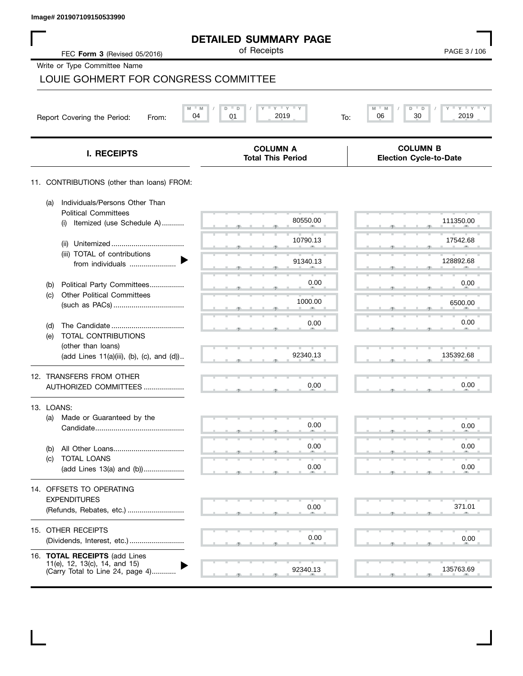|            | Image# 201907109150533990                                                                          |                                                       |                                                   |
|------------|----------------------------------------------------------------------------------------------------|-------------------------------------------------------|---------------------------------------------------|
|            |                                                                                                    | <b>DETAILED SUMMARY PAGE</b><br>of Receipts           |                                                   |
|            | FEC Form 3 (Revised 05/2016)                                                                       |                                                       | PAGE 3/106                                        |
|            | Write or Type Committee Name<br>LOUIE GOHMERT FOR CONGRESS COMMITTEE                               |                                                       |                                                   |
|            |                                                                                                    |                                                       |                                                   |
|            | $-M$<br>04<br>Report Covering the Period:<br>From:                                                 | $-\gamma + \gamma + \gamma$<br>D<br>01<br>2019<br>To: | M<br>$Y = Y =$<br>M<br>D<br>D<br>30<br>2019<br>06 |
|            | <b>I. RECEIPTS</b>                                                                                 | <b>COLUMN A</b><br><b>Total This Period</b>           | <b>COLUMN B</b><br><b>Election Cycle-to-Date</b>  |
|            | 11. CONTRIBUTIONS (other than loans) FROM:                                                         |                                                       |                                                   |
| (a)        | Individuals/Persons Other Than<br><b>Political Committees</b>                                      | 80550.00                                              | 111350.00                                         |
|            | Itemized (use Schedule A)<br>(i)                                                                   |                                                       |                                                   |
|            | (ii)<br>(iii) TOTAL of contributions                                                               | 10790.13                                              | 17542.68                                          |
|            | from individuals                                                                                   | 91340.13                                              | 128892.68                                         |
| (b)        | Political Party Committees                                                                         | 0.00                                                  | 0.00                                              |
| (c)        | <b>Other Political Committees</b>                                                                  | 1000.00                                               | 6500.00                                           |
| (d)        |                                                                                                    | 0.00                                                  | 0.00                                              |
| (e)        | TOTAL CONTRIBUTIONS                                                                                |                                                       |                                                   |
|            | (other than loans)<br>(add Lines 11(a)(iii), (b), (c), and (d))                                    | 92340.13                                              | 135392.68                                         |
|            | 12. TRANSFERS FROM OTHER<br>AUTHORIZED COMMITTEES                                                  | 0.00                                                  | 0.00                                              |
| 13. LOANS: |                                                                                                    |                                                       |                                                   |
| (a)        | Made or Guaranteed by the                                                                          | 0.00                                                  | 0.00                                              |
| (b)        |                                                                                                    | 0.00                                                  | 0.00                                              |
| (C)        | TOTAL LOANS<br>(add Lines 13(a) and (b))                                                           | 0.00                                                  | 0.00                                              |
|            | 14. OFFSETS TO OPERATING                                                                           |                                                       |                                                   |
|            | <b>EXPENDITURES</b>                                                                                | 0.00                                                  | 371.01                                            |
|            | (Refunds, Rebates, etc.)                                                                           |                                                       |                                                   |
|            | 15. OTHER RECEIPTS<br>(Dividends, Interest, etc.)                                                  | 0.00                                                  | 0.00                                              |
|            | 16. TOTAL RECEIPTS (add Lines<br>11(e), 12, 13(c), 14, and 15)<br>(Carry Total to Line 24, page 4) | 92340.13                                              | 135763.69                                         |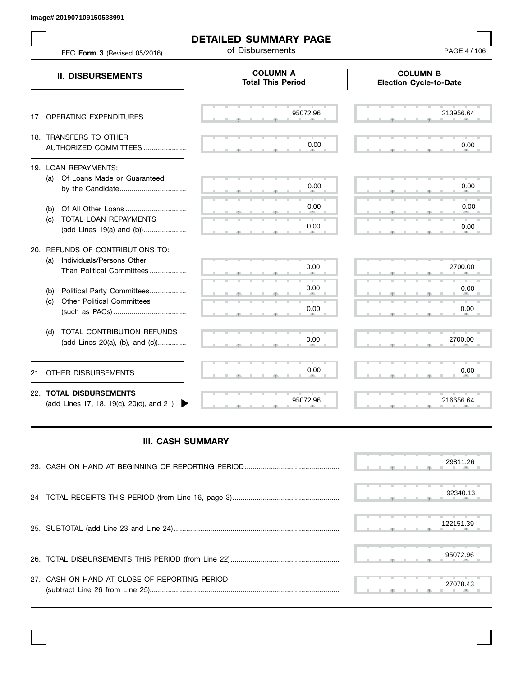**Image# 201907109150533991**

 $\mathbf{L}$ 

| FEC Form 3 (Revised 05/2016)                                                                      | of Disbursements                            | PAGE 4 / 106                                     |
|---------------------------------------------------------------------------------------------------|---------------------------------------------|--------------------------------------------------|
| <b>II. DISBURSEMENTS</b>                                                                          | <b>COLUMN A</b><br><b>Total This Period</b> | <b>COLUMN B</b><br><b>Election Cycle-to-Date</b> |
| 17. OPERATING EXPENDITURES                                                                        | 95072.96                                    | 213956.64                                        |
| 18. TRANSFERS TO OTHER<br>AUTHORIZED COMMITTEES                                                   | 0.00                                        | 0.00                                             |
| 19. LOAN REPAYMENTS:<br>(a) Of Loans Made or Guaranteed<br>by the Candidate                       | 0.00                                        | 0.00                                             |
| (b)<br>TOTAL LOAN REPAYMENTS<br>(c)<br>(add Lines 19(a) and (b))                                  | 0.00<br>0.00                                | 0.00<br>0.00                                     |
| 20. REFUNDS OF CONTRIBUTIONS TO:<br>Individuals/Persons Other<br>(a)<br>Than Political Committees | 0.00                                        | 2700.00                                          |
| Political Party Committees<br>(b)<br><b>Other Political Committees</b><br>(c)                     | 0.00<br>0.00                                | 0.00<br>0.00                                     |
| TOTAL CONTRIBUTION REFUNDS<br>(d)<br>(add Lines 20(a), (b), and (c))                              | 0.00                                        | 2700.00                                          |
| OTHER DISBURSEMENTS<br>21.                                                                        | 0.00                                        | 0.00                                             |
| 22. TOTAL DISBURSEMENTS<br>(add Lines 17, 18, 19(c), 20(d), and 21)                               | 95072.96                                    | 216656.64                                        |

## **III. CASH SUMMARY**

|                                               | 29811.26  |
|-----------------------------------------------|-----------|
|                                               | 92340.13  |
|                                               | 122151.39 |
|                                               | 95072.96  |
| 27. CASH ON HAND AT CLOSE OF REPORTING PERIOD | 27078.43  |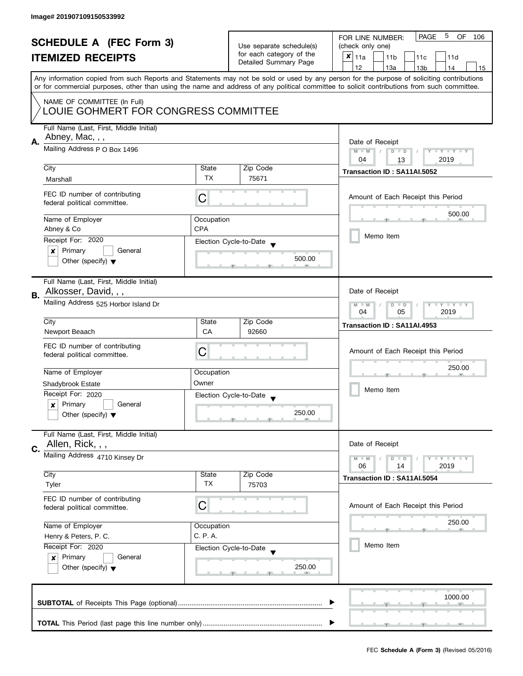| <b>SCHEDULE A (FEC Form 3)</b><br><b>ITEMIZED RECEIPTS</b> |                                                                                            | Use separate schedule(s)<br>for each category of the<br>Detailed Summary Page | 5<br>PAGE<br>OF.<br>FOR LINE NUMBER:<br>106<br>(check only one)<br>$x _{11a}$<br>11 <sub>b</sub><br>11c<br>11d |                                                                                                                                                                                                                                                                                                                                     |  |  |
|------------------------------------------------------------|--------------------------------------------------------------------------------------------|-------------------------------------------------------------------------------|----------------------------------------------------------------------------------------------------------------|-------------------------------------------------------------------------------------------------------------------------------------------------------------------------------------------------------------------------------------------------------------------------------------------------------------------------------------|--|--|
|                                                            |                                                                                            |                                                                               |                                                                                                                | 12<br>13a<br>14<br>13 <sub>b</sub><br>15<br>Any information copied from such Reports and Statements may not be sold or used by any person for the purpose of soliciting contributions<br>or for commercial purposes, other than using the name and address of any political committee to solicit contributions from such committee. |  |  |
|                                                            | NAME OF COMMITTEE (In Full)<br>LOUIE GOHMERT FOR CONGRESS COMMITTEE                        |                                                                               |                                                                                                                |                                                                                                                                                                                                                                                                                                                                     |  |  |
| А.                                                         | Full Name (Last, First, Middle Initial)<br>Abney, Mac, , ,<br>Mailing Address P O Box 1496 | Date of Receipt                                                               |                                                                                                                |                                                                                                                                                                                                                                                                                                                                     |  |  |
|                                                            |                                                                                            | $M - M$<br>Y I Y I Y I Y<br>$D$ $D$<br>2019<br>04<br>13                       |                                                                                                                |                                                                                                                                                                                                                                                                                                                                     |  |  |
|                                                            | City                                                                                       | State                                                                         | Zip Code                                                                                                       | Transaction ID: SA11AI.5052                                                                                                                                                                                                                                                                                                         |  |  |
|                                                            | Marshall                                                                                   | TX                                                                            | 75671                                                                                                          |                                                                                                                                                                                                                                                                                                                                     |  |  |
|                                                            | FEC ID number of contributing<br>federal political committee.                              | C                                                                             |                                                                                                                | Amount of Each Receipt this Period                                                                                                                                                                                                                                                                                                  |  |  |
|                                                            | Name of Employer                                                                           | Occupation                                                                    |                                                                                                                | 500.00                                                                                                                                                                                                                                                                                                                              |  |  |
|                                                            | Abney & Co                                                                                 | CPA                                                                           |                                                                                                                | Memo Item                                                                                                                                                                                                                                                                                                                           |  |  |
|                                                            | Receipt For: 2020                                                                          |                                                                               | Election Cycle-to-Date                                                                                         |                                                                                                                                                                                                                                                                                                                                     |  |  |
|                                                            | Primary<br>General<br>×<br>Other (specify) $\blacktriangledown$                            |                                                                               | 500.00                                                                                                         |                                                                                                                                                                                                                                                                                                                                     |  |  |
| В.                                                         | Full Name (Last, First, Middle Initial)<br>Alkosser, David, , ,                            |                                                                               |                                                                                                                | Date of Receipt                                                                                                                                                                                                                                                                                                                     |  |  |
|                                                            | Mailing Address 525 Horbor Island Dr                                                       | <b>LYLYLY</b><br>$M - M$<br>$D$ $D$<br>04<br>05<br>2019                       |                                                                                                                |                                                                                                                                                                                                                                                                                                                                     |  |  |
|                                                            | City                                                                                       | State                                                                         | Zip Code                                                                                                       | Transaction ID: SA11AI.4953                                                                                                                                                                                                                                                                                                         |  |  |
|                                                            | Newport Beaach                                                                             | <b>CA</b>                                                                     | 92660                                                                                                          |                                                                                                                                                                                                                                                                                                                                     |  |  |
|                                                            | FEC ID number of contributing<br>federal political committee.                              | С                                                                             |                                                                                                                | Amount of Each Receipt this Period                                                                                                                                                                                                                                                                                                  |  |  |
|                                                            | Name of Employer                                                                           | Occupation                                                                    |                                                                                                                | 250.00                                                                                                                                                                                                                                                                                                                              |  |  |
|                                                            | Shadybrook Estate                                                                          | Owner                                                                         |                                                                                                                | Memo Item                                                                                                                                                                                                                                                                                                                           |  |  |
|                                                            | Receipt For: 2020                                                                          |                                                                               | Election Cycle-to-Date<br>$\overline{\phantom{a}}$                                                             |                                                                                                                                                                                                                                                                                                                                     |  |  |
|                                                            | Primary<br>General<br>$\boldsymbol{x}$<br>Other (specify) $\blacktriangledown$             |                                                                               | 250.00                                                                                                         |                                                                                                                                                                                                                                                                                                                                     |  |  |
|                                                            | Full Name (Last, First, Middle Initial)                                                    |                                                                               |                                                                                                                |                                                                                                                                                                                                                                                                                                                                     |  |  |
| C.                                                         | Allen, Rick, , ,<br>Mailing Address 4710 Kinsey Dr                                         |                                                                               |                                                                                                                | Date of Receipt                                                                                                                                                                                                                                                                                                                     |  |  |
|                                                            |                                                                                            |                                                                               |                                                                                                                | <b>LYLYLY</b><br>$M - M$<br>$D$ $D$<br>06<br>2019<br>14                                                                                                                                                                                                                                                                             |  |  |
|                                                            | City                                                                                       | State                                                                         | Zip Code                                                                                                       | Transaction ID: SA11AI.5054                                                                                                                                                                                                                                                                                                         |  |  |
|                                                            | Tyler                                                                                      | <b>TX</b>                                                                     | 75703                                                                                                          |                                                                                                                                                                                                                                                                                                                                     |  |  |
|                                                            | FEC ID number of contributing<br>federal political committee.                              | C                                                                             |                                                                                                                | Amount of Each Receipt this Period                                                                                                                                                                                                                                                                                                  |  |  |
|                                                            | Name of Employer                                                                           | Occupation                                                                    |                                                                                                                | 250.00                                                                                                                                                                                                                                                                                                                              |  |  |
|                                                            | Henry & Peters, P. C.                                                                      | C. P. A.                                                                      |                                                                                                                |                                                                                                                                                                                                                                                                                                                                     |  |  |
|                                                            | Receipt For: 2020                                                                          |                                                                               | Election Cycle-to-Date                                                                                         | Memo Item                                                                                                                                                                                                                                                                                                                           |  |  |
|                                                            | Primary<br>General<br>$\boldsymbol{x}$<br>Other (specify) $\blacktriangledown$             |                                                                               | 250.00                                                                                                         |                                                                                                                                                                                                                                                                                                                                     |  |  |
|                                                            |                                                                                            |                                                                               |                                                                                                                | 1000.00                                                                                                                                                                                                                                                                                                                             |  |  |
|                                                            |                                                                                            |                                                                               |                                                                                                                |                                                                                                                                                                                                                                                                                                                                     |  |  |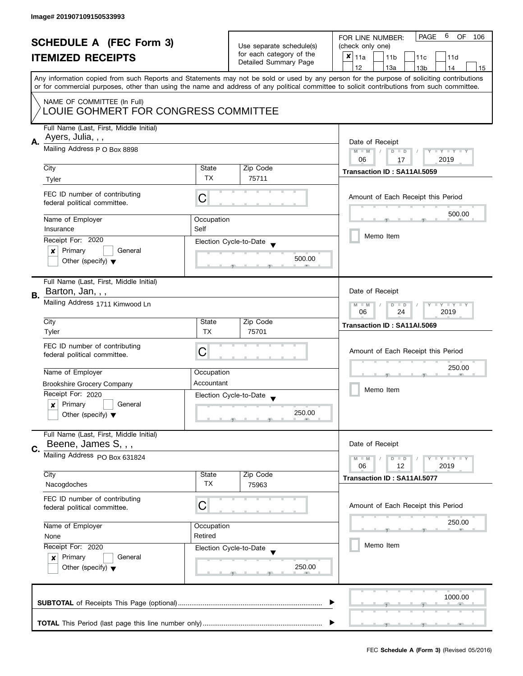| <b>SCHEDULE A (FEC Form 3)</b><br><b>ITEMIZED RECEIPTS</b> |                                                                                                 | Use separate schedule(s)<br>for each category of the<br>Detailed Summary Page | PAGE<br>6<br>OF.<br>FOR LINE NUMBER:<br>106<br>(check only one)<br>$x _{11a}$<br>11 <sub>b</sub><br>11c<br>11d |                                                                                                                                                                                                                                                                                                                                     |  |
|------------------------------------------------------------|-------------------------------------------------------------------------------------------------|-------------------------------------------------------------------------------|----------------------------------------------------------------------------------------------------------------|-------------------------------------------------------------------------------------------------------------------------------------------------------------------------------------------------------------------------------------------------------------------------------------------------------------------------------------|--|
|                                                            |                                                                                                 |                                                                               |                                                                                                                | 12<br>13a<br>14<br>13 <sub>b</sub><br>15<br>Any information copied from such Reports and Statements may not be sold or used by any person for the purpose of soliciting contributions<br>or for commercial purposes, other than using the name and address of any political committee to solicit contributions from such committee. |  |
|                                                            | NAME OF COMMITTEE (In Full)<br>LOUIE GOHMERT FOR CONGRESS COMMITTEE                             |                                                                               |                                                                                                                |                                                                                                                                                                                                                                                                                                                                     |  |
| А.                                                         | Full Name (Last, First, Middle Initial)<br>Ayers, Julia, , ,<br>Mailing Address P O Box 8898    | Date of Receipt<br>$M - M$<br>$Y - Y - Y - Y$<br>$D$ $D$                      |                                                                                                                |                                                                                                                                                                                                                                                                                                                                     |  |
|                                                            | City<br>Tyler                                                                                   | State<br>TX.                                                                  | Zip Code<br>75711                                                                                              | 2019<br>06<br>17<br>Transaction ID: SA11AI.5059                                                                                                                                                                                                                                                                                     |  |
|                                                            | FEC ID number of contributing<br>federal political committee.                                   | С                                                                             |                                                                                                                | Amount of Each Receipt this Period                                                                                                                                                                                                                                                                                                  |  |
|                                                            | Name of Employer<br>Insurance                                                                   | Occupation<br>Self                                                            |                                                                                                                | 500.00                                                                                                                                                                                                                                                                                                                              |  |
|                                                            | Receipt For: 2020<br>Primary<br>General<br>×                                                    |                                                                               | Election Cycle-to-Date<br>500.00                                                                               | Memo Item                                                                                                                                                                                                                                                                                                                           |  |
|                                                            | Other (specify) $\blacktriangledown$<br>Full Name (Last, First, Middle Initial)                 |                                                                               |                                                                                                                |                                                                                                                                                                                                                                                                                                                                     |  |
| В.                                                         | Barton, Jan, , ,<br>Mailing Address 1711 Kimwood Ln                                             | Date of Receipt<br>Y TY TY TY<br>$M - M$<br>$D$ $D$<br>24<br>2019<br>06       |                                                                                                                |                                                                                                                                                                                                                                                                                                                                     |  |
|                                                            | City<br>Tyler                                                                                   | State<br><b>TX</b>                                                            | Zip Code<br>75701                                                                                              | Transaction ID: SA11AI.5069                                                                                                                                                                                                                                                                                                         |  |
|                                                            | FEC ID number of contributing<br>federal political committee.                                   | С                                                                             |                                                                                                                | Amount of Each Receipt this Period                                                                                                                                                                                                                                                                                                  |  |
|                                                            | Name of Employer                                                                                | Occupation<br>Accountant                                                      |                                                                                                                | 250.00                                                                                                                                                                                                                                                                                                                              |  |
|                                                            | <b>Brookshire Grocery Company</b><br>Receipt For: 2020<br>Primary<br>General<br>x               |                                                                               | Election Cycle-to-Date<br>$\overline{\phantom{a}}$                                                             | Memo Item                                                                                                                                                                                                                                                                                                                           |  |
|                                                            | Other (specify) $\blacktriangledown$                                                            |                                                                               | 250.00                                                                                                         |                                                                                                                                                                                                                                                                                                                                     |  |
| C.                                                         | Full Name (Last, First, Middle Initial)<br>Beene, James S, , ,                                  |                                                                               |                                                                                                                | Date of Receipt                                                                                                                                                                                                                                                                                                                     |  |
|                                                            | Mailing Address PO Box 631824                                                                   |                                                                               |                                                                                                                | Y FY FY FY<br>$M - M$<br>$D$ $D$<br>06<br>12<br>2019                                                                                                                                                                                                                                                                                |  |
|                                                            | City<br>Nacogdoches                                                                             | State<br><b>TX</b>                                                            | Zip Code<br>75963                                                                                              | Transaction ID: SA11AI.5077                                                                                                                                                                                                                                                                                                         |  |
|                                                            | FEC ID number of contributing<br>federal political committee.                                   | C                                                                             |                                                                                                                | Amount of Each Receipt this Period                                                                                                                                                                                                                                                                                                  |  |
|                                                            | Name of Employer<br>Occupation<br>Retired<br>None                                               |                                                                               |                                                                                                                | 250.00                                                                                                                                                                                                                                                                                                                              |  |
|                                                            | Receipt For: 2020<br>Primary<br>General<br>$\mathsf{x}$<br>Other (specify) $\blacktriangledown$ |                                                                               | Election Cycle-to-Date<br>250.00                                                                               | Memo Item                                                                                                                                                                                                                                                                                                                           |  |
|                                                            |                                                                                                 |                                                                               |                                                                                                                | 1000.00                                                                                                                                                                                                                                                                                                                             |  |
|                                                            |                                                                                                 |                                                                               |                                                                                                                |                                                                                                                                                                                                                                                                                                                                     |  |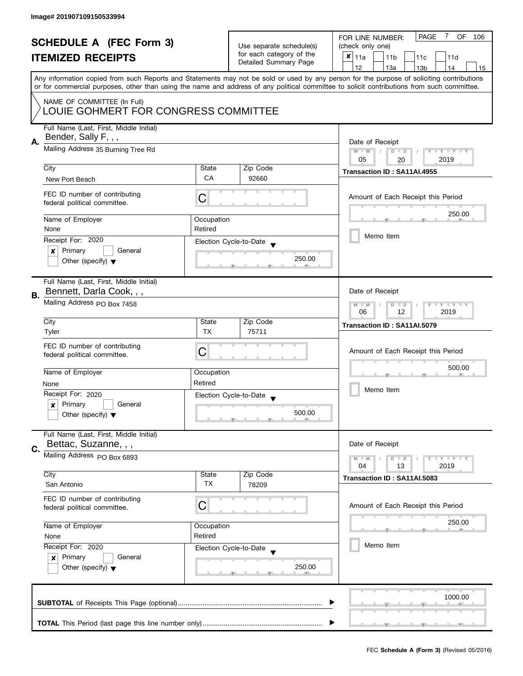|                                                            |                                                   |                                                   |                                             | 7<br><b>PAGE</b><br>OF<br>FOR LINE NUMBER:<br>106                                                                                          |  |  |  |
|------------------------------------------------------------|---------------------------------------------------|---------------------------------------------------|---------------------------------------------|--------------------------------------------------------------------------------------------------------------------------------------------|--|--|--|
| <b>SCHEDULE A (FEC Form 3)</b><br><b>ITEMIZED RECEIPTS</b> |                                                   | Use separate schedule(s)                          | (check only one)                            |                                                                                                                                            |  |  |  |
|                                                            |                                                   | for each category of the<br>Detailed Summary Page | $x _{11a}$<br>11 <sub>b</sub><br>11c<br>11d |                                                                                                                                            |  |  |  |
|                                                            |                                                   |                                                   |                                             | 12<br>13a<br>13 <sub>b</sub><br>14<br>15                                                                                                   |  |  |  |
|                                                            |                                                   |                                                   |                                             | Any information copied from such Reports and Statements may not be sold or used by any person for the purpose of soliciting contributions  |  |  |  |
|                                                            |                                                   |                                                   |                                             | or for commercial purposes, other than using the name and address of any political committee to solicit contributions from such committee. |  |  |  |
|                                                            | NAME OF COMMITTEE (In Full)                       |                                                   |                                             |                                                                                                                                            |  |  |  |
|                                                            | LOUIE GOHMERT FOR CONGRESS COMMITTEE              |                                                   |                                             |                                                                                                                                            |  |  |  |
|                                                            |                                                   |                                                   |                                             |                                                                                                                                            |  |  |  |
|                                                            | Full Name (Last, First, Middle Initial)           |                                                   |                                             |                                                                                                                                            |  |  |  |
| А.                                                         | Bender, Sally F, , ,                              | Date of Receipt                                   |                                             |                                                                                                                                            |  |  |  |
|                                                            | Mailing Address 35 Burning Tree Rd                |                                                   |                                             | $M - M$<br>$D$ $D$<br>Y I Y I Y I Y                                                                                                        |  |  |  |
|                                                            |                                                   |                                                   |                                             | 05<br>2019<br>20                                                                                                                           |  |  |  |
|                                                            | City                                              | State                                             | Zip Code                                    | Transaction ID: SA11AI.4955                                                                                                                |  |  |  |
|                                                            | New Port Beach                                    | CA                                                | 92660                                       |                                                                                                                                            |  |  |  |
|                                                            | FEC ID number of contributing                     |                                                   |                                             |                                                                                                                                            |  |  |  |
|                                                            | federal political committee.                      | C                                                 |                                             | Amount of Each Receipt this Period                                                                                                         |  |  |  |
|                                                            |                                                   |                                                   |                                             | 250.00                                                                                                                                     |  |  |  |
|                                                            | Name of Employer                                  | Occupation                                        |                                             |                                                                                                                                            |  |  |  |
|                                                            | None                                              | Retired                                           |                                             |                                                                                                                                            |  |  |  |
|                                                            | Receipt For: 2020                                 |                                                   | Election Cycle-to-Date                      | Memo Item                                                                                                                                  |  |  |  |
|                                                            | Primary<br>General<br>×                           |                                                   |                                             |                                                                                                                                            |  |  |  |
|                                                            | Other (specify) $\blacktriangledown$              |                                                   | 250.00                                      |                                                                                                                                            |  |  |  |
|                                                            |                                                   |                                                   |                                             |                                                                                                                                            |  |  |  |
|                                                            | Full Name (Last, First, Middle Initial)           |                                                   |                                             |                                                                                                                                            |  |  |  |
| В.                                                         | Bennett, Darla Cook, , ,                          |                                                   |                                             | Date of Receipt                                                                                                                            |  |  |  |
|                                                            | Mailing Address PO Box 7458                       |                                                   |                                             | Y LY LY<br>$M - M$<br>$D$ $D$<br>12<br>2019<br>06                                                                                          |  |  |  |
|                                                            |                                                   |                                                   |                                             |                                                                                                                                            |  |  |  |
|                                                            | City                                              | State                                             | Zip Code                                    | Transaction ID: SA11AI.5079                                                                                                                |  |  |  |
|                                                            | Tyler                                             | <b>TX</b>                                         | 75711                                       |                                                                                                                                            |  |  |  |
|                                                            | FEC ID number of contributing                     |                                                   |                                             |                                                                                                                                            |  |  |  |
|                                                            | federal political committee.                      | С                                                 |                                             | Amount of Each Receipt this Period<br>500.00<br>Memo Item                                                                                  |  |  |  |
|                                                            |                                                   |                                                   |                                             |                                                                                                                                            |  |  |  |
|                                                            | Name of Employer                                  | Occupation                                        |                                             |                                                                                                                                            |  |  |  |
|                                                            | None                                              | Retired                                           |                                             |                                                                                                                                            |  |  |  |
|                                                            | Receipt For: 2020                                 |                                                   | Election Cycle-to-Date                      |                                                                                                                                            |  |  |  |
|                                                            | Primary<br>General<br>x                           |                                                   |                                             |                                                                                                                                            |  |  |  |
|                                                            | Other (specify) $\blacktriangledown$              |                                                   | 500.00                                      |                                                                                                                                            |  |  |  |
|                                                            |                                                   |                                                   |                                             |                                                                                                                                            |  |  |  |
|                                                            | Full Name (Last, First, Middle Initial)           |                                                   |                                             |                                                                                                                                            |  |  |  |
| C.                                                         | Bettac, Suzanne, , ,                              |                                                   |                                             | Date of Receipt                                                                                                                            |  |  |  |
|                                                            | Mailing Address PO Box 6893                       |                                                   |                                             | $M - M$<br>$Y \perp Y \perp Y$<br>$D$ $D$                                                                                                  |  |  |  |
|                                                            |                                                   |                                                   |                                             | 2019<br>04<br>13                                                                                                                           |  |  |  |
|                                                            | City                                              | State                                             | Zip Code                                    | Transaction ID: SA11AI.5083                                                                                                                |  |  |  |
|                                                            | San Antonio                                       | TX                                                | 78209                                       |                                                                                                                                            |  |  |  |
|                                                            | FEC ID number of contributing                     |                                                   |                                             |                                                                                                                                            |  |  |  |
|                                                            | federal political committee.                      | С                                                 |                                             | Amount of Each Receipt this Period                                                                                                         |  |  |  |
|                                                            | Name of Employer<br>Occupation<br>Retired<br>None |                                                   |                                             | 250.00                                                                                                                                     |  |  |  |
|                                                            |                                                   |                                                   |                                             |                                                                                                                                            |  |  |  |
|                                                            |                                                   |                                                   |                                             |                                                                                                                                            |  |  |  |
|                                                            | Receipt For: 2020                                 |                                                   | Election Cycle-to-Date                      | Memo Item                                                                                                                                  |  |  |  |
|                                                            | Primary<br>General<br>$\mathbf{x}$                |                                                   |                                             |                                                                                                                                            |  |  |  |
|                                                            | Other (specify) $\blacktriangledown$              |                                                   | 250.00                                      |                                                                                                                                            |  |  |  |
|                                                            |                                                   |                                                   |                                             |                                                                                                                                            |  |  |  |
|                                                            |                                                   |                                                   |                                             |                                                                                                                                            |  |  |  |
|                                                            | 1000.00                                           |                                                   |                                             |                                                                                                                                            |  |  |  |
|                                                            |                                                   |                                                   |                                             |                                                                                                                                            |  |  |  |
|                                                            |                                                   |                                                   |                                             |                                                                                                                                            |  |  |  |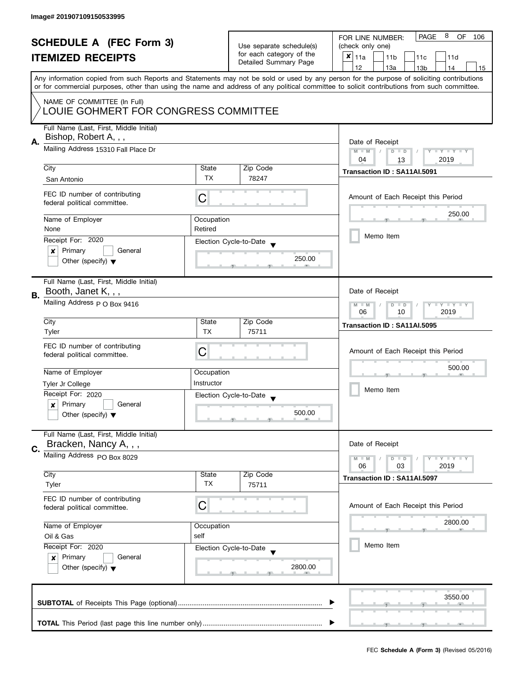| <b>SCHEDULE A (FEC Form 3)</b><br><b>ITEMIZED RECEIPTS</b> |                                                                     |                          | 8<br>PAGE<br>OF<br>FOR LINE NUMBER:<br>106  |                                                                                                                                                                                                                                                                                         |  |  |
|------------------------------------------------------------|---------------------------------------------------------------------|--------------------------|---------------------------------------------|-----------------------------------------------------------------------------------------------------------------------------------------------------------------------------------------------------------------------------------------------------------------------------------------|--|--|
|                                                            |                                                                     | Use separate schedule(s) | (check only one)                            |                                                                                                                                                                                                                                                                                         |  |  |
|                                                            |                                                                     | for each category of the | $x _{11a}$<br>11 <sub>b</sub><br>11c<br>11d |                                                                                                                                                                                                                                                                                         |  |  |
|                                                            |                                                                     |                          | Detailed Summary Page                       | 12<br>13a<br>13 <sub>b</sub><br>14<br>15                                                                                                                                                                                                                                                |  |  |
|                                                            |                                                                     |                          |                                             | Any information copied from such Reports and Statements may not be sold or used by any person for the purpose of soliciting contributions<br>or for commercial purposes, other than using the name and address of any political committee to solicit contributions from such committee. |  |  |
|                                                            |                                                                     |                          |                                             |                                                                                                                                                                                                                                                                                         |  |  |
|                                                            | NAME OF COMMITTEE (In Full)<br>LOUIE GOHMERT FOR CONGRESS COMMITTEE |                          |                                             |                                                                                                                                                                                                                                                                                         |  |  |
|                                                            | Full Name (Last, First, Middle Initial)                             |                          |                                             |                                                                                                                                                                                                                                                                                         |  |  |
|                                                            | Bishop, Robert A, , ,                                               |                          |                                             |                                                                                                                                                                                                                                                                                         |  |  |
| А.                                                         | Mailing Address 15310 Fall Place Dr                                 |                          |                                             | Date of Receipt                                                                                                                                                                                                                                                                         |  |  |
|                                                            |                                                                     |                          |                                             | $M - M$<br>$Y - Y - Y - Y$<br>$D$ $D$                                                                                                                                                                                                                                                   |  |  |
|                                                            | City                                                                | State                    | Zip Code                                    | 2019<br>04<br>13                                                                                                                                                                                                                                                                        |  |  |
|                                                            |                                                                     | <b>TX</b>                | 78247                                       | Transaction ID: SA11AI.5091                                                                                                                                                                                                                                                             |  |  |
|                                                            | San Antonio                                                         |                          |                                             |                                                                                                                                                                                                                                                                                         |  |  |
|                                                            | FEC ID number of contributing<br>federal political committee.       | С                        |                                             | Amount of Each Receipt this Period                                                                                                                                                                                                                                                      |  |  |
|                                                            | Name of Employer                                                    | Occupation               |                                             | 250.00                                                                                                                                                                                                                                                                                  |  |  |
|                                                            | None                                                                | Retired                  |                                             |                                                                                                                                                                                                                                                                                         |  |  |
|                                                            | Receipt For: 2020                                                   |                          |                                             | Memo Item                                                                                                                                                                                                                                                                               |  |  |
|                                                            | Primary<br>General                                                  |                          | Election Cycle-to-Date                      |                                                                                                                                                                                                                                                                                         |  |  |
|                                                            | ×<br>Other (specify) $\blacktriangledown$                           |                          | 250.00                                      |                                                                                                                                                                                                                                                                                         |  |  |
|                                                            |                                                                     |                          |                                             |                                                                                                                                                                                                                                                                                         |  |  |
|                                                            | Full Name (Last, First, Middle Initial)                             |                          |                                             |                                                                                                                                                                                                                                                                                         |  |  |
| В.                                                         | Booth, Janet K, , ,                                                 |                          |                                             | Date of Receipt                                                                                                                                                                                                                                                                         |  |  |
|                                                            | Mailing Address p O Box 9416                                        |                          |                                             | Y I Y I Y I Y<br>$M - M$<br>$D$ $D$                                                                                                                                                                                                                                                     |  |  |
|                                                            |                                                                     | 2019<br>06<br>10         |                                             |                                                                                                                                                                                                                                                                                         |  |  |
|                                                            | City                                                                | State                    | Zip Code                                    | Transaction ID: SA11AI.5095                                                                                                                                                                                                                                                             |  |  |
|                                                            | Tyler                                                               | <b>TX</b>                | 75711                                       |                                                                                                                                                                                                                                                                                         |  |  |
|                                                            | FEC ID number of contributing                                       |                          |                                             |                                                                                                                                                                                                                                                                                         |  |  |
|                                                            | federal political committee.                                        | С                        |                                             | Amount of Each Receipt this Period                                                                                                                                                                                                                                                      |  |  |
|                                                            |                                                                     |                          |                                             | 500.00                                                                                                                                                                                                                                                                                  |  |  |
|                                                            | Name of Employer                                                    | Occupation               |                                             |                                                                                                                                                                                                                                                                                         |  |  |
|                                                            | Tyler Jr College                                                    | Instructor               |                                             |                                                                                                                                                                                                                                                                                         |  |  |
|                                                            | Receipt For: 2020                                                   |                          | Election Cycle-to-Date                      | Memo Item                                                                                                                                                                                                                                                                               |  |  |
|                                                            | Primary<br>General<br>x                                             |                          | $\overline{\phantom{a}}$                    |                                                                                                                                                                                                                                                                                         |  |  |
|                                                            | Other (specify) $\blacktriangledown$                                |                          | 500.00                                      |                                                                                                                                                                                                                                                                                         |  |  |
|                                                            |                                                                     |                          |                                             |                                                                                                                                                                                                                                                                                         |  |  |
|                                                            | Full Name (Last, First, Middle Initial)                             |                          |                                             |                                                                                                                                                                                                                                                                                         |  |  |
|                                                            | Bracken, Nancy A, , ,                                               |                          |                                             | Date of Receipt                                                                                                                                                                                                                                                                         |  |  |
| C.                                                         | Mailing Address PO Box 8029                                         |                          |                                             | <b>LEY LEY LEY</b><br>$M - M$<br>$D$ $D$                                                                                                                                                                                                                                                |  |  |
|                                                            |                                                                     |                          |                                             | 06<br>03<br>2019                                                                                                                                                                                                                                                                        |  |  |
|                                                            | City                                                                | State                    | Zip Code                                    | Transaction ID: SA11AI.5097                                                                                                                                                                                                                                                             |  |  |
|                                                            | Tyler                                                               | ТX                       | 75711                                       |                                                                                                                                                                                                                                                                                         |  |  |
|                                                            | FEC ID number of contributing                                       |                          |                                             |                                                                                                                                                                                                                                                                                         |  |  |
|                                                            | federal political committee.                                        | С                        |                                             | Amount of Each Receipt this Period                                                                                                                                                                                                                                                      |  |  |
|                                                            |                                                                     |                          |                                             | 2800.00                                                                                                                                                                                                                                                                                 |  |  |
|                                                            | Name of Employer                                                    | Occupation               |                                             |                                                                                                                                                                                                                                                                                         |  |  |
|                                                            | Oil & Gas                                                           | self                     |                                             |                                                                                                                                                                                                                                                                                         |  |  |
|                                                            | Receipt For: 2020                                                   |                          | Election Cycle-to-Date                      | Memo Item                                                                                                                                                                                                                                                                               |  |  |
|                                                            | Primary<br>General<br>$\mathbf{x}$                                  |                          |                                             |                                                                                                                                                                                                                                                                                         |  |  |
|                                                            | Other (specify) $\blacktriangledown$                                |                          | 2800.00                                     |                                                                                                                                                                                                                                                                                         |  |  |
|                                                            |                                                                     |                          |                                             |                                                                                                                                                                                                                                                                                         |  |  |
|                                                            |                                                                     |                          |                                             | 3550.00                                                                                                                                                                                                                                                                                 |  |  |
|                                                            |                                                                     |                          |                                             |                                                                                                                                                                                                                                                                                         |  |  |
|                                                            |                                                                     |                          |                                             |                                                                                                                                                                                                                                                                                         |  |  |
|                                                            |                                                                     |                          |                                             |                                                                                                                                                                                                                                                                                         |  |  |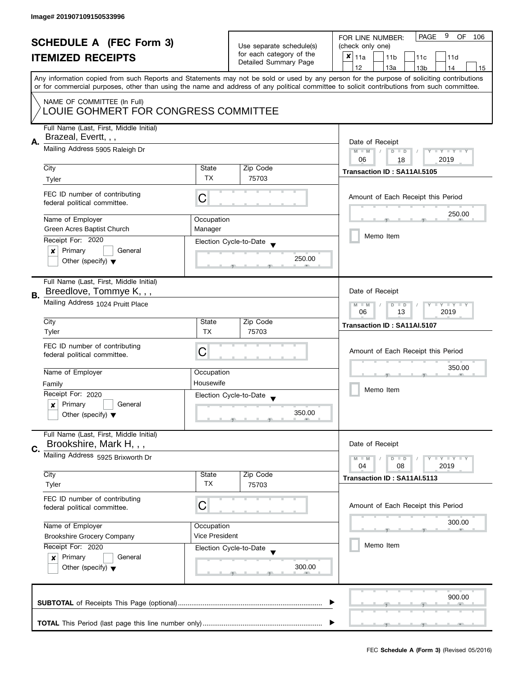| <b>SCHEDULE A (FEC Form 3)</b><br><b>ITEMIZED RECEIPTS</b> |                                                                                | Use separate schedule(s)<br>for each category of the<br>Detailed Summary Page | 9<br><b>PAGE</b><br>OF.<br>FOR LINE NUMBER:<br>106<br>(check only one)<br>$x _{11a}$<br>11 <sub>b</sub><br>11c<br>11d                      |                                                                                                                                                                                       |  |  |
|------------------------------------------------------------|--------------------------------------------------------------------------------|-------------------------------------------------------------------------------|--------------------------------------------------------------------------------------------------------------------------------------------|---------------------------------------------------------------------------------------------------------------------------------------------------------------------------------------|--|--|
|                                                            |                                                                                |                                                                               |                                                                                                                                            | 12<br>13a<br>13 <sub>b</sub><br>14<br>15<br>Any information copied from such Reports and Statements may not be sold or used by any person for the purpose of soliciting contributions |  |  |
|                                                            |                                                                                |                                                                               | or for commercial purposes, other than using the name and address of any political committee to solicit contributions from such committee. |                                                                                                                                                                                       |  |  |
|                                                            | NAME OF COMMITTEE (In Full)<br>LOUIE GOHMERT FOR CONGRESS COMMITTEE            |                                                                               |                                                                                                                                            |                                                                                                                                                                                       |  |  |
| А.                                                         | Full Name (Last, First, Middle Initial)<br>Brazeal, Evertt, , ,                | Date of Receipt                                                               |                                                                                                                                            |                                                                                                                                                                                       |  |  |
|                                                            | Mailing Address 5905 Raleigh Dr                                                | $M - M$<br>Y I Y I Y I Y<br>$D$ $D$<br>2019<br>06<br>18                       |                                                                                                                                            |                                                                                                                                                                                       |  |  |
|                                                            | City<br>Tyler                                                                  | State<br>TX                                                                   | Zip Code<br>75703                                                                                                                          | Transaction ID: SA11AI.5105                                                                                                                                                           |  |  |
|                                                            | FEC ID number of contributing<br>federal political committee.                  | C                                                                             |                                                                                                                                            | Amount of Each Receipt this Period                                                                                                                                                    |  |  |
|                                                            | Name of Employer                                                               | Occupation                                                                    |                                                                                                                                            | 250.00                                                                                                                                                                                |  |  |
|                                                            | Green Acres Baptist Church                                                     | Manager                                                                       |                                                                                                                                            | Memo Item                                                                                                                                                                             |  |  |
|                                                            | Receipt For: 2020                                                              |                                                                               | Election Cycle-to-Date                                                                                                                     |                                                                                                                                                                                       |  |  |
|                                                            | Primary<br>General<br>×<br>Other (specify) $\blacktriangledown$                |                                                                               | 250.00                                                                                                                                     |                                                                                                                                                                                       |  |  |
| В.                                                         | Full Name (Last, First, Middle Initial)<br>Breedlove, Tommye K, , ,            |                                                                               |                                                                                                                                            | Date of Receipt                                                                                                                                                                       |  |  |
|                                                            | Mailing Address 1024 Pruitt Place                                              | Y FY FY FY<br>$M - M$<br>$D$ $D$<br>13<br>2019<br>06                          |                                                                                                                                            |                                                                                                                                                                                       |  |  |
|                                                            | City<br>Tyler                                                                  | State<br><b>TX</b>                                                            | Zip Code<br>75703                                                                                                                          | Transaction ID: SA11AI.5107                                                                                                                                                           |  |  |
|                                                            | FEC ID number of contributing<br>federal political committee.                  | С                                                                             |                                                                                                                                            | Amount of Each Receipt this Period                                                                                                                                                    |  |  |
|                                                            | Name of Employer                                                               | Occupation                                                                    |                                                                                                                                            | 350.00                                                                                                                                                                                |  |  |
|                                                            | Family                                                                         | Housewife                                                                     |                                                                                                                                            |                                                                                                                                                                                       |  |  |
|                                                            | Receipt For: 2020                                                              |                                                                               | Election Cycle-to-Date<br>$\overline{\phantom{a}}$                                                                                         | Memo Item                                                                                                                                                                             |  |  |
|                                                            | Primary<br>General<br>$\boldsymbol{x}$<br>Other (specify) $\blacktriangledown$ |                                                                               | 350.00                                                                                                                                     |                                                                                                                                                                                       |  |  |
|                                                            | Full Name (Last, First, Middle Initial)<br>Brookshire, Mark H, , ,             |                                                                               |                                                                                                                                            | Date of Receipt                                                                                                                                                                       |  |  |
| C.                                                         | Mailing Address 5925 Brixworth Dr                                              |                                                                               |                                                                                                                                            | $T - Y = T - Y$<br>$M - M$<br>$D$ $D$<br>04<br>08<br>2019                                                                                                                             |  |  |
|                                                            | City<br>Tyler                                                                  | State<br><b>TX</b>                                                            | Zip Code<br>75703                                                                                                                          | Transaction ID: SA11AI.5113                                                                                                                                                           |  |  |
|                                                            | FEC ID number of contributing<br>federal political committee.                  | C                                                                             |                                                                                                                                            | Amount of Each Receipt this Period                                                                                                                                                    |  |  |
|                                                            | Name of Employer                                                               | Occupation                                                                    |                                                                                                                                            | 300.00                                                                                                                                                                                |  |  |
|                                                            | Vice President<br><b>Brookshire Grocery Company</b>                            |                                                                               |                                                                                                                                            |                                                                                                                                                                                       |  |  |
|                                                            | Receipt For: 2020                                                              |                                                                               | Election Cycle-to-Date                                                                                                                     | Memo Item                                                                                                                                                                             |  |  |
|                                                            | Other (specify) $\blacktriangledown$                                           | Primary<br>General<br>x                                                       |                                                                                                                                            |                                                                                                                                                                                       |  |  |
|                                                            |                                                                                |                                                                               |                                                                                                                                            | 900.00                                                                                                                                                                                |  |  |
|                                                            |                                                                                |                                                                               |                                                                                                                                            |                                                                                                                                                                                       |  |  |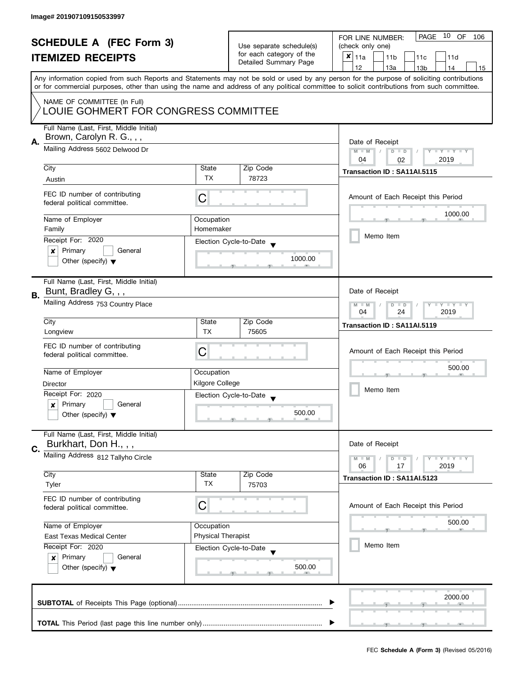| <b>SCHEDULE A (FEC Form 3)</b> |                                                                                                                                                                                                |                          | PAGE 10 OF<br>FOR LINE NUMBER:<br>106 |                                                                                                                                            |
|--------------------------------|------------------------------------------------------------------------------------------------------------------------------------------------------------------------------------------------|--------------------------|---------------------------------------|--------------------------------------------------------------------------------------------------------------------------------------------|
|                                |                                                                                                                                                                                                | Use separate schedule(s) | (check only one)                      |                                                                                                                                            |
|                                | <b>ITEMIZED RECEIPTS</b>                                                                                                                                                                       |                          | for each category of the              | $x _{11a}$<br>11 <sub>b</sub><br>11c<br>11d                                                                                                |
|                                |                                                                                                                                                                                                |                          | Detailed Summary Page                 | 12<br>13a<br>13 <sub>b</sub><br>14<br>15                                                                                                   |
|                                |                                                                                                                                                                                                |                          |                                       | Any information copied from such Reports and Statements may not be sold or used by any person for the purpose of soliciting contributions  |
|                                |                                                                                                                                                                                                |                          |                                       | or for commercial purposes, other than using the name and address of any political committee to solicit contributions from such committee. |
|                                |                                                                                                                                                                                                |                          |                                       |                                                                                                                                            |
|                                | NAME OF COMMITTEE (In Full)                                                                                                                                                                    |                          |                                       |                                                                                                                                            |
|                                | LOUIE GOHMERT FOR CONGRESS COMMITTEE                                                                                                                                                           |                          |                                       |                                                                                                                                            |
|                                | Full Name (Last, First, Middle Initial)                                                                                                                                                        |                          |                                       |                                                                                                                                            |
|                                | Brown, Carolyn R. G., , ,<br>Mailing Address 5602 Delwood Dr                                                                                                                                   |                          |                                       |                                                                                                                                            |
| А.                             |                                                                                                                                                                                                |                          |                                       | Date of Receipt                                                                                                                            |
|                                |                                                                                                                                                                                                |                          |                                       | $M - M$<br>$\sqrt{2}$<br>$D$ $D$<br>Y I Y I Y I Y                                                                                          |
|                                | City                                                                                                                                                                                           | State                    | Zip Code                              | 04<br>2019<br>02                                                                                                                           |
|                                |                                                                                                                                                                                                | <b>TX</b>                | 78723                                 | Transaction ID: SA11AI.5115                                                                                                                |
|                                | Austin                                                                                                                                                                                         |                          |                                       |                                                                                                                                            |
|                                | FEC ID number of contributing                                                                                                                                                                  |                          |                                       | Amount of Each Receipt this Period                                                                                                         |
|                                | federal political committee.                                                                                                                                                                   | C                        |                                       |                                                                                                                                            |
|                                |                                                                                                                                                                                                |                          |                                       | 1000.00                                                                                                                                    |
|                                | Name of Employer                                                                                                                                                                               | Occupation               |                                       |                                                                                                                                            |
|                                | Family                                                                                                                                                                                         | Homemaker                |                                       | Memo Item                                                                                                                                  |
|                                | Receipt For: 2020                                                                                                                                                                              |                          | Election Cycle-to-Date                |                                                                                                                                            |
|                                | General<br>Primary<br>x                                                                                                                                                                        |                          |                                       |                                                                                                                                            |
|                                | Other (specify) $\blacktriangledown$                                                                                                                                                           |                          | 1000.00                               |                                                                                                                                            |
|                                |                                                                                                                                                                                                |                          |                                       |                                                                                                                                            |
|                                | Full Name (Last, First, Middle Initial)                                                                                                                                                        |                          |                                       |                                                                                                                                            |
| В.                             | Bunt, Bradley G, , ,                                                                                                                                                                           |                          |                                       | Date of Receipt                                                                                                                            |
|                                | Mailing Address 753 Country Place                                                                                                                                                              |                          |                                       | $Y = Y + Y$<br>$M - M$<br>D<br>$\Box$                                                                                                      |
|                                |                                                                                                                                                                                                |                          |                                       | 2019<br>04<br>24                                                                                                                           |
|                                | City                                                                                                                                                                                           | State                    | Zip Code                              | Transaction ID: SA11AI.5119                                                                                                                |
|                                | Longview                                                                                                                                                                                       | <b>TX</b>                | 75605                                 |                                                                                                                                            |
|                                | FEC ID number of contributing                                                                                                                                                                  |                          |                                       |                                                                                                                                            |
|                                | federal political committee.                                                                                                                                                                   | C                        |                                       | Amount of Each Receipt this Period                                                                                                         |
|                                |                                                                                                                                                                                                |                          |                                       |                                                                                                                                            |
|                                | Name of Employer                                                                                                                                                                               | Occupation               |                                       | 500.00                                                                                                                                     |
|                                | Director                                                                                                                                                                                       | Kilgore College          |                                       |                                                                                                                                            |
|                                | Receipt For: 2020                                                                                                                                                                              |                          | Election Cycle-to-Date                | Memo Item                                                                                                                                  |
|                                | Primary<br>General<br>x                                                                                                                                                                        |                          |                                       |                                                                                                                                            |
|                                | Other (specify) $\blacktriangledown$                                                                                                                                                           |                          | 500.00                                |                                                                                                                                            |
|                                |                                                                                                                                                                                                |                          |                                       |                                                                                                                                            |
|                                | Full Name (Last, First, Middle Initial)                                                                                                                                                        |                          |                                       |                                                                                                                                            |
|                                | Burkhart, Don H.,,,                                                                                                                                                                            |                          |                                       | Date of Receipt                                                                                                                            |
| C.                             | Mailing Address 812 Tallyho Circle                                                                                                                                                             |                          |                                       | $M - M$<br>$Y - Y - Y$<br>D<br>$\blacksquare$                                                                                              |
|                                |                                                                                                                                                                                                |                          |                                       | 06<br>2019<br>17                                                                                                                           |
|                                | City                                                                                                                                                                                           | State                    | Zip Code                              | Transaction ID: SA11AI.5123                                                                                                                |
|                                | Tyler                                                                                                                                                                                          | TX                       | 75703                                 |                                                                                                                                            |
|                                | FEC ID number of contributing                                                                                                                                                                  |                          |                                       |                                                                                                                                            |
|                                | federal political committee.                                                                                                                                                                   | C                        |                                       | Amount of Each Receipt this Period                                                                                                         |
|                                |                                                                                                                                                                                                |                          |                                       |                                                                                                                                            |
|                                | Name of Employer                                                                                                                                                                               | Occupation               |                                       | 500.00                                                                                                                                     |
|                                | <b>Physical Therapist</b><br><b>East Texas Medical Center</b><br>Receipt For: 2020<br>Election Cycle-to-Date<br>Primary<br>General<br>$\boldsymbol{x}$<br>Other (specify) $\blacktriangledown$ |                          |                                       |                                                                                                                                            |
|                                |                                                                                                                                                                                                |                          |                                       | Memo Item                                                                                                                                  |
|                                |                                                                                                                                                                                                |                          |                                       |                                                                                                                                            |
|                                |                                                                                                                                                                                                |                          | 500.00                                |                                                                                                                                            |
|                                |                                                                                                                                                                                                |                          |                                       |                                                                                                                                            |
|                                |                                                                                                                                                                                                |                          |                                       |                                                                                                                                            |
|                                |                                                                                                                                                                                                |                          |                                       | 2000.00                                                                                                                                    |
|                                |                                                                                                                                                                                                |                          |                                       |                                                                                                                                            |
|                                |                                                                                                                                                                                                |                          |                                       |                                                                                                                                            |
|                                |                                                                                                                                                                                                |                          |                                       |                                                                                                                                            |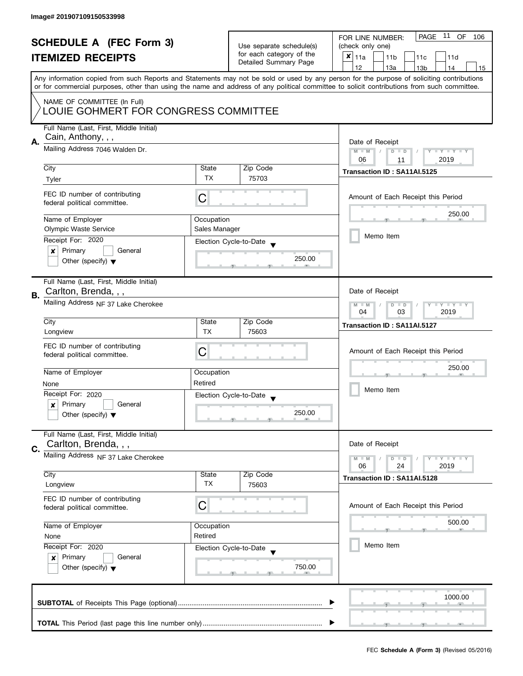| <b>SCHEDULE A (FEC Form 3)</b><br><b>ITEMIZED RECEIPTS</b> |                                                                                |                                                           | Use separate schedule(s)<br>for each category of the<br>Detailed Summary Page | PAGE 11 OF<br>FOR LINE NUMBER:<br>106<br>(check only one)<br>×<br>11a<br>11 <sub>b</sub><br>11c<br>11d                                                                                                                                                                                  |  |  |
|------------------------------------------------------------|--------------------------------------------------------------------------------|-----------------------------------------------------------|-------------------------------------------------------------------------------|-----------------------------------------------------------------------------------------------------------------------------------------------------------------------------------------------------------------------------------------------------------------------------------------|--|--|
|                                                            |                                                                                |                                                           |                                                                               | 12<br>13a<br>14<br>13 <sub>b</sub><br>15                                                                                                                                                                                                                                                |  |  |
|                                                            |                                                                                |                                                           |                                                                               | Any information copied from such Reports and Statements may not be sold or used by any person for the purpose of soliciting contributions<br>or for commercial purposes, other than using the name and address of any political committee to solicit contributions from such committee. |  |  |
|                                                            | NAME OF COMMITTEE (In Full)<br>LOUIE GOHMERT FOR CONGRESS COMMITTEE            |                                                           |                                                                               |                                                                                                                                                                                                                                                                                         |  |  |
| А.                                                         | Full Name (Last, First, Middle Initial)<br>Cain, Anthony, , ,                  |                                                           |                                                                               | Date of Receipt                                                                                                                                                                                                                                                                         |  |  |
|                                                            | Mailing Address 7046 Walden Dr.                                                | $M - M$<br>Y I Y I Y I Y<br>$D$ $D$<br>06<br>2019<br>11   |                                                                               |                                                                                                                                                                                                                                                                                         |  |  |
|                                                            | City                                                                           | State                                                     | Zip Code                                                                      | Transaction ID: SA11AI.5125                                                                                                                                                                                                                                                             |  |  |
|                                                            | Tyler                                                                          | TX                                                        | 75703                                                                         |                                                                                                                                                                                                                                                                                         |  |  |
|                                                            | FEC ID number of contributing<br>federal political committee.                  | C                                                         |                                                                               | Amount of Each Receipt this Period                                                                                                                                                                                                                                                      |  |  |
|                                                            | Name of Employer                                                               | Occupation                                                |                                                                               | 250.00                                                                                                                                                                                                                                                                                  |  |  |
|                                                            | <b>Olympic Waste Service</b>                                                   | Sales Manager                                             |                                                                               | Memo Item                                                                                                                                                                                                                                                                               |  |  |
|                                                            | Receipt For: 2020                                                              |                                                           | Election Cycle-to-Date                                                        |                                                                                                                                                                                                                                                                                         |  |  |
|                                                            | Primary<br>General<br>×<br>Other (specify) $\blacktriangledown$                |                                                           | 250.00                                                                        |                                                                                                                                                                                                                                                                                         |  |  |
| В.                                                         | Full Name (Last, First, Middle Initial)<br>Carlton, Brenda, , ,                |                                                           |                                                                               | Date of Receipt                                                                                                                                                                                                                                                                         |  |  |
|                                                            | Mailing Address NF 37 Lake Cherokee                                            | $T - Y = T - Y$<br>$M - M$<br>$D$ $D$<br>04<br>03<br>2019 |                                                                               |                                                                                                                                                                                                                                                                                         |  |  |
|                                                            | City                                                                           | State<br><b>TX</b>                                        | Zip Code<br>75603                                                             | Transaction ID: SA11AI.5127                                                                                                                                                                                                                                                             |  |  |
|                                                            | Longview<br>FEC ID number of contributing<br>federal political committee.      | C                                                         |                                                                               | Amount of Each Receipt this Period                                                                                                                                                                                                                                                      |  |  |
|                                                            | Name of Employer                                                               | Occupation                                                |                                                                               | 250.00                                                                                                                                                                                                                                                                                  |  |  |
|                                                            | None                                                                           | Retired                                                   |                                                                               |                                                                                                                                                                                                                                                                                         |  |  |
|                                                            | Receipt For: 2020                                                              |                                                           | Election Cycle-to-Date<br>$\overline{\mathbf{v}}$                             | Memo Item                                                                                                                                                                                                                                                                               |  |  |
|                                                            | Primary<br>General<br>$\boldsymbol{x}$<br>Other (specify) $\blacktriangledown$ |                                                           | 250.00                                                                        |                                                                                                                                                                                                                                                                                         |  |  |
| C.                                                         | Full Name (Last, First, Middle Initial)<br>Carlton, Brenda, , ,                |                                                           |                                                                               | Date of Receipt                                                                                                                                                                                                                                                                         |  |  |
|                                                            | Mailing Address NF 37 Lake Cherokee                                            |                                                           |                                                                               | $T - Y = T - Y$<br>$M - M$<br>$D$ $D$<br>06<br>24<br>2019                                                                                                                                                                                                                               |  |  |
|                                                            | City                                                                           | State                                                     | Zip Code                                                                      | Transaction ID: SA11AI.5128                                                                                                                                                                                                                                                             |  |  |
|                                                            | Longview                                                                       | TX                                                        | 75603                                                                         |                                                                                                                                                                                                                                                                                         |  |  |
|                                                            | FEC ID number of contributing<br>federal political committee.                  | C                                                         |                                                                               | Amount of Each Receipt this Period                                                                                                                                                                                                                                                      |  |  |
|                                                            | Name of Employer                                                               | Occupation                                                |                                                                               | 500.00                                                                                                                                                                                                                                                                                  |  |  |
|                                                            | None                                                                           | Retired                                                   |                                                                               |                                                                                                                                                                                                                                                                                         |  |  |
|                                                            | Receipt For: 2020                                                              |                                                           | Election Cycle-to-Date                                                        | Memo Item                                                                                                                                                                                                                                                                               |  |  |
|                                                            | Primary<br>General<br>$\boldsymbol{x}$<br>Other (specify) $\blacktriangledown$ |                                                           | 750.00                                                                        |                                                                                                                                                                                                                                                                                         |  |  |
|                                                            |                                                                                |                                                           |                                                                               | 1000.00                                                                                                                                                                                                                                                                                 |  |  |
|                                                            |                                                                                |                                                           |                                                                               |                                                                                                                                                                                                                                                                                         |  |  |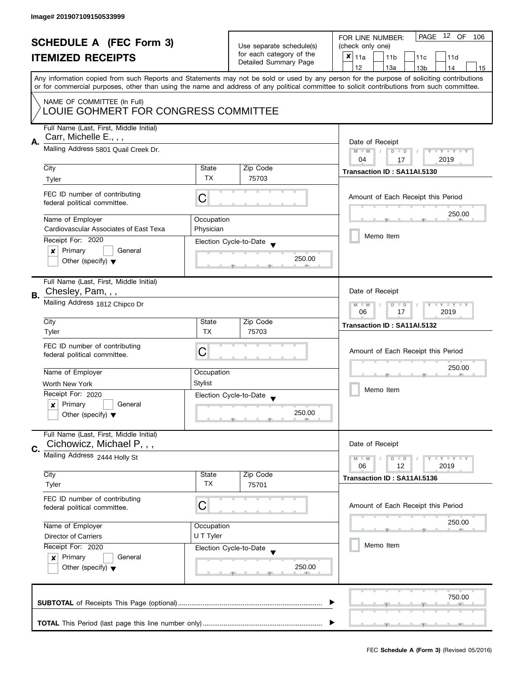|           | <b>SCHEDULE A (FEC Form 3)</b>                                       |                    |                                                      | PAGE 12 OF<br>FOR LINE NUMBER:<br>106                                                                                                                                                                                                                                                   |
|-----------|----------------------------------------------------------------------|--------------------|------------------------------------------------------|-----------------------------------------------------------------------------------------------------------------------------------------------------------------------------------------------------------------------------------------------------------------------------------------|
|           |                                                                      |                    | Use separate schedule(s)<br>for each category of the | (check only one)                                                                                                                                                                                                                                                                        |
|           | <b>ITEMIZED RECEIPTS</b>                                             |                    | Detailed Summary Page                                | ×<br>11a<br>11 <sub>b</sub><br>11c<br>11d                                                                                                                                                                                                                                               |
|           |                                                                      |                    |                                                      | 12<br>13a<br>13 <sub>b</sub><br>14<br>15                                                                                                                                                                                                                                                |
|           |                                                                      |                    |                                                      | Any information copied from such Reports and Statements may not be sold or used by any person for the purpose of soliciting contributions<br>or for commercial purposes, other than using the name and address of any political committee to solicit contributions from such committee. |
|           |                                                                      |                    |                                                      |                                                                                                                                                                                                                                                                                         |
|           | NAME OF COMMITTEE (In Full)<br>LOUIE GOHMERT FOR CONGRESS COMMITTEE  |                    |                                                      |                                                                                                                                                                                                                                                                                         |
|           | Full Name (Last, First, Middle Initial)                              |                    |                                                      |                                                                                                                                                                                                                                                                                         |
| А.        | Carr, Michelle E., , ,                                               |                    | Date of Receipt                                      |                                                                                                                                                                                                                                                                                         |
|           | Mailing Address 5801 Quail Creek Dr.                                 |                    |                                                      | Y TY TY TY<br>$M - M$<br>$D$ $D$                                                                                                                                                                                                                                                        |
|           |                                                                      |                    |                                                      | 04<br>2019<br>17                                                                                                                                                                                                                                                                        |
|           | City                                                                 | State<br><b>TX</b> | Zip Code<br>75703                                    | Transaction ID: SA11AI.5130                                                                                                                                                                                                                                                             |
|           | Tyler                                                                |                    |                                                      |                                                                                                                                                                                                                                                                                         |
|           | FEC ID number of contributing                                        | C                  |                                                      | Amount of Each Receipt this Period                                                                                                                                                                                                                                                      |
|           | federal political committee.                                         |                    |                                                      |                                                                                                                                                                                                                                                                                         |
|           | Name of Employer                                                     | Occupation         |                                                      | 250.00                                                                                                                                                                                                                                                                                  |
|           | Cardiovascular Associates of East Texa                               | Physician          |                                                      |                                                                                                                                                                                                                                                                                         |
|           | Receipt For: 2020                                                    |                    | Election Cycle-to-Date                               | Memo Item                                                                                                                                                                                                                                                                               |
|           | Primary<br>General<br>×                                              |                    |                                                      |                                                                                                                                                                                                                                                                                         |
|           | Other (specify) $\blacktriangledown$                                 |                    | 250.00                                               |                                                                                                                                                                                                                                                                                         |
|           | Full Name (Last, First, Middle Initial)                              |                    |                                                      |                                                                                                                                                                                                                                                                                         |
|           | Chesley, Pam, , ,                                                    |                    |                                                      | Date of Receipt                                                                                                                                                                                                                                                                         |
| <b>B.</b> | Mailing Address 1812 Chipco Dr                                       |                    |                                                      | $Y - Y - Y - Y - Y$<br>$M - M$<br>$D$ $D$                                                                                                                                                                                                                                               |
|           |                                                                      |                    |                                                      | 06<br>17<br>2019                                                                                                                                                                                                                                                                        |
|           | City                                                                 | State              | Zip Code                                             | Transaction ID: SA11AI.5132                                                                                                                                                                                                                                                             |
|           | Tyler                                                                | <b>TX</b>          | 75703                                                |                                                                                                                                                                                                                                                                                         |
|           | FEC ID number of contributing                                        |                    |                                                      | Amount of Each Receipt this Period                                                                                                                                                                                                                                                      |
|           | federal political committee.                                         | С                  |                                                      |                                                                                                                                                                                                                                                                                         |
|           | Name of Employer                                                     | Occupation         |                                                      | 250.00                                                                                                                                                                                                                                                                                  |
|           | Worth New York                                                       | <b>Stylist</b>     |                                                      |                                                                                                                                                                                                                                                                                         |
|           | Receipt For: 2020                                                    |                    | Election Cycle-to-Date                               | Memo Item                                                                                                                                                                                                                                                                               |
|           | Primary<br>General<br>x                                              |                    |                                                      |                                                                                                                                                                                                                                                                                         |
|           | Other (specify) $\blacktriangledown$                                 |                    | 250.00                                               |                                                                                                                                                                                                                                                                                         |
|           |                                                                      |                    |                                                      |                                                                                                                                                                                                                                                                                         |
|           | Full Name (Last, First, Middle Initial)<br>Cichowicz, Michael P, , , |                    |                                                      | Date of Receipt                                                                                                                                                                                                                                                                         |
| C.        | Mailing Address 2444 Holly St                                        |                    |                                                      |                                                                                                                                                                                                                                                                                         |
|           |                                                                      |                    |                                                      | Y I Y I Y I Y<br>$M - M$<br>$D$ $D$<br>06<br>2019<br>12                                                                                                                                                                                                                                 |
|           | City                                                                 | State              | Zip Code                                             | Transaction ID: SA11AI.5136                                                                                                                                                                                                                                                             |
|           | Tyler                                                                | TX                 | 75701                                                |                                                                                                                                                                                                                                                                                         |
|           | FEC ID number of contributing                                        |                    |                                                      |                                                                                                                                                                                                                                                                                         |
|           | federal political committee.                                         | C                  |                                                      | Amount of Each Receipt this Period                                                                                                                                                                                                                                                      |
|           | Name of Employer                                                     | Occupation         |                                                      | 250.00                                                                                                                                                                                                                                                                                  |
|           | Director of Carriers                                                 | U T Tyler          |                                                      |                                                                                                                                                                                                                                                                                         |
|           | Receipt For: 2020                                                    |                    | Election Cycle-to-Date                               | Memo Item                                                                                                                                                                                                                                                                               |
|           | Primary<br>General<br>$\boldsymbol{x}$                               |                    |                                                      |                                                                                                                                                                                                                                                                                         |
|           | Other (specify) $\blacktriangledown$                                 |                    | 250.00                                               |                                                                                                                                                                                                                                                                                         |
|           |                                                                      |                    |                                                      |                                                                                                                                                                                                                                                                                         |
|           |                                                                      |                    |                                                      |                                                                                                                                                                                                                                                                                         |
|           |                                                                      |                    |                                                      | 750.00                                                                                                                                                                                                                                                                                  |
|           |                                                                      |                    |                                                      |                                                                                                                                                                                                                                                                                         |
|           |                                                                      |                    |                                                      |                                                                                                                                                                                                                                                                                         |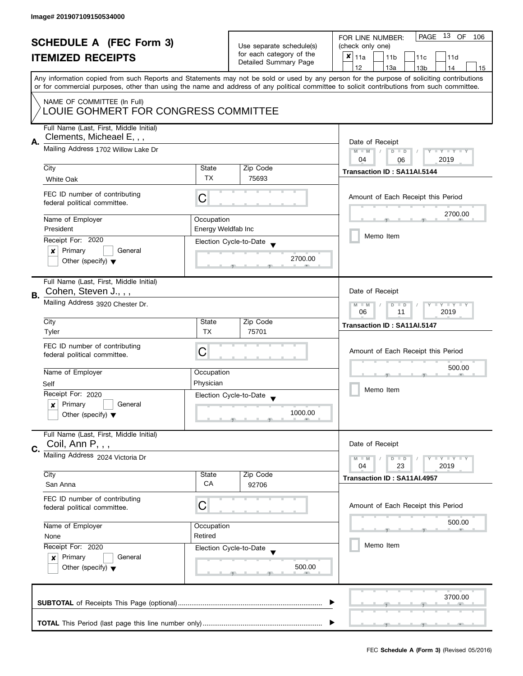|    | <b>SCHEDULE A (FEC Form 3)</b><br><b>ITEMIZED RECEIPTS</b>                                                  |                                                               | Use separate schedule(s)<br>for each category of the<br>Detailed Summary Page | PAGE 13 OF<br>FOR LINE NUMBER:<br>106<br>(check only one)<br>X<br>11a<br>11 <sub>b</sub><br>11c<br>11d                                                                                                                                                                                                                              |
|----|-------------------------------------------------------------------------------------------------------------|---------------------------------------------------------------|-------------------------------------------------------------------------------|-------------------------------------------------------------------------------------------------------------------------------------------------------------------------------------------------------------------------------------------------------------------------------------------------------------------------------------|
|    |                                                                                                             |                                                               |                                                                               | 12<br>13a<br>13 <sub>b</sub><br>14<br>15<br>Any information copied from such Reports and Statements may not be sold or used by any person for the purpose of soliciting contributions<br>or for commercial purposes, other than using the name and address of any political committee to solicit contributions from such committee. |
|    | NAME OF COMMITTEE (In Full)<br>LOUIE GOHMERT FOR CONGRESS COMMITTEE                                         |                                                               |                                                                               |                                                                                                                                                                                                                                                                                                                                     |
| А. | Full Name (Last, First, Middle Initial)<br>Clements, Micheael E, , ,<br>Mailing Address 1702 Willow Lake Dr |                                                               |                                                                               | Date of Receipt                                                                                                                                                                                                                                                                                                                     |
|    |                                                                                                             |                                                               |                                                                               | $M - M$<br>Y I Y I Y I Y<br>$D$ $D$<br>2019<br>04<br>06                                                                                                                                                                                                                                                                             |
|    | City                                                                                                        | State                                                         | Zip Code                                                                      | Transaction ID: SA11AI.5144                                                                                                                                                                                                                                                                                                         |
|    | White Oak                                                                                                   | <b>TX</b>                                                     | 75693                                                                         |                                                                                                                                                                                                                                                                                                                                     |
|    | FEC ID number of contributing<br>federal political committee.                                               | C                                                             |                                                                               | Amount of Each Receipt this Period                                                                                                                                                                                                                                                                                                  |
|    | Name of Employer                                                                                            | Occupation                                                    |                                                                               | 2700.00                                                                                                                                                                                                                                                                                                                             |
|    | President                                                                                                   | Energy Weldfab Inc                                            |                                                                               |                                                                                                                                                                                                                                                                                                                                     |
|    | Receipt For: 2020                                                                                           |                                                               | Election Cycle-to-Date                                                        | Memo Item                                                                                                                                                                                                                                                                                                                           |
|    | Primary<br>General<br>×<br>Other (specify) $\blacktriangledown$                                             |                                                               | 2700.00                                                                       |                                                                                                                                                                                                                                                                                                                                     |
| В. | Full Name (Last, First, Middle Initial)<br>Cohen, Steven J., , ,                                            |                                                               |                                                                               | Date of Receipt                                                                                                                                                                                                                                                                                                                     |
|    | Mailing Address 3920 Chester Dr.                                                                            | $Y - Y - Y - Y - Y$<br>$M - M$<br>$D$ $D$<br>06<br>2019<br>11 |                                                                               |                                                                                                                                                                                                                                                                                                                                     |
|    | City<br>Tyler                                                                                               | State<br><b>TX</b>                                            | Zip Code<br>75701                                                             | Transaction ID: SA11AI.5147                                                                                                                                                                                                                                                                                                         |
|    | FEC ID number of contributing<br>federal political committee.                                               | С                                                             |                                                                               | Amount of Each Receipt this Period                                                                                                                                                                                                                                                                                                  |
|    | Name of Employer                                                                                            | Occupation                                                    |                                                                               | 500.00                                                                                                                                                                                                                                                                                                                              |
|    | Self                                                                                                        | Physician                                                     |                                                                               |                                                                                                                                                                                                                                                                                                                                     |
|    | Receipt For: 2020                                                                                           |                                                               | Election Cycle-to-Date<br>$\overline{\phantom{a}}$                            | Memo Item                                                                                                                                                                                                                                                                                                                           |
|    | Primary<br>General<br>$\boldsymbol{x}$<br>Other (specify) $\blacktriangledown$                              |                                                               | 1000.00                                                                       |                                                                                                                                                                                                                                                                                                                                     |
| C. | Full Name (Last, First, Middle Initial)<br>Coil, Ann P, , ,                                                 |                                                               |                                                                               | Date of Receipt                                                                                                                                                                                                                                                                                                                     |
|    | Mailing Address 2024 Victoria Dr                                                                            |                                                               |                                                                               | <b>LYLYLY</b><br>$M - M$<br>$D$ $D$<br>04<br>23<br>2019                                                                                                                                                                                                                                                                             |
|    | City<br>San Anna                                                                                            | State<br>CA                                                   | Zip Code<br>92706                                                             | Transaction ID: SA11AI.4957                                                                                                                                                                                                                                                                                                         |
|    | FEC ID number of contributing<br>federal political committee.                                               | C                                                             |                                                                               | Amount of Each Receipt this Period                                                                                                                                                                                                                                                                                                  |
|    | Name of Employer                                                                                            | Occupation                                                    |                                                                               | 500.00                                                                                                                                                                                                                                                                                                                              |
|    | None                                                                                                        | Retired                                                       |                                                                               |                                                                                                                                                                                                                                                                                                                                     |
|    | Receipt For: 2020<br>Primary<br>General<br>$\boldsymbol{x}$<br>Other (specify) $\blacktriangledown$         |                                                               | Election Cycle-to-Date<br>500.00                                              | Memo Item                                                                                                                                                                                                                                                                                                                           |
|    |                                                                                                             | 3700.00                                                       |                                                                               |                                                                                                                                                                                                                                                                                                                                     |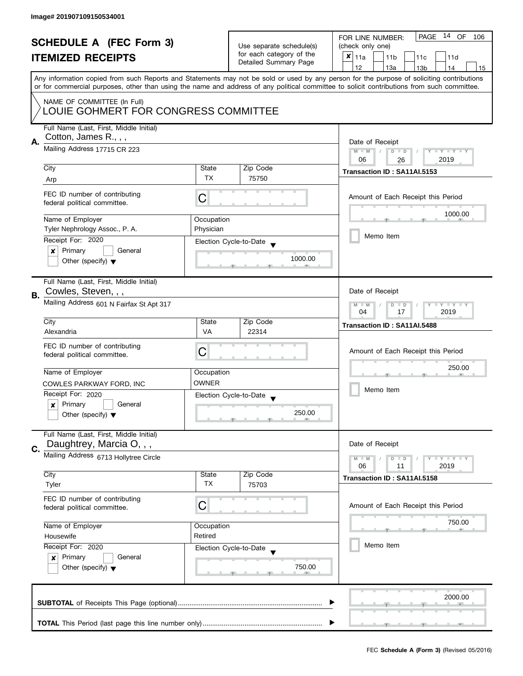| <b>SCHEDULE A (FEC Form 3)</b> |                                                                                                                                            |                          | PAGE 14 OF<br>FOR LINE NUMBER:<br>106 |                                                                                                                                           |  |  |  |
|--------------------------------|--------------------------------------------------------------------------------------------------------------------------------------------|--------------------------|---------------------------------------|-------------------------------------------------------------------------------------------------------------------------------------------|--|--|--|
|                                |                                                                                                                                            | Use separate schedule(s) | (check only one)                      |                                                                                                                                           |  |  |  |
|                                | <b>ITEMIZED RECEIPTS</b>                                                                                                                   |                          | for each category of the              | $x _{11a}$<br>11 <sub>b</sub><br>11c<br>11d                                                                                               |  |  |  |
|                                |                                                                                                                                            |                          | Detailed Summary Page                 | 12<br>13a<br>13 <sub>b</sub><br>14<br>15                                                                                                  |  |  |  |
|                                |                                                                                                                                            |                          |                                       | Any information copied from such Reports and Statements may not be sold or used by any person for the purpose of soliciting contributions |  |  |  |
|                                | or for commercial purposes, other than using the name and address of any political committee to solicit contributions from such committee. |                          |                                       |                                                                                                                                           |  |  |  |
|                                |                                                                                                                                            |                          |                                       |                                                                                                                                           |  |  |  |
|                                | NAME OF COMMITTEE (In Full)<br>LOUIE GOHMERT FOR CONGRESS COMMITTEE                                                                        |                          |                                       |                                                                                                                                           |  |  |  |
|                                |                                                                                                                                            |                          |                                       |                                                                                                                                           |  |  |  |
|                                | Full Name (Last, First, Middle Initial)                                                                                                    |                          |                                       |                                                                                                                                           |  |  |  |
|                                | Cotton, James R.,,,                                                                                                                        |                          |                                       |                                                                                                                                           |  |  |  |
| Α.                             | Mailing Address 17715 CR 223                                                                                                               |                          |                                       | Date of Receipt<br>$M - M$<br>$\sqrt{ }$<br>$D$ $D$<br>Y I Y I Y I Y                                                                      |  |  |  |
|                                |                                                                                                                                            |                          |                                       | 2019<br>06<br>26                                                                                                                          |  |  |  |
|                                | City                                                                                                                                       | State                    | Zip Code                              |                                                                                                                                           |  |  |  |
|                                | Arp                                                                                                                                        | <b>TX</b>                | 75750                                 | Transaction ID: SA11AI.5153                                                                                                               |  |  |  |
|                                |                                                                                                                                            |                          |                                       |                                                                                                                                           |  |  |  |
|                                | FEC ID number of contributing                                                                                                              | C                        |                                       | Amount of Each Receipt this Period                                                                                                        |  |  |  |
|                                | federal political committee.                                                                                                               |                          |                                       |                                                                                                                                           |  |  |  |
|                                | Name of Employer                                                                                                                           | Occupation               |                                       | 1000.00                                                                                                                                   |  |  |  |
|                                | Tyler Nephrology Assoc., P. A.                                                                                                             | Physician                |                                       |                                                                                                                                           |  |  |  |
|                                | Receipt For: 2020                                                                                                                          |                          |                                       | Memo Item                                                                                                                                 |  |  |  |
|                                | Primary<br>General<br>x                                                                                                                    |                          | Election Cycle-to-Date                |                                                                                                                                           |  |  |  |
|                                | Other (specify) $\blacktriangledown$                                                                                                       |                          | 1000.00                               |                                                                                                                                           |  |  |  |
|                                |                                                                                                                                            |                          |                                       |                                                                                                                                           |  |  |  |
|                                | Full Name (Last, First, Middle Initial)                                                                                                    |                          |                                       |                                                                                                                                           |  |  |  |
|                                | Cowles, Steven, , ,                                                                                                                        |                          |                                       | Date of Receipt                                                                                                                           |  |  |  |
| В.                             |                                                                                                                                            |                          |                                       |                                                                                                                                           |  |  |  |
|                                | Mailing Address 601 N Fairfax St Apt 317                                                                                                   |                          |                                       | $Y = Y + Y$<br>$M - M$<br>D<br>$\Box$<br>17<br>2019<br>04                                                                                 |  |  |  |
|                                | City                                                                                                                                       | State                    | Zip Code                              |                                                                                                                                           |  |  |  |
|                                | Alexandria                                                                                                                                 | <b>VA</b>                | 22314                                 | Transaction ID: SA11AI.5488                                                                                                               |  |  |  |
|                                |                                                                                                                                            |                          |                                       |                                                                                                                                           |  |  |  |
|                                | FEC ID number of contributing                                                                                                              | C                        |                                       | Amount of Each Receipt this Period                                                                                                        |  |  |  |
|                                | federal political committee.                                                                                                               |                          |                                       |                                                                                                                                           |  |  |  |
|                                | Name of Employer                                                                                                                           | Occupation               |                                       | 250.00                                                                                                                                    |  |  |  |
|                                | COWLES PARKWAY FORD, INC                                                                                                                   | <b>OWNER</b>             |                                       |                                                                                                                                           |  |  |  |
|                                | Receipt For: 2020                                                                                                                          |                          | Election Cycle-to-Date                | Memo Item                                                                                                                                 |  |  |  |
|                                | Primary<br>General<br>x                                                                                                                    |                          |                                       |                                                                                                                                           |  |  |  |
|                                | Other (specify) $\blacktriangledown$                                                                                                       |                          | 250.00                                |                                                                                                                                           |  |  |  |
|                                |                                                                                                                                            |                          |                                       |                                                                                                                                           |  |  |  |
|                                | Full Name (Last, First, Middle Initial)                                                                                                    |                          |                                       |                                                                                                                                           |  |  |  |
|                                | Daughtrey, Marcia O, , ,                                                                                                                   |                          |                                       | Date of Receipt                                                                                                                           |  |  |  |
| C.                             | Mailing Address 6713 Hollytree Circle                                                                                                      |                          |                                       | $M - M$<br>$Y - Y - Y$<br>D<br>$\blacksquare$                                                                                             |  |  |  |
|                                |                                                                                                                                            |                          |                                       | 06<br>2019<br>11                                                                                                                          |  |  |  |
|                                | City                                                                                                                                       | State                    | Zip Code                              | Transaction ID: SA11AI.5158                                                                                                               |  |  |  |
|                                | Tyler                                                                                                                                      | TX                       | 75703                                 |                                                                                                                                           |  |  |  |
|                                | FEC ID number of contributing                                                                                                              |                          |                                       |                                                                                                                                           |  |  |  |
|                                | federal political committee.                                                                                                               | C                        |                                       | Amount of Each Receipt this Period                                                                                                        |  |  |  |
|                                |                                                                                                                                            |                          |                                       |                                                                                                                                           |  |  |  |
|                                | Name of Employer<br>Occupation                                                                                                             |                          |                                       | 750.00                                                                                                                                    |  |  |  |
|                                | Housewife                                                                                                                                  | Retired                  |                                       |                                                                                                                                           |  |  |  |
|                                | Receipt For: 2020<br>Election Cycle-to-Date<br>Primary<br>General<br>$\boldsymbol{x}$<br>Other (specify) $\blacktriangledown$              |                          |                                       | Memo Item                                                                                                                                 |  |  |  |
|                                |                                                                                                                                            |                          |                                       |                                                                                                                                           |  |  |  |
|                                |                                                                                                                                            |                          | 750.00                                |                                                                                                                                           |  |  |  |
|                                |                                                                                                                                            |                          |                                       |                                                                                                                                           |  |  |  |
|                                |                                                                                                                                            |                          |                                       |                                                                                                                                           |  |  |  |
|                                |                                                                                                                                            |                          |                                       | 2000.00                                                                                                                                   |  |  |  |
|                                |                                                                                                                                            |                          |                                       |                                                                                                                                           |  |  |  |
|                                | <b>J</b>                                                                                                                                   |                          |                                       |                                                                                                                                           |  |  |  |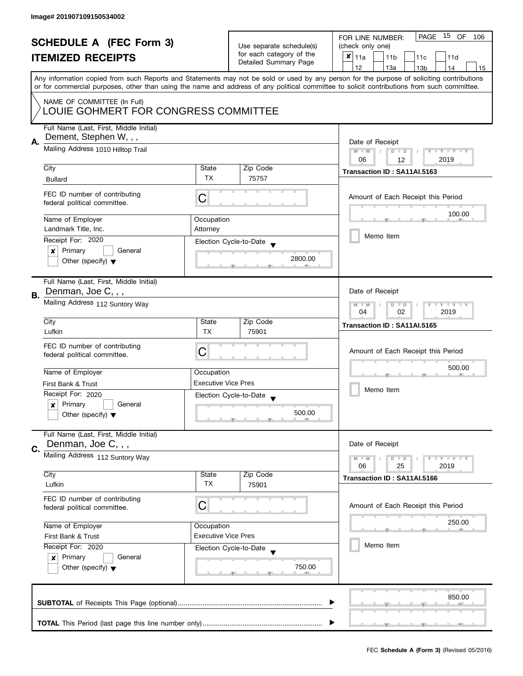|    | <b>SCHEDULE A (FEC Form 3)</b><br><b>ITEMIZED RECEIPTS</b>                                              |                                                      | Use separate schedule(s)<br>for each category of the<br>Detailed Summary Page | PAGE 15 OF<br>FOR LINE NUMBER:<br>106<br>(check only one)<br>$x _{11a}$<br>11 <sub>b</sub><br>11c<br>11d                                                                                                                                                                                                                            |
|----|---------------------------------------------------------------------------------------------------------|------------------------------------------------------|-------------------------------------------------------------------------------|-------------------------------------------------------------------------------------------------------------------------------------------------------------------------------------------------------------------------------------------------------------------------------------------------------------------------------------|
|    |                                                                                                         |                                                      |                                                                               | 12<br>13a<br>13 <sub>b</sub><br>14<br>15<br>Any information copied from such Reports and Statements may not be sold or used by any person for the purpose of soliciting contributions<br>or for commercial purposes, other than using the name and address of any political committee to solicit contributions from such committee. |
|    | NAME OF COMMITTEE (In Full)<br>LOUIE GOHMERT FOR CONGRESS COMMITTEE                                     |                                                      |                                                                               |                                                                                                                                                                                                                                                                                                                                     |
| А. | Full Name (Last, First, Middle Initial)<br>Dement, Stephen W, , ,<br>Mailing Address 1010 Hilltop Trail |                                                      |                                                                               | Date of Receipt<br>$M - M$<br>Y I Y I Y I Y<br>$D$ $D$                                                                                                                                                                                                                                                                              |
|    |                                                                                                         |                                                      |                                                                               | 2019<br>06<br>12                                                                                                                                                                                                                                                                                                                    |
|    | City                                                                                                    | State                                                | Zip Code                                                                      | Transaction ID: SA11AI.5163                                                                                                                                                                                                                                                                                                         |
|    | <b>Bullard</b>                                                                                          | TX                                                   | 75757                                                                         |                                                                                                                                                                                                                                                                                                                                     |
|    | FEC ID number of contributing<br>federal political committee.                                           | C                                                    |                                                                               | Amount of Each Receipt this Period                                                                                                                                                                                                                                                                                                  |
|    | Name of Employer                                                                                        | Occupation                                           |                                                                               | 100.00                                                                                                                                                                                                                                                                                                                              |
|    | Landmark Title, Inc.                                                                                    | Attorney                                             |                                                                               |                                                                                                                                                                                                                                                                                                                                     |
|    | Receipt For: 2020                                                                                       |                                                      | Election Cycle-to-Date                                                        | Memo Item                                                                                                                                                                                                                                                                                                                           |
|    | Primary<br>General<br>×<br>Other (specify) $\blacktriangledown$                                         |                                                      | 2800.00                                                                       |                                                                                                                                                                                                                                                                                                                                     |
| В. | Full Name (Last, First, Middle Initial)<br>Denman, Joe C, , ,                                           |                                                      |                                                                               | Date of Receipt                                                                                                                                                                                                                                                                                                                     |
|    | Mailing Address 112 Suntory Way                                                                         | Y FY FY FY<br>$D$ $D$<br>$M - M$<br>02<br>2019<br>04 |                                                                               |                                                                                                                                                                                                                                                                                                                                     |
|    | City                                                                                                    | State                                                | Zip Code                                                                      | Transaction ID: SA11AI.5165                                                                                                                                                                                                                                                                                                         |
|    | Lufkin                                                                                                  | <b>TX</b>                                            | 75901                                                                         |                                                                                                                                                                                                                                                                                                                                     |
|    | FEC ID number of contributing<br>federal political committee.                                           | С                                                    |                                                                               | Amount of Each Receipt this Period                                                                                                                                                                                                                                                                                                  |
|    | Name of Employer                                                                                        | Occupation                                           |                                                                               | 500.00                                                                                                                                                                                                                                                                                                                              |
|    | First Bank & Trust                                                                                      | <b>Executive Vice Pres</b>                           |                                                                               |                                                                                                                                                                                                                                                                                                                                     |
|    | Receipt For: 2020                                                                                       |                                                      | Election Cycle-to-Date<br>$\overline{\phantom{a}}$                            | Memo Item                                                                                                                                                                                                                                                                                                                           |
|    | Primary<br>General<br>$\boldsymbol{x}$<br>Other (specify) $\blacktriangledown$                          |                                                      | 500.00                                                                        |                                                                                                                                                                                                                                                                                                                                     |
| C. | Full Name (Last, First, Middle Initial)<br>Denman, Joe C, , ,                                           |                                                      |                                                                               | Date of Receipt                                                                                                                                                                                                                                                                                                                     |
|    | Mailing Address 112 Suntory Way                                                                         |                                                      |                                                                               | $T - Y = T - Y$<br>$M - M$<br>$D$ $D$<br>06<br>25<br>2019                                                                                                                                                                                                                                                                           |
|    | City<br>Lufkin                                                                                          | State<br>TX                                          | Zip Code<br>75901                                                             | Transaction ID: SA11AI.5166                                                                                                                                                                                                                                                                                                         |
|    | FEC ID number of contributing<br>federal political committee.                                           | C                                                    |                                                                               | Amount of Each Receipt this Period                                                                                                                                                                                                                                                                                                  |
|    | Name of Employer                                                                                        | Occupation                                           |                                                                               | 250.00                                                                                                                                                                                                                                                                                                                              |
|    | First Bank & Trust                                                                                      | <b>Executive Vice Pres</b>                           |                                                                               |                                                                                                                                                                                                                                                                                                                                     |
|    | Receipt For: 2020<br>Primary<br>General<br>$\boldsymbol{x}$<br>Other (specify) $\blacktriangledown$     |                                                      | Election Cycle-to-Date<br>750.00                                              | Memo Item                                                                                                                                                                                                                                                                                                                           |
|    |                                                                                                         |                                                      |                                                                               | 850.00                                                                                                                                                                                                                                                                                                                              |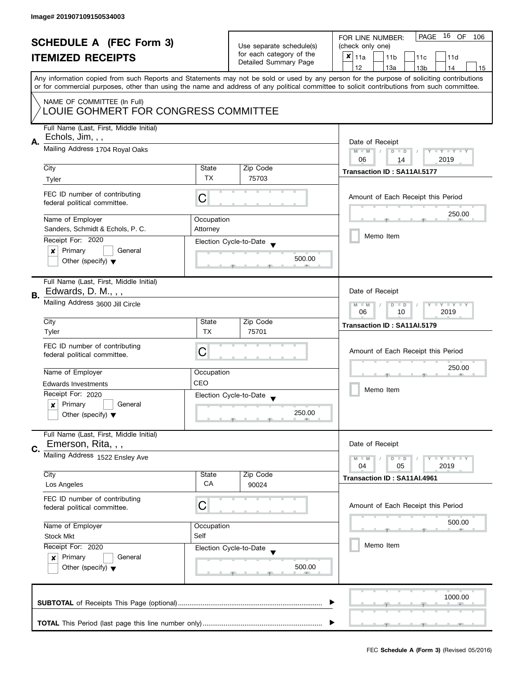|    | <b>SCHEDULE A (FEC Form 3)</b><br><b>ITEMIZED RECEIPTS</b>                                                   |            | Use separate schedule(s)<br>for each category of the<br>Detailed Summary Page | PAGE 16 OF<br>FOR LINE NUMBER:<br>106<br>(check only one)<br>$x _{11a}$<br>11 <sub>b</sub><br>11c<br>11d                                                                                                                                                                                                                            |
|----|--------------------------------------------------------------------------------------------------------------|------------|-------------------------------------------------------------------------------|-------------------------------------------------------------------------------------------------------------------------------------------------------------------------------------------------------------------------------------------------------------------------------------------------------------------------------------|
|    |                                                                                                              |            |                                                                               | 12<br>13a<br>14<br>13 <sub>b</sub><br>15<br>Any information copied from such Reports and Statements may not be sold or used by any person for the purpose of soliciting contributions<br>or for commercial purposes, other than using the name and address of any political committee to solicit contributions from such committee. |
|    | NAME OF COMMITTEE (In Full)<br>LOUIE GOHMERT FOR CONGRESS COMMITTEE                                          |            |                                                                               |                                                                                                                                                                                                                                                                                                                                     |
| А. | Full Name (Last, First, Middle Initial)<br>Echols, Jim, , ,                                                  |            |                                                                               | Date of Receipt                                                                                                                                                                                                                                                                                                                     |
|    | Mailing Address 1704 Royal Oaks                                                                              |            |                                                                               | $M - M$<br>Y I Y I Y I Y<br>$D$ $D$<br>2019<br>06<br>14                                                                                                                                                                                                                                                                             |
|    | City                                                                                                         | State      | Zip Code                                                                      | Transaction ID: SA11AI.5177                                                                                                                                                                                                                                                                                                         |
|    | Tyler                                                                                                        | TX         | 75703                                                                         |                                                                                                                                                                                                                                                                                                                                     |
|    | FEC ID number of contributing<br>federal political committee.                                                | C          |                                                                               | Amount of Each Receipt this Period                                                                                                                                                                                                                                                                                                  |
|    | Name of Employer                                                                                             | Occupation |                                                                               | 250.00                                                                                                                                                                                                                                                                                                                              |
|    | Sanders, Schmidt & Echols, P. C.                                                                             | Attorney   |                                                                               | Memo Item                                                                                                                                                                                                                                                                                                                           |
|    | Receipt For: 2020                                                                                            |            | Election Cycle-to-Date                                                        |                                                                                                                                                                                                                                                                                                                                     |
|    | Primary<br>General<br>×<br>Other (specify) $\blacktriangledown$                                              |            | 500.00                                                                        |                                                                                                                                                                                                                                                                                                                                     |
| В. | Full Name (Last, First, Middle Initial)<br>Edwards, D. M., , ,                                               |            |                                                                               | Date of Receipt                                                                                                                                                                                                                                                                                                                     |
|    | Mailing Address 3600 Jill Circle                                                                             |            |                                                                               | Y TY TY TY<br>$M - M$<br>$D$ $D$<br>10<br>2019<br>06                                                                                                                                                                                                                                                                                |
|    | City                                                                                                         | State      | Zip Code                                                                      | Transaction ID: SA11AI.5179                                                                                                                                                                                                                                                                                                         |
|    | Tyler                                                                                                        | <b>TX</b>  | 75701                                                                         |                                                                                                                                                                                                                                                                                                                                     |
|    | FEC ID number of contributing<br>federal political committee.                                                | С          |                                                                               | Amount of Each Receipt this Period                                                                                                                                                                                                                                                                                                  |
|    | Name of Employer                                                                                             | Occupation |                                                                               | 250.00                                                                                                                                                                                                                                                                                                                              |
|    | <b>Edwards Investments</b>                                                                                   | CEO        |                                                                               |                                                                                                                                                                                                                                                                                                                                     |
|    | Receipt For: 2020                                                                                            |            | Election Cycle-to-Date<br>$\overline{\phantom{a}}$                            | Memo Item                                                                                                                                                                                                                                                                                                                           |
|    | Primary<br>General<br>$\boldsymbol{x}$<br>Other (specify) $\blacktriangledown$                               |            | 250.00                                                                        |                                                                                                                                                                                                                                                                                                                                     |
| C. | Full Name (Last, First, Middle Initial)<br>Emerson, Rita, , ,                                                |            |                                                                               | Date of Receipt                                                                                                                                                                                                                                                                                                                     |
|    | Mailing Address 1522 Ensley Ave                                                                              |            |                                                                               | <b>LYLYLY</b><br>$M - M$<br>$D$ $D$                                                                                                                                                                                                                                                                                                 |
|    | City                                                                                                         | State      | Zip Code                                                                      | 04<br>05<br>2019                                                                                                                                                                                                                                                                                                                    |
|    | Los Angeles                                                                                                  | CA         | 90024                                                                         | Transaction ID: SA11AI.4961                                                                                                                                                                                                                                                                                                         |
|    | FEC ID number of contributing<br>federal political committee.                                                | C          |                                                                               | Amount of Each Receipt this Period                                                                                                                                                                                                                                                                                                  |
|    | Name of Employer                                                                                             | Occupation |                                                                               | 500.00                                                                                                                                                                                                                                                                                                                              |
|    | <b>Stock Mkt</b>                                                                                             | Self       |                                                                               |                                                                                                                                                                                                                                                                                                                                     |
|    | Receipt For: 2020<br>Primary<br>General<br>$\boldsymbol{\mathsf{x}}$<br>Other (specify) $\blacktriangledown$ |            | Election Cycle-to-Date<br>500.00                                              | Memo Item                                                                                                                                                                                                                                                                                                                           |
|    |                                                                                                              |            |                                                                               | 1000.00                                                                                                                                                                                                                                                                                                                             |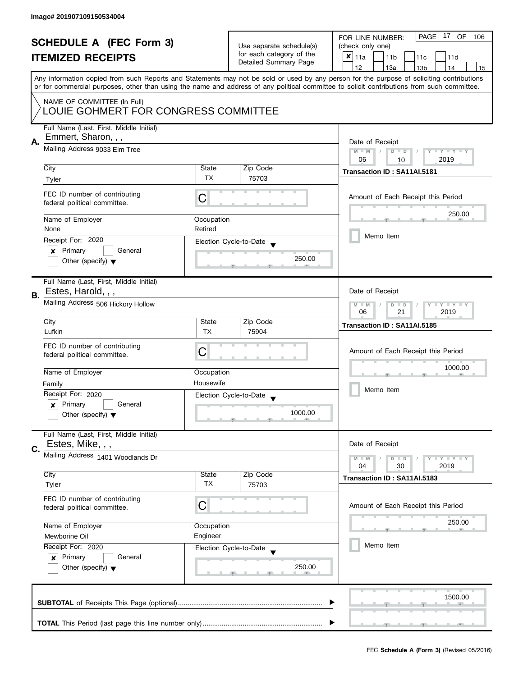| <b>SCHEDULE A (FEC Form 3)</b>       |                                                                                                                                                                                          |            | PAGE 17 OF<br>FOR LINE NUMBER:<br>106                |                                                                                                                                            |
|--------------------------------------|------------------------------------------------------------------------------------------------------------------------------------------------------------------------------------------|------------|------------------------------------------------------|--------------------------------------------------------------------------------------------------------------------------------------------|
|                                      |                                                                                                                                                                                          |            | Use separate schedule(s)<br>for each category of the | (check only one)                                                                                                                           |
|                                      | <b>ITEMIZED RECEIPTS</b>                                                                                                                                                                 |            |                                                      | $x _{11a}$<br>11 <sub>b</sub><br>11c<br>11d                                                                                                |
|                                      |                                                                                                                                                                                          |            | Detailed Summary Page                                | 12<br>13a<br>13 <sub>b</sub><br>14<br>15                                                                                                   |
|                                      |                                                                                                                                                                                          |            |                                                      | Any information copied from such Reports and Statements may not be sold or used by any person for the purpose of soliciting contributions  |
|                                      |                                                                                                                                                                                          |            |                                                      | or for commercial purposes, other than using the name and address of any political committee to solicit contributions from such committee. |
|                                      | NAME OF COMMITTEE (In Full)                                                                                                                                                              |            |                                                      |                                                                                                                                            |
| LOUIE GOHMERT FOR CONGRESS COMMITTEE |                                                                                                                                                                                          |            |                                                      |                                                                                                                                            |
|                                      |                                                                                                                                                                                          |            |                                                      |                                                                                                                                            |
|                                      | Full Name (Last, First, Middle Initial)                                                                                                                                                  |            |                                                      |                                                                                                                                            |
| А.                                   | Emmert, Sharon, , ,                                                                                                                                                                      |            |                                                      | Date of Receipt                                                                                                                            |
|                                      | Mailing Address 9033 Elm Tree                                                                                                                                                            |            |                                                      | $M - M$<br>$D$ $D$<br>Y I Y I Y I Y                                                                                                        |
|                                      |                                                                                                                                                                                          |            |                                                      | 06<br>2019<br>10                                                                                                                           |
|                                      | City                                                                                                                                                                                     | State      | Zip Code                                             | Transaction ID: SA11AI.5181                                                                                                                |
|                                      | Tyler                                                                                                                                                                                    | <b>TX</b>  | 75703                                                |                                                                                                                                            |
|                                      |                                                                                                                                                                                          |            |                                                      |                                                                                                                                            |
|                                      | FEC ID number of contributing                                                                                                                                                            | C          |                                                      | Amount of Each Receipt this Period                                                                                                         |
|                                      | federal political committee.                                                                                                                                                             |            |                                                      |                                                                                                                                            |
|                                      | Name of Employer                                                                                                                                                                         | Occupation |                                                      | 250.00                                                                                                                                     |
|                                      | None                                                                                                                                                                                     | Retired    |                                                      |                                                                                                                                            |
|                                      | Receipt For: 2020                                                                                                                                                                        |            | Election Cycle-to-Date                               | Memo Item                                                                                                                                  |
|                                      | Primary<br>General<br>×                                                                                                                                                                  |            |                                                      |                                                                                                                                            |
|                                      | Other (specify) $\blacktriangledown$                                                                                                                                                     |            | 250.00                                               |                                                                                                                                            |
|                                      |                                                                                                                                                                                          |            |                                                      |                                                                                                                                            |
|                                      | Full Name (Last, First, Middle Initial)                                                                                                                                                  |            |                                                      |                                                                                                                                            |
| В.                                   | Estes, Harold, , ,                                                                                                                                                                       |            |                                                      | Date of Receipt                                                                                                                            |
|                                      | Mailing Address 506 Hickory Hollow                                                                                                                                                       |            |                                                      | Y LY LY<br>$M - M$<br>$D$ $D$                                                                                                              |
|                                      |                                                                                                                                                                                          |            |                                                      | 21<br>2019<br>06                                                                                                                           |
|                                      | City                                                                                                                                                                                     | State      | Zip Code                                             | Transaction ID: SA11AI.5185                                                                                                                |
|                                      | Lufkin                                                                                                                                                                                   | <b>TX</b>  | 75904                                                |                                                                                                                                            |
|                                      | FEC ID number of contributing                                                                                                                                                            |            |                                                      |                                                                                                                                            |
|                                      | federal political committee.                                                                                                                                                             | C          |                                                      | Amount of Each Receipt this Period                                                                                                         |
|                                      |                                                                                                                                                                                          |            |                                                      | 1000.00                                                                                                                                    |
|                                      | Name of Employer                                                                                                                                                                         | Occupation |                                                      |                                                                                                                                            |
|                                      | Family                                                                                                                                                                                   | Housewife  |                                                      | Memo Item                                                                                                                                  |
|                                      | Receipt For: 2020                                                                                                                                                                        |            | Election Cycle-to-Date                               |                                                                                                                                            |
|                                      | Primary<br>General<br>x                                                                                                                                                                  |            |                                                      |                                                                                                                                            |
|                                      | Other (specify) $\blacktriangledown$                                                                                                                                                     |            | 1000.00                                              |                                                                                                                                            |
|                                      |                                                                                                                                                                                          |            |                                                      |                                                                                                                                            |
|                                      | Full Name (Last, First, Middle Initial)<br>Estes, Mike, , ,                                                                                                                              |            |                                                      | Date of Receipt                                                                                                                            |
| C.                                   |                                                                                                                                                                                          |            |                                                      |                                                                                                                                            |
|                                      | Mailing Address 1401 Woodlands Dr                                                                                                                                                        |            |                                                      | $M - M$<br>$Y \perp Y \perp Y$<br>$D$ $D$<br>30<br>2019<br>04                                                                              |
|                                      | City                                                                                                                                                                                     | State      | Zip Code                                             |                                                                                                                                            |
|                                      | Tyler                                                                                                                                                                                    | ТX         | 75703                                                | Transaction ID: SA11AI.5183                                                                                                                |
|                                      | FEC ID number of contributing                                                                                                                                                            |            |                                                      |                                                                                                                                            |
|                                      | federal political committee.                                                                                                                                                             | С          |                                                      | Amount of Each Receipt this Period                                                                                                         |
|                                      |                                                                                                                                                                                          |            |                                                      |                                                                                                                                            |
|                                      | Name of Employer<br>Occupation<br>Engineer<br>Mewborine Oil<br>Receipt For: 2020<br>Election Cycle-to-Date<br>Primary<br>General<br>$\mathbf{x}$<br>Other (specify) $\blacktriangledown$ |            |                                                      | 250.00                                                                                                                                     |
|                                      |                                                                                                                                                                                          |            |                                                      |                                                                                                                                            |
|                                      |                                                                                                                                                                                          |            |                                                      | Memo Item                                                                                                                                  |
|                                      |                                                                                                                                                                                          |            |                                                      |                                                                                                                                            |
|                                      |                                                                                                                                                                                          |            | 250.00                                               |                                                                                                                                            |
|                                      |                                                                                                                                                                                          |            |                                                      |                                                                                                                                            |
|                                      |                                                                                                                                                                                          |            |                                                      |                                                                                                                                            |
|                                      |                                                                                                                                                                                          |            |                                                      | 1500.00                                                                                                                                    |
|                                      |                                                                                                                                                                                          |            |                                                      |                                                                                                                                            |
|                                      |                                                                                                                                                                                          |            |                                                      |                                                                                                                                            |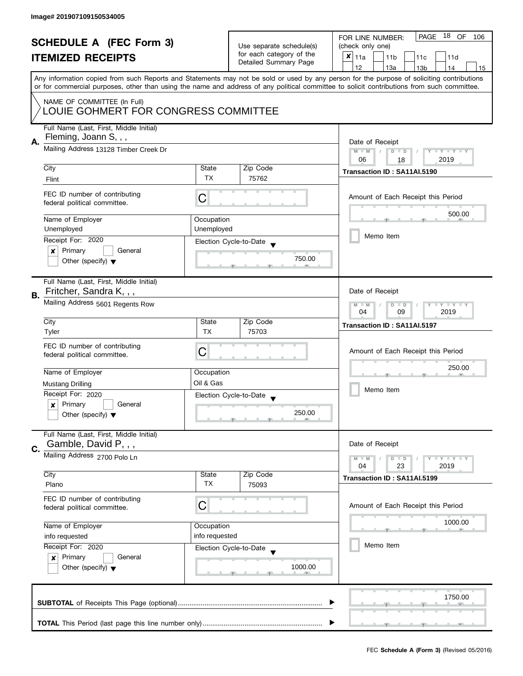|    | <b>SCHEDULE A (FEC Form 3)</b><br><b>ITEMIZED RECEIPTS</b>                                                |                                                         | Use separate schedule(s)<br>for each category of the<br>Detailed Summary Page | PAGE 18 OF<br>FOR LINE NUMBER:<br>106<br>(check only one)<br>$x _{11a}$<br>11 <sub>b</sub><br>11c<br>11d                                                                                                                                                                                                                            |
|----|-----------------------------------------------------------------------------------------------------------|---------------------------------------------------------|-------------------------------------------------------------------------------|-------------------------------------------------------------------------------------------------------------------------------------------------------------------------------------------------------------------------------------------------------------------------------------------------------------------------------------|
|    |                                                                                                           |                                                         |                                                                               | 12<br>13a<br>13 <sub>b</sub><br>14<br>15<br>Any information copied from such Reports and Statements may not be sold or used by any person for the purpose of soliciting contributions<br>or for commercial purposes, other than using the name and address of any political committee to solicit contributions from such committee. |
|    | NAME OF COMMITTEE (In Full)<br>LOUIE GOHMERT FOR CONGRESS COMMITTEE                                       |                                                         |                                                                               |                                                                                                                                                                                                                                                                                                                                     |
| А. | Full Name (Last, First, Middle Initial)<br>Fleming, Joann S, , ,<br>Mailing Address 13128 Timber Creek Dr |                                                         |                                                                               | Date of Receipt<br>$M - M$<br>Y I Y I Y I Y<br>$D$ $D$                                                                                                                                                                                                                                                                              |
|    |                                                                                                           |                                                         |                                                                               | 2019<br>06<br>18                                                                                                                                                                                                                                                                                                                    |
|    | City                                                                                                      | State                                                   | Zip Code                                                                      | Transaction ID: SA11AI.5190                                                                                                                                                                                                                                                                                                         |
|    | Flint                                                                                                     | <b>TX</b>                                               | 75762                                                                         |                                                                                                                                                                                                                                                                                                                                     |
|    | FEC ID number of contributing<br>federal political committee.                                             | С                                                       |                                                                               | Amount of Each Receipt this Period                                                                                                                                                                                                                                                                                                  |
|    | Name of Employer                                                                                          | Occupation                                              |                                                                               | 500.00                                                                                                                                                                                                                                                                                                                              |
|    | Unemployed                                                                                                | Unemployed                                              |                                                                               | Memo Item                                                                                                                                                                                                                                                                                                                           |
|    | Receipt For: 2020                                                                                         |                                                         | Election Cycle-to-Date                                                        |                                                                                                                                                                                                                                                                                                                                     |
|    | Primary<br>General<br>x<br>Other (specify) $\blacktriangledown$                                           |                                                         | 750.00                                                                        |                                                                                                                                                                                                                                                                                                                                     |
| В. | Full Name (Last, First, Middle Initial)<br>Fritcher, Sandra K, , ,                                        |                                                         |                                                                               | Date of Receipt                                                                                                                                                                                                                                                                                                                     |
|    | Mailing Address 5601 Regents Row                                                                          | <b>LYLYLY</b><br>$M - M$<br>$D$ $D$<br>09<br>2019<br>04 |                                                                               |                                                                                                                                                                                                                                                                                                                                     |
|    | City                                                                                                      | State                                                   | Zip Code                                                                      | Transaction ID: SA11AI.5197                                                                                                                                                                                                                                                                                                         |
|    | Tyler                                                                                                     | <b>TX</b>                                               | 75703                                                                         |                                                                                                                                                                                                                                                                                                                                     |
|    | FEC ID number of contributing<br>federal political committee.                                             | С                                                       |                                                                               | Amount of Each Receipt this Period                                                                                                                                                                                                                                                                                                  |
|    | Name of Employer                                                                                          | Occupation                                              |                                                                               | 250.00                                                                                                                                                                                                                                                                                                                              |
|    | Mustang Drilling                                                                                          | Oil & Gas                                               |                                                                               | Memo Item                                                                                                                                                                                                                                                                                                                           |
|    | Receipt For: 2020                                                                                         |                                                         | Election Cycle-to-Date<br>$\overline{\phantom{a}}$                            |                                                                                                                                                                                                                                                                                                                                     |
|    | Primary<br>General<br>x<br>Other (specify) $\blacktriangledown$                                           |                                                         | 250.00                                                                        |                                                                                                                                                                                                                                                                                                                                     |
|    | Full Name (Last, First, Middle Initial)<br>Gamble, David P, , ,                                           |                                                         |                                                                               | Date of Receipt                                                                                                                                                                                                                                                                                                                     |
| C. | Mailing Address 2700 Polo Ln                                                                              |                                                         |                                                                               | <b>LYLYLY</b><br>$M - M$<br>$D$ $D$<br>23<br>04<br>2019                                                                                                                                                                                                                                                                             |
|    | City                                                                                                      | State                                                   | Zip Code                                                                      | Transaction ID: SA11AI.5199                                                                                                                                                                                                                                                                                                         |
|    | Plano                                                                                                     | ТX                                                      | 75093                                                                         |                                                                                                                                                                                                                                                                                                                                     |
|    | FEC ID number of contributing<br>federal political committee.                                             | C                                                       |                                                                               | Amount of Each Receipt this Period                                                                                                                                                                                                                                                                                                  |
|    | Name of Employer                                                                                          | Occupation                                              |                                                                               | 1000.00                                                                                                                                                                                                                                                                                                                             |
|    | info requested                                                                                            | info requested                                          |                                                                               |                                                                                                                                                                                                                                                                                                                                     |
|    | Receipt For: 2020<br>Primary<br>General<br>$\mathbf{x}$<br>Other (specify) $\blacktriangledown$           |                                                         | Election Cycle-to-Date<br>1000.00                                             | Memo Item                                                                                                                                                                                                                                                                                                                           |
|    |                                                                                                           |                                                         |                                                                               | 1750.00                                                                                                                                                                                                                                                                                                                             |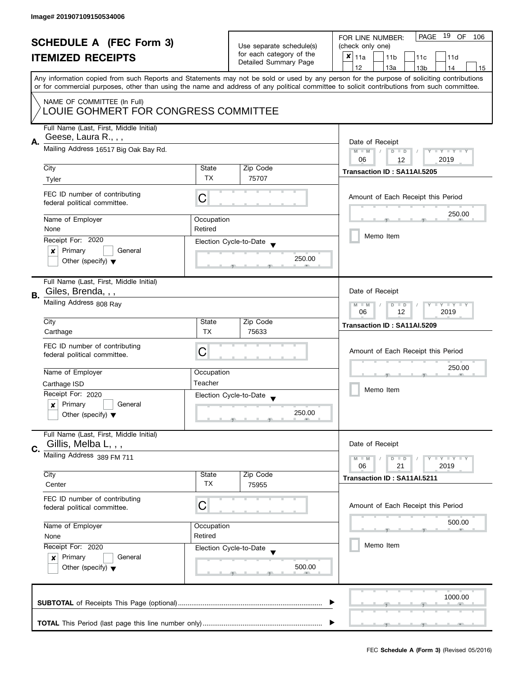| <b>SCHEDULE A (FEC Form 3)</b> |                                                               |                       | PAGE 19 OF<br>FOR LINE NUMBER:<br>106                                         |                                                                                                                                                                                                                                                                                         |
|--------------------------------|---------------------------------------------------------------|-----------------------|-------------------------------------------------------------------------------|-----------------------------------------------------------------------------------------------------------------------------------------------------------------------------------------------------------------------------------------------------------------------------------------|
|                                |                                                               |                       | Use separate schedule(s)<br>for each category of the<br>Detailed Summary Page | (check only one)                                                                                                                                                                                                                                                                        |
|                                | <b>ITEMIZED RECEIPTS</b>                                      |                       |                                                                               | $\boldsymbol{x}$<br>11a<br>11 <sub>b</sub><br>11c<br>11d                                                                                                                                                                                                                                |
|                                |                                                               |                       |                                                                               | 12<br>13a<br>13 <sub>b</sub><br>14<br>15                                                                                                                                                                                                                                                |
|                                |                                                               |                       |                                                                               | Any information copied from such Reports and Statements may not be sold or used by any person for the purpose of soliciting contributions<br>or for commercial purposes, other than using the name and address of any political committee to solicit contributions from such committee. |
|                                | NAME OF COMMITTEE (In Full)                                   |                       |                                                                               |                                                                                                                                                                                                                                                                                         |
|                                | LOUIE GOHMERT FOR CONGRESS COMMITTEE                          |                       |                                                                               |                                                                                                                                                                                                                                                                                         |
| А.                             | Full Name (Last, First, Middle Initial)<br>Geese, Laura R.,,, |                       |                                                                               | Date of Receipt                                                                                                                                                                                                                                                                         |
|                                | Mailing Address 16517 Big Oak Bay Rd.                         |                       |                                                                               | Y FY FY FY<br>$M - M$<br>$D$ $D$<br>06<br>2019<br>12                                                                                                                                                                                                                                    |
|                                | City                                                          | State                 | Zip Code                                                                      | Transaction ID: SA11AI.5205                                                                                                                                                                                                                                                             |
|                                | Tyler                                                         | <b>TX</b>             | 75707                                                                         |                                                                                                                                                                                                                                                                                         |
|                                | FEC ID number of contributing<br>federal political committee. | C                     |                                                                               | Amount of Each Receipt this Period                                                                                                                                                                                                                                                      |
|                                | Name of Employer                                              | Occupation            |                                                                               | 250.00                                                                                                                                                                                                                                                                                  |
|                                | None                                                          | Retired               |                                                                               |                                                                                                                                                                                                                                                                                         |
|                                | Receipt For: 2020                                             |                       | Election Cycle-to-Date                                                        | Memo Item                                                                                                                                                                                                                                                                               |
|                                | Primary<br>General<br>×                                       |                       |                                                                               |                                                                                                                                                                                                                                                                                         |
|                                | Other (specify) $\blacktriangledown$                          |                       | 250.00                                                                        |                                                                                                                                                                                                                                                                                         |
|                                | Full Name (Last, First, Middle Initial)                       |                       |                                                                               |                                                                                                                                                                                                                                                                                         |
| В.                             | Giles, Brenda, , ,                                            |                       |                                                                               | Date of Receipt                                                                                                                                                                                                                                                                         |
|                                | Mailing Address 808 Ray                                       |                       |                                                                               | $T$ $Y$ $T$ $Y$ $T$ $Y$<br>$M - M$<br>$D$ $D$<br>12<br>2019<br>06                                                                                                                                                                                                                       |
|                                | City                                                          | State                 | Zip Code                                                                      | Transaction ID: SA11AI.5209                                                                                                                                                                                                                                                             |
|                                | Carthage                                                      | <b>TX</b>             | 75633                                                                         |                                                                                                                                                                                                                                                                                         |
|                                | FEC ID number of contributing                                 |                       |                                                                               |                                                                                                                                                                                                                                                                                         |
|                                | federal political committee.                                  | С                     |                                                                               | Amount of Each Receipt this Period                                                                                                                                                                                                                                                      |
|                                | Name of Employer                                              |                       |                                                                               | 250.00                                                                                                                                                                                                                                                                                  |
|                                |                                                               | Occupation<br>Teacher |                                                                               |                                                                                                                                                                                                                                                                                         |
|                                | Carthage ISD<br>Receipt For: 2020                             |                       |                                                                               | Memo Item                                                                                                                                                                                                                                                                               |
|                                | Primary<br>General<br>$\boldsymbol{x}$                        |                       | Election Cycle-to-Date<br>$\overline{\mathbf{v}}$                             |                                                                                                                                                                                                                                                                                         |
|                                | Other (specify) $\blacktriangledown$                          |                       | 250.00                                                                        |                                                                                                                                                                                                                                                                                         |
|                                | Full Name (Last, First, Middle Initial)                       |                       |                                                                               |                                                                                                                                                                                                                                                                                         |
| C.                             | Gillis, Melba L, , ,                                          |                       |                                                                               | Date of Receipt                                                                                                                                                                                                                                                                         |
|                                | Mailing Address 389 FM 711                                    |                       |                                                                               | <b>LYLYLY</b><br>$M - M$<br>$D$ $D$<br>06                                                                                                                                                                                                                                               |
|                                | City                                                          | State                 | Zip Code                                                                      | 21<br>2019                                                                                                                                                                                                                                                                              |
|                                | Center                                                        | TX                    | 75955                                                                         | Transaction ID: SA11AI.5211                                                                                                                                                                                                                                                             |
|                                | FEC ID number of contributing<br>federal political committee. | C                     |                                                                               | Amount of Each Receipt this Period                                                                                                                                                                                                                                                      |
|                                | Name of Employer                                              | Occupation            |                                                                               | 500.00                                                                                                                                                                                                                                                                                  |
|                                | None                                                          | Retired               |                                                                               |                                                                                                                                                                                                                                                                                         |
|                                | Receipt For: 2020                                             |                       | Election Cycle-to-Date                                                        | Memo Item                                                                                                                                                                                                                                                                               |
|                                | Primary<br>General<br>$\boldsymbol{x}$                        |                       |                                                                               |                                                                                                                                                                                                                                                                                         |
|                                | Other (specify) $\blacktriangledown$                          |                       | 500.00                                                                        |                                                                                                                                                                                                                                                                                         |
|                                |                                                               |                       |                                                                               | 1000.00                                                                                                                                                                                                                                                                                 |
|                                |                                                               |                       |                                                                               |                                                                                                                                                                                                                                                                                         |
|                                |                                                               |                       |                                                                               |                                                                                                                                                                                                                                                                                         |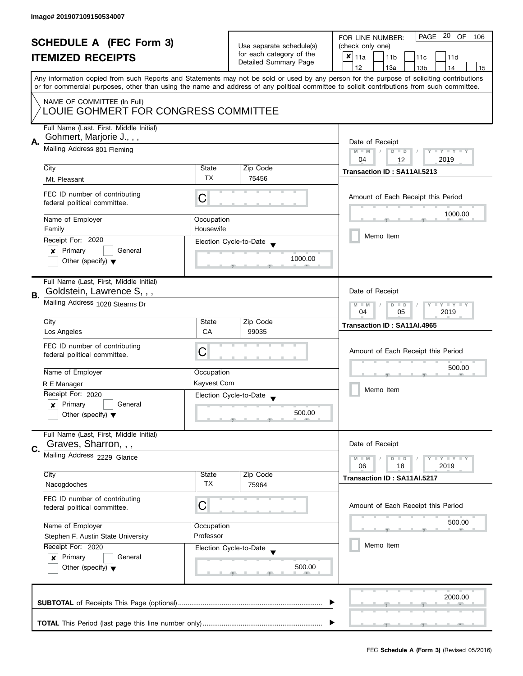| <b>SCHEDULE A (FEC Form 3)</b> |                                                                                                                                                                            |                          | PAGE 20 OF<br>FOR LINE NUMBER:<br>106             |                                                                                                                                           |  |
|--------------------------------|----------------------------------------------------------------------------------------------------------------------------------------------------------------------------|--------------------------|---------------------------------------------------|-------------------------------------------------------------------------------------------------------------------------------------------|--|
|                                |                                                                                                                                                                            | Use separate schedule(s) | (check only one)                                  |                                                                                                                                           |  |
|                                | <b>ITEMIZED RECEIPTS</b>                                                                                                                                                   |                          | for each category of the<br>Detailed Summary Page | $x _{11a}$<br>11 <sub>b</sub><br>11c<br>11d                                                                                               |  |
|                                |                                                                                                                                                                            |                          |                                                   | 12<br>13a<br>13 <sub>b</sub><br>14<br>15                                                                                                  |  |
|                                |                                                                                                                                                                            |                          |                                                   | Any information copied from such Reports and Statements may not be sold or used by any person for the purpose of soliciting contributions |  |
|                                | or for commercial purposes, other than using the name and address of any political committee to solicit contributions from such committee.                                 |                          |                                                   |                                                                                                                                           |  |
|                                | NAME OF COMMITTEE (In Full)<br>LOUIE GOHMERT FOR CONGRESS COMMITTEE                                                                                                        |                          |                                                   |                                                                                                                                           |  |
|                                | Full Name (Last, First, Middle Initial)                                                                                                                                    |                          |                                                   |                                                                                                                                           |  |
|                                | Gohmert, Marjorie J.,,,                                                                                                                                                    |                          |                                                   |                                                                                                                                           |  |
| Α.                             | Mailing Address 801 Fleming                                                                                                                                                |                          |                                                   | Date of Receipt<br>$M - M$<br>$D$ $D$<br>Y I Y I Y I Y                                                                                    |  |
|                                | City                                                                                                                                                                       | State                    | Zip Code                                          | 04<br>2019<br>12                                                                                                                          |  |
|                                | Mt. Pleasant                                                                                                                                                               | <b>TX</b>                | 75456                                             | Transaction ID: SA11AI.5213                                                                                                               |  |
|                                |                                                                                                                                                                            |                          |                                                   |                                                                                                                                           |  |
|                                | FEC ID number of contributing<br>federal political committee.                                                                                                              | C                        |                                                   | Amount of Each Receipt this Period                                                                                                        |  |
|                                | Name of Employer                                                                                                                                                           | Occupation               |                                                   | 1000.00                                                                                                                                   |  |
|                                | Family                                                                                                                                                                     | Housewife                |                                                   |                                                                                                                                           |  |
|                                | Receipt For: 2020                                                                                                                                                          |                          | Election Cycle-to-Date                            | Memo Item                                                                                                                                 |  |
|                                | Primary<br>General<br>×                                                                                                                                                    |                          |                                                   |                                                                                                                                           |  |
|                                | Other (specify) $\blacktriangledown$                                                                                                                                       |                          | 1000.00                                           |                                                                                                                                           |  |
|                                |                                                                                                                                                                            |                          |                                                   |                                                                                                                                           |  |
| В.                             | Full Name (Last, First, Middle Initial)<br>Goldstein, Lawrence S, , ,                                                                                                      |                          |                                                   | Date of Receipt                                                                                                                           |  |
|                                | Mailing Address 1028 Stearns Dr                                                                                                                                            |                          |                                                   | $\mathbf{I}$ $\mathbf{Y}$ $\mathbf{I}$ $\mathbf{Y}$<br>$\overline{D}$<br>Ÿ<br>$M - M$<br>$\Box$                                           |  |
|                                |                                                                                                                                                                            | 05<br>2019<br>04         |                                                   |                                                                                                                                           |  |
|                                | City                                                                                                                                                                       | State                    | Zip Code                                          | Transaction ID: SA11AI.4965                                                                                                               |  |
|                                | Los Angeles                                                                                                                                                                | <b>CA</b>                | 99035                                             |                                                                                                                                           |  |
|                                | FEC ID number of contributing                                                                                                                                              | C                        |                                                   | Amount of Each Receipt this Period                                                                                                        |  |
|                                | federal political committee.                                                                                                                                               |                          |                                                   |                                                                                                                                           |  |
|                                | Name of Employer                                                                                                                                                           | Occupation               |                                                   | 500.00                                                                                                                                    |  |
|                                | R E Manager                                                                                                                                                                | Kayvest Com              |                                                   |                                                                                                                                           |  |
|                                | Receipt For: 2020                                                                                                                                                          |                          | Election Cycle-to-Date                            | Memo Item                                                                                                                                 |  |
|                                | Primary<br>General<br>x                                                                                                                                                    |                          |                                                   |                                                                                                                                           |  |
|                                | Other (specify) $\blacktriangledown$                                                                                                                                       |                          | 500.00                                            |                                                                                                                                           |  |
|                                | Full Name (Last, First, Middle Initial)                                                                                                                                    |                          |                                                   |                                                                                                                                           |  |
| C.                             | Graves, Sharron, , ,                                                                                                                                                       |                          |                                                   | Date of Receipt                                                                                                                           |  |
|                                | Mailing Address 2229 Glarice                                                                                                                                               |                          |                                                   | $M - M$<br>$Y \perp Y \perp Y$<br>$D$ $D$                                                                                                 |  |
|                                | City                                                                                                                                                                       | State                    | Zip Code                                          | 2019<br>06<br>18                                                                                                                          |  |
|                                | Nacogdoches                                                                                                                                                                | ТX                       | 75964                                             | Transaction ID: SA11AI.5217                                                                                                               |  |
|                                | FEC ID number of contributing<br>federal political committee.                                                                                                              | С                        |                                                   | Amount of Each Receipt this Period                                                                                                        |  |
|                                |                                                                                                                                                                            |                          |                                                   |                                                                                                                                           |  |
|                                | Name of Employer<br>Occupation<br>Professor<br>Stephen F. Austin State University<br>Receipt For: 2020<br>Election Cycle-to-Date<br>Primary<br>General<br>$\boldsymbol{x}$ |                          |                                                   | 500.00                                                                                                                                    |  |
|                                |                                                                                                                                                                            |                          |                                                   |                                                                                                                                           |  |
|                                |                                                                                                                                                                            |                          |                                                   | Memo Item                                                                                                                                 |  |
|                                |                                                                                                                                                                            |                          |                                                   |                                                                                                                                           |  |
|                                | Other (specify) $\blacktriangledown$                                                                                                                                       |                          | 500.00                                            |                                                                                                                                           |  |
|                                |                                                                                                                                                                            |                          |                                                   |                                                                                                                                           |  |
|                                |                                                                                                                                                                            |                          |                                                   | 2000.00                                                                                                                                   |  |
|                                |                                                                                                                                                                            |                          |                                                   |                                                                                                                                           |  |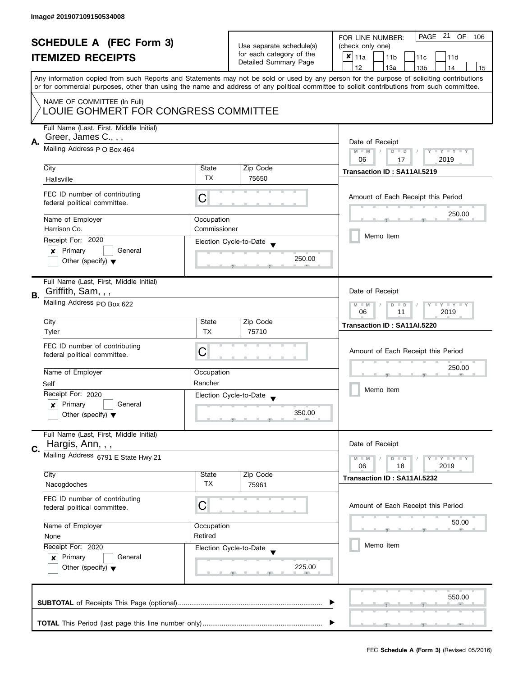|    | <b>SCHEDULE A (FEC Form 3)</b><br><b>ITEMIZED RECEIPTS</b>                                          |                            | Use separate schedule(s)<br>for each category of the<br>Detailed Summary Page | PAGE 21 OF<br>FOR LINE NUMBER:<br>106<br>(check only one)<br>X<br>11a<br>11 <sub>b</sub><br>11c<br>11d                                                                                |
|----|-----------------------------------------------------------------------------------------------------|----------------------------|-------------------------------------------------------------------------------|---------------------------------------------------------------------------------------------------------------------------------------------------------------------------------------|
|    |                                                                                                     |                            |                                                                               | 12<br>13a<br>13 <sub>b</sub><br>14<br>15<br>Any information copied from such Reports and Statements may not be sold or used by any person for the purpose of soliciting contributions |
|    | NAME OF COMMITTEE (In Full)<br>LOUIE GOHMERT FOR CONGRESS COMMITTEE                                 |                            |                                                                               | or for commercial purposes, other than using the name and address of any political committee to solicit contributions from such committee.                                            |
| А. | Full Name (Last, First, Middle Initial)<br>Greer, James C., , ,<br>Mailing Address P O Box 464      |                            |                                                                               | Date of Receipt<br>Y TY TY TY<br>$M - M$<br>$D$ $D$                                                                                                                                   |
|    | City<br>Hallsville                                                                                  | State<br><b>TX</b>         | Zip Code<br>75650                                                             | 2019<br>06<br>17<br>Transaction ID: SA11AI.5219                                                                                                                                       |
|    | FEC ID number of contributing<br>federal political committee.                                       | C                          |                                                                               | Amount of Each Receipt this Period                                                                                                                                                    |
|    | Name of Employer<br>Harrison Co.                                                                    | Occupation<br>Commissioner |                                                                               | 250.00                                                                                                                                                                                |
|    | Receipt For: 2020<br>Primary<br>General<br>×<br>Other (specify) $\blacktriangledown$                |                            | Election Cycle-to-Date<br>250.00                                              | Memo Item                                                                                                                                                                             |
|    | Full Name (Last, First, Middle Initial)                                                             |                            |                                                                               |                                                                                                                                                                                       |
| В. | Griffith, Sam, , ,<br>Mailing Address PO Box 622                                                    |                            |                                                                               | Date of Receipt<br>$Y - Y - Y - Y - Y$<br>$M - M$<br>$D$ $D$<br>06<br>2019<br>11                                                                                                      |
|    | City<br>Tyler                                                                                       | State<br><b>TX</b>         | Zip Code<br>75710                                                             | Transaction ID: SA11AI.5220                                                                                                                                                           |
|    | FEC ID number of contributing<br>federal political committee.                                       | C                          |                                                                               | Amount of Each Receipt this Period                                                                                                                                                    |
|    | Name of Employer<br>Self                                                                            | Occupation<br>Rancher      |                                                                               | 250.00                                                                                                                                                                                |
|    | Receipt For: 2020<br>Primary<br>General<br>$\boldsymbol{x}$<br>Other (specify) $\blacktriangledown$ |                            | Election Cycle-to-Date<br>$\overline{\phantom{a}}$<br>350.00                  | Memo Item                                                                                                                                                                             |
| C. | Full Name (Last, First, Middle Initial)<br>Hargis, Ann, , ,                                         |                            |                                                                               | Date of Receipt                                                                                                                                                                       |
|    | Mailing Address 6791 E State Hwy 21<br>City                                                         | State                      | Zip Code                                                                      | <b>LYLYLY</b><br>$M - M$<br>$D$ $D$<br>06<br>18<br>2019                                                                                                                               |
|    | Nacogdoches                                                                                         | <b>TX</b>                  | 75961                                                                         | Transaction ID: SA11AI.5232                                                                                                                                                           |
|    | FEC ID number of contributing<br>federal political committee.                                       | C                          |                                                                               | Amount of Each Receipt this Period<br>50.00                                                                                                                                           |
|    | Name of Employer<br>None                                                                            | Occupation<br>Retired      |                                                                               | Memo Item                                                                                                                                                                             |
|    | Receipt For: 2020<br>Primary<br>General<br>$\boldsymbol{x}$<br>Other (specify) $\blacktriangledown$ |                            | Election Cycle-to-Date<br>225.00                                              |                                                                                                                                                                                       |
|    |                                                                                                     |                            |                                                                               | 550.00                                                                                                                                                                                |
|    |                                                                                                     |                            |                                                                               |                                                                                                                                                                                       |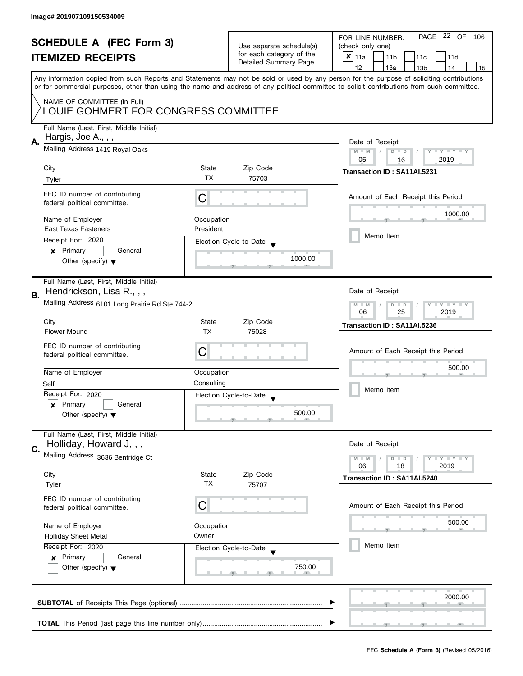| <b>SCHEDULE A (FEC Form 3)</b><br><b>ITEMIZED RECEIPTS</b> |                                                                                                 | Use separate schedule(s)<br>for each category of the<br>Detailed Summary Page | PAGE 22 OF<br>FOR LINE NUMBER:<br>106<br>(check only one)<br>$x _{11a}$<br>11 <sub>b</sub><br>11c<br>11d |                                                                                                                                                                                                                                                                                                                                     |  |
|------------------------------------------------------------|-------------------------------------------------------------------------------------------------|-------------------------------------------------------------------------------|----------------------------------------------------------------------------------------------------------|-------------------------------------------------------------------------------------------------------------------------------------------------------------------------------------------------------------------------------------------------------------------------------------------------------------------------------------|--|
|                                                            |                                                                                                 |                                                                               |                                                                                                          | 12<br>13a<br>13 <sub>b</sub><br>14<br>15<br>Any information copied from such Reports and Statements may not be sold or used by any person for the purpose of soliciting contributions<br>or for commercial purposes, other than using the name and address of any political committee to solicit contributions from such committee. |  |
|                                                            | NAME OF COMMITTEE (In Full)<br>LOUIE GOHMERT FOR CONGRESS COMMITTEE                             |                                                                               |                                                                                                          |                                                                                                                                                                                                                                                                                                                                     |  |
| А.                                                         | Full Name (Last, First, Middle Initial)<br>Hargis, Joe A.,,,<br>Mailing Address 1419 Royal Oaks |                                                                               |                                                                                                          | Date of Receipt                                                                                                                                                                                                                                                                                                                     |  |
|                                                            |                                                                                                 | $M - M$<br>Y I Y I Y I Y<br>$D$ $D$<br>05<br>2019<br>16                       |                                                                                                          |                                                                                                                                                                                                                                                                                                                                     |  |
|                                                            | City<br>Tyler                                                                                   | State<br>TX                                                                   | Zip Code<br>75703                                                                                        | Transaction ID: SA11AI.5231                                                                                                                                                                                                                                                                                                         |  |
|                                                            | FEC ID number of contributing<br>federal political committee.                                   | C                                                                             |                                                                                                          | Amount of Each Receipt this Period                                                                                                                                                                                                                                                                                                  |  |
|                                                            | Name of Employer                                                                                | Occupation                                                                    |                                                                                                          | 1000.00                                                                                                                                                                                                                                                                                                                             |  |
|                                                            | <b>East Texas Fasteners</b>                                                                     | President                                                                     |                                                                                                          | Memo Item                                                                                                                                                                                                                                                                                                                           |  |
|                                                            | Receipt For: 2020                                                                               |                                                                               | Election Cycle-to-Date                                                                                   |                                                                                                                                                                                                                                                                                                                                     |  |
|                                                            | Primary<br>General<br>×<br>Other (specify) $\blacktriangledown$                                 |                                                                               | 1000.00                                                                                                  |                                                                                                                                                                                                                                                                                                                                     |  |
| В.                                                         | Full Name (Last, First, Middle Initial)<br>Hendrickson, Lisa R.,,,                              |                                                                               |                                                                                                          | Date of Receipt                                                                                                                                                                                                                                                                                                                     |  |
|                                                            | Mailing Address 6101 Long Prairie Rd Ste 744-2                                                  | <b>LYLYLY</b><br>$M - M$<br>$D$ $D$<br>25<br>2019<br>06                       |                                                                                                          |                                                                                                                                                                                                                                                                                                                                     |  |
|                                                            | City<br><b>Flower Mound</b>                                                                     | State<br><b>TX</b>                                                            | Zip Code<br>75028                                                                                        | Transaction ID: SA11AI.5236                                                                                                                                                                                                                                                                                                         |  |
|                                                            | FEC ID number of contributing<br>federal political committee.                                   | С                                                                             |                                                                                                          | Amount of Each Receipt this Period                                                                                                                                                                                                                                                                                                  |  |
|                                                            | Name of Employer                                                                                | Occupation                                                                    |                                                                                                          | 500.00                                                                                                                                                                                                                                                                                                                              |  |
|                                                            | Self                                                                                            | Consulting                                                                    |                                                                                                          |                                                                                                                                                                                                                                                                                                                                     |  |
|                                                            | Receipt For: 2020                                                                               |                                                                               | Election Cycle-to-Date                                                                                   | Memo Item                                                                                                                                                                                                                                                                                                                           |  |
|                                                            | Primary<br>General<br>$\boldsymbol{x}$<br>Other (specify) $\blacktriangledown$                  |                                                                               | 500.00                                                                                                   |                                                                                                                                                                                                                                                                                                                                     |  |
|                                                            | Full Name (Last, First, Middle Initial)<br>Holliday, Howard J,,,                                |                                                                               |                                                                                                          | Date of Receipt                                                                                                                                                                                                                                                                                                                     |  |
| C.                                                         | Mailing Address 3636 Bentridge Ct                                                               |                                                                               |                                                                                                          | $T - Y = T - Y$<br>$M - M$<br>$D$ $D$<br>06<br>18<br>2019                                                                                                                                                                                                                                                                           |  |
|                                                            | City                                                                                            | State                                                                         | Zip Code                                                                                                 | Transaction ID: SA11AI.5240                                                                                                                                                                                                                                                                                                         |  |
|                                                            | Tyler                                                                                           | TX                                                                            | 75707                                                                                                    |                                                                                                                                                                                                                                                                                                                                     |  |
|                                                            | FEC ID number of contributing<br>federal political committee.                                   | C                                                                             |                                                                                                          | Amount of Each Receipt this Period                                                                                                                                                                                                                                                                                                  |  |
|                                                            | Name of Employer                                                                                | Occupation                                                                    |                                                                                                          | 500.00                                                                                                                                                                                                                                                                                                                              |  |
|                                                            | <b>Holliday Sheet Metal</b>                                                                     | Owner                                                                         |                                                                                                          | Memo Item                                                                                                                                                                                                                                                                                                                           |  |
|                                                            | Receipt For: 2020<br>Primary<br>General<br>$\boldsymbol{x}$                                     |                                                                               | Election Cycle-to-Date                                                                                   |                                                                                                                                                                                                                                                                                                                                     |  |
|                                                            | Other (specify) $\blacktriangledown$                                                            |                                                                               | 750.00                                                                                                   |                                                                                                                                                                                                                                                                                                                                     |  |
|                                                            |                                                                                                 |                                                                               |                                                                                                          | 2000.00                                                                                                                                                                                                                                                                                                                             |  |
|                                                            |                                                                                                 |                                                                               |                                                                                                          |                                                                                                                                                                                                                                                                                                                                     |  |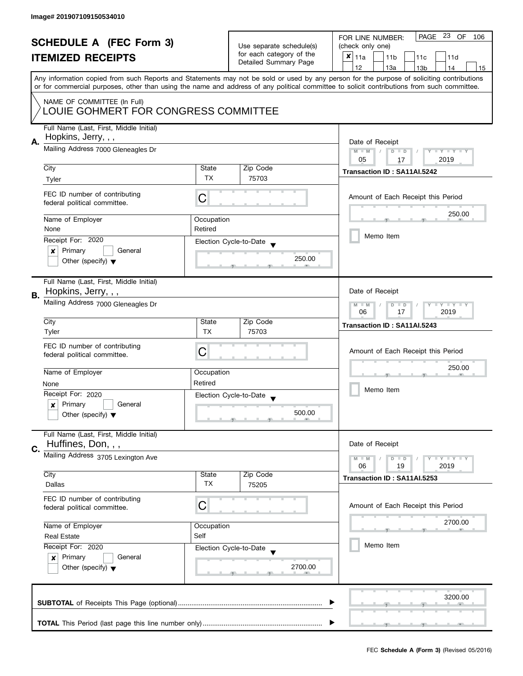|    | <b>SCHEDULE A (FEC Form 3)</b><br><b>ITEMIZED RECEIPTS</b>                                           |                                                               | Use separate schedule(s)<br>for each category of the<br>Detailed Summary Page | PAGE 23 OF<br>FOR LINE NUMBER:<br>106<br>(check only one)<br>X<br>11a<br>11 <sub>b</sub><br>11c<br>11d                                                                                                                                                                                                                              |  |  |
|----|------------------------------------------------------------------------------------------------------|---------------------------------------------------------------|-------------------------------------------------------------------------------|-------------------------------------------------------------------------------------------------------------------------------------------------------------------------------------------------------------------------------------------------------------------------------------------------------------------------------------|--|--|
|    |                                                                                                      |                                                               |                                                                               | 12<br>13a<br>13 <sub>b</sub><br>14<br>15<br>Any information copied from such Reports and Statements may not be sold or used by any person for the purpose of soliciting contributions<br>or for commercial purposes, other than using the name and address of any political committee to solicit contributions from such committee. |  |  |
|    | NAME OF COMMITTEE (In Full)<br>LOUIE GOHMERT FOR CONGRESS COMMITTEE                                  |                                                               |                                                                               |                                                                                                                                                                                                                                                                                                                                     |  |  |
| А. | Full Name (Last, First, Middle Initial)<br>Hopkins, Jerry, , ,<br>Mailing Address 7000 Gleneagles Dr |                                                               |                                                                               | Date of Receipt<br>$M - M$<br>Y I Y I Y I Y<br>$D$ $D$                                                                                                                                                                                                                                                                              |  |  |
|    |                                                                                                      |                                                               |                                                                               | 2019<br>05<br>17                                                                                                                                                                                                                                                                                                                    |  |  |
|    | City<br>Tyler                                                                                        | State<br><b>TX</b>                                            | Zip Code<br>75703                                                             | Transaction ID: SA11AI.5242                                                                                                                                                                                                                                                                                                         |  |  |
|    | FEC ID number of contributing<br>federal political committee.                                        | C                                                             |                                                                               | Amount of Each Receipt this Period                                                                                                                                                                                                                                                                                                  |  |  |
|    | Name of Employer                                                                                     | Occupation                                                    |                                                                               | 250.00                                                                                                                                                                                                                                                                                                                              |  |  |
|    | None                                                                                                 | Retired                                                       |                                                                               | Memo Item                                                                                                                                                                                                                                                                                                                           |  |  |
|    | Receipt For: 2020                                                                                    |                                                               | Election Cycle-to-Date                                                        |                                                                                                                                                                                                                                                                                                                                     |  |  |
|    | Primary<br>General<br>×<br>Other (specify) $\blacktriangledown$                                      |                                                               | 250.00                                                                        |                                                                                                                                                                                                                                                                                                                                     |  |  |
|    | Full Name (Last, First, Middle Initial)                                                              |                                                               |                                                                               |                                                                                                                                                                                                                                                                                                                                     |  |  |
| В. | Hopkins, Jerry, , ,                                                                                  |                                                               |                                                                               |                                                                                                                                                                                                                                                                                                                                     |  |  |
|    | Mailing Address 7000 Gleneagles Dr                                                                   | $Y - Y - Y - Y - Y$<br>$M - M$<br>$D$ $D$<br>06<br>17<br>2019 |                                                                               |                                                                                                                                                                                                                                                                                                                                     |  |  |
|    | City                                                                                                 | State<br><b>TX</b>                                            | Zip Code                                                                      | Transaction ID: SA11AI.5243                                                                                                                                                                                                                                                                                                         |  |  |
|    | Tyler<br>FEC ID number of contributing<br>federal political committee.                               | C                                                             | 75703                                                                         | Amount of Each Receipt this Period                                                                                                                                                                                                                                                                                                  |  |  |
|    | Name of Employer                                                                                     | Occupation                                                    |                                                                               | 250.00                                                                                                                                                                                                                                                                                                                              |  |  |
|    | None                                                                                                 | Retired                                                       |                                                                               |                                                                                                                                                                                                                                                                                                                                     |  |  |
|    | Receipt For: 2020                                                                                    |                                                               | Election Cycle-to-Date<br>$\overline{\mathbf{v}}$                             | Memo Item                                                                                                                                                                                                                                                                                                                           |  |  |
|    | Primary<br>General<br>$\boldsymbol{x}$<br>Other (specify) $\blacktriangledown$                       |                                                               | 500.00                                                                        |                                                                                                                                                                                                                                                                                                                                     |  |  |
| C. | Full Name (Last, First, Middle Initial)<br>Huffines, Don, , ,                                        |                                                               |                                                                               | Date of Receipt                                                                                                                                                                                                                                                                                                                     |  |  |
|    | Mailing Address 3705 Lexington Ave                                                                   |                                                               |                                                                               |                                                                                                                                                                                                                                                                                                                                     |  |  |
|    | City<br>Dallas                                                                                       | State<br><b>TX</b>                                            | Zip Code<br>75205                                                             | 06<br>19<br>2019<br>Transaction ID: SA11AI.5253                                                                                                                                                                                                                                                                                     |  |  |
|    | FEC ID number of contributing<br>federal political committee.                                        | C                                                             |                                                                               | Amount of Each Receipt this Period                                                                                                                                                                                                                                                                                                  |  |  |
|    | Name of Employer                                                                                     | Occupation                                                    |                                                                               | 2700.00                                                                                                                                                                                                                                                                                                                             |  |  |
|    | <b>Real Estate</b>                                                                                   | Self                                                          |                                                                               |                                                                                                                                                                                                                                                                                                                                     |  |  |
|    | Receipt For: 2020<br>Primary<br>General<br>$\boldsymbol{x}$<br>Other (specify) $\blacktriangledown$  |                                                               | Election Cycle-to-Date<br>2700.00                                             | Memo Item                                                                                                                                                                                                                                                                                                                           |  |  |
|    |                                                                                                      |                                                               |                                                                               | 3200.00                                                                                                                                                                                                                                                                                                                             |  |  |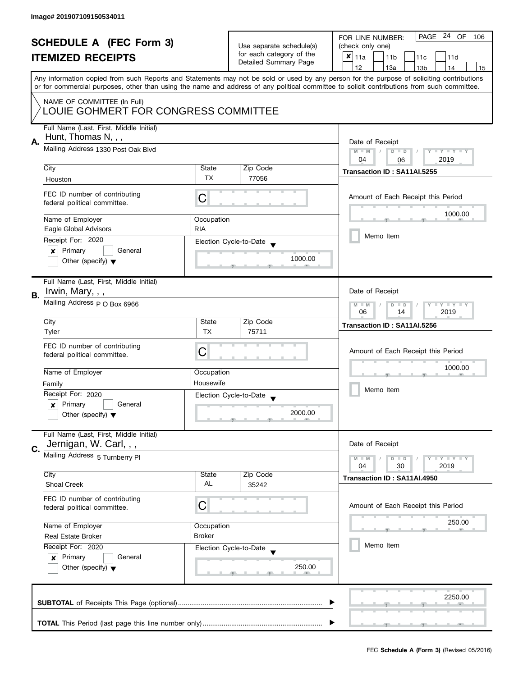| <b>SCHEDULE A (FEC Form 3)</b>                                      |                                                                              |            | PAGE 24 OF<br>FOR LINE NUMBER:<br>106                |                                                                                                                                            |
|---------------------------------------------------------------------|------------------------------------------------------------------------------|------------|------------------------------------------------------|--------------------------------------------------------------------------------------------------------------------------------------------|
|                                                                     |                                                                              |            | Use separate schedule(s)<br>for each category of the | (check only one)                                                                                                                           |
|                                                                     | <b>ITEMIZED RECEIPTS</b>                                                     |            |                                                      | $x _{11a}$<br>11 <sub>b</sub><br>11 <sub>c</sub><br>11d                                                                                    |
|                                                                     |                                                                              |            | Detailed Summary Page                                | 12<br>13a<br>13 <sub>b</sub><br>14<br>15                                                                                                   |
|                                                                     |                                                                              |            |                                                      | Any information copied from such Reports and Statements may not be sold or used by any person for the purpose of soliciting contributions  |
|                                                                     |                                                                              |            |                                                      | or for commercial purposes, other than using the name and address of any political committee to solicit contributions from such committee. |
|                                                                     |                                                                              |            |                                                      |                                                                                                                                            |
| NAME OF COMMITTEE (In Full)<br>LOUIE GOHMERT FOR CONGRESS COMMITTEE |                                                                              |            |                                                      |                                                                                                                                            |
|                                                                     |                                                                              |            |                                                      |                                                                                                                                            |
|                                                                     | Full Name (Last, First, Middle Initial)                                      |            |                                                      |                                                                                                                                            |
|                                                                     | Hunt, Thomas N, , ,<br>Mailing Address 1330 Post Oak Blvd                    |            |                                                      |                                                                                                                                            |
| Α.                                                                  |                                                                              |            |                                                      | Date of Receipt                                                                                                                            |
|                                                                     |                                                                              |            |                                                      | $M - M$<br>$D$ $D$<br>Y FY FY FY<br>$\sqrt{2}$                                                                                             |
|                                                                     |                                                                              |            |                                                      | 04<br>2019<br>06                                                                                                                           |
|                                                                     | City                                                                         | State      | Zip Code                                             | Transaction ID: SA11AI.5255                                                                                                                |
|                                                                     | Houston                                                                      | <b>TX</b>  | 77056                                                |                                                                                                                                            |
|                                                                     | FEC ID number of contributing                                                |            |                                                      |                                                                                                                                            |
|                                                                     | federal political committee.                                                 | C          |                                                      | Amount of Each Receipt this Period                                                                                                         |
|                                                                     |                                                                              |            |                                                      | 1000.00                                                                                                                                    |
|                                                                     | Name of Employer                                                             | Occupation |                                                      |                                                                                                                                            |
|                                                                     | Eagle Global Advisors                                                        | <b>RIA</b> |                                                      |                                                                                                                                            |
|                                                                     | Receipt For: 2020                                                            |            | Election Cycle-to-Date                               | Memo Item                                                                                                                                  |
|                                                                     | Primary<br>General<br>$\boldsymbol{x}$                                       |            |                                                      |                                                                                                                                            |
|                                                                     | Other (specify) $\blacktriangledown$                                         |            | 1000.00                                              |                                                                                                                                            |
|                                                                     |                                                                              |            |                                                      |                                                                                                                                            |
|                                                                     | Full Name (Last, First, Middle Initial)                                      |            |                                                      |                                                                                                                                            |
|                                                                     | Irwin, Mary, , ,                                                             |            |                                                      | Date of Receipt                                                                                                                            |
| В.                                                                  |                                                                              |            |                                                      |                                                                                                                                            |
|                                                                     | Mailing Address p O Box 6966                                                 |            |                                                      | Y LY LY<br>$M - M$<br>D<br>$\Box$                                                                                                          |
|                                                                     |                                                                              |            |                                                      | 2019<br>06<br>14                                                                                                                           |
|                                                                     | City                                                                         | State      | Zip Code                                             | Transaction ID: SA11AI.5256                                                                                                                |
|                                                                     | Tyler                                                                        | <b>TX</b>  | 75711                                                |                                                                                                                                            |
|                                                                     | FEC ID number of contributing                                                |            |                                                      |                                                                                                                                            |
|                                                                     | federal political committee.                                                 | С          |                                                      | Amount of Each Receipt this Period                                                                                                         |
|                                                                     |                                                                              |            |                                                      | 1000.00                                                                                                                                    |
|                                                                     | Name of Employer                                                             | Occupation |                                                      |                                                                                                                                            |
|                                                                     | Family                                                                       | Housewife  |                                                      | Memo Item                                                                                                                                  |
|                                                                     | Receipt For: 2020                                                            |            | Election Cycle-to-Date                               |                                                                                                                                            |
|                                                                     | Primary<br>General<br>x                                                      |            |                                                      |                                                                                                                                            |
|                                                                     | Other (specify) $\blacktriangledown$                                         |            | 2000.00                                              |                                                                                                                                            |
|                                                                     |                                                                              |            |                                                      |                                                                                                                                            |
|                                                                     | Full Name (Last, First, Middle Initial)                                      |            |                                                      |                                                                                                                                            |
| C.                                                                  | Jernigan, W. Carl, , ,                                                       |            |                                                      | Date of Receipt                                                                                                                            |
|                                                                     | Mailing Address 5 Turnberry Pl                                               |            |                                                      | $Y \perp Y \perp Y$<br>$M - M$<br>$D$ $D$                                                                                                  |
|                                                                     |                                                                              |            |                                                      | 30<br>2019<br>04                                                                                                                           |
|                                                                     | City                                                                         | State      | Zip Code                                             | Transaction ID: SA11AI.4950                                                                                                                |
|                                                                     | <b>Shoal Creek</b>                                                           | AL         | 35242                                                |                                                                                                                                            |
|                                                                     | FEC ID number of contributing                                                |            |                                                      |                                                                                                                                            |
|                                                                     | federal political committee.                                                 | C          |                                                      | Amount of Each Receipt this Period                                                                                                         |
|                                                                     |                                                                              |            |                                                      |                                                                                                                                            |
|                                                                     | Name of Employer<br>Occupation<br><b>Broker</b><br><b>Real Estate Broker</b> |            |                                                      | 250.00                                                                                                                                     |
|                                                                     |                                                                              |            |                                                      |                                                                                                                                            |
|                                                                     | Receipt For: 2020                                                            |            | Election Cycle-to-Date                               | Memo Item                                                                                                                                  |
|                                                                     | Primary<br>General                                                           |            |                                                      |                                                                                                                                            |
|                                                                     | $\mathbf{x}$                                                                 |            | 250.00                                               |                                                                                                                                            |
|                                                                     | Other (specify) $\blacktriangledown$                                         |            |                                                      |                                                                                                                                            |
|                                                                     |                                                                              |            |                                                      |                                                                                                                                            |
|                                                                     |                                                                              |            |                                                      |                                                                                                                                            |
|                                                                     |                                                                              |            |                                                      | 2250.00                                                                                                                                    |
|                                                                     |                                                                              |            |                                                      |                                                                                                                                            |
|                                                                     |                                                                              |            |                                                      |                                                                                                                                            |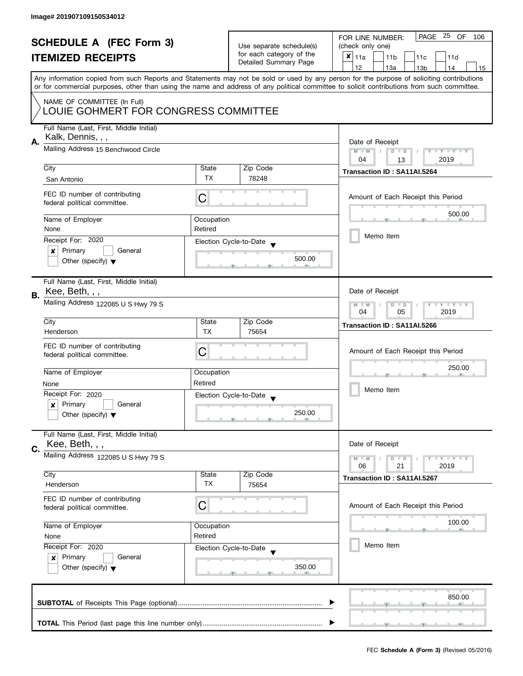| <b>SCHEDULE A (FEC Form 3)</b><br><b>ITEMIZED RECEIPTS</b>                                                                                                                                                            |                                         | Use separate schedule(s)<br>for each category of the<br>Detailed Summary Page | PAGE 25 OF<br>FOR LINE NUMBER:<br>106<br>(check only one)<br>$\boldsymbol{x}$<br>11a<br>11 <sub>b</sub><br>11c<br>11d<br>12<br>13a<br>13 <sub>b</sub><br>14<br>15                                                                                                                       |
|-----------------------------------------------------------------------------------------------------------------------------------------------------------------------------------------------------------------------|-----------------------------------------|-------------------------------------------------------------------------------|-----------------------------------------------------------------------------------------------------------------------------------------------------------------------------------------------------------------------------------------------------------------------------------------|
| NAME OF COMMITTEE (In Full)<br>LOUIE GOHMERT FOR CONGRESS COMMITTEE                                                                                                                                                   |                                         |                                                                               | Any information copied from such Reports and Statements may not be sold or used by any person for the purpose of soliciting contributions<br>or for commercial purposes, other than using the name and address of any political committee to solicit contributions from such committee. |
| Full Name (Last, First, Middle Initial)<br>Kalk, Dennis, , ,<br>Α.<br>Mailing Address 15 Benchwood Circle<br>City<br>San Antonio<br>FEC ID number of contributing<br>federal political committee.<br>Name of Employer | State<br><b>TX</b><br>С<br>Occupation   | Zip Code<br>78248                                                             | Date of Receipt<br>Y TY TY TY<br>$M - M$<br>$D$ $D$<br>2019<br>04<br>13<br>Transaction ID: SA11AI.5264<br>Amount of Each Receipt this Period<br>500.00                                                                                                                                  |
| None<br>Receipt For: 2020<br>Primary<br>General<br>×<br>Other (specify) $\blacktriangledown$                                                                                                                          | Retired                                 | Election Cycle-to-Date<br>500.00                                              | Memo Item                                                                                                                                                                                                                                                                               |
| Full Name (Last, First, Middle Initial)<br>Kee, Beth, , ,<br>В.<br>Mailing Address 122085 U S Hwy 79 S<br>City                                                                                                        | State                                   | Zip Code                                                                      | Date of Receipt<br>$T - Y = T - Y$<br>$M - M$<br>$D$ $D$<br>04<br>05<br>2019<br>Transaction ID: SA11AI.5266                                                                                                                                                                             |
| Henderson<br>FEC ID number of contributing<br>federal political committee.<br>Name of Employer<br>None<br>Receipt For: 2020<br>Primary<br>General<br>x<br>Other (specify) $\blacktriangledown$                        | <b>TX</b><br>С<br>Occupation<br>Retired | 75654<br>Election Cycle-to-Date<br>$\blacktriangledown$<br>250.00             | Amount of Each Receipt this Period<br>250.00<br>Memo Item                                                                                                                                                                                                                               |
| Full Name (Last, First, Middle Initial)<br>Kee, Beth, , ,<br>C.<br>Mailing Address 122085 U S Hwy 79 S<br>City                                                                                                        | State                                   | Zip Code                                                                      | Date of Receipt<br>$M - M$<br>$\bot$ $\gamma$ $\bot$ $\gamma$ $\bot$ $\gamma$<br>$D$ $D$<br>06<br>21<br>2019<br>Transaction ID: SA11AI.5267                                                                                                                                             |
| Henderson<br>FEC ID number of contributing<br>federal political committee.<br>Name of Employer<br>None<br>Receipt For: 2020<br>Primary<br>General<br>x<br>Other (specify) $\blacktriangledown$                        | <b>TX</b><br>С<br>Occupation<br>Retired | 75654<br>Election Cycle-to-Date<br>350.00                                     | Amount of Each Receipt this Period<br>100.00<br>Memo Item                                                                                                                                                                                                                               |
|                                                                                                                                                                                                                       |                                         |                                                                               | 850.00                                                                                                                                                                                                                                                                                  |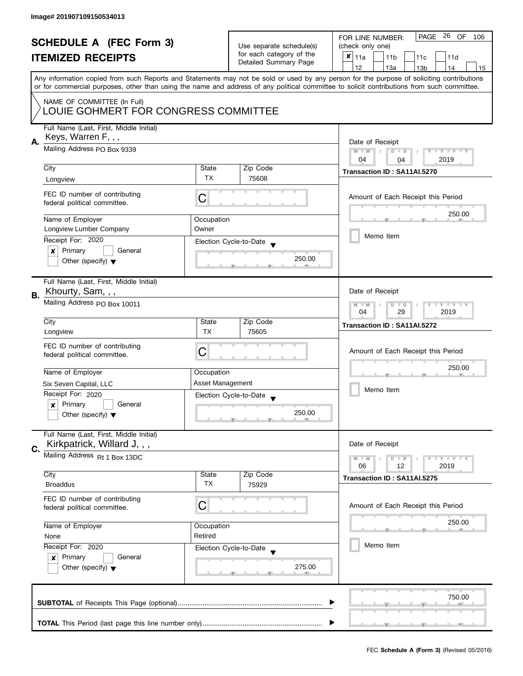|    | <b>SCHEDULE A (FEC Form 3)</b><br><b>ITEMIZED RECEIPTS</b>                                    |                                                      | Use separate schedule(s)<br>for each category of the<br>Detailed Summary Page | PAGE 26 OF<br>FOR LINE NUMBER:<br>106<br>(check only one)<br>$x _{11a}$<br>11 <sub>b</sub><br>11c<br>11d                                                                                                                                                                                                                            |
|----|-----------------------------------------------------------------------------------------------|------------------------------------------------------|-------------------------------------------------------------------------------|-------------------------------------------------------------------------------------------------------------------------------------------------------------------------------------------------------------------------------------------------------------------------------------------------------------------------------------|
|    |                                                                                               |                                                      |                                                                               | 12<br>13a<br>14<br>13 <sub>b</sub><br>15<br>Any information copied from such Reports and Statements may not be sold or used by any person for the purpose of soliciting contributions<br>or for commercial purposes, other than using the name and address of any political committee to solicit contributions from such committee. |
|    | NAME OF COMMITTEE (In Full)<br>LOUIE GOHMERT FOR CONGRESS COMMITTEE                           |                                                      |                                                                               |                                                                                                                                                                                                                                                                                                                                     |
| А. | Full Name (Last, First, Middle Initial)<br>Keys, Warren F, , ,<br>Mailing Address PO Box 9339 |                                                      |                                                                               | Date of Receipt<br>$M - M$<br>Y I Y I Y I Y<br>$D$ $D$                                                                                                                                                                                                                                                                              |
|    |                                                                                               |                                                      |                                                                               | 2019<br>04<br>04                                                                                                                                                                                                                                                                                                                    |
|    | City                                                                                          | State<br><b>TX</b>                                   | Zip Code                                                                      | Transaction ID: SA11AI.5270                                                                                                                                                                                                                                                                                                         |
|    | Longview                                                                                      |                                                      | 75608                                                                         |                                                                                                                                                                                                                                                                                                                                     |
|    | FEC ID number of contributing<br>federal political committee.                                 | С                                                    |                                                                               | Amount of Each Receipt this Period                                                                                                                                                                                                                                                                                                  |
|    | Name of Employer                                                                              | Occupation                                           |                                                                               | 250.00                                                                                                                                                                                                                                                                                                                              |
|    | Longview Lumber Company                                                                       | Owner                                                |                                                                               | Memo Item                                                                                                                                                                                                                                                                                                                           |
|    | Receipt For: 2020                                                                             |                                                      | Election Cycle-to-Date                                                        |                                                                                                                                                                                                                                                                                                                                     |
|    | Primary<br>General<br>×<br>Other (specify) $\blacktriangledown$                               |                                                      | 250.00                                                                        |                                                                                                                                                                                                                                                                                                                                     |
| В. | Full Name (Last, First, Middle Initial)<br>Khourty, Sam, , ,                                  |                                                      |                                                                               | Date of Receipt                                                                                                                                                                                                                                                                                                                     |
|    | Mailing Address PO Box 10011                                                                  | Y FY FY FY<br>$M - M$<br>$D$ $D$<br>04<br>29<br>2019 |                                                                               |                                                                                                                                                                                                                                                                                                                                     |
|    | City                                                                                          | State<br><b>TX</b>                                   | Zip Code<br>75605                                                             | Transaction ID: SA11AI.5272                                                                                                                                                                                                                                                                                                         |
|    | Longview<br>FEC ID number of contributing<br>federal political committee.                     | С                                                    |                                                                               | Amount of Each Receipt this Period                                                                                                                                                                                                                                                                                                  |
|    | Name of Employer                                                                              | Occupation                                           |                                                                               | 250.00                                                                                                                                                                                                                                                                                                                              |
|    | Six Seven Capital, LLC                                                                        | Asset Management                                     |                                                                               |                                                                                                                                                                                                                                                                                                                                     |
|    | Receipt For: 2020                                                                             |                                                      | Election Cycle-to-Date<br>$\overline{\mathbf{v}}$                             | Memo Item                                                                                                                                                                                                                                                                                                                           |
|    | Primary<br>General<br>x<br>Other (specify) $\blacktriangledown$                               |                                                      | 250.00                                                                        |                                                                                                                                                                                                                                                                                                                                     |
| C. | Full Name (Last, First, Middle Initial)<br>Kirkpatrick, Willard J,,,                          |                                                      |                                                                               | Date of Receipt                                                                                                                                                                                                                                                                                                                     |
|    | Mailing Address Rt 1 Box 13DC                                                                 |                                                      |                                                                               | Y FY FY FY<br>$M - M$<br>$D$ $D$                                                                                                                                                                                                                                                                                                    |
|    | City                                                                                          | State                                                | Zip Code                                                                      | 06<br>12<br>2019                                                                                                                                                                                                                                                                                                                    |
|    | <b>Broaddus</b>                                                                               | ТX                                                   | 75929                                                                         | Transaction ID: SA11AI.5275                                                                                                                                                                                                                                                                                                         |
|    | FEC ID number of contributing<br>federal political committee.                                 | C                                                    |                                                                               | Amount of Each Receipt this Period                                                                                                                                                                                                                                                                                                  |
|    | Name of Employer                                                                              | Occupation                                           |                                                                               | 250.00                                                                                                                                                                                                                                                                                                                              |
|    | None                                                                                          | Retired                                              |                                                                               |                                                                                                                                                                                                                                                                                                                                     |
|    | Receipt For: 2020                                                                             |                                                      | Election Cycle-to-Date                                                        | Memo Item                                                                                                                                                                                                                                                                                                                           |
|    | Primary<br>General<br>$\boldsymbol{x}$<br>Other (specify) $\blacktriangledown$                |                                                      | 275.00                                                                        |                                                                                                                                                                                                                                                                                                                                     |
|    |                                                                                               |                                                      |                                                                               | 750.00                                                                                                                                                                                                                                                                                                                              |
|    |                                                                                               |                                                      |                                                                               |                                                                                                                                                                                                                                                                                                                                     |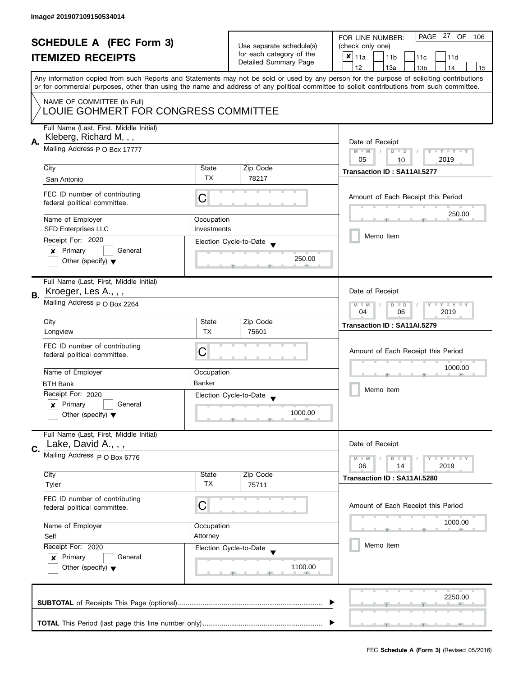| <b>SCHEDULE A (FEC Form 3)</b><br><b>ITEMIZED RECEIPTS</b> |                                                                                | Use separate schedule(s)<br>for each category of the<br>Detailed Summary Page | PAGE 27 OF<br>FOR LINE NUMBER:<br>106<br>(check only one)<br>$x _{11a}$<br>11 <sub>b</sub><br>11c<br>11d |                                                                                                                                                                                       |  |
|------------------------------------------------------------|--------------------------------------------------------------------------------|-------------------------------------------------------------------------------|----------------------------------------------------------------------------------------------------------|---------------------------------------------------------------------------------------------------------------------------------------------------------------------------------------|--|
|                                                            |                                                                                |                                                                               |                                                                                                          | 12<br>13a<br>14<br>13 <sub>b</sub><br>15<br>Any information copied from such Reports and Statements may not be sold or used by any person for the purpose of soliciting contributions |  |
|                                                            | NAME OF COMMITTEE (In Full)<br>LOUIE GOHMERT FOR CONGRESS COMMITTEE            |                                                                               |                                                                                                          | or for commercial purposes, other than using the name and address of any political committee to solicit contributions from such committee.                                            |  |
| А.                                                         | Full Name (Last, First, Middle Initial)<br>Kleberg, Richard M, , ,             |                                                                               |                                                                                                          | Date of Receipt                                                                                                                                                                       |  |
|                                                            | Mailing Address P O Box 17777                                                  | $M - M$<br>Y I Y I Y I Y<br>$D$ $D$<br>05<br>2019<br>10                       |                                                                                                          |                                                                                                                                                                                       |  |
|                                                            | City                                                                           | State                                                                         | Zip Code                                                                                                 | Transaction ID: SA11AI.5277                                                                                                                                                           |  |
|                                                            | San Antonio                                                                    | TX                                                                            | 78217                                                                                                    |                                                                                                                                                                                       |  |
|                                                            | FEC ID number of contributing<br>federal political committee.                  | C                                                                             |                                                                                                          | Amount of Each Receipt this Period                                                                                                                                                    |  |
|                                                            | Name of Employer                                                               | Occupation                                                                    |                                                                                                          | 250.00                                                                                                                                                                                |  |
|                                                            | <b>SFD Enterprises LLC</b>                                                     | Investments                                                                   |                                                                                                          | Memo Item                                                                                                                                                                             |  |
|                                                            | Receipt For: 2020                                                              |                                                                               | Election Cycle-to-Date                                                                                   |                                                                                                                                                                                       |  |
|                                                            | Primary<br>General<br>×<br>Other (specify) $\blacktriangledown$                |                                                                               | 250.00                                                                                                   |                                                                                                                                                                                       |  |
| В.                                                         | Full Name (Last, First, Middle Initial)<br>Kroeger, Les A., , ,                |                                                                               |                                                                                                          | Date of Receipt                                                                                                                                                                       |  |
|                                                            | Mailing Address p O Box 2264                                                   | Y FY FY FY<br>$M - M$<br>$D$ $D$<br>04<br>2019<br>06                          |                                                                                                          |                                                                                                                                                                                       |  |
|                                                            | City                                                                           | State<br><b>TX</b>                                                            | Zip Code                                                                                                 | Transaction ID: SA11AI.5279                                                                                                                                                           |  |
|                                                            | Longview<br>FEC ID number of contributing<br>federal political committee.      | С                                                                             | 75601                                                                                                    | Amount of Each Receipt this Period                                                                                                                                                    |  |
|                                                            | Name of Employer                                                               | Occupation                                                                    |                                                                                                          | 1000.00                                                                                                                                                                               |  |
|                                                            | <b>BTH Bank</b>                                                                | <b>Banker</b>                                                                 |                                                                                                          |                                                                                                                                                                                       |  |
|                                                            | Receipt For: 2020                                                              |                                                                               | Election Cycle-to-Date<br>$\overline{\phantom{a}}$                                                       | Memo Item                                                                                                                                                                             |  |
|                                                            | Primary<br>General<br>$\boldsymbol{x}$<br>Other (specify) $\blacktriangledown$ |                                                                               | 1000.00                                                                                                  |                                                                                                                                                                                       |  |
|                                                            | Full Name (Last, First, Middle Initial)<br>Lake, David A., , ,                 |                                                                               |                                                                                                          | Date of Receipt                                                                                                                                                                       |  |
| C.                                                         | Mailing Address p O Box 6776                                                   |                                                                               |                                                                                                          | <b>LYLYLY</b><br>$M - M$<br>$D$ $D$<br>06<br>2019<br>14                                                                                                                               |  |
|                                                            | City                                                                           | State                                                                         | Zip Code                                                                                                 | Transaction ID: SA11AI.5280                                                                                                                                                           |  |
|                                                            | Tyler                                                                          | TX                                                                            | 75711                                                                                                    |                                                                                                                                                                                       |  |
|                                                            | FEC ID number of contributing<br>federal political committee.                  | C                                                                             |                                                                                                          | Amount of Each Receipt this Period                                                                                                                                                    |  |
|                                                            | Name of Employer                                                               | Occupation                                                                    |                                                                                                          | 1000.00                                                                                                                                                                               |  |
|                                                            | Self                                                                           | Attorney                                                                      |                                                                                                          |                                                                                                                                                                                       |  |
|                                                            | Receipt For: 2020                                                              |                                                                               | Election Cycle-to-Date                                                                                   | Memo Item                                                                                                                                                                             |  |
|                                                            | Primary<br>General<br>x<br>Other (specify) $\blacktriangledown$                |                                                                               | 1100.00                                                                                                  |                                                                                                                                                                                       |  |
|                                                            |                                                                                |                                                                               |                                                                                                          | 2250.00                                                                                                                                                                               |  |
|                                                            |                                                                                |                                                                               |                                                                                                          |                                                                                                                                                                                       |  |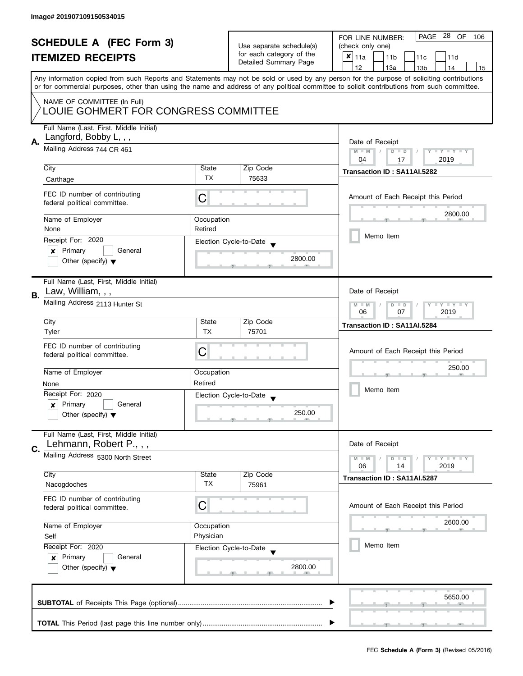|    | <b>SCHEDULE A (FEC Form 3)</b><br><b>ITEMIZED RECEIPTS</b>                                          |                    | Use separate schedule(s)<br>for each category of the<br>Detailed Summary Page | PAGE 28 OF<br>FOR LINE NUMBER:<br>106<br>(check only one)<br>X<br>11a<br>11 <sub>b</sub><br>11c<br>11d<br>12<br>13a<br>14                                                                                                                                                                                        |
|----|-----------------------------------------------------------------------------------------------------|--------------------|-------------------------------------------------------------------------------|------------------------------------------------------------------------------------------------------------------------------------------------------------------------------------------------------------------------------------------------------------------------------------------------------------------|
|    | NAME OF COMMITTEE (In Full)                                                                         |                    |                                                                               | 13 <sub>b</sub><br>15<br>Any information copied from such Reports and Statements may not be sold or used by any person for the purpose of soliciting contributions<br>or for commercial purposes, other than using the name and address of any political committee to solicit contributions from such committee. |
|    | LOUIE GOHMERT FOR CONGRESS COMMITTEE<br>Full Name (Last, First, Middle Initial)                     |                    |                                                                               |                                                                                                                                                                                                                                                                                                                  |
| А. | Langford, Bobby L, , ,<br>Mailing Address 744 CR 461                                                |                    |                                                                               | Date of Receipt<br>$M - M$<br>Y I Y I Y I Y<br>$D$ $D$<br>2019<br>04<br>17                                                                                                                                                                                                                                       |
|    | City                                                                                                | State              | Zip Code                                                                      | Transaction ID: SA11AI.5282                                                                                                                                                                                                                                                                                      |
|    | Carthage                                                                                            | <b>TX</b>          | 75633                                                                         |                                                                                                                                                                                                                                                                                                                  |
|    | FEC ID number of contributing<br>federal political committee.                                       | C                  |                                                                               | Amount of Each Receipt this Period                                                                                                                                                                                                                                                                               |
|    | Name of Employer                                                                                    | Occupation         |                                                                               | 2800.00                                                                                                                                                                                                                                                                                                          |
|    | None                                                                                                | Retired            |                                                                               | Memo Item                                                                                                                                                                                                                                                                                                        |
|    | Receipt For: 2020                                                                                   |                    | Election Cycle-to-Date                                                        |                                                                                                                                                                                                                                                                                                                  |
|    | Primary<br>General<br>×<br>Other (specify) $\blacktriangledown$                                     |                    | 2800.00                                                                       |                                                                                                                                                                                                                                                                                                                  |
| В. | Full Name (Last, First, Middle Initial)<br>Law, William, , ,                                        |                    |                                                                               | Date of Receipt                                                                                                                                                                                                                                                                                                  |
|    | Mailing Address 2113 Hunter St                                                                      |                    |                                                                               | $Y - Y - Y - Y - Y$<br>$M - M$<br>$D$ $D$<br>06<br>07<br>2019                                                                                                                                                                                                                                                    |
|    | City                                                                                                | State              | Zip Code                                                                      | Transaction ID: SA11AI.5284                                                                                                                                                                                                                                                                                      |
|    | Tyler                                                                                               | <b>TX</b>          | 75701                                                                         |                                                                                                                                                                                                                                                                                                                  |
|    | FEC ID number of contributing<br>federal political committee.                                       | С                  |                                                                               | Amount of Each Receipt this Period                                                                                                                                                                                                                                                                               |
|    | Name of Employer                                                                                    | Occupation         |                                                                               | 250.00                                                                                                                                                                                                                                                                                                           |
|    | None                                                                                                | Retired            |                                                                               |                                                                                                                                                                                                                                                                                                                  |
|    | Receipt For: 2020                                                                                   |                    | Election Cycle-to-Date<br>$\overline{\mathbf{v}}$                             | Memo Item                                                                                                                                                                                                                                                                                                        |
|    | Primary<br>General<br>$\boldsymbol{x}$<br>Other (specify) $\blacktriangledown$                      |                    | 250.00                                                                        |                                                                                                                                                                                                                                                                                                                  |
| C. | Full Name (Last, First, Middle Initial)<br>Lehmann, Robert P.,,,                                    |                    |                                                                               | Date of Receipt                                                                                                                                                                                                                                                                                                  |
|    | Mailing Address 5300 North Street                                                                   |                    |                                                                               | $T - Y = T - Y$<br>$M - M$<br>D<br>$\Box$<br>06<br>14                                                                                                                                                                                                                                                            |
|    | City<br>Nacogdoches                                                                                 | State<br><b>TX</b> | Zip Code<br>75961                                                             | 2019<br>Transaction ID: SA11AI.5287                                                                                                                                                                                                                                                                              |
|    | FEC ID number of contributing<br>federal political committee.                                       | C                  |                                                                               | Amount of Each Receipt this Period                                                                                                                                                                                                                                                                               |
|    | Name of Employer                                                                                    | Occupation         |                                                                               | 2600.00                                                                                                                                                                                                                                                                                                          |
|    | Self                                                                                                | Physician          |                                                                               |                                                                                                                                                                                                                                                                                                                  |
|    | Receipt For: 2020<br>Primary<br>General<br>$\boldsymbol{x}$<br>Other (specify) $\blacktriangledown$ |                    | Election Cycle-to-Date<br>2800.00                                             | Memo Item                                                                                                                                                                                                                                                                                                        |
|    |                                                                                                     |                    |                                                                               | 5650.00                                                                                                                                                                                                                                                                                                          |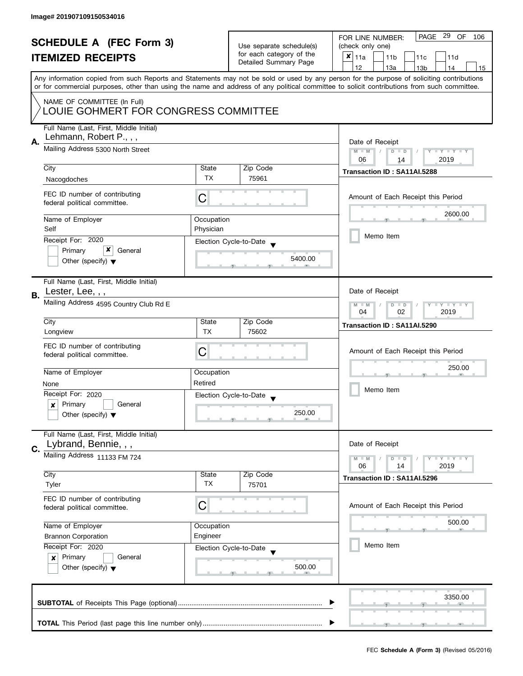|    | <b>SCHEDULE A (FEC Form 3)</b><br><b>ITEMIZED RECEIPTS</b>                                            |                                                         | Use separate schedule(s)<br>for each category of the<br>Detailed Summary Page | PAGE 29 OF<br>FOR LINE NUMBER:<br>106<br>(check only one)<br>X<br>11a<br>11 <sub>b</sub><br>11c<br>11d                                                                                |  |
|----|-------------------------------------------------------------------------------------------------------|---------------------------------------------------------|-------------------------------------------------------------------------------|---------------------------------------------------------------------------------------------------------------------------------------------------------------------------------------|--|
|    |                                                                                                       |                                                         |                                                                               | 12<br>13a<br>13 <sub>b</sub><br>14<br>15<br>Any information copied from such Reports and Statements may not be sold or used by any person for the purpose of soliciting contributions |  |
|    | NAME OF COMMITTEE (In Full)<br>LOUIE GOHMERT FOR CONGRESS COMMITTEE                                   |                                                         |                                                                               | or for commercial purposes, other than using the name and address of any political committee to solicit contributions from such committee.                                            |  |
| А. | Full Name (Last, First, Middle Initial)<br>Lehmann, Robert P.,,,<br>Mailing Address 5300 North Street | Date of Receipt<br>$M - M$<br>Y I Y I Y I Y<br>$D$ $D$  |                                                                               |                                                                                                                                                                                       |  |
|    | City                                                                                                  | State                                                   | Zip Code                                                                      | 2019<br>06<br>14<br>Transaction ID: SA11AI.5288                                                                                                                                       |  |
|    | Nacogdoches                                                                                           | <b>TX</b>                                               | 75961                                                                         |                                                                                                                                                                                       |  |
|    | FEC ID number of contributing<br>federal political committee.                                         | C                                                       |                                                                               | Amount of Each Receipt this Period                                                                                                                                                    |  |
|    | Name of Employer                                                                                      | Occupation                                              |                                                                               | 2600.00                                                                                                                                                                               |  |
|    | Self                                                                                                  | Physician                                               |                                                                               |                                                                                                                                                                                       |  |
|    | Receipt For: 2020                                                                                     |                                                         | Election Cycle-to-Date                                                        | Memo Item                                                                                                                                                                             |  |
|    | x<br>Primary<br>General<br>Other (specify) $\blacktriangledown$                                       |                                                         | 5400.00                                                                       |                                                                                                                                                                                       |  |
| В. | Full Name (Last, First, Middle Initial)<br>Lester, Lee, , ,                                           |                                                         |                                                                               | Date of Receipt                                                                                                                                                                       |  |
|    | Mailing Address 4595 Country Club Rd E                                                                | <b>LYLYLY</b><br>$M - M$<br>$D$ $D$<br>04<br>02<br>2019 |                                                                               |                                                                                                                                                                                       |  |
|    | City                                                                                                  | State                                                   | Zip Code                                                                      | Transaction ID: SA11AI.5290                                                                                                                                                           |  |
|    | Longview<br>FEC ID number of contributing                                                             | <b>TX</b><br>С                                          | 75602                                                                         | Amount of Each Receipt this Period                                                                                                                                                    |  |
|    | federal political committee.                                                                          |                                                         |                                                                               |                                                                                                                                                                                       |  |
|    | Name of Employer                                                                                      | Occupation                                              |                                                                               | 250.00                                                                                                                                                                                |  |
|    | None                                                                                                  | Retired                                                 |                                                                               |                                                                                                                                                                                       |  |
|    | Receipt For: 2020                                                                                     |                                                         | Election Cycle-to-Date<br>$\overline{\mathbf{v}}$                             | Memo Item                                                                                                                                                                             |  |
|    | Primary<br>General<br>$\boldsymbol{x}$<br>Other (specify) $\blacktriangledown$                        | 250.00                                                  |                                                                               |                                                                                                                                                                                       |  |
|    | Full Name (Last, First, Middle Initial)<br>Lybrand, Bennie, , ,                                       |                                                         |                                                                               | Date of Receipt                                                                                                                                                                       |  |
| C. | Mailing Address 11133 FM 724                                                                          |                                                         |                                                                               | $T - Y = T - Y$<br>$M - M$<br>$D$ $D$                                                                                                                                                 |  |
|    |                                                                                                       |                                                         |                                                                               | 06<br>2019<br>14                                                                                                                                                                      |  |
|    | City<br>Tyler                                                                                         | State<br><b>TX</b>                                      | Zip Code<br>75701                                                             | Transaction ID: SA11AI.5296                                                                                                                                                           |  |
|    | FEC ID number of contributing<br>federal political committee.                                         | C                                                       |                                                                               | Amount of Each Receipt this Period                                                                                                                                                    |  |
|    | Name of Employer                                                                                      | Occupation                                              |                                                                               | 500.00                                                                                                                                                                                |  |
|    | <b>Brannon Corporation</b>                                                                            | Engineer                                                |                                                                               |                                                                                                                                                                                       |  |
|    | Receipt For: 2020                                                                                     |                                                         | Election Cycle-to-Date                                                        | Memo Item                                                                                                                                                                             |  |
|    | Primary<br>General<br>$\boldsymbol{x}$<br>Other (specify) $\blacktriangledown$                        |                                                         | 500.00                                                                        |                                                                                                                                                                                       |  |
|    |                                                                                                       |                                                         |                                                                               | 3350.00                                                                                                                                                                               |  |
|    |                                                                                                       |                                                         |                                                                               |                                                                                                                                                                                       |  |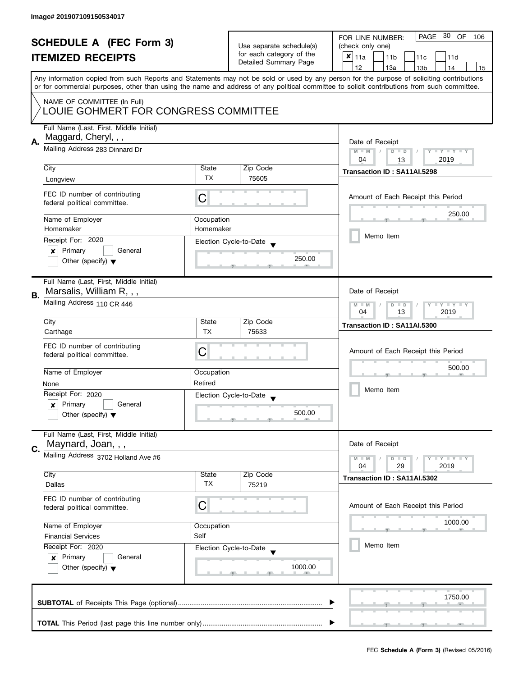| <b>SCHEDULE A (FEC Form 3)</b>       |                                                                            |                          | PAGE 30 OF<br>FOR LINE NUMBER:<br>106 |                                                                                                                                            |  |
|--------------------------------------|----------------------------------------------------------------------------|--------------------------|---------------------------------------|--------------------------------------------------------------------------------------------------------------------------------------------|--|
|                                      |                                                                            | Use separate schedule(s) | (check only one)                      |                                                                                                                                            |  |
|                                      | <b>ITEMIZED RECEIPTS</b>                                                   |                          | for each category of the              | $x _{11a}$<br>11 <sub>b</sub><br>11c<br>11d                                                                                                |  |
|                                      |                                                                            |                          | Detailed Summary Page                 | 12<br>13a<br>13 <sub>b</sub><br>14<br>15                                                                                                   |  |
|                                      |                                                                            |                          |                                       | Any information copied from such Reports and Statements may not be sold or used by any person for the purpose of soliciting contributions  |  |
|                                      |                                                                            |                          |                                       | or for commercial purposes, other than using the name and address of any political committee to solicit contributions from such committee. |  |
|                                      | NAME OF COMMITTEE (In Full)                                                |                          |                                       |                                                                                                                                            |  |
| LOUIE GOHMERT FOR CONGRESS COMMITTEE |                                                                            |                          |                                       |                                                                                                                                            |  |
|                                      |                                                                            |                          |                                       |                                                                                                                                            |  |
|                                      | Full Name (Last, First, Middle Initial)                                    |                          |                                       |                                                                                                                                            |  |
| Α.                                   | Maggard, Cheryl, , ,                                                       |                          |                                       | Date of Receipt                                                                                                                            |  |
|                                      | Mailing Address 283 Dinnard Dr                                             |                          |                                       | $M - M$<br>$\sqrt{ }$<br>$D$ $D$<br>Y I Y I Y I Y                                                                                          |  |
|                                      |                                                                            |                          |                                       | 04<br>2019<br>13                                                                                                                           |  |
|                                      | City                                                                       | State                    | Zip Code                              | Transaction ID: SA11AI.5298                                                                                                                |  |
|                                      | Longview                                                                   | TX                       | 75605                                 |                                                                                                                                            |  |
|                                      |                                                                            |                          |                                       |                                                                                                                                            |  |
|                                      | FEC ID number of contributing<br>federal political committee.              | С                        |                                       | Amount of Each Receipt this Period                                                                                                         |  |
|                                      |                                                                            |                          |                                       | 250.00                                                                                                                                     |  |
|                                      | Name of Employer                                                           | Occupation               |                                       |                                                                                                                                            |  |
|                                      | Homemaker                                                                  | Homemaker                |                                       |                                                                                                                                            |  |
|                                      | Receipt For: 2020                                                          |                          | Election Cycle-to-Date                | Memo Item                                                                                                                                  |  |
|                                      | Primary<br>General<br>×                                                    |                          |                                       |                                                                                                                                            |  |
|                                      | Other (specify) $\blacktriangledown$                                       |                          | 250.00                                |                                                                                                                                            |  |
|                                      |                                                                            |                          |                                       |                                                                                                                                            |  |
|                                      | Full Name (Last, First, Middle Initial)                                    |                          |                                       |                                                                                                                                            |  |
| В.                                   | Marsalis, William R, , ,                                                   |                          |                                       | Date of Receipt                                                                                                                            |  |
|                                      | Mailing Address 110 CR 446                                                 |                          |                                       | $Y = Y + Y$<br>$M - M$<br>D<br>$\Box$                                                                                                      |  |
|                                      |                                                                            |                          |                                       | 2019<br>04<br>13                                                                                                                           |  |
|                                      | City                                                                       | State                    | Zip Code                              | Transaction ID: SA11AI.5300                                                                                                                |  |
|                                      | Carthage                                                                   | <b>TX</b>                | 75633                                 |                                                                                                                                            |  |
|                                      | FEC ID number of contributing                                              |                          |                                       |                                                                                                                                            |  |
|                                      | federal political committee.                                               | C                        |                                       | Amount of Each Receipt this Period                                                                                                         |  |
|                                      |                                                                            |                          |                                       | 500.00                                                                                                                                     |  |
|                                      | Name of Employer                                                           | Occupation               |                                       |                                                                                                                                            |  |
|                                      | None                                                                       | Retired                  |                                       |                                                                                                                                            |  |
|                                      | Receipt For: 2020                                                          |                          | Election Cycle-to-Date                | Memo Item                                                                                                                                  |  |
|                                      | Primary<br>General<br>x                                                    |                          |                                       |                                                                                                                                            |  |
|                                      | Other (specify) $\blacktriangledown$                                       |                          | 500.00                                |                                                                                                                                            |  |
|                                      |                                                                            |                          |                                       |                                                                                                                                            |  |
|                                      | Full Name (Last, First, Middle Initial)                                    |                          |                                       |                                                                                                                                            |  |
| C.                                   | Maynard, Joan, , ,                                                         |                          |                                       | Date of Receipt                                                                                                                            |  |
|                                      | Mailing Address 3702 Holland Ave #6                                        |                          |                                       | $M - M$<br>$Y + Y + Y$<br>D<br>$\blacksquare$                                                                                              |  |
|                                      |                                                                            |                          |                                       | 04<br>29<br>2019                                                                                                                           |  |
|                                      | City                                                                       | State                    | Zip Code                              | Transaction ID: SA11AI.5302                                                                                                                |  |
|                                      | Dallas                                                                     | TX                       | 75219                                 |                                                                                                                                            |  |
|                                      | FEC ID number of contributing                                              |                          |                                       |                                                                                                                                            |  |
|                                      | federal political committee.                                               | C                        |                                       | Amount of Each Receipt this Period                                                                                                         |  |
|                                      | Name of Employer<br>Occupation<br>Self<br><b>Financial Services</b>        |                          |                                       | 1000.00                                                                                                                                    |  |
|                                      |                                                                            |                          |                                       |                                                                                                                                            |  |
|                                      |                                                                            |                          |                                       | Memo Item                                                                                                                                  |  |
|                                      | Receipt For: 2020                                                          |                          | Election Cycle-to-Date                |                                                                                                                                            |  |
|                                      | Primary<br>General<br>$\mathsf{x}$<br>Other (specify) $\blacktriangledown$ |                          |                                       |                                                                                                                                            |  |
|                                      |                                                                            |                          | 1000.00                               |                                                                                                                                            |  |
|                                      |                                                                            |                          |                                       |                                                                                                                                            |  |
|                                      |                                                                            |                          |                                       |                                                                                                                                            |  |
|                                      |                                                                            |                          |                                       | 1750.00                                                                                                                                    |  |
|                                      |                                                                            |                          |                                       |                                                                                                                                            |  |
|                                      |                                                                            |                          |                                       |                                                                                                                                            |  |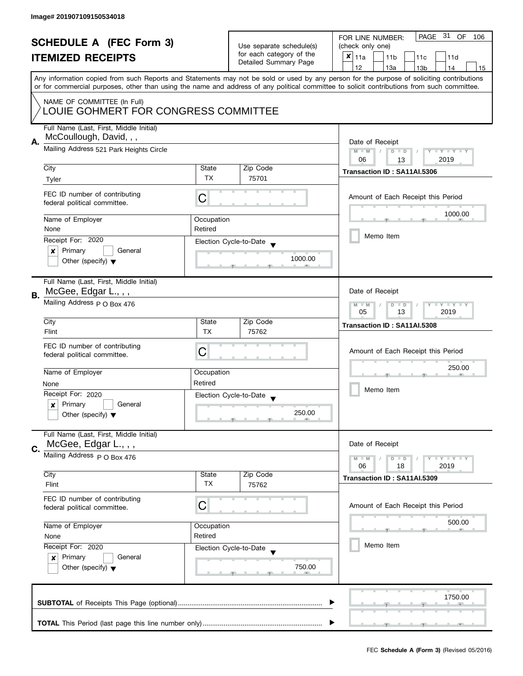| <b>SCHEDULE A (FEC Form 3)</b><br><b>ITEMIZED RECEIPTS</b>          |                                                                 |                                                                               | PAGE 31 OF<br>FOR LINE NUMBER:<br>106              |                                                                                                                                                                                                                                                                                         |  |
|---------------------------------------------------------------------|-----------------------------------------------------------------|-------------------------------------------------------------------------------|----------------------------------------------------|-----------------------------------------------------------------------------------------------------------------------------------------------------------------------------------------------------------------------------------------------------------------------------------------|--|
|                                                                     |                                                                 | Use separate schedule(s)<br>for each category of the<br>Detailed Summary Page | (check only one)                                   |                                                                                                                                                                                                                                                                                         |  |
|                                                                     |                                                                 |                                                                               | $x _{11a}$<br>11 <sub>b</sub><br>11c<br>11d        |                                                                                                                                                                                                                                                                                         |  |
|                                                                     |                                                                 |                                                                               |                                                    | 12<br>13a<br>13 <sub>b</sub><br>14<br>15                                                                                                                                                                                                                                                |  |
|                                                                     |                                                                 |                                                                               |                                                    | Any information copied from such Reports and Statements may not be sold or used by any person for the purpose of soliciting contributions<br>or for commercial purposes, other than using the name and address of any political committee to solicit contributions from such committee. |  |
| NAME OF COMMITTEE (In Full)<br>LOUIE GOHMERT FOR CONGRESS COMMITTEE |                                                                 |                                                                               |                                                    |                                                                                                                                                                                                                                                                                         |  |
|                                                                     | Full Name (Last, First, Middle Initial)                         |                                                                               |                                                    |                                                                                                                                                                                                                                                                                         |  |
|                                                                     | McCoullough, David, , ,                                         |                                                                               |                                                    |                                                                                                                                                                                                                                                                                         |  |
| Α.                                                                  | Mailing Address 521 Park Heights Circle                         |                                                                               |                                                    | Date of Receipt                                                                                                                                                                                                                                                                         |  |
|                                                                     |                                                                 |                                                                               |                                                    | Y TY TY TY<br>$M - M$<br>$D$ $D$                                                                                                                                                                                                                                                        |  |
|                                                                     | City                                                            | State                                                                         | Zip Code                                           | 2019<br>06<br>13                                                                                                                                                                                                                                                                        |  |
|                                                                     |                                                                 | TX                                                                            | 75701                                              | Transaction ID: SA11AI.5306                                                                                                                                                                                                                                                             |  |
|                                                                     | Tyler                                                           |                                                                               |                                                    |                                                                                                                                                                                                                                                                                         |  |
|                                                                     | FEC ID number of contributing<br>federal political committee.   | С                                                                             |                                                    | Amount of Each Receipt this Period                                                                                                                                                                                                                                                      |  |
|                                                                     | Name of Employer                                                | Occupation                                                                    |                                                    | 1000.00                                                                                                                                                                                                                                                                                 |  |
|                                                                     | None                                                            | Retired                                                                       |                                                    |                                                                                                                                                                                                                                                                                         |  |
|                                                                     | Receipt For: 2020                                               |                                                                               | Election Cycle-to-Date                             | Memo Item                                                                                                                                                                                                                                                                               |  |
|                                                                     | Primary<br>General<br>×                                         |                                                                               |                                                    |                                                                                                                                                                                                                                                                                         |  |
|                                                                     | Other (specify) $\blacktriangledown$                            |                                                                               | 1000.00                                            |                                                                                                                                                                                                                                                                                         |  |
| В.                                                                  | Full Name (Last, First, Middle Initial)<br>McGee, Edgar L., , , |                                                                               |                                                    | Date of Receipt                                                                                                                                                                                                                                                                         |  |
|                                                                     | Mailing Address p O Box 476                                     |                                                                               |                                                    |                                                                                                                                                                                                                                                                                         |  |
|                                                                     | City                                                            | State                                                                         | Zip Code                                           | Transaction ID: SA11AI.5308                                                                                                                                                                                                                                                             |  |
|                                                                     | Flint                                                           | <b>TX</b>                                                                     | 75762                                              |                                                                                                                                                                                                                                                                                         |  |
|                                                                     | FEC ID number of contributing                                   |                                                                               |                                                    |                                                                                                                                                                                                                                                                                         |  |
|                                                                     | federal political committee.                                    | С                                                                             |                                                    | Amount of Each Receipt this Period                                                                                                                                                                                                                                                      |  |
|                                                                     |                                                                 |                                                                               |                                                    | 250.00                                                                                                                                                                                                                                                                                  |  |
|                                                                     | Name of Employer                                                | Occupation                                                                    |                                                    |                                                                                                                                                                                                                                                                                         |  |
|                                                                     | None                                                            | Retired                                                                       |                                                    | Memo Item                                                                                                                                                                                                                                                                               |  |
|                                                                     | Receipt For: 2020                                               |                                                                               | Election Cycle-to-Date<br>$\overline{\phantom{a}}$ |                                                                                                                                                                                                                                                                                         |  |
|                                                                     | Primary<br>General<br>x                                         |                                                                               |                                                    |                                                                                                                                                                                                                                                                                         |  |
|                                                                     | Other (specify) $\blacktriangledown$                            |                                                                               | 250.00                                             |                                                                                                                                                                                                                                                                                         |  |
|                                                                     | Full Name (Last, First, Middle Initial)                         |                                                                               |                                                    |                                                                                                                                                                                                                                                                                         |  |
| C.                                                                  | McGee, Edgar L., , ,                                            |                                                                               |                                                    | Date of Receipt                                                                                                                                                                                                                                                                         |  |
|                                                                     | Mailing Address P O Box 476                                     |                                                                               |                                                    | <b>LY LY LY</b><br>$M - M$<br>$D$ $D$                                                                                                                                                                                                                                                   |  |
|                                                                     |                                                                 |                                                                               |                                                    | 06<br>18<br>2019                                                                                                                                                                                                                                                                        |  |
|                                                                     | City                                                            | State                                                                         | Zip Code                                           | Transaction ID: SA11AI.5309                                                                                                                                                                                                                                                             |  |
|                                                                     | Flint                                                           | ТX                                                                            | 75762                                              |                                                                                                                                                                                                                                                                                         |  |
|                                                                     | FEC ID number of contributing<br>federal political committee.   | С                                                                             |                                                    | Amount of Each Receipt this Period                                                                                                                                                                                                                                                      |  |
|                                                                     | Name of Employer<br>Occupation                                  |                                                                               |                                                    | 500.00                                                                                                                                                                                                                                                                                  |  |
|                                                                     | None                                                            | Retired                                                                       |                                                    |                                                                                                                                                                                                                                                                                         |  |
|                                                                     | Receipt For: 2020                                               |                                                                               | Election Cycle-to-Date                             | Memo Item                                                                                                                                                                                                                                                                               |  |
|                                                                     | Primary<br>General<br>$\mathsf{x}$                              |                                                                               |                                                    |                                                                                                                                                                                                                                                                                         |  |
|                                                                     | Other (specify) $\blacktriangledown$                            |                                                                               | 750.00                                             |                                                                                                                                                                                                                                                                                         |  |
|                                                                     |                                                                 |                                                                               |                                                    |                                                                                                                                                                                                                                                                                         |  |
|                                                                     |                                                                 |                                                                               |                                                    | 1750.00                                                                                                                                                                                                                                                                                 |  |
|                                                                     |                                                                 |                                                                               |                                                    |                                                                                                                                                                                                                                                                                         |  |
|                                                                     |                                                                 |                                                                               |                                                    |                                                                                                                                                                                                                                                                                         |  |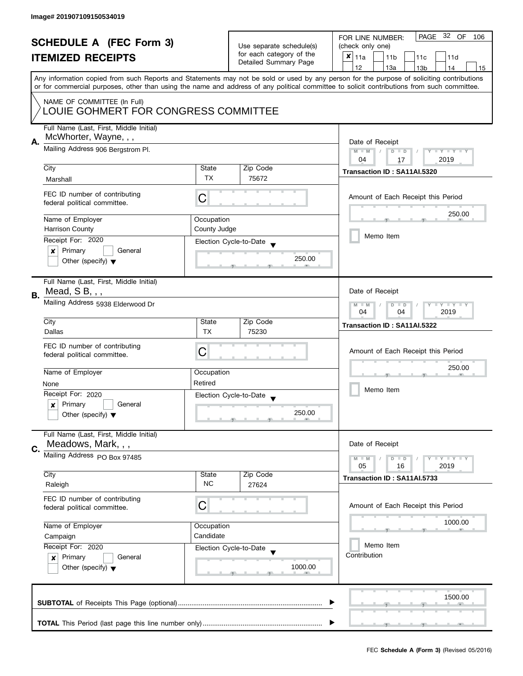| <b>SCHEDULE A (FEC Form 3)</b><br><b>ITEMIZED RECEIPTS</b> |                                                                                |                                                                         | Use separate schedule(s)<br>for each category of the<br>Detailed Summary Page | PAGE 32 OF<br>FOR LINE NUMBER:<br>106<br>(check only one)<br>$\boldsymbol{x}$<br>11a<br>11 <sub>b</sub><br>11c<br>11d                                                                                                                                                                   |  |  |
|------------------------------------------------------------|--------------------------------------------------------------------------------|-------------------------------------------------------------------------|-------------------------------------------------------------------------------|-----------------------------------------------------------------------------------------------------------------------------------------------------------------------------------------------------------------------------------------------------------------------------------------|--|--|
|                                                            |                                                                                |                                                                         |                                                                               | 12<br>13a<br>13 <sub>b</sub><br>14<br>15                                                                                                                                                                                                                                                |  |  |
|                                                            |                                                                                |                                                                         |                                                                               | Any information copied from such Reports and Statements may not be sold or used by any person for the purpose of soliciting contributions<br>or for commercial purposes, other than using the name and address of any political committee to solicit contributions from such committee. |  |  |
|                                                            | NAME OF COMMITTEE (In Full)<br>LOUIE GOHMERT FOR CONGRESS COMMITTEE            |                                                                         |                                                                               |                                                                                                                                                                                                                                                                                         |  |  |
|                                                            | Full Name (Last, First, Middle Initial)<br>McWhorter, Wayne, , ,               |                                                                         |                                                                               |                                                                                                                                                                                                                                                                                         |  |  |
| А.                                                         | Mailing Address 906 Bergstrom Pl.                                              | Date of Receipt<br>Y TY TY TY<br>$M - M$<br>$D$ $D$<br>2019<br>04<br>17 |                                                                               |                                                                                                                                                                                                                                                                                         |  |  |
|                                                            | City                                                                           | State                                                                   | Zip Code                                                                      | Transaction ID: SA11AI.5320                                                                                                                                                                                                                                                             |  |  |
|                                                            | Marshall                                                                       | <b>TX</b>                                                               | 75672                                                                         |                                                                                                                                                                                                                                                                                         |  |  |
|                                                            | FEC ID number of contributing<br>federal political committee.                  | С                                                                       |                                                                               | Amount of Each Receipt this Period                                                                                                                                                                                                                                                      |  |  |
|                                                            | Name of Employer                                                               | Occupation                                                              |                                                                               | 250.00                                                                                                                                                                                                                                                                                  |  |  |
|                                                            | <b>Harrison County</b>                                                         | County Judge                                                            |                                                                               |                                                                                                                                                                                                                                                                                         |  |  |
|                                                            | Receipt For: 2020                                                              |                                                                         | Election Cycle-to-Date                                                        | Memo Item                                                                                                                                                                                                                                                                               |  |  |
|                                                            | Primary<br>General<br>×<br>Other (specify) $\blacktriangledown$                |                                                                         | 250.00                                                                        |                                                                                                                                                                                                                                                                                         |  |  |
| В.                                                         | Full Name (Last, First, Middle Initial)<br>Mead, SB, , ,                       |                                                                         |                                                                               | Date of Receipt                                                                                                                                                                                                                                                                         |  |  |
|                                                            | Mailing Address 5938 Elderwood Dr                                              | $T - Y = T - Y$<br>$M - M$<br>$D$ $D$<br>04<br>04<br>2019               |                                                                               |                                                                                                                                                                                                                                                                                         |  |  |
|                                                            | City                                                                           | State                                                                   | Zip Code                                                                      | Transaction ID: SA11AI.5322                                                                                                                                                                                                                                                             |  |  |
|                                                            | Dallas                                                                         | <b>TX</b>                                                               | 75230                                                                         |                                                                                                                                                                                                                                                                                         |  |  |
|                                                            | FEC ID number of contributing<br>federal political committee.                  | C                                                                       |                                                                               | Amount of Each Receipt this Period                                                                                                                                                                                                                                                      |  |  |
|                                                            | Name of Employer                                                               | Occupation                                                              |                                                                               | 250.00                                                                                                                                                                                                                                                                                  |  |  |
|                                                            | None                                                                           | Retired                                                                 |                                                                               | Memo Item                                                                                                                                                                                                                                                                               |  |  |
|                                                            | Receipt For: 2020                                                              |                                                                         | Election Cycle-to-Date<br>$\blacktriangledown$                                |                                                                                                                                                                                                                                                                                         |  |  |
|                                                            | Primary<br>General<br>x<br>Other (specify) $\blacktriangledown$                |                                                                         | 250.00                                                                        |                                                                                                                                                                                                                                                                                         |  |  |
|                                                            | Full Name (Last, First, Middle Initial)<br>Meadows, Mark, , ,                  |                                                                         |                                                                               | Date of Receipt                                                                                                                                                                                                                                                                         |  |  |
| C.                                                         | Mailing Address PO Box 97485                                                   |                                                                         |                                                                               | <b>LYLYLY</b><br>$M - M$<br>$D$ $D$                                                                                                                                                                                                                                                     |  |  |
|                                                            | City                                                                           | State                                                                   | Zip Code                                                                      | 2019<br>05<br>16                                                                                                                                                                                                                                                                        |  |  |
|                                                            | Raleigh                                                                        | <b>NC</b>                                                               | 27624                                                                         | Transaction ID: SA11AI.5733                                                                                                                                                                                                                                                             |  |  |
|                                                            | FEC ID number of contributing<br>federal political committee.                  | C                                                                       |                                                                               | Amount of Each Receipt this Period                                                                                                                                                                                                                                                      |  |  |
|                                                            | Name of Employer                                                               | Occupation                                                              |                                                                               | 1000.00                                                                                                                                                                                                                                                                                 |  |  |
|                                                            | Campaign                                                                       | Candidate                                                               |                                                                               |                                                                                                                                                                                                                                                                                         |  |  |
|                                                            | Receipt For: 2020                                                              |                                                                         | Election Cycle-to-Date                                                        | Memo Item<br>Contribution                                                                                                                                                                                                                                                               |  |  |
|                                                            | Primary<br>General<br>$\boldsymbol{x}$<br>Other (specify) $\blacktriangledown$ |                                                                         | 1000.00                                                                       |                                                                                                                                                                                                                                                                                         |  |  |
|                                                            |                                                                                |                                                                         |                                                                               | 1500.00                                                                                                                                                                                                                                                                                 |  |  |
|                                                            |                                                                                |                                                                         |                                                                               |                                                                                                                                                                                                                                                                                         |  |  |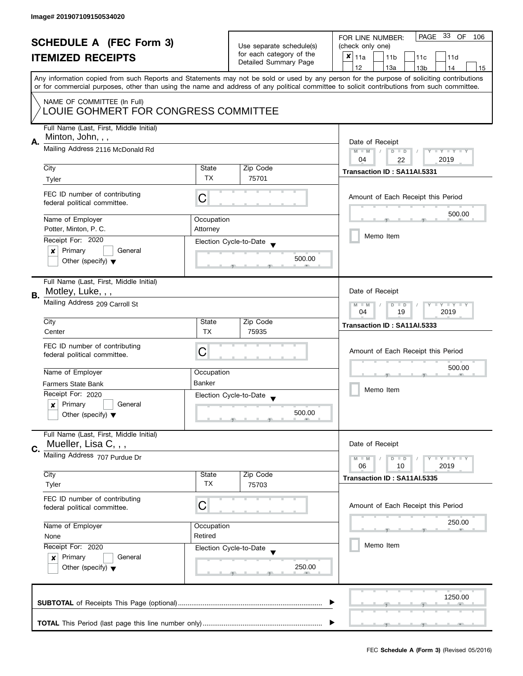|    | <b>SCHEDULE A (FEC Form 3)</b><br><b>ITEMIZED RECEIPTS</b>                                       |                                                      | Use separate schedule(s)<br>for each category of the<br>Detailed Summary Page | PAGE 33 OF<br>FOR LINE NUMBER:<br>106<br>(check only one)<br>$x _{11a}$<br>11 <sub>b</sub><br>11c<br>11d                                                                              |
|----|--------------------------------------------------------------------------------------------------|------------------------------------------------------|-------------------------------------------------------------------------------|---------------------------------------------------------------------------------------------------------------------------------------------------------------------------------------|
|    |                                                                                                  |                                                      |                                                                               | 12<br>13a<br>13 <sub>b</sub><br>14<br>15<br>Any information copied from such Reports and Statements may not be sold or used by any person for the purpose of soliciting contributions |
|    | NAME OF COMMITTEE (In Full)<br>LOUIE GOHMERT FOR CONGRESS COMMITTEE                              |                                                      |                                                                               | or for commercial purposes, other than using the name and address of any political committee to solicit contributions from such committee.                                            |
| А. | Full Name (Last, First, Middle Initial)<br>Minton, John, , ,<br>Mailing Address 2116 McDonald Rd |                                                      |                                                                               | Date of Receipt<br>$M - M$<br>Y I Y I Y I Y<br>$D$ $D$                                                                                                                                |
|    |                                                                                                  | 2019<br>04<br>22                                     |                                                                               |                                                                                                                                                                                       |
|    | City<br>Tyler                                                                                    | State<br>TX                                          | Zip Code<br>75701                                                             | Transaction ID: SA11AI.5331                                                                                                                                                           |
|    | FEC ID number of contributing<br>federal political committee.                                    | C                                                    |                                                                               | Amount of Each Receipt this Period                                                                                                                                                    |
|    | Name of Employer                                                                                 | Occupation                                           |                                                                               | 500.00                                                                                                                                                                                |
|    | Potter, Minton, P. C.                                                                            | Attorney                                             |                                                                               | Memo Item                                                                                                                                                                             |
|    | Receipt For: 2020<br>Primary<br>General<br>×                                                     |                                                      | Election Cycle-to-Date                                                        |                                                                                                                                                                                       |
|    | Other (specify) $\blacktriangledown$                                                             |                                                      | 500.00                                                                        |                                                                                                                                                                                       |
|    | Full Name (Last, First, Middle Initial)<br>Motley, Luke, , ,                                     |                                                      |                                                                               | Date of Receipt                                                                                                                                                                       |
| В. | Mailing Address 209 Carroll St                                                                   | Y FY FY FY<br>$M - M$<br>$D$ $D$<br>19<br>2019<br>04 |                                                                               |                                                                                                                                                                                       |
|    | City                                                                                             | State                                                | Zip Code                                                                      | Transaction ID: SA11AI.5333                                                                                                                                                           |
|    | Center                                                                                           | <b>TX</b>                                            | 75935                                                                         |                                                                                                                                                                                       |
|    | FEC ID number of contributing<br>federal political committee.                                    | С                                                    |                                                                               | Amount of Each Receipt this Period                                                                                                                                                    |
|    | Name of Employer                                                                                 | Occupation                                           |                                                                               | 500.00                                                                                                                                                                                |
|    | Farmers State Bank<br>Receipt For: 2020                                                          | <b>Banker</b>                                        |                                                                               | Memo Item                                                                                                                                                                             |
|    | Primary<br>General<br>$\boldsymbol{x}$                                                           |                                                      | Election Cycle-to-Date<br>$\overline{\phantom{a}}$                            |                                                                                                                                                                                       |
|    | Other (specify) $\blacktriangledown$                                                             |                                                      | 500.00                                                                        |                                                                                                                                                                                       |
|    | Full Name (Last, First, Middle Initial)<br>Mueller, Lisa C, , ,                                  |                                                      |                                                                               | Date of Receipt                                                                                                                                                                       |
| C. | Mailing Address 707 Purdue Dr                                                                    |                                                      |                                                                               | Y FY FY FY<br>$M - M$<br>$D$ $D$                                                                                                                                                      |
|    | City                                                                                             | State                                                | Zip Code                                                                      | 06<br>10<br>2019                                                                                                                                                                      |
|    | Tyler                                                                                            | TX                                                   | 75703                                                                         | Transaction ID: SA11AI.5335                                                                                                                                                           |
|    | FEC ID number of contributing<br>federal political committee.                                    | C                                                    |                                                                               | Amount of Each Receipt this Period                                                                                                                                                    |
|    | Name of Employer<br>Occupation                                                                   |                                                      |                                                                               | 250.00                                                                                                                                                                                |
|    | None                                                                                             | Retired                                              |                                                                               | Memo Item                                                                                                                                                                             |
|    | Receipt For: 2020<br>Primary<br>General<br>$\boldsymbol{x}$                                      |                                                      | Election Cycle-to-Date                                                        |                                                                                                                                                                                       |
|    | Other (specify) $\blacktriangledown$                                                             |                                                      | 250.00                                                                        |                                                                                                                                                                                       |
|    |                                                                                                  |                                                      |                                                                               | 1250.00                                                                                                                                                                               |
|    |                                                                                                  |                                                      |                                                                               |                                                                                                                                                                                       |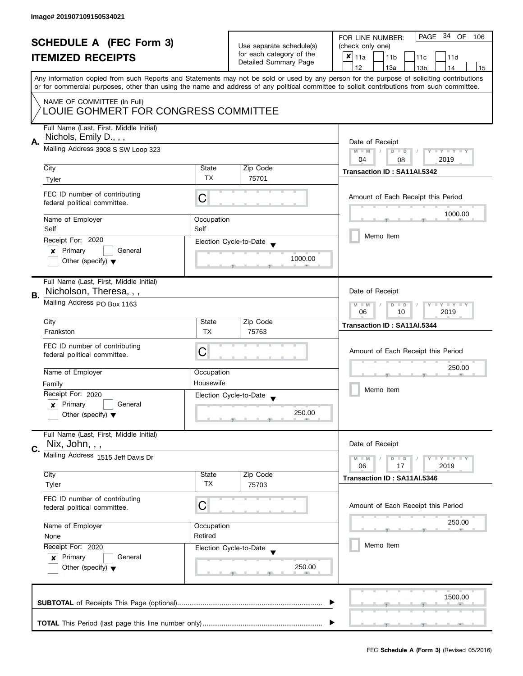| <b>SCHEDULE A (FEC Form 3)</b> |                                                                                                                                            | Use separate schedule(s) | PAGE 34 OF<br>FOR LINE NUMBER:<br>106 |                                                                                                                                           |  |  |  |  |
|--------------------------------|--------------------------------------------------------------------------------------------------------------------------------------------|--------------------------|---------------------------------------|-------------------------------------------------------------------------------------------------------------------------------------------|--|--|--|--|
|                                |                                                                                                                                            |                          | (check only one)                      |                                                                                                                                           |  |  |  |  |
|                                | <b>ITEMIZED RECEIPTS</b>                                                                                                                   |                          | for each category of the              | $x _{11a}$<br>11 <sub>b</sub><br>11c<br>11d                                                                                               |  |  |  |  |
|                                |                                                                                                                                            |                          | Detailed Summary Page                 | 12<br>13a<br>14<br>13 <sub>b</sub><br>15                                                                                                  |  |  |  |  |
|                                |                                                                                                                                            |                          |                                       | Any information copied from such Reports and Statements may not be sold or used by any person for the purpose of soliciting contributions |  |  |  |  |
|                                | or for commercial purposes, other than using the name and address of any political committee to solicit contributions from such committee. |                          |                                       |                                                                                                                                           |  |  |  |  |
|                                |                                                                                                                                            |                          |                                       |                                                                                                                                           |  |  |  |  |
|                                | NAME OF COMMITTEE (In Full)                                                                                                                |                          |                                       |                                                                                                                                           |  |  |  |  |
|                                | LOUIE GOHMERT FOR CONGRESS COMMITTEE                                                                                                       |                          |                                       |                                                                                                                                           |  |  |  |  |
|                                |                                                                                                                                            |                          |                                       |                                                                                                                                           |  |  |  |  |
|                                | Full Name (Last, First, Middle Initial)                                                                                                    |                          |                                       |                                                                                                                                           |  |  |  |  |
| А.                             | Nichols, Emily D., , ,                                                                                                                     | Date of Receipt          |                                       |                                                                                                                                           |  |  |  |  |
|                                | Mailing Address 3908 S SW Loop 323                                                                                                         |                          |                                       | $M - M$<br>$D$ $D$<br>Y I Y I Y I Y                                                                                                       |  |  |  |  |
|                                |                                                                                                                                            |                          |                                       | 04<br>2019<br>08                                                                                                                          |  |  |  |  |
|                                | City                                                                                                                                       | State                    | Zip Code                              |                                                                                                                                           |  |  |  |  |
|                                | Tyler                                                                                                                                      | <b>TX</b>                | 75701                                 | Transaction ID: SA11AI.5342                                                                                                               |  |  |  |  |
|                                |                                                                                                                                            |                          |                                       |                                                                                                                                           |  |  |  |  |
|                                | FEC ID number of contributing                                                                                                              | С                        |                                       | Amount of Each Receipt this Period                                                                                                        |  |  |  |  |
|                                | federal political committee.                                                                                                               |                          |                                       |                                                                                                                                           |  |  |  |  |
|                                |                                                                                                                                            |                          |                                       | 1000.00                                                                                                                                   |  |  |  |  |
|                                | Name of Employer                                                                                                                           | Occupation               |                                       |                                                                                                                                           |  |  |  |  |
|                                | Self                                                                                                                                       | Self                     |                                       |                                                                                                                                           |  |  |  |  |
|                                | Receipt For: 2020                                                                                                                          |                          | Election Cycle-to-Date                | Memo Item                                                                                                                                 |  |  |  |  |
|                                | Primary<br>General<br>×                                                                                                                    |                          |                                       |                                                                                                                                           |  |  |  |  |
|                                | Other (specify) $\blacktriangledown$                                                                                                       |                          | 1000.00                               |                                                                                                                                           |  |  |  |  |
|                                |                                                                                                                                            |                          |                                       |                                                                                                                                           |  |  |  |  |
|                                |                                                                                                                                            |                          |                                       |                                                                                                                                           |  |  |  |  |
|                                | Full Name (Last, First, Middle Initial)                                                                                                    |                          |                                       |                                                                                                                                           |  |  |  |  |
| В.                             | Nicholson, Theresa, , ,                                                                                                                    |                          |                                       | Date of Receipt                                                                                                                           |  |  |  |  |
|                                | Mailing Address PO Box 1163                                                                                                                |                          |                                       | Y LY LY<br>$M - M$<br>$D$ $D$<br>T                                                                                                        |  |  |  |  |
|                                |                                                                                                                                            |                          |                                       | 2019<br>06<br>10                                                                                                                          |  |  |  |  |
|                                | City                                                                                                                                       | State                    | Zip Code                              | Transaction ID: SA11AI.5344                                                                                                               |  |  |  |  |
|                                | Frankston                                                                                                                                  | <b>TX</b>                | 75763                                 |                                                                                                                                           |  |  |  |  |
|                                |                                                                                                                                            |                          |                                       |                                                                                                                                           |  |  |  |  |
|                                | FEC ID number of contributing<br>C<br>federal political committee.                                                                         |                          | Amount of Each Receipt this Period    |                                                                                                                                           |  |  |  |  |
|                                |                                                                                                                                            |                          |                                       |                                                                                                                                           |  |  |  |  |
|                                | Name of Employer                                                                                                                           | Occupation               |                                       | 250.00                                                                                                                                    |  |  |  |  |
|                                |                                                                                                                                            |                          |                                       |                                                                                                                                           |  |  |  |  |
|                                | Housewife<br>Family                                                                                                                        |                          |                                       | Memo Item                                                                                                                                 |  |  |  |  |
|                                | Receipt For: 2020                                                                                                                          |                          | Election Cycle-to-Date                |                                                                                                                                           |  |  |  |  |
|                                | Primary<br>General<br>$\boldsymbol{x}$                                                                                                     |                          |                                       |                                                                                                                                           |  |  |  |  |
|                                | Other (specify) $\blacktriangledown$                                                                                                       |                          | 250.00                                |                                                                                                                                           |  |  |  |  |
|                                |                                                                                                                                            |                          |                                       |                                                                                                                                           |  |  |  |  |
|                                | Full Name (Last, First, Middle Initial)                                                                                                    |                          |                                       |                                                                                                                                           |  |  |  |  |
| C.                             | Nix, John, , ,                                                                                                                             |                          |                                       | Date of Receipt                                                                                                                           |  |  |  |  |
|                                | Mailing Address 1515 Jeff Davis Dr                                                                                                         |                          |                                       |                                                                                                                                           |  |  |  |  |
|                                |                                                                                                                                            |                          |                                       | $M - M$<br>$Y \perp Y \perp Y$<br>$D$ $D$<br>06<br>17<br>2019                                                                             |  |  |  |  |
|                                | City                                                                                                                                       | State                    | Zip Code                              |                                                                                                                                           |  |  |  |  |
|                                | Tyler                                                                                                                                      | <b>TX</b>                | 75703                                 | Transaction ID: SA11AI.5346                                                                                                               |  |  |  |  |
|                                |                                                                                                                                            |                          |                                       |                                                                                                                                           |  |  |  |  |
|                                | FEC ID number of contributing                                                                                                              |                          |                                       |                                                                                                                                           |  |  |  |  |
|                                | С<br>federal political committee.                                                                                                          |                          |                                       | Amount of Each Receipt this Period                                                                                                        |  |  |  |  |
|                                |                                                                                                                                            |                          |                                       | 250.00                                                                                                                                    |  |  |  |  |
|                                | Name of Employer<br>Occupation                                                                                                             |                          |                                       |                                                                                                                                           |  |  |  |  |
|                                | Retired<br>None                                                                                                                            |                          |                                       |                                                                                                                                           |  |  |  |  |
|                                | Receipt For: 2020                                                                                                                          |                          | Election Cycle-to-Date                | Memo Item                                                                                                                                 |  |  |  |  |
|                                | Primary<br>General<br>$\mathbf{x}$<br>Other (specify) $\blacktriangledown$                                                                 |                          |                                       |                                                                                                                                           |  |  |  |  |
|                                |                                                                                                                                            |                          | 250.00                                |                                                                                                                                           |  |  |  |  |
|                                |                                                                                                                                            |                          |                                       |                                                                                                                                           |  |  |  |  |
|                                |                                                                                                                                            |                          |                                       |                                                                                                                                           |  |  |  |  |
|                                |                                                                                                                                            |                          |                                       |                                                                                                                                           |  |  |  |  |
|                                |                                                                                                                                            |                          |                                       | 1500.00                                                                                                                                   |  |  |  |  |
|                                |                                                                                                                                            |                          |                                       |                                                                                                                                           |  |  |  |  |
|                                |                                                                                                                                            |                          |                                       |                                                                                                                                           |  |  |  |  |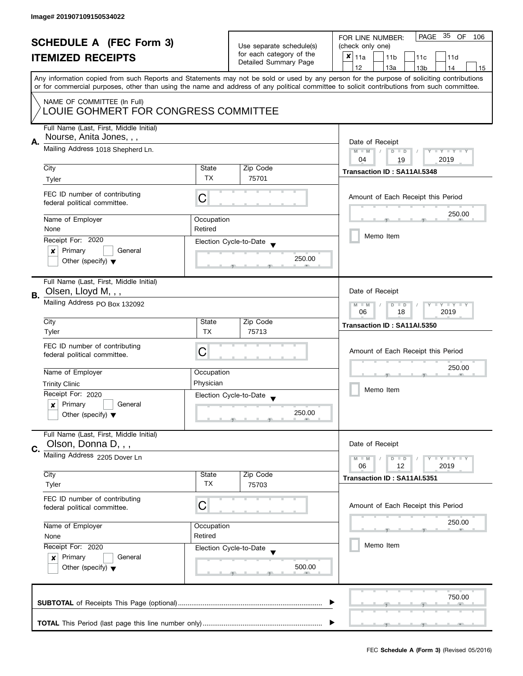| <b>SCHEDULE A (FEC Form 3)</b> |                                                                                           | Use separate schedule(s) | PAGE 35 OF<br>FOR LINE NUMBER:<br>106             |                                                                                                                                            |  |  |
|--------------------------------|-------------------------------------------------------------------------------------------|--------------------------|---------------------------------------------------|--------------------------------------------------------------------------------------------------------------------------------------------|--|--|
|                                |                                                                                           |                          | (check only one)                                  |                                                                                                                                            |  |  |
|                                | <b>ITEMIZED RECEIPTS</b>                                                                  |                          | for each category of the<br>Detailed Summary Page | $x _{11a}$<br>11 <sub>b</sub><br>11c<br>11d                                                                                                |  |  |
|                                |                                                                                           |                          | 12<br>13a<br>13 <sub>b</sub><br>14<br>15          |                                                                                                                                            |  |  |
|                                |                                                                                           |                          |                                                   | Any information copied from such Reports and Statements may not be sold or used by any person for the purpose of soliciting contributions  |  |  |
|                                |                                                                                           |                          |                                                   | or for commercial purposes, other than using the name and address of any political committee to solicit contributions from such committee. |  |  |
|                                | NAME OF COMMITTEE (In Full)                                                               |                          |                                                   |                                                                                                                                            |  |  |
|                                | LOUIE GOHMERT FOR CONGRESS COMMITTEE                                                      |                          |                                                   |                                                                                                                                            |  |  |
|                                |                                                                                           |                          |                                                   |                                                                                                                                            |  |  |
|                                | Full Name (Last, First, Middle Initial)                                                   |                          |                                                   |                                                                                                                                            |  |  |
| Α.                             | Nourse, Anita Jones, , ,                                                                  | Date of Receipt          |                                                   |                                                                                                                                            |  |  |
|                                | Mailing Address 1018 Shepherd Ln.                                                         |                          |                                                   | $M - M$<br>$D$ $D$<br>Y TY TY TY                                                                                                           |  |  |
|                                |                                                                                           |                          |                                                   | 04<br>2019<br>19                                                                                                                           |  |  |
|                                | City                                                                                      | State                    | Zip Code                                          | Transaction ID: SA11AI.5348                                                                                                                |  |  |
|                                | Tyler                                                                                     | <b>TX</b>                | 75701                                             |                                                                                                                                            |  |  |
|                                |                                                                                           |                          |                                                   |                                                                                                                                            |  |  |
|                                | FEC ID number of contributing<br>federal political committee.                             | С                        |                                                   | Amount of Each Receipt this Period                                                                                                         |  |  |
|                                |                                                                                           |                          |                                                   |                                                                                                                                            |  |  |
|                                | Name of Employer                                                                          | Occupation               |                                                   | 250.00                                                                                                                                     |  |  |
|                                | None                                                                                      | Retired                  |                                                   |                                                                                                                                            |  |  |
|                                | Receipt For: 2020                                                                         |                          | Election Cycle-to-Date                            | Memo Item                                                                                                                                  |  |  |
|                                | Primary<br>General<br>$\boldsymbol{x}$                                                    |                          |                                                   |                                                                                                                                            |  |  |
|                                | Other (specify) $\blacktriangledown$                                                      |                          | 250.00                                            |                                                                                                                                            |  |  |
|                                |                                                                                           |                          |                                                   |                                                                                                                                            |  |  |
|                                | Full Name (Last, First, Middle Initial)                                                   |                          |                                                   |                                                                                                                                            |  |  |
|                                | Olsen, Lloyd M, , ,                                                                       |                          |                                                   | Date of Receipt                                                                                                                            |  |  |
| В.                             | Mailing Address PO Box 132092                                                             |                          |                                                   | Y LY LY<br>$M - M$<br>$D$ $D$                                                                                                              |  |  |
|                                |                                                                                           |                          |                                                   | 18<br>2019<br>06                                                                                                                           |  |  |
|                                | City                                                                                      | State                    | Zip Code                                          | Transaction ID: SA11AI.5350                                                                                                                |  |  |
|                                | Tyler                                                                                     | <b>TX</b>                | 75713                                             |                                                                                                                                            |  |  |
|                                | FEC ID number of contributing                                                             |                          |                                                   |                                                                                                                                            |  |  |
|                                | C<br>federal political committee.                                                         |                          | Amount of Each Receipt this Period                |                                                                                                                                            |  |  |
|                                |                                                                                           |                          |                                                   | 250.00                                                                                                                                     |  |  |
|                                | Name of Employer                                                                          | Occupation               |                                                   |                                                                                                                                            |  |  |
|                                | Physician<br><b>Trinity Clinic</b>                                                        |                          |                                                   | Memo Item                                                                                                                                  |  |  |
|                                | Receipt For: 2020                                                                         |                          | Election Cycle-to-Date                            |                                                                                                                                            |  |  |
|                                | Primary<br>General<br>x                                                                   |                          |                                                   |                                                                                                                                            |  |  |
|                                | Other (specify) $\blacktriangledown$                                                      |                          | 250.00                                            |                                                                                                                                            |  |  |
|                                |                                                                                           |                          |                                                   |                                                                                                                                            |  |  |
|                                | Full Name (Last, First, Middle Initial)                                                   |                          |                                                   |                                                                                                                                            |  |  |
| C.                             | Olson, Donna D, , ,                                                                       |                          |                                                   | Date of Receipt                                                                                                                            |  |  |
|                                | Mailing Address 2205 Dover Ln                                                             |                          |                                                   | $M - M$<br>$Y \perp Y \perp Y$<br>$D$ $D$                                                                                                  |  |  |
|                                |                                                                                           |                          |                                                   | 06<br>12<br>2019                                                                                                                           |  |  |
|                                | City<br>Tyler                                                                             | State<br>ТX              | Zip Code<br>75703                                 | Transaction ID: SA11AI.5351                                                                                                                |  |  |
|                                |                                                                                           |                          |                                                   |                                                                                                                                            |  |  |
|                                | FEC ID number of contributing                                                             | C                        |                                                   | Amount of Each Receipt this Period                                                                                                         |  |  |
|                                | federal political committee.                                                              |                          |                                                   |                                                                                                                                            |  |  |
|                                | Name of Employer<br>Occupation                                                            |                          |                                                   | 250.00                                                                                                                                     |  |  |
|                                | None                                                                                      | Retired                  |                                                   |                                                                                                                                            |  |  |
|                                | Receipt For: 2020                                                                         |                          |                                                   | Memo Item                                                                                                                                  |  |  |
|                                | Election Cycle-to-Date<br>Primary<br>General<br>x<br>Other (specify) $\blacktriangledown$ |                          |                                                   |                                                                                                                                            |  |  |
|                                |                                                                                           |                          | 500.00                                            |                                                                                                                                            |  |  |
|                                |                                                                                           |                          |                                                   |                                                                                                                                            |  |  |
|                                |                                                                                           |                          |                                                   |                                                                                                                                            |  |  |
| 750.00                         |                                                                                           |                          |                                                   |                                                                                                                                            |  |  |
|                                |                                                                                           |                          |                                                   |                                                                                                                                            |  |  |
|                                |                                                                                           |                          |                                                   |                                                                                                                                            |  |  |
|                                |                                                                                           |                          |                                                   |                                                                                                                                            |  |  |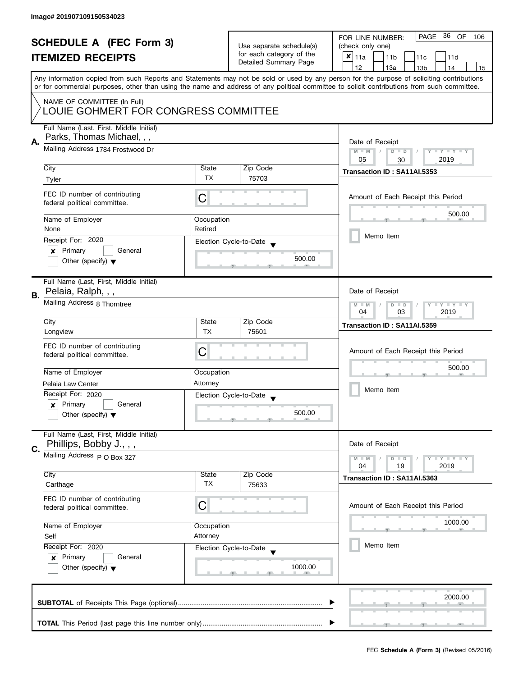| <b>SCHEDULE A (FEC Form 3)</b><br><b>ITEMIZED RECEIPTS</b> |                                                                                                                               | Use separate schedule(s)<br>for each category of the<br>Detailed Summary Page | PAGE 36 OF<br>FOR LINE NUMBER:<br>106       |                                                                                                                                                                                                                                                                                         |  |  |  |
|------------------------------------------------------------|-------------------------------------------------------------------------------------------------------------------------------|-------------------------------------------------------------------------------|---------------------------------------------|-----------------------------------------------------------------------------------------------------------------------------------------------------------------------------------------------------------------------------------------------------------------------------------------|--|--|--|
|                                                            |                                                                                                                               |                                                                               | (check only one)                            |                                                                                                                                                                                                                                                                                         |  |  |  |
|                                                            |                                                                                                                               |                                                                               | $x _{11a}$<br>11 <sub>b</sub><br>11c<br>11d |                                                                                                                                                                                                                                                                                         |  |  |  |
|                                                            |                                                                                                                               |                                                                               |                                             | 12<br>13a<br>13 <sub>b</sub><br>14<br>15                                                                                                                                                                                                                                                |  |  |  |
|                                                            |                                                                                                                               |                                                                               |                                             | Any information copied from such Reports and Statements may not be sold or used by any person for the purpose of soliciting contributions<br>or for commercial purposes, other than using the name and address of any political committee to solicit contributions from such committee. |  |  |  |
|                                                            |                                                                                                                               |                                                                               |                                             |                                                                                                                                                                                                                                                                                         |  |  |  |
|                                                            | NAME OF COMMITTEE (In Full)<br>LOUIE GOHMERT FOR CONGRESS COMMITTEE                                                           |                                                                               |                                             |                                                                                                                                                                                                                                                                                         |  |  |  |
|                                                            | Full Name (Last, First, Middle Initial)                                                                                       |                                                                               |                                             |                                                                                                                                                                                                                                                                                         |  |  |  |
| Α.                                                         | Parks, Thomas Michael, , ,                                                                                                    | Date of Receipt                                                               |                                             |                                                                                                                                                                                                                                                                                         |  |  |  |
|                                                            | Mailing Address 1784 Frostwood Dr                                                                                             |                                                                               |                                             | $M - M$<br>$D$ $D$<br>Y FY FY FY<br>$\sqrt{2}$                                                                                                                                                                                                                                          |  |  |  |
|                                                            |                                                                                                                               |                                                                               |                                             | 05<br>2019<br>30                                                                                                                                                                                                                                                                        |  |  |  |
|                                                            | City                                                                                                                          | State                                                                         | Zip Code                                    | Transaction ID: SA11AI.5353                                                                                                                                                                                                                                                             |  |  |  |
|                                                            | Tyler                                                                                                                         | <b>TX</b>                                                                     | 75703                                       |                                                                                                                                                                                                                                                                                         |  |  |  |
|                                                            | FEC ID number of contributing<br>federal political committee.                                                                 | С                                                                             |                                             | Amount of Each Receipt this Period                                                                                                                                                                                                                                                      |  |  |  |
|                                                            | Name of Employer                                                                                                              | Occupation                                                                    |                                             | 500.00                                                                                                                                                                                                                                                                                  |  |  |  |
|                                                            | None                                                                                                                          | Retired                                                                       |                                             |                                                                                                                                                                                                                                                                                         |  |  |  |
|                                                            | Receipt For: 2020                                                                                                             |                                                                               | Election Cycle-to-Date                      | Memo Item                                                                                                                                                                                                                                                                               |  |  |  |
|                                                            | Primary<br>General<br>x                                                                                                       |                                                                               |                                             |                                                                                                                                                                                                                                                                                         |  |  |  |
|                                                            | Other (specify) $\blacktriangledown$                                                                                          |                                                                               | 500.00                                      |                                                                                                                                                                                                                                                                                         |  |  |  |
|                                                            | Full Name (Last, First, Middle Initial)                                                                                       |                                                                               |                                             |                                                                                                                                                                                                                                                                                         |  |  |  |
| В.                                                         | Pelaia, Ralph, , ,                                                                                                            |                                                                               |                                             | Date of Receipt                                                                                                                                                                                                                                                                         |  |  |  |
|                                                            | Mailing Address 8 Thorntree                                                                                                   |                                                                               |                                             | Y LY LY<br>$D$ $D$<br>$M - M$<br>03<br>2019<br>04                                                                                                                                                                                                                                       |  |  |  |
|                                                            | City                                                                                                                          | State                                                                         | Zip Code                                    | Transaction ID: SA11AI.5359                                                                                                                                                                                                                                                             |  |  |  |
|                                                            | Longview                                                                                                                      | <b>TX</b>                                                                     | 75601                                       |                                                                                                                                                                                                                                                                                         |  |  |  |
|                                                            | FEC ID number of contributing                                                                                                 |                                                                               |                                             |                                                                                                                                                                                                                                                                                         |  |  |  |
|                                                            | С<br>federal political committee.                                                                                             |                                                                               |                                             | Amount of Each Receipt this Period                                                                                                                                                                                                                                                      |  |  |  |
|                                                            | Name of Employer                                                                                                              | Occupation                                                                    |                                             | 500.00                                                                                                                                                                                                                                                                                  |  |  |  |
|                                                            | Attorney<br>Pelaia Law Center<br>Receipt For: 2020                                                                            |                                                                               |                                             |                                                                                                                                                                                                                                                                                         |  |  |  |
|                                                            |                                                                                                                               |                                                                               |                                             | Memo Item                                                                                                                                                                                                                                                                               |  |  |  |
|                                                            | Primary<br>General<br>x                                                                                                       |                                                                               | Election Cycle-to-Date                      |                                                                                                                                                                                                                                                                                         |  |  |  |
|                                                            | Other (specify) $\blacktriangledown$                                                                                          |                                                                               | 500.00                                      |                                                                                                                                                                                                                                                                                         |  |  |  |
|                                                            |                                                                                                                               |                                                                               |                                             |                                                                                                                                                                                                                                                                                         |  |  |  |
|                                                            | Full Name (Last, First, Middle Initial)                                                                                       |                                                                               |                                             | Date of Receipt                                                                                                                                                                                                                                                                         |  |  |  |
| C.                                                         | Phillips, Bobby J., , ,                                                                                                       |                                                                               |                                             |                                                                                                                                                                                                                                                                                         |  |  |  |
|                                                            | Mailing Address P O Box 327                                                                                                   |                                                                               |                                             | Y L Y L Y<br>$M - M$<br>$D$ $D$<br>2019<br>04<br>19                                                                                                                                                                                                                                     |  |  |  |
|                                                            | City<br>State                                                                                                                 |                                                                               | Zip Code                                    |                                                                                                                                                                                                                                                                                         |  |  |  |
|                                                            | Carthage                                                                                                                      | TX                                                                            | 75633                                       | Transaction ID: SA11AI.5363                                                                                                                                                                                                                                                             |  |  |  |
|                                                            | FEC ID number of contributing                                                                                                 |                                                                               |                                             |                                                                                                                                                                                                                                                                                         |  |  |  |
|                                                            | C<br>federal political committee.                                                                                             |                                                                               |                                             | Amount of Each Receipt this Period                                                                                                                                                                                                                                                      |  |  |  |
|                                                            |                                                                                                                               | Occupation                                                                    |                                             | 1000.00                                                                                                                                                                                                                                                                                 |  |  |  |
|                                                            | Name of Employer                                                                                                              |                                                                               |                                             |                                                                                                                                                                                                                                                                                         |  |  |  |
|                                                            | Self                                                                                                                          | Attorney                                                                      |                                             | Memo Item                                                                                                                                                                                                                                                                               |  |  |  |
|                                                            | Receipt For: 2020<br>Election Cycle-to-Date<br>Primary<br>General<br>$\boldsymbol{x}$<br>Other (specify) $\blacktriangledown$ |                                                                               |                                             |                                                                                                                                                                                                                                                                                         |  |  |  |
|                                                            |                                                                                                                               |                                                                               | 1000.00                                     |                                                                                                                                                                                                                                                                                         |  |  |  |
|                                                            |                                                                                                                               |                                                                               |                                             |                                                                                                                                                                                                                                                                                         |  |  |  |
|                                                            |                                                                                                                               |                                                                               |                                             |                                                                                                                                                                                                                                                                                         |  |  |  |
| 2000.00                                                    |                                                                                                                               |                                                                               |                                             |                                                                                                                                                                                                                                                                                         |  |  |  |
|                                                            |                                                                                                                               |                                                                               |                                             |                                                                                                                                                                                                                                                                                         |  |  |  |
|                                                            |                                                                                                                               |                                                                               |                                             |                                                                                                                                                                                                                                                                                         |  |  |  |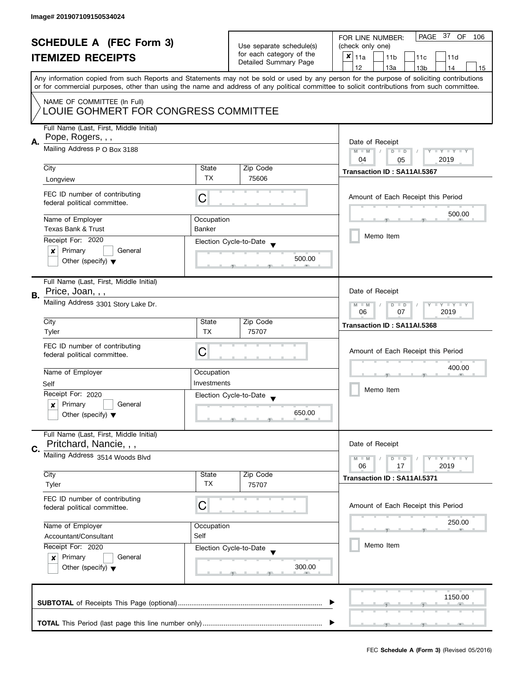| <b>SCHEDULE A (FEC Form 3)</b> |                                                              |                          | PAGE 37 OF<br>FOR LINE NUMBER:<br>106             |                                                                                                                                            |  |  |
|--------------------------------|--------------------------------------------------------------|--------------------------|---------------------------------------------------|--------------------------------------------------------------------------------------------------------------------------------------------|--|--|
|                                |                                                              | Use separate schedule(s) | (check only one)                                  |                                                                                                                                            |  |  |
|                                | <b>ITEMIZED RECEIPTS</b>                                     |                          | for each category of the<br>Detailed Summary Page | $x _{11a}$<br>11 <sub>b</sub><br>11c<br>11d                                                                                                |  |  |
|                                |                                                              |                          |                                                   | 12<br>13a<br>13 <sub>b</sub><br>14<br>15                                                                                                   |  |  |
|                                |                                                              |                          |                                                   | Any information copied from such Reports and Statements may not be sold or used by any person for the purpose of soliciting contributions  |  |  |
|                                |                                                              |                          |                                                   | or for commercial purposes, other than using the name and address of any political committee to solicit contributions from such committee. |  |  |
|                                | NAME OF COMMITTEE (In Full)                                  |                          |                                                   |                                                                                                                                            |  |  |
|                                | LOUIE GOHMERT FOR CONGRESS COMMITTEE                         |                          |                                                   |                                                                                                                                            |  |  |
|                                |                                                              |                          |                                                   |                                                                                                                                            |  |  |
|                                | Full Name (Last, First, Middle Initial)<br>Pope, Rogers, , , |                          |                                                   |                                                                                                                                            |  |  |
| А.                             |                                                              |                          |                                                   | Date of Receipt                                                                                                                            |  |  |
|                                | Mailing Address P O Box 3188                                 |                          |                                                   | $M - M$<br>$D$ $D$<br>Y I Y I Y I Y                                                                                                        |  |  |
|                                | City                                                         | State                    | Zip Code                                          | 04<br>2019<br>05                                                                                                                           |  |  |
|                                |                                                              | <b>TX</b>                | 75606                                             | Transaction ID: SA11AI.5367                                                                                                                |  |  |
|                                | Longview                                                     |                          |                                                   |                                                                                                                                            |  |  |
|                                | FEC ID number of contributing                                | C                        |                                                   | Amount of Each Receipt this Period                                                                                                         |  |  |
|                                | federal political committee.                                 |                          |                                                   |                                                                                                                                            |  |  |
|                                | Name of Employer                                             | Occupation               |                                                   | 500.00                                                                                                                                     |  |  |
|                                | <b>Texas Bank &amp; Trust</b>                                | <b>Banker</b>            |                                                   |                                                                                                                                            |  |  |
|                                | Receipt For: 2020                                            |                          | Election Cycle-to-Date                            | Memo Item                                                                                                                                  |  |  |
|                                | Primary<br>General<br>$\boldsymbol{x}$                       |                          |                                                   |                                                                                                                                            |  |  |
|                                | Other (specify) $\blacktriangledown$                         |                          | 500.00                                            |                                                                                                                                            |  |  |
|                                |                                                              |                          |                                                   |                                                                                                                                            |  |  |
|                                | Full Name (Last, First, Middle Initial)                      |                          |                                                   |                                                                                                                                            |  |  |
| В.                             | Price, Joan, , ,                                             |                          |                                                   | Date of Receipt                                                                                                                            |  |  |
|                                | Mailing Address 3301 Story Lake Dr.                          |                          |                                                   | Y LY LY<br>$M - M$<br>$D$ $D$                                                                                                              |  |  |
|                                |                                                              | 06<br>07<br>2019         |                                                   |                                                                                                                                            |  |  |
|                                | City                                                         | State                    | Zip Code                                          | Transaction ID: SA11AI.5368                                                                                                                |  |  |
|                                | Tyler                                                        | <b>TX</b>                | 75707                                             |                                                                                                                                            |  |  |
|                                | FEC ID number of contributing                                | C                        |                                                   | Amount of Each Receipt this Period                                                                                                         |  |  |
|                                | federal political committee.                                 |                          |                                                   |                                                                                                                                            |  |  |
|                                | Name of Employer                                             | Occupation               |                                                   | 400.00                                                                                                                                     |  |  |
|                                | Self                                                         | Investments              |                                                   |                                                                                                                                            |  |  |
|                                | Receipt For: 2020                                            |                          | Election Cycle-to-Date                            | Memo Item                                                                                                                                  |  |  |
|                                | Primary<br>General<br>x                                      |                          |                                                   |                                                                                                                                            |  |  |
|                                | Other (specify) $\blacktriangledown$                         |                          | 650.00                                            |                                                                                                                                            |  |  |
|                                |                                                              |                          |                                                   |                                                                                                                                            |  |  |
|                                | Full Name (Last, First, Middle Initial)                      |                          |                                                   |                                                                                                                                            |  |  |
| C.                             | Pritchard, Nancie, , ,                                       |                          |                                                   | Date of Receipt                                                                                                                            |  |  |
|                                | Mailing Address 3514 Woods Blvd                              |                          |                                                   | $M - M$<br>$Y \perp Y \perp Y$<br>$D$ $D$                                                                                                  |  |  |
|                                |                                                              |                          |                                                   | 06<br>2019<br>17                                                                                                                           |  |  |
|                                | City<br>Tyler                                                | State<br>ТX              | Zip Code<br>75707                                 | Transaction ID: SA11AI.5371                                                                                                                |  |  |
|                                |                                                              |                          |                                                   |                                                                                                                                            |  |  |
|                                | FEC ID number of contributing                                | С                        |                                                   | Amount of Each Receipt this Period                                                                                                         |  |  |
|                                | federal political committee.                                 |                          |                                                   |                                                                                                                                            |  |  |
|                                | Name of Employer                                             | Occupation               |                                                   | 250.00                                                                                                                                     |  |  |
|                                | Accountant/Consultant                                        | Self                     |                                                   |                                                                                                                                            |  |  |
|                                | Receipt For: 2020                                            |                          | Election Cycle-to-Date                            | Memo Item                                                                                                                                  |  |  |
|                                | Primary<br>General<br>$\boldsymbol{x}$                       |                          |                                                   |                                                                                                                                            |  |  |
|                                | Other (specify) $\blacktriangledown$                         |                          | 300.00                                            |                                                                                                                                            |  |  |
|                                |                                                              |                          |                                                   |                                                                                                                                            |  |  |
|                                |                                                              |                          |                                                   |                                                                                                                                            |  |  |
|                                |                                                              |                          |                                                   | 1150.00                                                                                                                                    |  |  |
|                                |                                                              |                          |                                                   |                                                                                                                                            |  |  |
|                                |                                                              |                          |                                                   |                                                                                                                                            |  |  |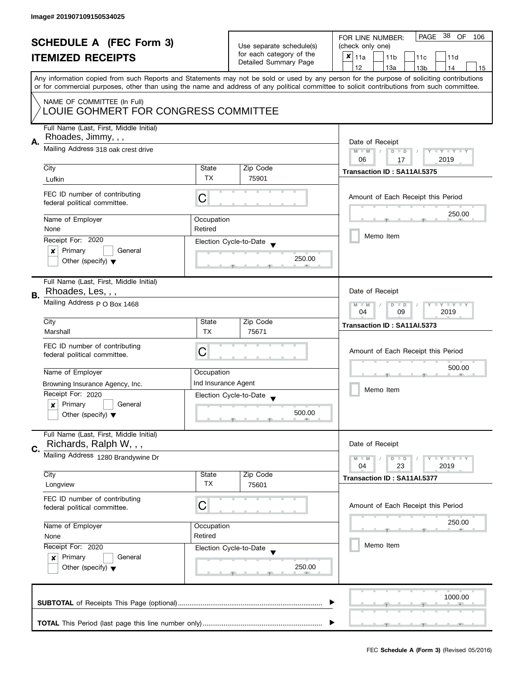| <b>SCHEDULE A (FEC Form 3)</b><br><b>ITEMIZED RECEIPTS</b> |                                                                     | Use separate schedule(s)<br>for each category of the | PAGE 38 OF<br>FOR LINE NUMBER:<br>106              |                                                                                                                                                                                                                                                                                         |  |
|------------------------------------------------------------|---------------------------------------------------------------------|------------------------------------------------------|----------------------------------------------------|-----------------------------------------------------------------------------------------------------------------------------------------------------------------------------------------------------------------------------------------------------------------------------------------|--|
|                                                            |                                                                     |                                                      | (check only one)                                   |                                                                                                                                                                                                                                                                                         |  |
|                                                            |                                                                     |                                                      | $x _{11a}$<br>11 <sub>b</sub><br>11c<br>11d        |                                                                                                                                                                                                                                                                                         |  |
|                                                            |                                                                     |                                                      | Detailed Summary Page                              | 12<br>13a<br>13 <sub>b</sub><br>14<br>15                                                                                                                                                                                                                                                |  |
|                                                            |                                                                     |                                                      |                                                    | Any information copied from such Reports and Statements may not be sold or used by any person for the purpose of soliciting contributions<br>or for commercial purposes, other than using the name and address of any political committee to solicit contributions from such committee. |  |
|                                                            |                                                                     |                                                      |                                                    |                                                                                                                                                                                                                                                                                         |  |
|                                                            | NAME OF COMMITTEE (In Full)<br>LOUIE GOHMERT FOR CONGRESS COMMITTEE |                                                      |                                                    |                                                                                                                                                                                                                                                                                         |  |
|                                                            | Full Name (Last, First, Middle Initial)                             |                                                      |                                                    |                                                                                                                                                                                                                                                                                         |  |
|                                                            | Rhoades, Jimmy, , ,                                                 |                                                      |                                                    |                                                                                                                                                                                                                                                                                         |  |
| А.                                                         | Mailing Address 318 oak crest drive                                 |                                                      |                                                    | Date of Receipt                                                                                                                                                                                                                                                                         |  |
|                                                            |                                                                     |                                                      |                                                    | $M - M$<br>$D$ $D$<br>Y I Y I Y I Y<br>$\sqrt{2}$                                                                                                                                                                                                                                       |  |
|                                                            |                                                                     |                                                      |                                                    | 06<br>2019<br>17                                                                                                                                                                                                                                                                        |  |
|                                                            | City                                                                | State<br><b>TX</b>                                   | Zip Code                                           | Transaction ID: SA11AI.5375                                                                                                                                                                                                                                                             |  |
|                                                            | Lufkin                                                              |                                                      | 75901                                              |                                                                                                                                                                                                                                                                                         |  |
|                                                            | FEC ID number of contributing<br>federal political committee.       | С                                                    |                                                    | Amount of Each Receipt this Period                                                                                                                                                                                                                                                      |  |
|                                                            | Name of Employer                                                    | Occupation                                           |                                                    | 250.00                                                                                                                                                                                                                                                                                  |  |
|                                                            | None                                                                | Retired                                              |                                                    |                                                                                                                                                                                                                                                                                         |  |
|                                                            |                                                                     |                                                      |                                                    | Memo Item                                                                                                                                                                                                                                                                               |  |
|                                                            | Receipt For: 2020                                                   |                                                      | Election Cycle-to-Date                             |                                                                                                                                                                                                                                                                                         |  |
|                                                            | Primary<br>General<br>$\boldsymbol{x}$                              |                                                      | 250.00                                             |                                                                                                                                                                                                                                                                                         |  |
|                                                            | Other (specify) $\blacktriangledown$                                |                                                      |                                                    |                                                                                                                                                                                                                                                                                         |  |
|                                                            | Full Name (Last, First, Middle Initial)                             |                                                      |                                                    |                                                                                                                                                                                                                                                                                         |  |
| В.                                                         | Rhoades, Les, , ,                                                   |                                                      |                                                    | Date of Receipt                                                                                                                                                                                                                                                                         |  |
|                                                            | Mailing Address p O Box 1468                                        |                                                      |                                                    | Y LY LY<br>$M - M$<br>$D$ $D$<br>09<br>2019<br>04                                                                                                                                                                                                                                       |  |
|                                                            | City                                                                | State                                                | Zip Code                                           |                                                                                                                                                                                                                                                                                         |  |
|                                                            | Marshall                                                            | <b>TX</b>                                            | 75671                                              | Transaction ID: SA11AI.5373                                                                                                                                                                                                                                                             |  |
|                                                            |                                                                     |                                                      |                                                    |                                                                                                                                                                                                                                                                                         |  |
|                                                            | FEC ID number of contributing                                       | C                                                    |                                                    | Amount of Each Receipt this Period                                                                                                                                                                                                                                                      |  |
|                                                            | federal political committee.                                        |                                                      |                                                    |                                                                                                                                                                                                                                                                                         |  |
|                                                            |                                                                     |                                                      |                                                    | 500.00                                                                                                                                                                                                                                                                                  |  |
|                                                            | Name of Employer                                                    | Occupation                                           |                                                    |                                                                                                                                                                                                                                                                                         |  |
|                                                            | Browning Insurance Agency, Inc.                                     | Ind Insurance Agent                                  |                                                    | Memo Item                                                                                                                                                                                                                                                                               |  |
|                                                            | Receipt For: 2020                                                   |                                                      | Election Cycle-to-Date<br>$\overline{\phantom{a}}$ |                                                                                                                                                                                                                                                                                         |  |
|                                                            | Primary<br>General<br>x                                             |                                                      |                                                    |                                                                                                                                                                                                                                                                                         |  |
|                                                            | Other (specify) $\blacktriangledown$                                |                                                      | 500.00                                             |                                                                                                                                                                                                                                                                                         |  |
|                                                            | Full Name (Last, First, Middle Initial)<br>Richards, Ralph W, , ,   |                                                      |                                                    | Date of Receipt                                                                                                                                                                                                                                                                         |  |
| C.                                                         |                                                                     |                                                      |                                                    |                                                                                                                                                                                                                                                                                         |  |
|                                                            | Mailing Address 1280 Brandywine Dr                                  |                                                      |                                                    | $Y \perp Y \perp Y$<br>$M - M$<br>$D$ $D$                                                                                                                                                                                                                                               |  |
|                                                            | City                                                                | State                                                | Zip Code                                           | 23<br>2019<br>04                                                                                                                                                                                                                                                                        |  |
|                                                            | Longview                                                            | ТX                                                   | 75601                                              | Transaction ID: SA11AI.5377                                                                                                                                                                                                                                                             |  |
|                                                            |                                                                     |                                                      |                                                    |                                                                                                                                                                                                                                                                                         |  |
|                                                            | FEC ID number of contributing                                       |                                                      |                                                    |                                                                                                                                                                                                                                                                                         |  |
|                                                            | federal political committee.                                        | C                                                    |                                                    | Amount of Each Receipt this Period                                                                                                                                                                                                                                                      |  |
|                                                            |                                                                     |                                                      |                                                    | 250.00                                                                                                                                                                                                                                                                                  |  |
|                                                            | Name of Employer                                                    | Occupation                                           |                                                    |                                                                                                                                                                                                                                                                                         |  |
|                                                            | Retired<br>None                                                     |                                                      |                                                    |                                                                                                                                                                                                                                                                                         |  |
|                                                            | Receipt For: 2020                                                   |                                                      | Election Cycle-to-Date                             | Memo Item                                                                                                                                                                                                                                                                               |  |
|                                                            | Primary<br>General<br>x                                             |                                                      |                                                    |                                                                                                                                                                                                                                                                                         |  |
|                                                            | Other (specify) $\blacktriangledown$                                |                                                      | 250.00                                             |                                                                                                                                                                                                                                                                                         |  |
|                                                            |                                                                     |                                                      |                                                    |                                                                                                                                                                                                                                                                                         |  |
|                                                            |                                                                     |                                                      |                                                    |                                                                                                                                                                                                                                                                                         |  |
|                                                            |                                                                     |                                                      |                                                    | 1000.00                                                                                                                                                                                                                                                                                 |  |
|                                                            |                                                                     |                                                      |                                                    |                                                                                                                                                                                                                                                                                         |  |
|                                                            |                                                                     |                                                      |                                                    |                                                                                                                                                                                                                                                                                         |  |
|                                                            |                                                                     |                                                      |                                                    |                                                                                                                                                                                                                                                                                         |  |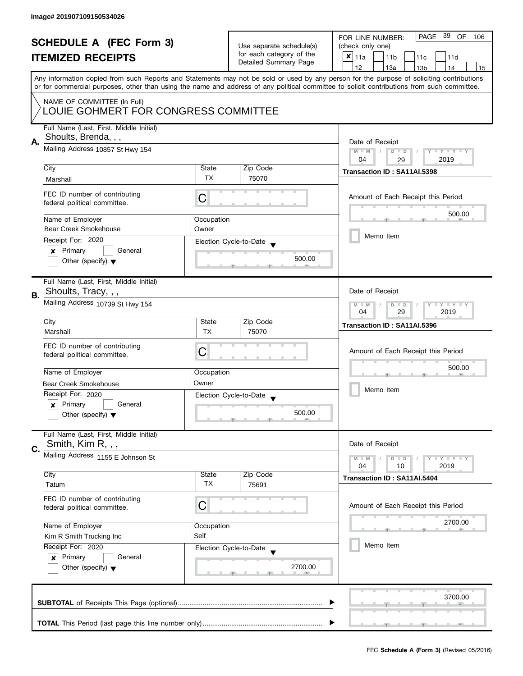|    | <b>SCHEDULE A (FEC Form 3)</b><br><b>ITEMIZED RECEIPTS</b>                                          |                    | Use separate schedule(s)<br>for each category of the<br>Detailed Summary Page | PAGE 39 OF<br>FOR LINE NUMBER:<br>106<br>(check only one)<br>X<br>11a<br>11 <sub>b</sub><br>11c<br>11d<br>12<br>13a<br>13 <sub>b</sub><br>14<br>15                                                                                                                                      |
|----|-----------------------------------------------------------------------------------------------------|--------------------|-------------------------------------------------------------------------------|-----------------------------------------------------------------------------------------------------------------------------------------------------------------------------------------------------------------------------------------------------------------------------------------|
|    | NAME OF COMMITTEE (In Full)<br>LOUIE GOHMERT FOR CONGRESS COMMITTEE                                 |                    |                                                                               | Any information copied from such Reports and Statements may not be sold or used by any person for the purpose of soliciting contributions<br>or for commercial purposes, other than using the name and address of any political committee to solicit contributions from such committee. |
| А. | Full Name (Last, First, Middle Initial)<br>Shoults, Brenda, , ,<br>Mailing Address 10857 St Hwy 154 |                    |                                                                               | Date of Receipt<br>$M - M$<br>Y I Y I Y I Y<br>$D$ $D$                                                                                                                                                                                                                                  |
|    | City                                                                                                | State              | Zip Code                                                                      | 04<br>2019<br>29<br>Transaction ID: SA11AI.5398                                                                                                                                                                                                                                         |
|    | Marshall                                                                                            | <b>TX</b>          | 75070                                                                         |                                                                                                                                                                                                                                                                                         |
|    | FEC ID number of contributing<br>federal political committee.                                       | C                  |                                                                               | Amount of Each Receipt this Period                                                                                                                                                                                                                                                      |
|    | Name of Employer                                                                                    | Occupation         |                                                                               | 500.00                                                                                                                                                                                                                                                                                  |
|    | <b>Bear Creek Smokehouse</b>                                                                        | Owner              |                                                                               | Memo Item                                                                                                                                                                                                                                                                               |
|    | Receipt For: 2020<br>General                                                                        |                    | Election Cycle-to-Date                                                        |                                                                                                                                                                                                                                                                                         |
|    | Primary<br>×<br>Other (specify) $\blacktriangledown$                                                |                    | 500.00                                                                        |                                                                                                                                                                                                                                                                                         |
|    | Full Name (Last, First, Middle Initial)                                                             |                    |                                                                               |                                                                                                                                                                                                                                                                                         |
| В. | Shoults, Tracy, , ,<br>Mailing Address 10739 St Hwy 154                                             |                    |                                                                               | Date of Receipt<br><b>LY LY LY</b><br>$M - M$<br>$D$ $D$<br>04<br>29<br>2019                                                                                                                                                                                                            |
|    | City                                                                                                | State              | Zip Code                                                                      | Transaction ID: SA11AI.5396                                                                                                                                                                                                                                                             |
|    | Marshall                                                                                            | <b>TX</b>          | 75070                                                                         |                                                                                                                                                                                                                                                                                         |
|    | FEC ID number of contributing<br>federal political committee.                                       | C                  |                                                                               | Amount of Each Receipt this Period                                                                                                                                                                                                                                                      |
|    | Name of Employer                                                                                    | Occupation         |                                                                               | 500.00                                                                                                                                                                                                                                                                                  |
|    | Bear Creek Smokehouse                                                                               | Owner              |                                                                               | Memo Item                                                                                                                                                                                                                                                                               |
|    | Receipt For: 2020                                                                                   |                    | Election Cycle-to-Date<br>$\overline{\mathbf{v}}$                             |                                                                                                                                                                                                                                                                                         |
|    | Primary<br>General<br>$\boldsymbol{x}$<br>Other (specify) $\blacktriangledown$                      |                    | 500.00                                                                        |                                                                                                                                                                                                                                                                                         |
|    | Full Name (Last, First, Middle Initial)<br>Smith, Kim R, , ,                                        |                    |                                                                               | Date of Receipt                                                                                                                                                                                                                                                                         |
| C. | Mailing Address 1155 E Johnson St                                                                   |                    |                                                                               | $T - Y = T - Y$<br>$M - M$<br>$D$ $D$<br>04<br>2019<br>10                                                                                                                                                                                                                               |
|    | City<br>Tatum                                                                                       | State<br><b>TX</b> | Zip Code<br>75691                                                             | Transaction ID: SA11AI.5404                                                                                                                                                                                                                                                             |
|    | FEC ID number of contributing<br>federal political committee.                                       | C                  |                                                                               | Amount of Each Receipt this Period                                                                                                                                                                                                                                                      |
|    | Name of Employer                                                                                    | Occupation         |                                                                               | 2700.00                                                                                                                                                                                                                                                                                 |
|    | Kim R Smith Trucking Inc                                                                            | Self               |                                                                               |                                                                                                                                                                                                                                                                                         |
|    | Receipt For: 2020<br>Primary<br>General<br>$\boldsymbol{x}$<br>Other (specify) $\blacktriangledown$ |                    | Election Cycle-to-Date<br>2700.00                                             | Memo Item                                                                                                                                                                                                                                                                               |
|    |                                                                                                     |                    |                                                                               | 3700.00                                                                                                                                                                                                                                                                                 |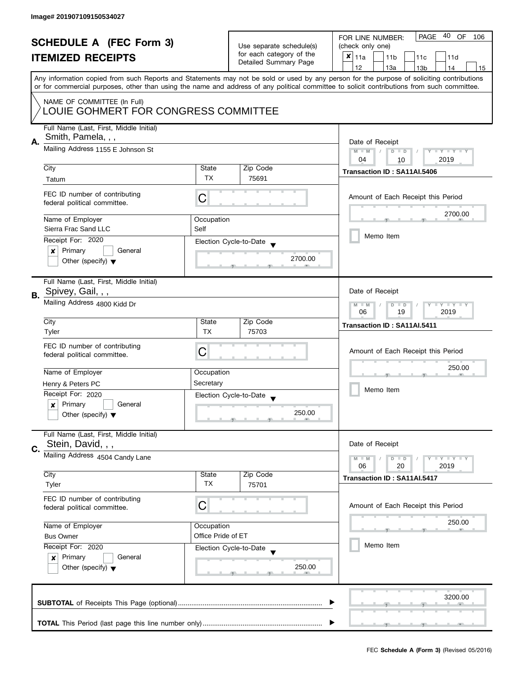| <b>SCHEDULE A (FEC Form 3)</b> |                                                                                                                                                                       | Use separate schedule(s) | PAGE 40 OF<br>FOR LINE NUMBER:<br>106 |                                                                                                                                            |
|--------------------------------|-----------------------------------------------------------------------------------------------------------------------------------------------------------------------|--------------------------|---------------------------------------|--------------------------------------------------------------------------------------------------------------------------------------------|
|                                |                                                                                                                                                                       |                          | (check only one)                      |                                                                                                                                            |
|                                | <b>ITEMIZED RECEIPTS</b><br>Any information copied from such Reports and Statements may not be sold or used by any person for the purpose of soliciting contributions |                          | for each category of the              | $x _{11a}$<br>11 <sub>b</sub><br>11c<br>11d                                                                                                |
|                                |                                                                                                                                                                       |                          | Detailed Summary Page                 | 12<br>13a<br>13 <sub>b</sub><br>14<br>15                                                                                                   |
|                                |                                                                                                                                                                       |                          |                                       |                                                                                                                                            |
|                                |                                                                                                                                                                       |                          |                                       | or for commercial purposes, other than using the name and address of any political committee to solicit contributions from such committee. |
|                                |                                                                                                                                                                       |                          |                                       |                                                                                                                                            |
|                                | NAME OF COMMITTEE (In Full)<br>LOUIE GOHMERT FOR CONGRESS COMMITTEE                                                                                                   |                          |                                       |                                                                                                                                            |
|                                |                                                                                                                                                                       |                          |                                       |                                                                                                                                            |
|                                | Full Name (Last, First, Middle Initial)                                                                                                                               |                          |                                       |                                                                                                                                            |
|                                | Smith, Pamela, , ,<br>Mailing Address 1155 E Johnson St                                                                                                               |                          |                                       |                                                                                                                                            |
| Α.                             |                                                                                                                                                                       |                          |                                       | Date of Receipt                                                                                                                            |
|                                |                                                                                                                                                                       |                          |                                       | $M - M$<br>$\sqrt{2}$<br>$D$ $D$<br>Y I Y I Y I Y<br>04<br>2019                                                                            |
|                                | City                                                                                                                                                                  | State                    | Zip Code                              | 10                                                                                                                                         |
|                                |                                                                                                                                                                       | TX                       | 75691                                 | Transaction ID: SA11AI.5406                                                                                                                |
|                                | Tatum                                                                                                                                                                 |                          |                                       |                                                                                                                                            |
|                                | FEC ID number of contributing                                                                                                                                         | C                        |                                       | Amount of Each Receipt this Period                                                                                                         |
|                                | federal political committee.                                                                                                                                          |                          |                                       |                                                                                                                                            |
|                                |                                                                                                                                                                       |                          |                                       | 2700.00                                                                                                                                    |
|                                | Name of Employer                                                                                                                                                      | Occupation               |                                       |                                                                                                                                            |
|                                | Sierra Frac Sand LLC                                                                                                                                                  | Self                     |                                       | Memo Item                                                                                                                                  |
|                                | Receipt For: 2020                                                                                                                                                     |                          | Election Cycle-to-Date                |                                                                                                                                            |
|                                | Primary<br>General<br>×                                                                                                                                               |                          |                                       |                                                                                                                                            |
|                                | Other (specify) $\blacktriangledown$                                                                                                                                  |                          | 2700.00                               |                                                                                                                                            |
|                                |                                                                                                                                                                       |                          |                                       |                                                                                                                                            |
|                                | Full Name (Last, First, Middle Initial)                                                                                                                               |                          |                                       |                                                                                                                                            |
| В.                             | Spivey, Gail, , ,                                                                                                                                                     |                          |                                       | Date of Receipt                                                                                                                            |
|                                | Mailing Address 4800 Kidd Dr                                                                                                                                          |                          |                                       | $Y = Y + Y$<br>$M - M$<br>D<br>$\Box$                                                                                                      |
|                                |                                                                                                                                                                       |                          |                                       |                                                                                                                                            |
|                                | City                                                                                                                                                                  | State                    | Zip Code                              | Transaction ID: SA11AI.5411                                                                                                                |
|                                | Tyler                                                                                                                                                                 | <b>TX</b>                | 75703                                 |                                                                                                                                            |
|                                | FEC ID number of contributing                                                                                                                                         |                          |                                       |                                                                                                                                            |
|                                | federal political committee.                                                                                                                                          | C                        |                                       | Amount of Each Receipt this Period                                                                                                         |
|                                |                                                                                                                                                                       |                          |                                       | 250.00                                                                                                                                     |
|                                | Name of Employer                                                                                                                                                      | Occupation               |                                       |                                                                                                                                            |
|                                | Henry & Peters PC                                                                                                                                                     | Secretary                |                                       | Memo Item                                                                                                                                  |
|                                | Receipt For: 2020                                                                                                                                                     |                          | Election Cycle-to-Date                |                                                                                                                                            |
|                                | Primary<br>General<br>x                                                                                                                                               |                          | 250.00                                |                                                                                                                                            |
|                                | Other (specify) $\blacktriangledown$                                                                                                                                  |                          |                                       |                                                                                                                                            |
|                                |                                                                                                                                                                       |                          |                                       |                                                                                                                                            |
|                                | Full Name (Last, First, Middle Initial)<br>Stein, David, , ,                                                                                                          |                          |                                       | Date of Receipt                                                                                                                            |
| C.                             |                                                                                                                                                                       |                          |                                       |                                                                                                                                            |
|                                | Mailing Address 4504 Candy Lane                                                                                                                                       |                          |                                       | $M - M$<br>$\bot$ $\gamma$ $\bot$ $\gamma$ $\bot$ $\gamma$<br>$D$ $D$                                                                      |
|                                | City                                                                                                                                                                  | State                    | Zip Code                              | 06<br>20<br>2019                                                                                                                           |
|                                | Tyler                                                                                                                                                                 | <b>TX</b>                | 75701                                 | Transaction ID: SA11AI.5417                                                                                                                |
|                                |                                                                                                                                                                       |                          |                                       |                                                                                                                                            |
|                                | FEC ID number of contributing                                                                                                                                         | C                        |                                       | Amount of Each Receipt this Period                                                                                                         |
|                                | federal political committee.                                                                                                                                          |                          |                                       |                                                                                                                                            |
|                                | Name of Employer                                                                                                                                                      | Occupation               |                                       | 250.00                                                                                                                                     |
|                                | <b>Bus Owner</b>                                                                                                                                                      | Office Pride of ET       |                                       |                                                                                                                                            |
|                                | Receipt For: 2020                                                                                                                                                     |                          | Election Cycle-to-Date                | Memo Item                                                                                                                                  |
|                                | Primary<br>General<br>$\mathsf{x}$                                                                                                                                    |                          |                                       |                                                                                                                                            |
|                                | Other (specify) $\blacktriangledown$                                                                                                                                  |                          | 250.00                                |                                                                                                                                            |
|                                |                                                                                                                                                                       |                          |                                       |                                                                                                                                            |
|                                |                                                                                                                                                                       |                          |                                       |                                                                                                                                            |
|                                |                                                                                                                                                                       |                          |                                       | 3200.00                                                                                                                                    |
|                                |                                                                                                                                                                       |                          |                                       |                                                                                                                                            |
|                                |                                                                                                                                                                       |                          |                                       |                                                                                                                                            |
|                                |                                                                                                                                                                       |                          |                                       |                                                                                                                                            |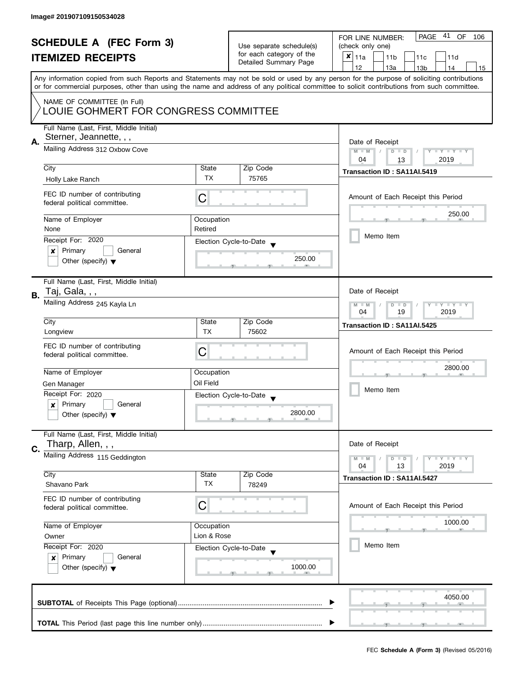| <b>SCHEDULE A (FEC Form 3)</b><br><b>ITEMIZED RECEIPTS</b> |                                                                                                      | Use separate schedule(s)<br>for each category of the<br>Detailed Summary Page | PAGE 41 OF<br>FOR LINE NUMBER:<br>106<br>(check only one)<br>$x _{11a}$<br>11 <sub>b</sub><br>11c<br>11d |                                                                                                                                                                                                                                                                                                                                     |
|------------------------------------------------------------|------------------------------------------------------------------------------------------------------|-------------------------------------------------------------------------------|----------------------------------------------------------------------------------------------------------|-------------------------------------------------------------------------------------------------------------------------------------------------------------------------------------------------------------------------------------------------------------------------------------------------------------------------------------|
|                                                            |                                                                                                      |                                                                               |                                                                                                          | 12<br>13a<br>13 <sub>b</sub><br>14<br>15<br>Any information copied from such Reports and Statements may not be sold or used by any person for the purpose of soliciting contributions<br>or for commercial purposes, other than using the name and address of any political committee to solicit contributions from such committee. |
|                                                            | NAME OF COMMITTEE (In Full)<br>LOUIE GOHMERT FOR CONGRESS COMMITTEE                                  |                                                                               |                                                                                                          |                                                                                                                                                                                                                                                                                                                                     |
| А.                                                         | Full Name (Last, First, Middle Initial)<br>Sterner, Jeannette, , ,<br>Mailing Address 312 Oxbow Cove |                                                                               |                                                                                                          | Date of Receipt<br>$M - M$<br>Y I Y I Y I Y<br>$D$ $D$                                                                                                                                                                                                                                                                              |
|                                                            | City                                                                                                 | State<br>TX                                                                   | Zip Code<br>75765                                                                                        | 2019<br>04<br>13<br>Transaction ID: SA11AI.5419                                                                                                                                                                                                                                                                                     |
|                                                            | Holly Lake Ranch<br>FEC ID number of contributing<br>federal political committee.                    | C                                                                             |                                                                                                          | Amount of Each Receipt this Period                                                                                                                                                                                                                                                                                                  |
|                                                            | Name of Employer<br>None                                                                             | Occupation<br>Retired                                                         |                                                                                                          | 250.00                                                                                                                                                                                                                                                                                                                              |
|                                                            | Receipt For: 2020<br>Primary<br>General<br>×                                                         |                                                                               | Election Cycle-to-Date                                                                                   | Memo Item                                                                                                                                                                                                                                                                                                                           |
|                                                            | Other (specify) $\blacktriangledown$                                                                 |                                                                               | 250.00                                                                                                   |                                                                                                                                                                                                                                                                                                                                     |
| В.                                                         | Full Name (Last, First, Middle Initial)<br>Taj, Gala, , ,<br>Mailing Address 245 Kayla Ln            |                                                                               |                                                                                                          | Date of Receipt<br><b>LY LY LY</b><br>$M - M$<br>$D$ $D$                                                                                                                                                                                                                                                                            |
|                                                            | City<br>Longview                                                                                     | State<br><b>TX</b>                                                            | Zip Code<br>75602                                                                                        | 04<br>19<br>2019<br>Transaction ID: SA11AI.5425                                                                                                                                                                                                                                                                                     |
|                                                            | FEC ID number of contributing<br>federal political committee.                                        | С                                                                             |                                                                                                          | Amount of Each Receipt this Period                                                                                                                                                                                                                                                                                                  |
|                                                            | Name of Employer                                                                                     | Occupation                                                                    |                                                                                                          | 2800.00                                                                                                                                                                                                                                                                                                                             |
|                                                            | Gen Manager<br>Receipt For: 2020                                                                     | Oil Field                                                                     |                                                                                                          | Memo Item                                                                                                                                                                                                                                                                                                                           |
|                                                            | Primary<br>General<br>$\boldsymbol{x}$<br>Other (specify) $\blacktriangledown$                       |                                                                               | Election Cycle-to-Date<br>$\overline{\phantom{a}}$<br>2800.00                                            |                                                                                                                                                                                                                                                                                                                                     |
| C.                                                         | Full Name (Last, First, Middle Initial)<br>Tharp, Allen, , ,                                         |                                                                               |                                                                                                          | Date of Receipt                                                                                                                                                                                                                                                                                                                     |
|                                                            | Mailing Address 115 Geddington                                                                       |                                                                               |                                                                                                          | Y FY FY FY<br>$M - M$<br>$D$ $D$<br>04<br>13<br>2019                                                                                                                                                                                                                                                                                |
|                                                            | City<br>Shavano Park                                                                                 | State<br><b>TX</b>                                                            | Zip Code<br>78249                                                                                        | Transaction ID: SA11AI.5427                                                                                                                                                                                                                                                                                                         |
|                                                            | FEC ID number of contributing<br>federal political committee.                                        | C                                                                             |                                                                                                          | Amount of Each Receipt this Period                                                                                                                                                                                                                                                                                                  |
|                                                            | Name of Employer                                                                                     | Occupation                                                                    |                                                                                                          | 1000.00                                                                                                                                                                                                                                                                                                                             |
|                                                            | Owner                                                                                                | Lion & Rose                                                                   |                                                                                                          | Memo Item                                                                                                                                                                                                                                                                                                                           |
|                                                            | Receipt For: 2020<br>Primary<br>General<br>$\mathsf{x}$<br>Other (specify) $\blacktriangledown$      |                                                                               | Election Cycle-to-Date<br>1000.00                                                                        |                                                                                                                                                                                                                                                                                                                                     |
|                                                            |                                                                                                      |                                                                               |                                                                                                          | 4050.00                                                                                                                                                                                                                                                                                                                             |
|                                                            |                                                                                                      |                                                                               |                                                                                                          |                                                                                                                                                                                                                                                                                                                                     |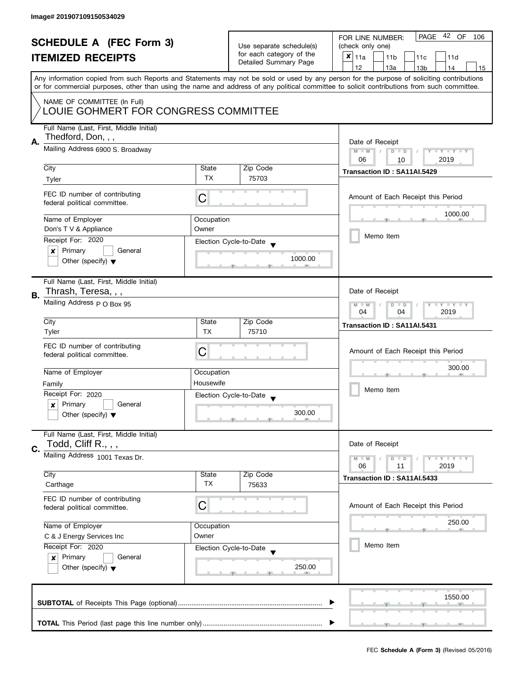| <b>SCHEDULE A (FEC Form 3)</b><br><b>ITEMIZED RECEIPTS</b> |                                                                                                                                           |                                                         | Use separate schedule(s)<br>for each category of the<br>Detailed Summary Page | PAGE 42 OF<br>FOR LINE NUMBER:<br>106<br>(check only one)<br>$x _{11a}$<br>11 <sub>b</sub><br>11c<br>11d                                   |  |  |
|------------------------------------------------------------|-------------------------------------------------------------------------------------------------------------------------------------------|---------------------------------------------------------|-------------------------------------------------------------------------------|--------------------------------------------------------------------------------------------------------------------------------------------|--|--|
|                                                            | Any information copied from such Reports and Statements may not be sold or used by any person for the purpose of soliciting contributions |                                                         |                                                                               | 12<br>13a<br>14<br>13 <sub>b</sub><br>15                                                                                                   |  |  |
|                                                            |                                                                                                                                           |                                                         |                                                                               | or for commercial purposes, other than using the name and address of any political committee to solicit contributions from such committee. |  |  |
|                                                            | NAME OF COMMITTEE (In Full)<br>LOUIE GOHMERT FOR CONGRESS COMMITTEE                                                                       |                                                         |                                                                               |                                                                                                                                            |  |  |
| А.                                                         | Full Name (Last, First, Middle Initial)<br>Thedford, Don, , ,                                                                             |                                                         |                                                                               | Date of Receipt                                                                                                                            |  |  |
|                                                            | Mailing Address 6900 S. Broadway                                                                                                          | $M - M$<br>Y I Y I Y I Y<br>$D$ $D$                     |                                                                               |                                                                                                                                            |  |  |
|                                                            | City                                                                                                                                      | State                                                   | Zip Code                                                                      | 2019<br>06<br>10<br>Transaction ID: SA11AI.5429                                                                                            |  |  |
|                                                            | Tyler                                                                                                                                     | TX                                                      | 75703                                                                         |                                                                                                                                            |  |  |
|                                                            | FEC ID number of contributing<br>federal political committee.                                                                             | C                                                       |                                                                               | Amount of Each Receipt this Period                                                                                                         |  |  |
|                                                            | Name of Employer                                                                                                                          | Occupation                                              |                                                                               | 1000.00                                                                                                                                    |  |  |
|                                                            | Don's T V & Appliance                                                                                                                     | Owner                                                   |                                                                               | Memo Item                                                                                                                                  |  |  |
|                                                            | Receipt For: 2020<br>Primary<br>General<br>×                                                                                              |                                                         | Election Cycle-to-Date                                                        |                                                                                                                                            |  |  |
|                                                            | Other (specify) $\blacktriangledown$                                                                                                      |                                                         | 1000.00                                                                       |                                                                                                                                            |  |  |
|                                                            | Full Name (Last, First, Middle Initial)                                                                                                   |                                                         |                                                                               |                                                                                                                                            |  |  |
| В.                                                         | Thrash, Teresa, , ,<br>Mailing Address P O Box 95                                                                                         | Date of Receipt                                         |                                                                               |                                                                                                                                            |  |  |
|                                                            |                                                                                                                                           | Y I Y I Y I Y<br>$M - M$<br>$D$ $D$<br>04<br>04<br>2019 |                                                                               |                                                                                                                                            |  |  |
|                                                            | City                                                                                                                                      | State                                                   | Zip Code                                                                      | Transaction ID: SA11AI.5431                                                                                                                |  |  |
|                                                            | Tyler                                                                                                                                     | <b>TX</b>                                               | 75710                                                                         |                                                                                                                                            |  |  |
|                                                            | FEC ID number of contributing<br>federal political committee.                                                                             | С                                                       |                                                                               | Amount of Each Receipt this Period                                                                                                         |  |  |
|                                                            |                                                                                                                                           |                                                         |                                                                               | 300.00                                                                                                                                     |  |  |
|                                                            | Name of Employer                                                                                                                          | Occupation                                              |                                                                               |                                                                                                                                            |  |  |
|                                                            | Family<br>Receipt For: 2020                                                                                                               | Housewife                                               |                                                                               | Memo Item                                                                                                                                  |  |  |
|                                                            | Primary<br>General<br>$\boldsymbol{x}$                                                                                                    |                                                         | Election Cycle-to-Date                                                        |                                                                                                                                            |  |  |
|                                                            | Other (specify) $\blacktriangledown$                                                                                                      |                                                         | 300.00                                                                        |                                                                                                                                            |  |  |
|                                                            | Full Name (Last, First, Middle Initial)<br>Todd, Cliff R., , ,                                                                            |                                                         |                                                                               | Date of Receipt                                                                                                                            |  |  |
| C.                                                         | Mailing Address 1001 Texas Dr.                                                                                                            |                                                         |                                                                               | Y FY FY FY<br>$M - M$<br>$D$ $D$                                                                                                           |  |  |
|                                                            | City                                                                                                                                      | State                                                   | Zip Code                                                                      | 06<br>2019<br>11<br>Transaction ID: SA11AI.5433                                                                                            |  |  |
|                                                            | Carthage                                                                                                                                  | <b>TX</b>                                               | 75633                                                                         |                                                                                                                                            |  |  |
|                                                            | FEC ID number of contributing<br>federal political committee.                                                                             | C                                                       |                                                                               | Amount of Each Receipt this Period                                                                                                         |  |  |
|                                                            | Name of Employer                                                                                                                          | Occupation                                              |                                                                               | 250.00                                                                                                                                     |  |  |
|                                                            | C & J Energy Services Inc                                                                                                                 | Owner                                                   |                                                                               |                                                                                                                                            |  |  |
|                                                            | Receipt For: 2020                                                                                                                         |                                                         | Election Cycle-to-Date                                                        | Memo Item                                                                                                                                  |  |  |
|                                                            | Primary<br>General<br>x<br>Other (specify) $\blacktriangledown$                                                                           | 250.00                                                  |                                                                               |                                                                                                                                            |  |  |
|                                                            |                                                                                                                                           |                                                         |                                                                               | 1550.00                                                                                                                                    |  |  |
|                                                            |                                                                                                                                           |                                                         |                                                                               |                                                                                                                                            |  |  |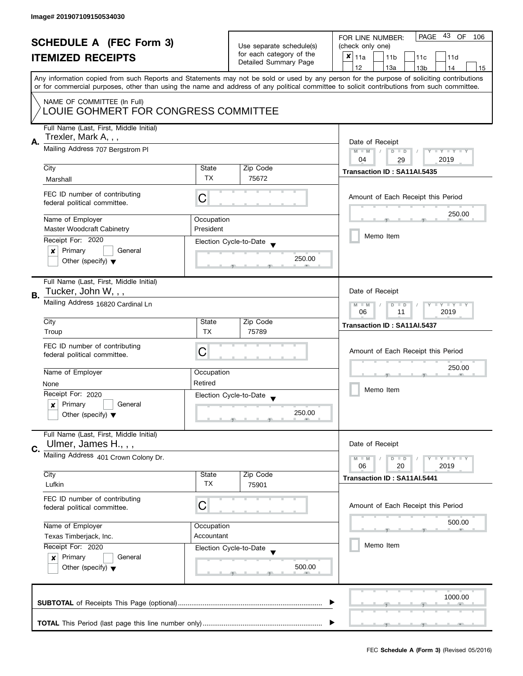| <b>SCHEDULE A (FEC Form 3)</b><br><b>ITEMIZED RECEIPTS</b> |                                                                                |                                                                            | Use separate schedule(s)<br>for each category of the<br>Detailed Summary Page | PAGE 43 OF<br>FOR LINE NUMBER:<br>106<br>(check only one)<br>X<br>11a<br>11 <sub>b</sub><br>11c<br>11d                                                                                                                                                                                  |  |  |
|------------------------------------------------------------|--------------------------------------------------------------------------------|----------------------------------------------------------------------------|-------------------------------------------------------------------------------|-----------------------------------------------------------------------------------------------------------------------------------------------------------------------------------------------------------------------------------------------------------------------------------------|--|--|
|                                                            |                                                                                |                                                                            |                                                                               | 12<br>13a<br>13 <sub>b</sub><br>14<br>15                                                                                                                                                                                                                                                |  |  |
|                                                            |                                                                                |                                                                            |                                                                               | Any information copied from such Reports and Statements may not be sold or used by any person for the purpose of soliciting contributions<br>or for commercial purposes, other than using the name and address of any political committee to solicit contributions from such committee. |  |  |
|                                                            | NAME OF COMMITTEE (In Full)<br>LOUIE GOHMERT FOR CONGRESS COMMITTEE            |                                                                            |                                                                               |                                                                                                                                                                                                                                                                                         |  |  |
|                                                            | Full Name (Last, First, Middle Initial)<br>Trexler, Mark A,,,                  |                                                                            |                                                                               |                                                                                                                                                                                                                                                                                         |  |  |
| А.                                                         | Mailing Address 707 Bergstrom PI                                               | Date of Receipt<br>$M - M$<br>Y I Y I Y I Y<br>$D$ $D$<br>2019<br>04<br>29 |                                                                               |                                                                                                                                                                                                                                                                                         |  |  |
|                                                            | City                                                                           | State                                                                      | Zip Code                                                                      | Transaction ID: SA11AI.5435                                                                                                                                                                                                                                                             |  |  |
|                                                            | Marshall                                                                       | <b>TX</b>                                                                  | 75672                                                                         |                                                                                                                                                                                                                                                                                         |  |  |
|                                                            | FEC ID number of contributing<br>federal political committee.                  | C                                                                          |                                                                               | Amount of Each Receipt this Period                                                                                                                                                                                                                                                      |  |  |
|                                                            | Name of Employer                                                               | Occupation                                                                 |                                                                               | 250.00                                                                                                                                                                                                                                                                                  |  |  |
|                                                            | <b>Master Woodcraft Cabinetry</b>                                              | President                                                                  |                                                                               | Memo Item                                                                                                                                                                                                                                                                               |  |  |
|                                                            | Receipt For: 2020                                                              |                                                                            | Election Cycle-to-Date                                                        |                                                                                                                                                                                                                                                                                         |  |  |
|                                                            | Primary<br>General<br>×<br>Other (specify) $\blacktriangledown$                |                                                                            | 250.00                                                                        |                                                                                                                                                                                                                                                                                         |  |  |
| В.                                                         | Full Name (Last, First, Middle Initial)<br>Tucker, John W, , ,                 |                                                                            |                                                                               | Date of Receipt                                                                                                                                                                                                                                                                         |  |  |
|                                                            | Mailing Address 16820 Cardinal Ln                                              |                                                                            | $Y - Y - Y - Y - Y$<br>$M - M$<br>$D$ $D$<br>2019<br>06<br>11                 |                                                                                                                                                                                                                                                                                         |  |  |
|                                                            | City                                                                           | State                                                                      | Zip Code                                                                      | Transaction ID: SA11AI.5437                                                                                                                                                                                                                                                             |  |  |
|                                                            | Troup                                                                          | <b>TX</b>                                                                  | 75789                                                                         |                                                                                                                                                                                                                                                                                         |  |  |
|                                                            | FEC ID number of contributing<br>federal political committee.                  | C                                                                          |                                                                               | Amount of Each Receipt this Period                                                                                                                                                                                                                                                      |  |  |
|                                                            | Name of Employer                                                               | Occupation                                                                 |                                                                               | 250.00                                                                                                                                                                                                                                                                                  |  |  |
|                                                            | None                                                                           | Retired                                                                    |                                                                               | Memo Item                                                                                                                                                                                                                                                                               |  |  |
|                                                            | Receipt For: 2020                                                              |                                                                            | Election Cycle-to-Date<br>$\overline{\mathbf{v}}$                             |                                                                                                                                                                                                                                                                                         |  |  |
|                                                            | Primary<br>General<br>$\boldsymbol{x}$<br>Other (specify) $\blacktriangledown$ | 250.00                                                                     |                                                                               |                                                                                                                                                                                                                                                                                         |  |  |
| C.                                                         | Full Name (Last, First, Middle Initial)<br>Ulmer, James H., , ,                |                                                                            |                                                                               | Date of Receipt                                                                                                                                                                                                                                                                         |  |  |
|                                                            | Mailing Address 401 Crown Colony Dr.                                           |                                                                            |                                                                               | $T - Y = T - Y$<br>$M - M$<br>$D$ $D$                                                                                                                                                                                                                                                   |  |  |
|                                                            | City                                                                           | State                                                                      | Zip Code                                                                      | 06<br>20<br>2019<br>Transaction ID: SA11AI.5441                                                                                                                                                                                                                                         |  |  |
|                                                            | Lufkin                                                                         | <b>TX</b>                                                                  | 75901                                                                         |                                                                                                                                                                                                                                                                                         |  |  |
|                                                            | FEC ID number of contributing<br>federal political committee.                  | C                                                                          |                                                                               | Amount of Each Receipt this Period                                                                                                                                                                                                                                                      |  |  |
|                                                            | Name of Employer                                                               | Occupation                                                                 |                                                                               | 500.00                                                                                                                                                                                                                                                                                  |  |  |
|                                                            | Texas Timberjack, Inc.                                                         | Accountant                                                                 |                                                                               |                                                                                                                                                                                                                                                                                         |  |  |
|                                                            | Receipt For: 2020                                                              |                                                                            | Election Cycle-to-Date                                                        | Memo Item                                                                                                                                                                                                                                                                               |  |  |
|                                                            | Primary<br>General<br>$\boldsymbol{x}$<br>Other (specify) $\blacktriangledown$ |                                                                            | 500.00                                                                        |                                                                                                                                                                                                                                                                                         |  |  |
|                                                            |                                                                                |                                                                            |                                                                               | 1000.00                                                                                                                                                                                                                                                                                 |  |  |
|                                                            |                                                                                |                                                                            |                                                                               |                                                                                                                                                                                                                                                                                         |  |  |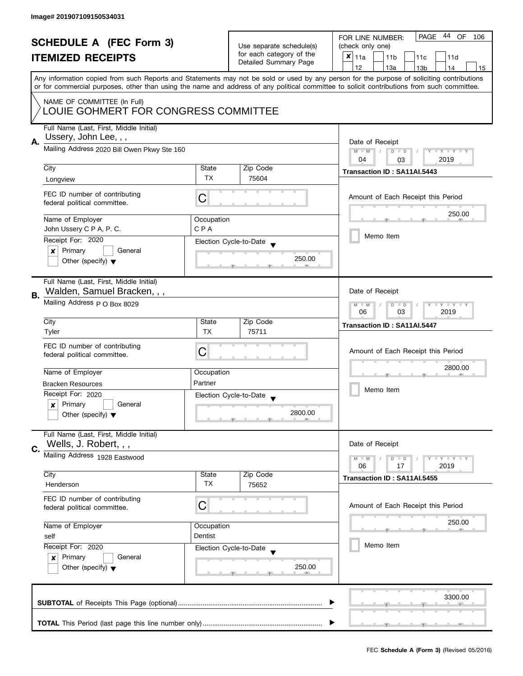| <b>SCHEDULE A (FEC Form 3)</b><br><b>ITEMIZED RECEIPTS</b> |                                                                  |                                                                               | 44 OF<br>PAGE<br>FOR LINE NUMBER:<br>106    |                                                                                                                                            |
|------------------------------------------------------------|------------------------------------------------------------------|-------------------------------------------------------------------------------|---------------------------------------------|--------------------------------------------------------------------------------------------------------------------------------------------|
|                                                            |                                                                  | Use separate schedule(s)<br>for each category of the<br>Detailed Summary Page | (check only one)                            |                                                                                                                                            |
|                                                            |                                                                  |                                                                               | $x _{11a}$<br>11 <sub>b</sub><br>11c<br>11d |                                                                                                                                            |
|                                                            |                                                                  |                                                                               |                                             | 12<br>13a<br>14<br>13 <sub>b</sub><br>15                                                                                                   |
|                                                            |                                                                  |                                                                               |                                             | Any information copied from such Reports and Statements may not be sold or used by any person for the purpose of soliciting contributions  |
|                                                            |                                                                  |                                                                               |                                             | or for commercial purposes, other than using the name and address of any political committee to solicit contributions from such committee. |
| NAME OF COMMITTEE (In Full)                                |                                                                  |                                                                               |                                             |                                                                                                                                            |
|                                                            | LOUIE GOHMERT FOR CONGRESS COMMITTEE                             |                                                                               |                                             |                                                                                                                                            |
|                                                            |                                                                  |                                                                               |                                             |                                                                                                                                            |
|                                                            | Full Name (Last, First, Middle Initial)<br>Ussery, John Lee, , , |                                                                               |                                             |                                                                                                                                            |
| Α.                                                         | Mailing Address 2020 Bill Owen Pkwy Ste 160                      |                                                                               |                                             | Date of Receipt                                                                                                                            |
|                                                            |                                                                  |                                                                               |                                             | $M - M$<br>$D$ $D$<br>Y I Y I Y I Y                                                                                                        |
|                                                            | City                                                             | State                                                                         | Zip Code                                    | 04<br>2019<br>03                                                                                                                           |
|                                                            |                                                                  | <b>TX</b>                                                                     | 75604                                       | Transaction ID: SA11AI.5443                                                                                                                |
|                                                            | Longview                                                         |                                                                               |                                             |                                                                                                                                            |
|                                                            | FEC ID number of contributing                                    | С                                                                             |                                             | Amount of Each Receipt this Period                                                                                                         |
|                                                            | federal political committee.                                     |                                                                               |                                             |                                                                                                                                            |
|                                                            | Name of Employer                                                 | Occupation                                                                    |                                             | 250.00                                                                                                                                     |
|                                                            | John Ussery C P A, P. C.                                         | CPA                                                                           |                                             |                                                                                                                                            |
|                                                            | Receipt For: 2020                                                |                                                                               |                                             | Memo Item                                                                                                                                  |
|                                                            | Primary<br>General<br>×                                          |                                                                               | Election Cycle-to-Date                      |                                                                                                                                            |
|                                                            | Other (specify) $\blacktriangledown$                             |                                                                               | 250.00                                      |                                                                                                                                            |
|                                                            |                                                                  |                                                                               |                                             |                                                                                                                                            |
|                                                            | Full Name (Last, First, Middle Initial)                          |                                                                               |                                             |                                                                                                                                            |
|                                                            | Walden, Samuel Bracken, , ,                                      |                                                                               |                                             | Date of Receipt                                                                                                                            |
| В.                                                         | Mailing Address p O Box 8029                                     |                                                                               |                                             | Y LY LY<br>$M - M$<br>$D$ $D$                                                                                                              |
|                                                            |                                                                  |                                                                               |                                             | 03<br>2019<br>06                                                                                                                           |
|                                                            | City                                                             | State                                                                         | Zip Code                                    | Transaction ID: SA11AI.5447                                                                                                                |
|                                                            | Tyler                                                            | <b>TX</b>                                                                     | 75711                                       |                                                                                                                                            |
|                                                            | FEC ID number of contributing                                    |                                                                               |                                             |                                                                                                                                            |
|                                                            | federal political committee.                                     | C                                                                             |                                             | Amount of Each Receipt this Period                                                                                                         |
|                                                            |                                                                  |                                                                               |                                             | 2800.00                                                                                                                                    |
|                                                            | Name of Employer                                                 | Occupation                                                                    |                                             |                                                                                                                                            |
|                                                            | <b>Bracken Resources</b>                                         | Partner                                                                       |                                             | Memo Item                                                                                                                                  |
|                                                            | Receipt For: 2020                                                |                                                                               | Election Cycle-to-Date                      |                                                                                                                                            |
|                                                            | Primary<br>General<br>$\boldsymbol{x}$                           |                                                                               |                                             |                                                                                                                                            |
|                                                            | Other (specify) $\blacktriangledown$                             |                                                                               | 2800.00                                     |                                                                                                                                            |
|                                                            | Full Name (Last, First, Middle Initial)                          |                                                                               |                                             |                                                                                                                                            |
|                                                            | Wells, J. Robert, , ,                                            |                                                                               |                                             | Date of Receipt                                                                                                                            |
| C.                                                         | Mailing Address 1928 Eastwood                                    |                                                                               |                                             |                                                                                                                                            |
|                                                            |                                                                  |                                                                               |                                             | $M - M$<br>$Y \perp Y \perp Y$<br>$D$ $D$<br>06<br>17<br>2019                                                                              |
|                                                            | City                                                             | State                                                                         | Zip Code                                    |                                                                                                                                            |
|                                                            | Henderson                                                        | ТX                                                                            | 75652                                       | Transaction ID: SA11AI.5455                                                                                                                |
|                                                            |                                                                  |                                                                               |                                             |                                                                                                                                            |
|                                                            | FEC ID number of contributing<br>federal political committee.    | С                                                                             |                                             | Amount of Each Receipt this Period                                                                                                         |
|                                                            |                                                                  |                                                                               |                                             |                                                                                                                                            |
|                                                            | Name of Employer                                                 | Occupation                                                                    |                                             | 250.00                                                                                                                                     |
|                                                            | self                                                             | Dentist                                                                       |                                             |                                                                                                                                            |
|                                                            | Receipt For: 2020                                                |                                                                               | Election Cycle-to-Date                      | Memo Item                                                                                                                                  |
|                                                            | Primary<br>General<br>$\boldsymbol{x}$                           |                                                                               |                                             |                                                                                                                                            |
|                                                            | Other (specify) $\blacktriangledown$                             |                                                                               | 250.00                                      |                                                                                                                                            |
|                                                            |                                                                  |                                                                               |                                             |                                                                                                                                            |
|                                                            |                                                                  |                                                                               |                                             |                                                                                                                                            |
|                                                            |                                                                  |                                                                               |                                             | 3300.00                                                                                                                                    |
|                                                            |                                                                  |                                                                               |                                             |                                                                                                                                            |
|                                                            |                                                                  |                                                                               |                                             |                                                                                                                                            |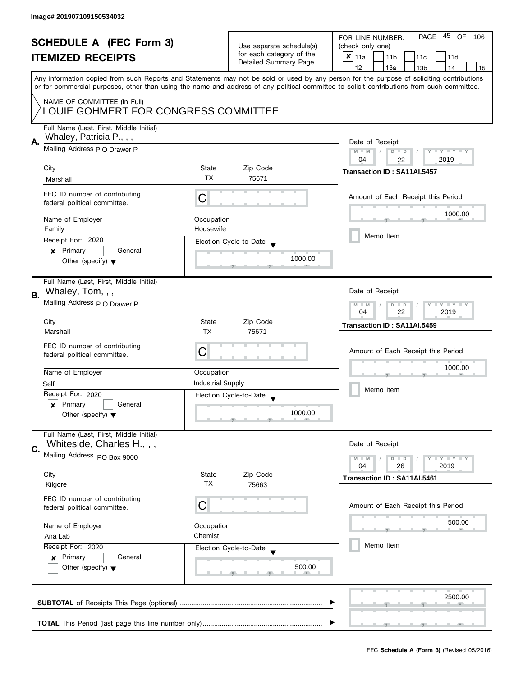| <b>SCHEDULE A (FEC Form 3)</b> |                                                               |                          | PAGE 45 OF<br>FOR LINE NUMBER:<br>106                |                                                                                                                                                                                                                                                                                         |  |  |
|--------------------------------|---------------------------------------------------------------|--------------------------|------------------------------------------------------|-----------------------------------------------------------------------------------------------------------------------------------------------------------------------------------------------------------------------------------------------------------------------------------------|--|--|
|                                |                                                               |                          | Use separate schedule(s)<br>for each category of the | (check only one)                                                                                                                                                                                                                                                                        |  |  |
|                                | <b>ITEMIZED RECEIPTS</b>                                      |                          | Detailed Summary Page                                | $\pmb{\times}$<br>11a<br>11 <sub>b</sub><br>11c<br>11d                                                                                                                                                                                                                                  |  |  |
|                                |                                                               |                          |                                                      | 12<br>13a<br>13 <sub>b</sub><br>14<br>15                                                                                                                                                                                                                                                |  |  |
|                                |                                                               |                          |                                                      | Any information copied from such Reports and Statements may not be sold or used by any person for the purpose of soliciting contributions<br>or for commercial purposes, other than using the name and address of any political committee to solicit contributions from such committee. |  |  |
|                                | NAME OF COMMITTEE (In Full)                                   |                          |                                                      |                                                                                                                                                                                                                                                                                         |  |  |
|                                | LOUIE GOHMERT FOR CONGRESS COMMITTEE                          |                          |                                                      |                                                                                                                                                                                                                                                                                         |  |  |
|                                | Full Name (Last, First, Middle Initial)                       |                          |                                                      |                                                                                                                                                                                                                                                                                         |  |  |
| А.                             | Whaley, Patricia P., , ,                                      |                          |                                                      | Date of Receipt                                                                                                                                                                                                                                                                         |  |  |
|                                | Mailing Address P O Drawer P                                  |                          |                                                      | Y TY TY TY<br>$M - M$<br>$D$ $D$                                                                                                                                                                                                                                                        |  |  |
|                                | City                                                          | State                    | Zip Code                                             | 04<br>2019<br>22                                                                                                                                                                                                                                                                        |  |  |
|                                | Marshall                                                      | <b>TX</b>                | 75671                                                | Transaction ID: SA11AI.5457                                                                                                                                                                                                                                                             |  |  |
|                                |                                                               |                          |                                                      |                                                                                                                                                                                                                                                                                         |  |  |
|                                | FEC ID number of contributing<br>federal political committee. | C                        |                                                      | Amount of Each Receipt this Period                                                                                                                                                                                                                                                      |  |  |
|                                |                                                               |                          |                                                      | 1000.00                                                                                                                                                                                                                                                                                 |  |  |
|                                | Name of Employer<br>Family                                    | Occupation<br>Housewife  |                                                      |                                                                                                                                                                                                                                                                                         |  |  |
|                                | Receipt For: 2020                                             |                          | Election Cycle-to-Date                               | Memo Item                                                                                                                                                                                                                                                                               |  |  |
|                                | Primary<br>General<br>×                                       |                          |                                                      |                                                                                                                                                                                                                                                                                         |  |  |
|                                | Other (specify) $\blacktriangledown$                          |                          | 1000.00                                              |                                                                                                                                                                                                                                                                                         |  |  |
|                                |                                                               |                          |                                                      |                                                                                                                                                                                                                                                                                         |  |  |
|                                | Full Name (Last, First, Middle Initial)                       |                          |                                                      |                                                                                                                                                                                                                                                                                         |  |  |
| В.                             | Whaley, Tom, , ,                                              |                          |                                                      | Date of Receipt                                                                                                                                                                                                                                                                         |  |  |
|                                | Mailing Address p O Drawer P                                  |                          |                                                      | Y TY TY TY<br>$M - M$<br>$D$ $D$<br>04<br>22<br>2019                                                                                                                                                                                                                                    |  |  |
|                                | City                                                          | State                    | Zip Code                                             | Transaction ID: SA11AI.5459                                                                                                                                                                                                                                                             |  |  |
|                                | Marshall                                                      | <b>TX</b>                | 75671                                                |                                                                                                                                                                                                                                                                                         |  |  |
|                                | FEC ID number of contributing                                 |                          |                                                      |                                                                                                                                                                                                                                                                                         |  |  |
|                                | federal political committee.                                  | С                        |                                                      | Amount of Each Receipt this Period                                                                                                                                                                                                                                                      |  |  |
|                                | Name of Employer                                              | Occupation               |                                                      | 1000.00                                                                                                                                                                                                                                                                                 |  |  |
|                                | Self                                                          | <b>Industrial Supply</b> |                                                      |                                                                                                                                                                                                                                                                                         |  |  |
|                                | Receipt For: 2020                                             |                          | Election Cycle-to-Date                               | Memo Item                                                                                                                                                                                                                                                                               |  |  |
|                                | Primary<br>$\mathbf{x}$<br>General                            |                          |                                                      |                                                                                                                                                                                                                                                                                         |  |  |
|                                | Other (specify) $\blacktriangledown$                          |                          | 1000.00                                              |                                                                                                                                                                                                                                                                                         |  |  |
|                                | Full Name (Last, First, Middle Initial)                       |                          |                                                      |                                                                                                                                                                                                                                                                                         |  |  |
|                                | Whiteside, Charles H.,,,                                      |                          |                                                      | Date of Receipt                                                                                                                                                                                                                                                                         |  |  |
| C.                             | Mailing Address PO Box 9000                                   |                          |                                                      | Y I Y I Y I Y<br>$M - M$<br>$D$ $D$                                                                                                                                                                                                                                                     |  |  |
|                                |                                                               |                          |                                                      | 04<br>26<br>2019                                                                                                                                                                                                                                                                        |  |  |
|                                | City<br>Kilgore                                               | State<br>ТX              | Zip Code<br>75663                                    | Transaction ID: SA11AI.5461                                                                                                                                                                                                                                                             |  |  |
|                                |                                                               |                          |                                                      |                                                                                                                                                                                                                                                                                         |  |  |
|                                | FEC ID number of contributing<br>federal political committee. | C                        |                                                      | Amount of Each Receipt this Period                                                                                                                                                                                                                                                      |  |  |
|                                |                                                               |                          |                                                      |                                                                                                                                                                                                                                                                                         |  |  |
|                                | Name of Employer                                              | Occupation               |                                                      | 500.00                                                                                                                                                                                                                                                                                  |  |  |
|                                | Ana Lab                                                       | Chemist                  |                                                      | Memo Item                                                                                                                                                                                                                                                                               |  |  |
|                                | Receipt For: 2020<br>Primary<br>General                       |                          | Election Cycle-to-Date                               |                                                                                                                                                                                                                                                                                         |  |  |
|                                | ×<br>Other (specify) $\blacktriangledown$                     |                          | 500.00                                               |                                                                                                                                                                                                                                                                                         |  |  |
|                                |                                                               |                          |                                                      |                                                                                                                                                                                                                                                                                         |  |  |
|                                |                                                               |                          |                                                      |                                                                                                                                                                                                                                                                                         |  |  |
|                                |                                                               |                          |                                                      | 2500.00                                                                                                                                                                                                                                                                                 |  |  |
|                                |                                                               |                          |                                                      |                                                                                                                                                                                                                                                                                         |  |  |
|                                |                                                               |                          |                                                      |                                                                                                                                                                                                                                                                                         |  |  |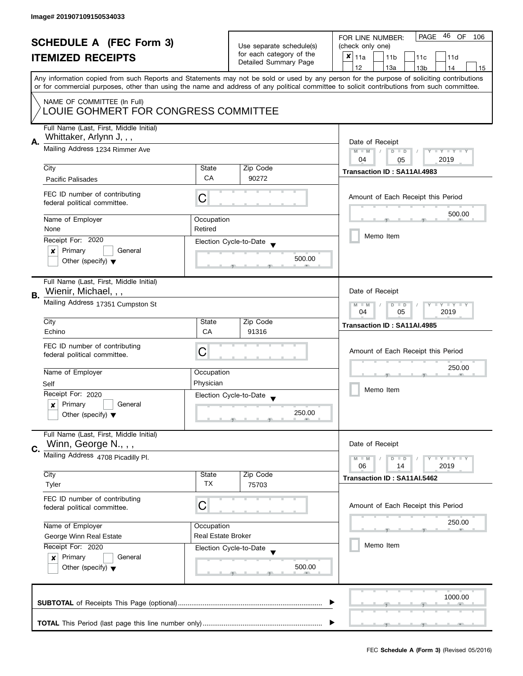| <b>SCHEDULE A (FEC Form 3)</b> |                                                                     |                                  |                                                      | PAGE 46 OF<br>FOR LINE NUMBER:<br>106                                                                                                                                                                                                                                                   |  |  |
|--------------------------------|---------------------------------------------------------------------|----------------------------------|------------------------------------------------------|-----------------------------------------------------------------------------------------------------------------------------------------------------------------------------------------------------------------------------------------------------------------------------------------|--|--|
| <b>ITEMIZED RECEIPTS</b>       |                                                                     |                                  | Use separate schedule(s)<br>for each category of the | (check only one)                                                                                                                                                                                                                                                                        |  |  |
|                                |                                                                     | Detailed Summary Page            | X<br>11a<br>11 <sub>b</sub><br>11c<br>11d            |                                                                                                                                                                                                                                                                                         |  |  |
|                                |                                                                     |                                  |                                                      | 12<br>13a<br>13 <sub>b</sub><br>14<br>15                                                                                                                                                                                                                                                |  |  |
|                                |                                                                     |                                  |                                                      | Any information copied from such Reports and Statements may not be sold or used by any person for the purpose of soliciting contributions<br>or for commercial purposes, other than using the name and address of any political committee to solicit contributions from such committee. |  |  |
|                                |                                                                     |                                  |                                                      |                                                                                                                                                                                                                                                                                         |  |  |
|                                | NAME OF COMMITTEE (In Full)<br>LOUIE GOHMERT FOR CONGRESS COMMITTEE |                                  |                                                      |                                                                                                                                                                                                                                                                                         |  |  |
| Α.                             | Full Name (Last, First, Middle Initial)<br>Whittaker, Arlynn J, , , |                                  |                                                      | Date of Receipt                                                                                                                                                                                                                                                                         |  |  |
|                                | Mailing Address 1234 Rimmer Ave                                     |                                  |                                                      | Y TY TY TY<br>$M - M$<br>$D$ $D$<br>2019<br>04<br>05                                                                                                                                                                                                                                    |  |  |
|                                | City                                                                | State                            | Zip Code                                             | Transaction ID: SA11AI.4983                                                                                                                                                                                                                                                             |  |  |
|                                | <b>Pacific Palisades</b>                                            | CA                               | 90272                                                |                                                                                                                                                                                                                                                                                         |  |  |
|                                | FEC ID number of contributing<br>federal political committee.       | C                                |                                                      | Amount of Each Receipt this Period                                                                                                                                                                                                                                                      |  |  |
|                                | Name of Employer                                                    | Occupation                       |                                                      | 500.00                                                                                                                                                                                                                                                                                  |  |  |
|                                | None                                                                | Retired                          |                                                      |                                                                                                                                                                                                                                                                                         |  |  |
|                                | Receipt For: 2020                                                   |                                  | Election Cycle-to-Date                               | Memo Item                                                                                                                                                                                                                                                                               |  |  |
|                                | Primary<br>General<br>×                                             |                                  | 500.00                                               |                                                                                                                                                                                                                                                                                         |  |  |
|                                | Other (specify) $\blacktriangledown$                                |                                  |                                                      |                                                                                                                                                                                                                                                                                         |  |  |
|                                | Full Name (Last, First, Middle Initial)<br>Wienir, Michael, , ,     |                                  |                                                      | Date of Receipt                                                                                                                                                                                                                                                                         |  |  |
| В.                             | Mailing Address 17351 Cumpston St                                   |                                  |                                                      | $Y - Y - Y - Y - Y$<br>$M - M$<br>$D$ $D$                                                                                                                                                                                                                                               |  |  |
|                                |                                                                     |                                  |                                                      | 04<br>05<br>2019                                                                                                                                                                                                                                                                        |  |  |
|                                | City                                                                | State                            | Zip Code                                             | Transaction ID: SA11AI.4985                                                                                                                                                                                                                                                             |  |  |
|                                | Echino                                                              | CA                               | 91316                                                |                                                                                                                                                                                                                                                                                         |  |  |
|                                | FEC ID number of contributing                                       | С                                |                                                      | Amount of Each Receipt this Period                                                                                                                                                                                                                                                      |  |  |
|                                | federal political committee.                                        |                                  |                                                      |                                                                                                                                                                                                                                                                                         |  |  |
|                                | Name of Employer                                                    | Occupation                       |                                                      | 250.00                                                                                                                                                                                                                                                                                  |  |  |
|                                | Self                                                                | Physician                        |                                                      |                                                                                                                                                                                                                                                                                         |  |  |
|                                | Receipt For: 2020                                                   |                                  | Election Cycle-to-Date                               | Memo Item                                                                                                                                                                                                                                                                               |  |  |
|                                | Primary<br>General<br>x                                             |                                  |                                                      |                                                                                                                                                                                                                                                                                         |  |  |
|                                | Other (specify) $\blacktriangledown$                                |                                  | 250.00                                               |                                                                                                                                                                                                                                                                                         |  |  |
|                                | Full Name (Last, First, Middle Initial)<br>Winn, George N., , ,     |                                  |                                                      | Date of Receipt                                                                                                                                                                                                                                                                         |  |  |
| C.                             | Mailing Address 4708 Picadilly Pl.                                  |                                  |                                                      | Y TY TY TY<br>$M - M$<br>$D$ $D$                                                                                                                                                                                                                                                        |  |  |
|                                |                                                                     |                                  |                                                      | 06<br>2019<br>14                                                                                                                                                                                                                                                                        |  |  |
|                                | City                                                                | State<br>TX                      | Zip Code                                             | Transaction ID: SA11AI.5462                                                                                                                                                                                                                                                             |  |  |
|                                | Tyler                                                               |                                  | 75703                                                |                                                                                                                                                                                                                                                                                         |  |  |
|                                | FEC ID number of contributing<br>federal political committee.       | C                                |                                                      | Amount of Each Receipt this Period                                                                                                                                                                                                                                                      |  |  |
|                                |                                                                     |                                  |                                                      | 250.00                                                                                                                                                                                                                                                                                  |  |  |
|                                | Name of Employer<br>George Winn Real Estate                         | Occupation<br>Real Estate Broker |                                                      |                                                                                                                                                                                                                                                                                         |  |  |
|                                | Receipt For: 2020                                                   |                                  | Election Cycle-to-Date                               | Memo Item                                                                                                                                                                                                                                                                               |  |  |
|                                | Primary<br>General<br>$\boldsymbol{x}$                              |                                  |                                                      |                                                                                                                                                                                                                                                                                         |  |  |
|                                | Other (specify) $\blacktriangledown$                                |                                  | 500.00                                               |                                                                                                                                                                                                                                                                                         |  |  |
|                                |                                                                     |                                  |                                                      |                                                                                                                                                                                                                                                                                         |  |  |
|                                |                                                                     |                                  |                                                      | 1000.00                                                                                                                                                                                                                                                                                 |  |  |
|                                |                                                                     |                                  |                                                      |                                                                                                                                                                                                                                                                                         |  |  |
|                                |                                                                     |                                  |                                                      |                                                                                                                                                                                                                                                                                         |  |  |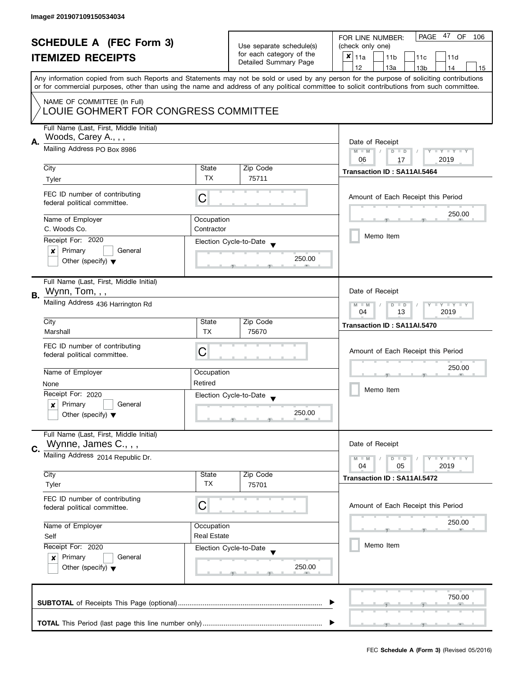| <b>SCHEDULE A (FEC Form 3)</b> |                                                               |                          | PAGE 47<br>OF<br>FOR LINE NUMBER:<br>106 |                                                                                                                                            |  |
|--------------------------------|---------------------------------------------------------------|--------------------------|------------------------------------------|--------------------------------------------------------------------------------------------------------------------------------------------|--|
|                                |                                                               | Use separate schedule(s) | (check only one)                         |                                                                                                                                            |  |
|                                | <b>ITEMIZED RECEIPTS</b>                                      |                          | for each category of the                 | $x _{11a}$<br>11 <sub>b</sub><br>11c<br>11d                                                                                                |  |
|                                |                                                               |                          | Detailed Summary Page                    | 12<br>13a<br>13 <sub>b</sub><br>14<br>15                                                                                                   |  |
|                                |                                                               |                          |                                          | Any information copied from such Reports and Statements may not be sold or used by any person for the purpose of soliciting contributions  |  |
|                                |                                                               |                          |                                          | or for commercial purposes, other than using the name and address of any political committee to solicit contributions from such committee. |  |
|                                | NAME OF COMMITTEE (In Full)                                   |                          |                                          |                                                                                                                                            |  |
|                                | LOUIE GOHMERT FOR CONGRESS COMMITTEE                          |                          |                                          |                                                                                                                                            |  |
|                                |                                                               |                          |                                          |                                                                                                                                            |  |
|                                | Full Name (Last, First, Middle Initial)                       |                          |                                          |                                                                                                                                            |  |
| А.                             | Woods, Carey A., , ,                                          |                          |                                          | Date of Receipt                                                                                                                            |  |
|                                | Mailing Address PO Box 8986                                   |                          |                                          | $M - M$<br>$D$ $D$<br>Y I Y I Y I Y                                                                                                        |  |
|                                |                                                               |                          |                                          | 06<br>2019<br>17                                                                                                                           |  |
|                                | City                                                          | State                    | Zip Code                                 | Transaction ID: SA11AI.5464                                                                                                                |  |
|                                | Tyler                                                         | <b>TX</b>                | 75711                                    |                                                                                                                                            |  |
|                                |                                                               |                          |                                          |                                                                                                                                            |  |
|                                | FEC ID number of contributing<br>federal political committee. | C                        |                                          | Amount of Each Receipt this Period                                                                                                         |  |
|                                |                                                               |                          |                                          |                                                                                                                                            |  |
|                                | Name of Employer                                              | Occupation               |                                          | 250.00                                                                                                                                     |  |
|                                | C. Woods Co.                                                  | Contractor               |                                          |                                                                                                                                            |  |
|                                | Receipt For: 2020                                             |                          | Election Cycle-to-Date                   | Memo Item                                                                                                                                  |  |
|                                | Primary<br>General<br>$\boldsymbol{x}$                        |                          |                                          |                                                                                                                                            |  |
|                                | Other (specify) $\blacktriangledown$                          |                          | 250.00                                   |                                                                                                                                            |  |
|                                |                                                               |                          |                                          |                                                                                                                                            |  |
|                                | Full Name (Last, First, Middle Initial)                       |                          |                                          |                                                                                                                                            |  |
| В.                             | Wynn, Tom, , ,                                                |                          |                                          | Date of Receipt                                                                                                                            |  |
|                                | Mailing Address 436 Harrington Rd                             |                          |                                          | Y LY LY<br>$M - M$<br>$D$ $D$                                                                                                              |  |
|                                |                                                               |                          |                                          | 13<br>2019<br>04                                                                                                                           |  |
|                                | City                                                          | State                    | Zip Code                                 | Transaction ID: SA11AI.5470                                                                                                                |  |
|                                | Marshall                                                      | <b>TX</b>                | 75670                                    |                                                                                                                                            |  |
|                                | FEC ID number of contributing                                 |                          |                                          |                                                                                                                                            |  |
|                                | federal political committee.                                  | C                        |                                          | Amount of Each Receipt this Period                                                                                                         |  |
|                                |                                                               |                          |                                          | 250.00                                                                                                                                     |  |
|                                | Name of Employer                                              | Occupation               |                                          |                                                                                                                                            |  |
|                                | None                                                          | Retired                  |                                          |                                                                                                                                            |  |
|                                | Receipt For: 2020                                             |                          | Election Cycle-to-Date                   | Memo Item                                                                                                                                  |  |
|                                | Primary<br>General<br>x                                       |                          |                                          |                                                                                                                                            |  |
|                                | Other (specify) $\blacktriangledown$                          |                          | 250.00                                   |                                                                                                                                            |  |
|                                |                                                               |                          |                                          |                                                                                                                                            |  |
|                                | Full Name (Last, First, Middle Initial)                       |                          |                                          |                                                                                                                                            |  |
| C.                             | Wynne, James C., , ,                                          |                          |                                          | Date of Receipt                                                                                                                            |  |
|                                | Mailing Address 2014 Republic Dr.                             |                          |                                          | $Y + Y$<br>$M - M$<br>$D$ $D$                                                                                                              |  |
|                                |                                                               |                          |                                          | 05<br>2019<br>04                                                                                                                           |  |
|                                | City                                                          | State                    | Zip Code                                 | Transaction ID: SA11AI.5472                                                                                                                |  |
|                                | Tyler                                                         | ТX                       | 75701                                    |                                                                                                                                            |  |
|                                | FEC ID number of contributing                                 |                          |                                          |                                                                                                                                            |  |
|                                | federal political committee.                                  | С                        |                                          | Amount of Each Receipt this Period                                                                                                         |  |
|                                |                                                               |                          |                                          | 250.00                                                                                                                                     |  |
|                                | Name of Employer<br>Occupation                                |                          |                                          |                                                                                                                                            |  |
|                                | Self                                                          | <b>Real Estate</b>       |                                          | Memo Item                                                                                                                                  |  |
|                                | Receipt For: 2020                                             |                          | Election Cycle-to-Date                   |                                                                                                                                            |  |
|                                | Primary<br>General<br>$\boldsymbol{x}$                        |                          |                                          |                                                                                                                                            |  |
|                                | Other (specify) $\blacktriangledown$                          |                          | 250.00                                   |                                                                                                                                            |  |
|                                |                                                               |                          |                                          |                                                                                                                                            |  |
|                                |                                                               |                          |                                          | 750.00                                                                                                                                     |  |
|                                |                                                               |                          |                                          |                                                                                                                                            |  |
|                                |                                                               |                          |                                          |                                                                                                                                            |  |
|                                |                                                               |                          |                                          |                                                                                                                                            |  |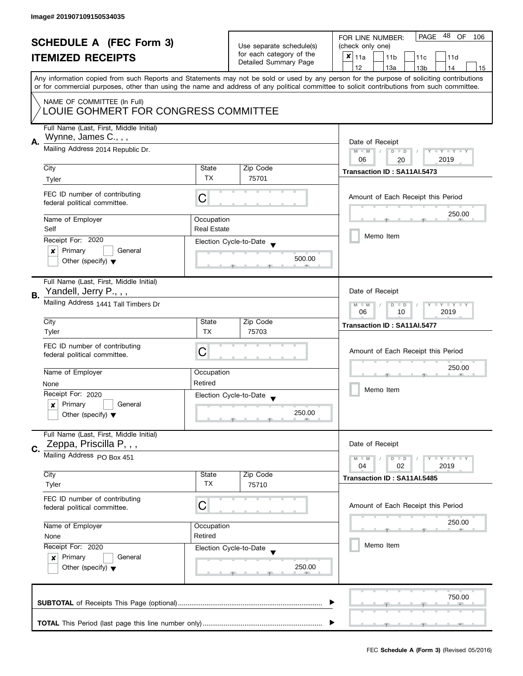| <b>SCHEDULE A (FEC Form 3)</b><br><b>ITEMIZED RECEIPTS</b> |                                                                     |                                                      | 48 OF<br>PAGE<br>FOR LINE NUMBER:<br>106           |                                                                                                                                                                                                                                                                                         |  |
|------------------------------------------------------------|---------------------------------------------------------------------|------------------------------------------------------|----------------------------------------------------|-----------------------------------------------------------------------------------------------------------------------------------------------------------------------------------------------------------------------------------------------------------------------------------------|--|
|                                                            |                                                                     | Use separate schedule(s)<br>for each category of the | (check only one)                                   |                                                                                                                                                                                                                                                                                         |  |
|                                                            |                                                                     |                                                      | $x _{11a}$<br>11 <sub>b</sub><br>11c<br>11d        |                                                                                                                                                                                                                                                                                         |  |
|                                                            |                                                                     |                                                      | Detailed Summary Page                              | 12<br>13a<br>13 <sub>b</sub><br>14<br>15                                                                                                                                                                                                                                                |  |
|                                                            |                                                                     |                                                      |                                                    | Any information copied from such Reports and Statements may not be sold or used by any person for the purpose of soliciting contributions<br>or for commercial purposes, other than using the name and address of any political committee to solicit contributions from such committee. |  |
|                                                            | NAME OF COMMITTEE (In Full)<br>LOUIE GOHMERT FOR CONGRESS COMMITTEE |                                                      |                                                    |                                                                                                                                                                                                                                                                                         |  |
|                                                            |                                                                     |                                                      |                                                    |                                                                                                                                                                                                                                                                                         |  |
|                                                            | Full Name (Last, First, Middle Initial)                             |                                                      |                                                    |                                                                                                                                                                                                                                                                                         |  |
| А.                                                         | Wynne, James C., , ,                                                |                                                      | Date of Receipt                                    |                                                                                                                                                                                                                                                                                         |  |
|                                                            | Mailing Address 2014 Republic Dr.                                   |                                                      |                                                    | $M - M$<br>$D$ $D$<br>$Y - Y - Y - Y$                                                                                                                                                                                                                                                   |  |
|                                                            |                                                                     |                                                      |                                                    | 2019<br>06<br>20                                                                                                                                                                                                                                                                        |  |
|                                                            | City                                                                | State                                                | Zip Code                                           | Transaction ID: SA11AI.5473                                                                                                                                                                                                                                                             |  |
|                                                            | Tyler                                                               | TX                                                   | 75701                                              |                                                                                                                                                                                                                                                                                         |  |
|                                                            | FEC ID number of contributing<br>federal political committee.       | С                                                    |                                                    | Amount of Each Receipt this Period                                                                                                                                                                                                                                                      |  |
|                                                            | Name of Employer                                                    | Occupation                                           |                                                    | 250.00                                                                                                                                                                                                                                                                                  |  |
|                                                            | Self                                                                | <b>Real Estate</b>                                   |                                                    |                                                                                                                                                                                                                                                                                         |  |
|                                                            | Receipt For: 2020                                                   |                                                      |                                                    | Memo Item                                                                                                                                                                                                                                                                               |  |
|                                                            | Primary<br>General                                                  |                                                      | Election Cycle-to-Date                             |                                                                                                                                                                                                                                                                                         |  |
|                                                            | ×<br>Other (specify) $\blacktriangledown$                           |                                                      | 500.00                                             |                                                                                                                                                                                                                                                                                         |  |
|                                                            |                                                                     |                                                      |                                                    |                                                                                                                                                                                                                                                                                         |  |
|                                                            |                                                                     |                                                      |                                                    |                                                                                                                                                                                                                                                                                         |  |
|                                                            | Full Name (Last, First, Middle Initial)<br>Yandell, Jerry P., , ,   |                                                      |                                                    | Date of Receipt                                                                                                                                                                                                                                                                         |  |
| В.                                                         |                                                                     |                                                      |                                                    |                                                                                                                                                                                                                                                                                         |  |
|                                                            | Mailing Address 1441 Tall Timbers Dr                                |                                                      |                                                    |                                                                                                                                                                                                                                                                                         |  |
|                                                            |                                                                     | State                                                |                                                    | 2019<br>06<br>10                                                                                                                                                                                                                                                                        |  |
|                                                            | City                                                                |                                                      | Zip Code                                           | Transaction ID: SA11AI.5477                                                                                                                                                                                                                                                             |  |
|                                                            | Tyler                                                               | <b>TX</b>                                            | 75703                                              |                                                                                                                                                                                                                                                                                         |  |
|                                                            | FEC ID number of contributing                                       |                                                      |                                                    | Amount of Each Receipt this Period                                                                                                                                                                                                                                                      |  |
|                                                            | federal political committee.                                        | С                                                    |                                                    |                                                                                                                                                                                                                                                                                         |  |
|                                                            |                                                                     |                                                      |                                                    | 250.00                                                                                                                                                                                                                                                                                  |  |
|                                                            | Name of Employer                                                    | Occupation                                           |                                                    |                                                                                                                                                                                                                                                                                         |  |
|                                                            | None                                                                | Retired                                              |                                                    | Memo Item                                                                                                                                                                                                                                                                               |  |
|                                                            | Receipt For: 2020                                                   |                                                      | Election Cycle-to-Date<br>$\overline{\phantom{a}}$ |                                                                                                                                                                                                                                                                                         |  |
|                                                            | Primary<br>General<br>x                                             |                                                      |                                                    |                                                                                                                                                                                                                                                                                         |  |
|                                                            | Other (specify) $\blacktriangledown$                                |                                                      | 250.00                                             |                                                                                                                                                                                                                                                                                         |  |
|                                                            | Full Name (Last, First, Middle Initial)                             |                                                      |                                                    |                                                                                                                                                                                                                                                                                         |  |
|                                                            | Zeppa, Priscilla P, , ,                                             |                                                      |                                                    | Date of Receipt                                                                                                                                                                                                                                                                         |  |
| C.                                                         |                                                                     |                                                      |                                                    |                                                                                                                                                                                                                                                                                         |  |
|                                                            | Mailing Address PO Box 451                                          |                                                      |                                                    | <b>LEY LEY LEY</b><br>$M - M$<br>$D$ $D$                                                                                                                                                                                                                                                |  |
|                                                            | City                                                                | State                                                | Zip Code                                           | 04<br>02<br>2019                                                                                                                                                                                                                                                                        |  |
|                                                            | Tyler                                                               | ТX                                                   | 75710                                              | Transaction ID: SA11AI.5485                                                                                                                                                                                                                                                             |  |
|                                                            |                                                                     |                                                      |                                                    |                                                                                                                                                                                                                                                                                         |  |
|                                                            | FEC ID number of contributing                                       |                                                      |                                                    | Amount of Each Receipt this Period                                                                                                                                                                                                                                                      |  |
|                                                            | federal political committee.                                        | С                                                    |                                                    |                                                                                                                                                                                                                                                                                         |  |
|                                                            | Name of Employer                                                    |                                                      |                                                    | 250.00                                                                                                                                                                                                                                                                                  |  |
|                                                            |                                                                     | Occupation<br>Retired                                |                                                    |                                                                                                                                                                                                                                                                                         |  |
|                                                            | None                                                                |                                                      |                                                    | Memo Item                                                                                                                                                                                                                                                                               |  |
|                                                            | Receipt For: 2020                                                   |                                                      | Election Cycle-to-Date                             |                                                                                                                                                                                                                                                                                         |  |
|                                                            | Primary<br>General<br>$\mathsf{x}$                                  |                                                      |                                                    |                                                                                                                                                                                                                                                                                         |  |
|                                                            | Other (specify) $\blacktriangledown$                                |                                                      | 250.00                                             |                                                                                                                                                                                                                                                                                         |  |
|                                                            |                                                                     |                                                      |                                                    |                                                                                                                                                                                                                                                                                         |  |
|                                                            |                                                                     |                                                      |                                                    | 750.00                                                                                                                                                                                                                                                                                  |  |
|                                                            |                                                                     |                                                      |                                                    |                                                                                                                                                                                                                                                                                         |  |
|                                                            |                                                                     |                                                      |                                                    |                                                                                                                                                                                                                                                                                         |  |
|                                                            |                                                                     |                                                      |                                                    |                                                                                                                                                                                                                                                                                         |  |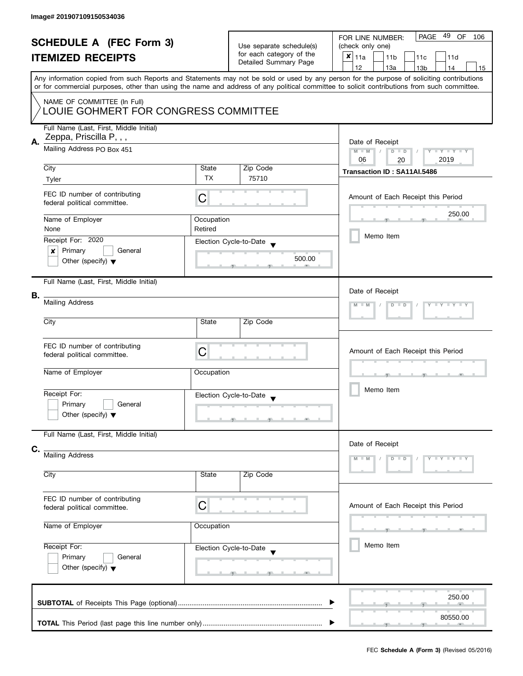| <b>SCHEDULE A (FEC Form 3)</b> |                                                                                                                                            | Use separate schedule(s) | PAGE<br>49<br>OF<br>FOR LINE NUMBER:<br>106<br>(check only one) |                                                                                                                                           |  |  |  |
|--------------------------------|--------------------------------------------------------------------------------------------------------------------------------------------|--------------------------|-----------------------------------------------------------------|-------------------------------------------------------------------------------------------------------------------------------------------|--|--|--|
| <b>ITEMIZED RECEIPTS</b>       |                                                                                                                                            |                          | for each category of the                                        | $x _{11a}$                                                                                                                                |  |  |  |
|                                |                                                                                                                                            |                          | Detailed Summary Page                                           | 11 <sub>b</sub><br>11c<br>11d                                                                                                             |  |  |  |
|                                |                                                                                                                                            |                          |                                                                 | 12<br>13a<br>14<br>13 <sub>b</sub><br>15                                                                                                  |  |  |  |
|                                | or for commercial purposes, other than using the name and address of any political committee to solicit contributions from such committee. |                          |                                                                 | Any information copied from such Reports and Statements may not be sold or used by any person for the purpose of soliciting contributions |  |  |  |
|                                | NAME OF COMMITTEE (In Full)<br>LOUIE GOHMERT FOR CONGRESS COMMITTEE                                                                        |                          |                                                                 |                                                                                                                                           |  |  |  |
|                                |                                                                                                                                            |                          |                                                                 |                                                                                                                                           |  |  |  |
|                                | Full Name (Last, First, Middle Initial)<br>Zeppa, Priscilla P, , ,                                                                         |                          |                                                                 |                                                                                                                                           |  |  |  |
| Α.                             | Mailing Address PO Box 451                                                                                                                 |                          |                                                                 | Date of Receipt<br>$M - M$<br>$Y - Y - Y - Y + Y$<br>$\sqrt{2}$<br>$D$ $D$                                                                |  |  |  |
|                                | City                                                                                                                                       | State                    | Zip Code                                                        | 06<br>2019<br>20                                                                                                                          |  |  |  |
|                                | Tyler                                                                                                                                      | <b>TX</b>                | 75710                                                           | Transaction ID: SA11AI.5486                                                                                                               |  |  |  |
|                                |                                                                                                                                            |                          |                                                                 |                                                                                                                                           |  |  |  |
|                                | FEC ID number of contributing<br>federal political committee.                                                                              | C                        |                                                                 | Amount of Each Receipt this Period                                                                                                        |  |  |  |
|                                | Name of Employer                                                                                                                           | Occupation               |                                                                 | 250.00                                                                                                                                    |  |  |  |
|                                | None                                                                                                                                       | Retired                  |                                                                 |                                                                                                                                           |  |  |  |
|                                | Receipt For: 2020                                                                                                                          |                          | Election Cycle-to-Date                                          | Memo Item                                                                                                                                 |  |  |  |
|                                | Primary<br>General<br>$\boldsymbol{x}$                                                                                                     |                          |                                                                 |                                                                                                                                           |  |  |  |
|                                | Other (specify) $\blacktriangledown$                                                                                                       |                          | 500.00                                                          |                                                                                                                                           |  |  |  |
|                                | Full Name (Last, First, Middle Initial)                                                                                                    |                          |                                                                 |                                                                                                                                           |  |  |  |
| В.                             |                                                                                                                                            |                          |                                                                 | Date of Receipt                                                                                                                           |  |  |  |
|                                | Mailing Address                                                                                                                            |                          |                                                                 | $Y = Y = Y + Y$<br>$D$ $D$                                                                                                                |  |  |  |
|                                | City                                                                                                                                       | State                    | Zip Code                                                        |                                                                                                                                           |  |  |  |
|                                | FEC ID number of contributing                                                                                                              |                          |                                                                 |                                                                                                                                           |  |  |  |
|                                | federal political committee.                                                                                                               | C                        |                                                                 | Amount of Each Receipt this Period                                                                                                        |  |  |  |
|                                |                                                                                                                                            |                          |                                                                 |                                                                                                                                           |  |  |  |
|                                | Name of Employer                                                                                                                           | Occupation               |                                                                 |                                                                                                                                           |  |  |  |
|                                | Receipt For:                                                                                                                               |                          | Election Cycle-to-Date                                          | Memo Item                                                                                                                                 |  |  |  |
|                                | Primary<br>General                                                                                                                         |                          |                                                                 |                                                                                                                                           |  |  |  |
|                                | Other (specify) $\blacktriangledown$                                                                                                       |                          | <u>g and a graduate state</u>                                   |                                                                                                                                           |  |  |  |
|                                | Full Name (Last, First, Middle Initial)                                                                                                    |                          |                                                                 |                                                                                                                                           |  |  |  |
| C.                             |                                                                                                                                            |                          |                                                                 | Date of Receipt                                                                                                                           |  |  |  |
|                                | <b>Mailing Address</b>                                                                                                                     |                          |                                                                 | D                                                                                                                                         |  |  |  |
|                                |                                                                                                                                            |                          |                                                                 |                                                                                                                                           |  |  |  |
|                                | City                                                                                                                                       | State                    | Zip Code                                                        |                                                                                                                                           |  |  |  |
|                                | FEC ID number of contributing                                                                                                              |                          |                                                                 |                                                                                                                                           |  |  |  |
|                                | C<br>federal political committee.<br>Name of Employer<br>Occupation<br>Receipt For:<br>Election Cycle-to-Date<br>Primary<br>General        |                          |                                                                 | Amount of Each Receipt this Period                                                                                                        |  |  |  |
|                                |                                                                                                                                            |                          |                                                                 |                                                                                                                                           |  |  |  |
|                                |                                                                                                                                            |                          |                                                                 |                                                                                                                                           |  |  |  |
|                                |                                                                                                                                            |                          |                                                                 | Memo Item                                                                                                                                 |  |  |  |
|                                |                                                                                                                                            |                          |                                                                 |                                                                                                                                           |  |  |  |
|                                | Other (specify) $\blacktriangledown$                                                                                                       |                          |                                                                 |                                                                                                                                           |  |  |  |
|                                |                                                                                                                                            |                          | AU.                                                             |                                                                                                                                           |  |  |  |
|                                |                                                                                                                                            |                          |                                                                 |                                                                                                                                           |  |  |  |
|                                |                                                                                                                                            |                          |                                                                 | 250.00                                                                                                                                    |  |  |  |
|                                |                                                                                                                                            |                          |                                                                 | 80550.00                                                                                                                                  |  |  |  |
|                                |                                                                                                                                            |                          |                                                                 |                                                                                                                                           |  |  |  |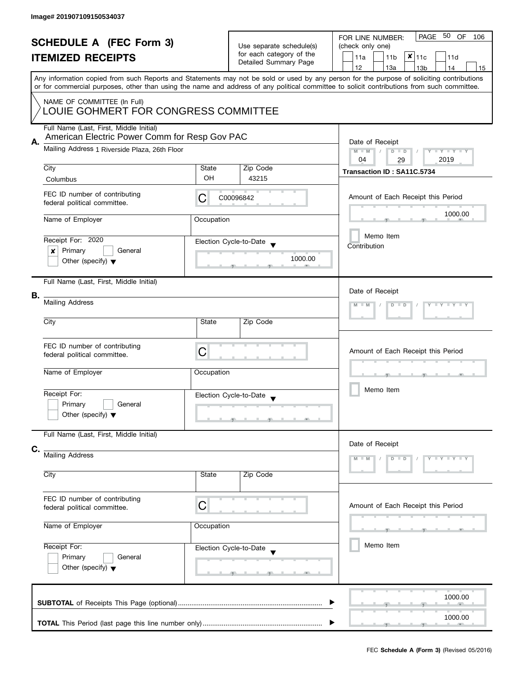| <b>SCHEDULE A (FEC Form 3)</b><br><b>ITEMIZED RECEIPTS</b><br>Any information copied from such Reports and Statements may not be sold or used by any person for the purpose of soliciting contributions |                                                                                                                                                   | Use separate schedule(s)<br>for each category of the<br>Detailed Summary Page | PAGE 50 OF<br>FOR LINE NUMBER:<br>106<br>(check only one)<br>$x _{11c}$<br>11a<br>11 <sub>b</sub><br>11d<br>12<br>13a<br>13 <sub>b</sub><br>14<br>15 |                                                                                                                                            |  |
|---------------------------------------------------------------------------------------------------------------------------------------------------------------------------------------------------------|---------------------------------------------------------------------------------------------------------------------------------------------------|-------------------------------------------------------------------------------|------------------------------------------------------------------------------------------------------------------------------------------------------|--------------------------------------------------------------------------------------------------------------------------------------------|--|
|                                                                                                                                                                                                         | NAME OF COMMITTEE (In Full)<br>LOUIE GOHMERT FOR CONGRESS COMMITTEE                                                                               |                                                                               |                                                                                                                                                      | or for commercial purposes, other than using the name and address of any political committee to solicit contributions from such committee. |  |
| Α.                                                                                                                                                                                                      | Full Name (Last, First, Middle Initial)<br>American Electric Power Comm for Resp Gov PAC<br>Mailing Address 1 Riverside Plaza, 26th Floor<br>City | State                                                                         | Zip Code                                                                                                                                             | Date of Receipt<br>$M - M$<br>$\sqrt{2}$<br>$D$ $D$<br>Y I Y I Y I Y<br>2019<br>04<br>29                                                   |  |
|                                                                                                                                                                                                         | Columbus                                                                                                                                          | OH                                                                            | 43215                                                                                                                                                | Transaction ID: SA11C.5734                                                                                                                 |  |
|                                                                                                                                                                                                         | FEC ID number of contributing<br>federal political committee.                                                                                     | C                                                                             | C00096842                                                                                                                                            | Amount of Each Receipt this Period                                                                                                         |  |
|                                                                                                                                                                                                         | Name of Employer                                                                                                                                  | Occupation                                                                    |                                                                                                                                                      | 1000.00                                                                                                                                    |  |
|                                                                                                                                                                                                         | Receipt For: 2020<br>Primary<br>General<br>×<br>Other (specify) $\blacktriangledown$                                                              |                                                                               | Election Cycle-to-Date<br>1000.00                                                                                                                    | Memo Item<br>Contribution                                                                                                                  |  |
| В.                                                                                                                                                                                                      | Full Name (Last, First, Middle Initial)<br><b>Mailing Address</b>                                                                                 |                                                                               |                                                                                                                                                      | Date of Receipt<br>$Y = Y = Y + Y$<br>$D$ $D$                                                                                              |  |
|                                                                                                                                                                                                         | City                                                                                                                                              | State                                                                         | Zip Code                                                                                                                                             |                                                                                                                                            |  |
|                                                                                                                                                                                                         | FEC ID number of contributing<br>federal political committee.<br>Name of Employer                                                                 | С<br>Occupation                                                               |                                                                                                                                                      | Amount of Each Receipt this Period<br>_____                                                                                                |  |
|                                                                                                                                                                                                         | Receipt For:<br>Primary<br>General<br>Other (specify) $\blacktriangledown$                                                                        |                                                                               | Election Cycle-to-Date                                                                                                                               | Memo Item                                                                                                                                  |  |
|                                                                                                                                                                                                         | Full Name (Last, First, Middle Initial)                                                                                                           |                                                                               |                                                                                                                                                      |                                                                                                                                            |  |
| C.                                                                                                                                                                                                      | <b>Mailing Address</b><br>City                                                                                                                    | State                                                                         | Zip Code                                                                                                                                             | Date of Receipt<br>$T + Y = Y + Y$<br>$D$ $D$                                                                                              |  |
|                                                                                                                                                                                                         |                                                                                                                                                   |                                                                               |                                                                                                                                                      |                                                                                                                                            |  |
|                                                                                                                                                                                                         | FEC ID number of contributing<br>federal political committee.                                                                                     | C                                                                             |                                                                                                                                                      | Amount of Each Receipt this Period                                                                                                         |  |
|                                                                                                                                                                                                         | Name of Employer<br>Occupation                                                                                                                    |                                                                               |                                                                                                                                                      |                                                                                                                                            |  |
|                                                                                                                                                                                                         | Receipt For:<br>Primary<br>General<br>Other (specify) $\blacktriangledown$                                                                        |                                                                               | Election Cycle-to-Date                                                                                                                               | Memo Item                                                                                                                                  |  |
|                                                                                                                                                                                                         |                                                                                                                                                   |                                                                               |                                                                                                                                                      | 1000.00                                                                                                                                    |  |
|                                                                                                                                                                                                         |                                                                                                                                                   |                                                                               |                                                                                                                                                      | 1000.00                                                                                                                                    |  |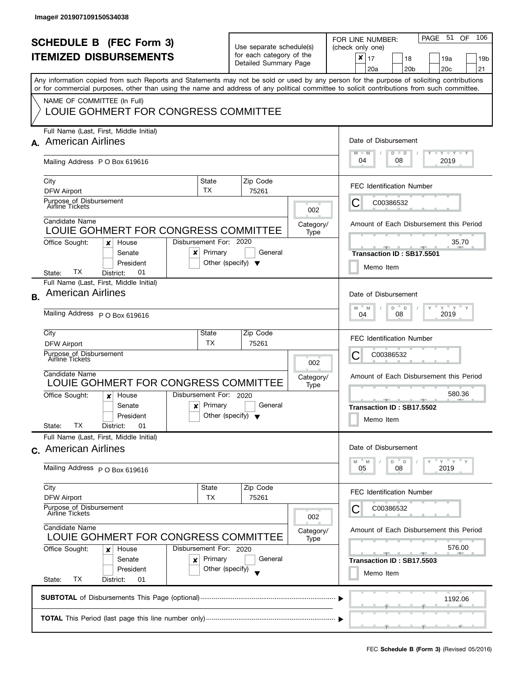|    | <b>SCHEDULE B</b> (FEC Form 3)<br><b>ITEMIZED DISBURSEMENTS</b>                                                                                                                                                                                                                                                                                                |                                                      | Use separate schedule(s)<br>for each category of the<br>Detailed Summary Page             |                          | PAGE 51<br>106<br><b>OF</b><br>FOR LINE NUMBER:<br>(check only one)<br>×<br>17<br>19a<br>18<br>19b<br>20 <sub>c</sub><br>21<br>20a<br>20 <sub>b</sub> |
|----|----------------------------------------------------------------------------------------------------------------------------------------------------------------------------------------------------------------------------------------------------------------------------------------------------------------------------------------------------------------|------------------------------------------------------|-------------------------------------------------------------------------------------------|--------------------------|-------------------------------------------------------------------------------------------------------------------------------------------------------|
|    | Any information copied from such Reports and Statements may not be sold or used by any person for the purpose of soliciting contributions<br>or for commercial purposes, other than using the name and address of any political committee to solicit contributions from such committee.<br>NAME OF COMMITTEE (In Full)<br>LOUIE GOHMERT FOR CONGRESS COMMITTEE |                                                      |                                                                                           |                          |                                                                                                                                                       |
|    | Full Name (Last, First, Middle Initial)<br>A. American Airlines<br>Mailing Address P O Box 619616                                                                                                                                                                                                                                                              |                                                      |                                                                                           |                          | Date of Disbursement<br>$T$ $Y$ $T$ $Y$ $T$ $Y$<br>$M - M$<br>$D$ $D$<br>04<br>08<br>2019                                                             |
|    | City<br>DFW Airport<br>Purpose of Disbursement<br>Airline Tickets<br>Candidate Name                                                                                                                                                                                                                                                                            | State<br><b>TX</b>                                   | Zip Code<br>75261                                                                         | 002<br>Category/         | <b>FEC Identification Number</b><br>С<br>C00386532<br>Amount of Each Disbursement this Period                                                         |
|    | LOUIE GOHMERT FOR CONGRESS COMMITTEE<br>Office Sought:<br>House<br>x<br>Senate<br>x<br>President<br>TХ<br>01<br>District:<br>State:<br>Full Name (Last, First, Middle Initial)                                                                                                                                                                                 | Disbursement For: 2020<br>Primary                    | General<br>Other (specify) $\blacktriangledown$                                           | Type                     | 35.70<br>Transaction ID: SB17.5501<br>Memo Item                                                                                                       |
| В. | <b>American Airlines</b><br>Mailing Address P O Box 619616                                                                                                                                                                                                                                                                                                     |                                                      | Date of Disbursement<br>$Y$ $Y$ $Y$ $Y$<br>D<br>Y<br>M<br>$\Box$<br>M<br>2019<br>08<br>04 |                          |                                                                                                                                                       |
|    | City<br><b>DFW Airport</b><br>Purpose of Disbursement<br>Airline Tickets<br>Candidate Name<br>LOUIE GOHMERT FOR CONGRESS COMMITTEE                                                                                                                                                                                                                             | State<br>ТX                                          | Zip Code<br>75261                                                                         | 002<br>Category/<br>Type | <b>FEC Identification Number</b><br>С<br>C00386532<br>Amount of Each Disbursement this Period                                                         |
|    | Office Sought:<br>House<br>x<br>Senate<br>x<br>President<br>ТX<br>State:<br>01<br>District:                                                                                                                                                                                                                                                                    | Disbursement For: 2020<br>Primary                    | General<br>Other (specify) $\blacktriangledown$                                           |                          | 580.36<br>$-1$<br>Transaction ID: SB17.5502<br>Memo Item                                                                                              |
|    | Full Name (Last, First, Middle Initial)<br>c. American Airlines<br>Mailing Address P O Box 619616                                                                                                                                                                                                                                                              |                                                      |                                                                                           |                          | Date of Disbursement<br>$Y = Y = Y$<br>M<br>D<br>D<br>M<br>08<br>2019<br>05                                                                           |
|    | City<br><b>DFW Airport</b><br>Purpose of Disbursement<br>Airline Tickets                                                                                                                                                                                                                                                                                       | State<br>ТX                                          | Zip Code<br>75261                                                                         | 002                      | <b>FEC Identification Number</b><br>C00386532<br>Ü                                                                                                    |
|    | Candidate Name<br>LOUIE GOHMERT FOR CONGRESS COMMITTEE<br>Office Sought:<br>House<br>x<br>Senate<br>x<br>President<br>ТX<br>State:<br>District:<br>01                                                                                                                                                                                                          | Disbursement For: 2020<br>Primary<br>Other (specify) | General                                                                                   | Category/<br>Type        | Amount of Each Disbursement this Period<br>576.00<br>--<br>Transaction ID: SB17.5503<br>Memo Item                                                     |
|    |                                                                                                                                                                                                                                                                                                                                                                | 1192.06                                              |                                                                                           |                          |                                                                                                                                                       |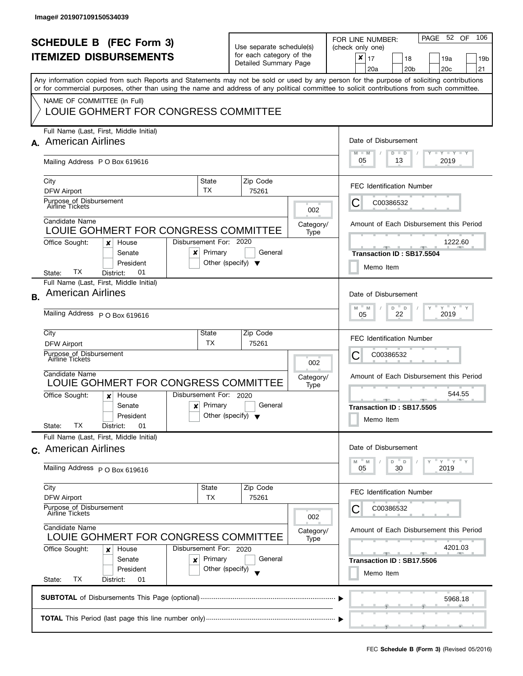| <b>SCHEDULE B (FEC Form 3)</b><br><b>ITEMIZED DISBURSEMENTS</b>                  |                                                                                                                                                                                                                                                                                         |                                                                           |                          | Use separate schedule(s)<br>for each category of the<br>Detailed Summary Page |                   | PAGE 52 OF<br>106<br>FOR LINE NUMBER:<br>(check only one)<br>$\pmb{\times}$<br>17<br>18<br>19a<br>19 <sub>b</sub> |
|----------------------------------------------------------------------------------|-----------------------------------------------------------------------------------------------------------------------------------------------------------------------------------------------------------------------------------------------------------------------------------------|---------------------------------------------------------------------------|--------------------------|-------------------------------------------------------------------------------|-------------------|-------------------------------------------------------------------------------------------------------------------|
|                                                                                  | Any information copied from such Reports and Statements may not be sold or used by any person for the purpose of soliciting contributions<br>or for commercial purposes, other than using the name and address of any political committee to solicit contributions from such committee. |                                                                           |                          |                                                                               |                   | 20 <sub>b</sub><br>20 <sub>c</sub><br>21<br>20a                                                                   |
|                                                                                  | NAME OF COMMITTEE (In Full)<br>LOUIE GOHMERT FOR CONGRESS COMMITTEE                                                                                                                                                                                                                     |                                                                           |                          |                                                                               |                   |                                                                                                                   |
| A.                                                                               | Full Name (Last, First, Middle Initial)<br><b>American Airlines</b>                                                                                                                                                                                                                     |                                                                           |                          |                                                                               |                   | Date of Disbursement<br>$\Box$ $\gamma$ $\Box$ $\gamma$ $\Box$ $\gamma$<br>$M - M$<br>$D$ $D$                     |
|                                                                                  | Mailing Address PO Box 619616                                                                                                                                                                                                                                                           |                                                                           |                          |                                                                               |                   | 05<br>2019<br>13                                                                                                  |
|                                                                                  | City<br>DFW Airport                                                                                                                                                                                                                                                                     | State<br><b>TX</b>                                                        |                          | Zip Code<br>75261                                                             |                   | <b>FEC Identification Number</b>                                                                                  |
|                                                                                  | Purpose of Disbursement<br>Airline Tickets                                                                                                                                                                                                                                              |                                                                           |                          |                                                                               | 002               | C00386532<br>C                                                                                                    |
|                                                                                  | Candidate Name<br>LOUIE GOHMERT FOR CONGRESS COMMITTEE                                                                                                                                                                                                                                  |                                                                           |                          |                                                                               | Category/<br>Type | Amount of Each Disbursement this Period                                                                           |
|                                                                                  | Office Sought:<br>House<br>x<br>Senate<br>x<br>President<br>ТX<br>01<br>District:<br>State:                                                                                                                                                                                             | Disbursement For: 2020<br>Primary<br>Other (specify) $\blacktriangledown$ |                          | General                                                                       |                   | 1222.60<br>Transaction ID: SB17.5504<br>Memo Item                                                                 |
| В.                                                                               | Full Name (Last, First, Middle Initial)<br><b>American Airlines</b>                                                                                                                                                                                                                     |                                                                           |                          |                                                                               |                   | Date of Disbursement<br>$Y = Y$<br>D<br>M<br>M<br>D<br>22<br>2019                                                 |
|                                                                                  | Mailing Address P O Box 619616                                                                                                                                                                                                                                                          | 05                                                                        |                          |                                                                               |                   |                                                                                                                   |
|                                                                                  | City<br><b>DFW Airport</b>                                                                                                                                                                                                                                                              | State<br>TX                                                               |                          | Zip Code<br>75261                                                             |                   | <b>FEC Identification Number</b>                                                                                  |
|                                                                                  | Purpose of Disbursement<br>Airline Tickets                                                                                                                                                                                                                                              |                                                                           | 002<br>Category/<br>Type |                                                                               |                   | С<br>C00386532                                                                                                    |
|                                                                                  | Candidate Name<br>LOUIE GOHMERT FOR CONGRESS COMMITTEE                                                                                                                                                                                                                                  |                                                                           |                          |                                                                               |                   | Amount of Each Disbursement this Period                                                                           |
|                                                                                  | Office Sought:<br>House<br>x<br>Senate<br>$\boldsymbol{\mathsf{x}}$<br>President<br>TХ<br>01<br>State:<br>District:                                                                                                                                                                     | Disbursement For: 2020<br>Primary<br>Other (specify) $\blacktriangledown$ |                          | General                                                                       |                   | 544.55<br>_______________________________<br><b>COLLECTIVE</b><br>Transaction ID: SB17.5505<br>Memo Item          |
|                                                                                  | Full Name (Last, First, Middle Initial)<br>c. American Airlines                                                                                                                                                                                                                         |                                                                           |                          |                                                                               |                   | Date of Disbursement                                                                                              |
|                                                                                  | Mailing Address P O Box 619616                                                                                                                                                                                                                                                          |                                                                           |                          |                                                                               |                   | $Y = Y$<br>D<br>D<br>M<br>M<br>30<br>2019<br>05                                                                   |
|                                                                                  | City<br><b>DFW Airport</b>                                                                                                                                                                                                                                                              | State<br>TX                                                               |                          | Zip Code<br>75261                                                             |                   | <b>FEC Identification Number</b>                                                                                  |
|                                                                                  | Purpose of Disbursement<br><b>Airline Tickets</b><br>Candidate Name<br>LOUIE GOHMERT FOR CONGRESS COMMITTEE                                                                                                                                                                             |                                                                           |                          |                                                                               | 002               | C00386532                                                                                                         |
|                                                                                  |                                                                                                                                                                                                                                                                                         |                                                                           |                          |                                                                               | Category/<br>Type | Amount of Each Disbursement this Period                                                                           |
| Office Sought:<br>Disbursement For: 2020<br>House<br>x<br>Primary<br>Senate<br>× |                                                                                                                                                                                                                                                                                         |                                                                           |                          | General                                                                       |                   | 4201.03<br><u>an an an an </u><br><b>CONTRACTOR</b>                                                               |
|                                                                                  | President<br>ТX<br>State:<br>District:<br>01                                                                                                                                                                                                                                            | Other (specify)                                                           |                          |                                                                               |                   | Transaction ID: SB17.5506<br>Memo Item                                                                            |
|                                                                                  |                                                                                                                                                                                                                                                                                         |                                                                           |                          |                                                                               |                   | 5968.18                                                                                                           |
|                                                                                  |                                                                                                                                                                                                                                                                                         |                                                                           |                          |                                                                               |                   |                                                                                                                   |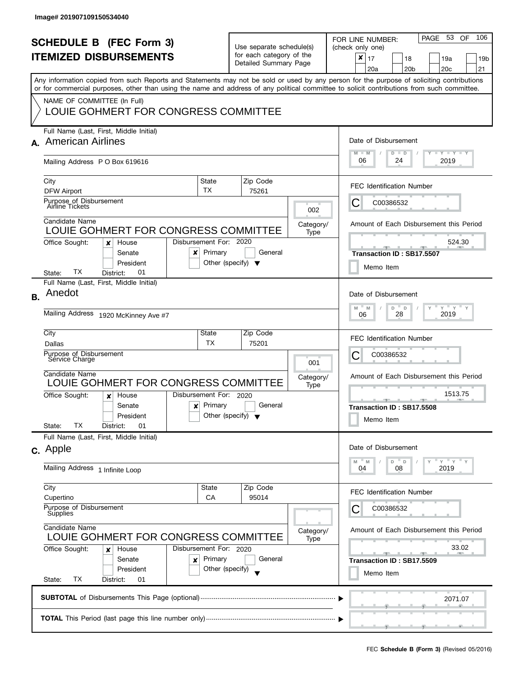| <b>SCHEDULE B</b> (FEC Form 3)<br><b>ITEMIZED DISBURSEMENTS</b> |                                                                                                                                                                           |                                                                           | Use separate schedule(s)<br>for each category of the |                   |                   | PAGE 53<br>106<br>OF.<br>FOR LINE NUMBER:<br>(check only one)<br>×                    |
|-----------------------------------------------------------------|---------------------------------------------------------------------------------------------------------------------------------------------------------------------------|---------------------------------------------------------------------------|------------------------------------------------------|-------------------|-------------------|---------------------------------------------------------------------------------------|
|                                                                 |                                                                                                                                                                           |                                                                           | Detailed Summary Page                                |                   |                   | 17<br>18<br>19a<br>19 <sub>b</sub><br>20a<br>20 <sub>b</sub><br>20 <sub>c</sub><br>21 |
|                                                                 | Any information copied from such Reports and Statements may not be sold or used by any person for the purpose of soliciting contributions                                 |                                                                           |                                                      |                   |                   |                                                                                       |
|                                                                 | or for commercial purposes, other than using the name and address of any political committee to solicit contributions from such committee.<br>NAME OF COMMITTEE (In Full) |                                                                           |                                                      |                   |                   |                                                                                       |
|                                                                 | LOUIE GOHMERT FOR CONGRESS COMMITTEE                                                                                                                                      |                                                                           |                                                      |                   |                   |                                                                                       |
|                                                                 | Full Name (Last, First, Middle Initial)<br>A. American Airlines                                                                                                           |                                                                           |                                                      |                   |                   | Date of Disbursement                                                                  |
|                                                                 | Mailing Address PO Box 619616                                                                                                                                             |                                                                           |                                                      |                   |                   | $T - Y = T - Y$<br>$M - M$<br>$D$ $D$<br>06<br>24<br>2019                             |
|                                                                 | City<br>DFW Airport                                                                                                                                                       | State<br><b>TX</b>                                                        |                                                      | Zip Code<br>75261 |                   | <b>FEC Identification Number</b>                                                      |
|                                                                 | Purpose of Disbursement<br>Airline Tickets                                                                                                                                |                                                                           |                                                      |                   | 002               | C<br>C00386532                                                                        |
|                                                                 | Candidate Name<br>LOUIE GOHMERT FOR CONGRESS COMMITTEE                                                                                                                    |                                                                           |                                                      |                   | Category/<br>Type | Amount of Each Disbursement this Period                                               |
|                                                                 | Office Sought:<br>House<br>x<br>Senate<br>x<br>President                                                                                                                  | Disbursement For: 2020<br>Primary<br>Other (specify) $\blacktriangledown$ |                                                      | General           |                   | 524.30<br>Transaction ID: SB17.5507                                                   |
|                                                                 | TХ<br>01<br>District:<br>State:                                                                                                                                           |                                                                           |                                                      |                   |                   | Memo Item                                                                             |
| <b>B.</b>                                                       | Full Name (Last, First, Middle Initial)<br>Anedot                                                                                                                         |                                                                           |                                                      |                   |                   | Date of Disbursement                                                                  |
|                                                                 | Mailing Address 1920 McKinney Ave #7                                                                                                                                      | $Y = Y$<br>D<br>M<br>D<br>M<br>2019<br>28<br>06                           |                                                      |                   |                   |                                                                                       |
|                                                                 | City<br>Dallas                                                                                                                                                            | State<br>TX                                                               |                                                      | Zip Code<br>75201 |                   | <b>FEC Identification Number</b>                                                      |
|                                                                 | Purpose of Disbursement<br>Sérvice Charge                                                                                                                                 |                                                                           |                                                      |                   |                   | С<br>C00386532                                                                        |
|                                                                 | Candidate Name<br>LOUIE GOHMERT FOR CONGRESS COMMITTEE                                                                                                                    |                                                                           | 001<br>Category/<br>Type<br>Disbursement For: 2020   |                   |                   | Amount of Each Disbursement this Period                                               |
|                                                                 | Office Sought:<br>House<br>x                                                                                                                                              |                                                                           |                                                      |                   |                   | 1513.75<br><b>COLLECTION</b>                                                          |
|                                                                 | Senate<br>$\boldsymbol{\mathsf{x}}$<br>President                                                                                                                          | Primary<br>Other (specify) $\blacktriangledown$                           |                                                      | General           |                   | Transaction ID: SB17.5508<br>Memo Item                                                |
|                                                                 | ТX<br>01<br>State:<br>District:<br>Full Name (Last, First, Middle Initial)                                                                                                |                                                                           |                                                      |                   |                   |                                                                                       |
|                                                                 | c. Apple                                                                                                                                                                  |                                                                           |                                                      |                   |                   | Date of Disbursement<br>$Y = Y = Y$<br>D<br>D                                         |
|                                                                 | Mailing Address 1 Infinite Loop                                                                                                                                           |                                                                           |                                                      |                   |                   | M<br>M<br>04<br>2019<br>08                                                            |
|                                                                 | City<br>Cupertino                                                                                                                                                         | State<br>CA                                                               |                                                      | Zip Code<br>95014 |                   | <b>FEC Identification Number</b>                                                      |
|                                                                 | Purpose of Disbursement<br>Supplies<br>Candidate Name<br>LOUIE GOHMERT FOR CONGRESS COMMITTEE<br>Office Sought:<br>Disbursement For: 2020<br>House<br>x                   |                                                                           |                                                      |                   |                   | C00386532                                                                             |
|                                                                 |                                                                                                                                                                           |                                                                           |                                                      |                   | Category/<br>Type | Amount of Each Disbursement this Period                                               |
|                                                                 |                                                                                                                                                                           |                                                                           |                                                      |                   |                   | 33.02<br>$-$                                                                          |
|                                                                 | Senate<br>×<br>President                                                                                                                                                  | Primary<br>Other (specify)                                                |                                                      | General           |                   | Transaction ID: SB17.5509<br>Memo Item                                                |
|                                                                 | ТX<br>State:<br>District:<br>01                                                                                                                                           |                                                                           |                                                      |                   |                   |                                                                                       |
|                                                                 |                                                                                                                                                                           |                                                                           |                                                      |                   |                   | 2071.07                                                                               |
|                                                                 |                                                                                                                                                                           |                                                                           |                                                      |                   |                   |                                                                                       |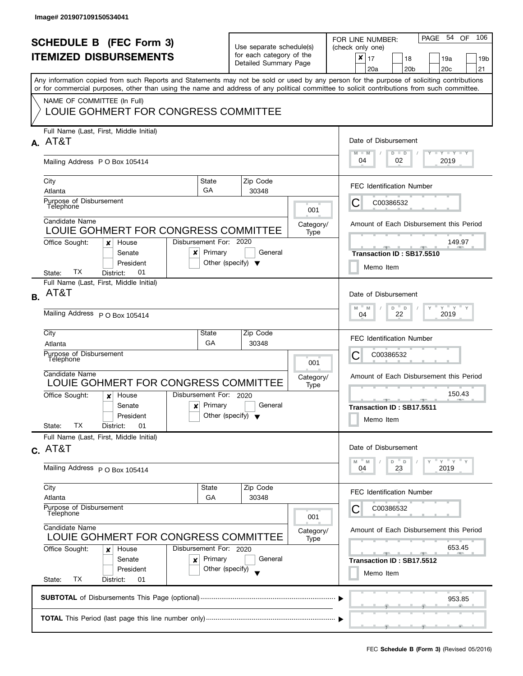|           | <b>SCHEDULE B</b> (FEC Form 3)<br><b>ITEMIZED DISBURSEMENTS</b><br>Any information copied from such Reports and Statements may not be sold or used by any person for the purpose of soliciting contributions<br>or for commercial purposes, other than using the name and address of any political committee to solicit contributions from such committee.<br>NAME OF COMMITTEE (In Full)<br>LOUIE GOHMERT FOR CONGRESS COMMITTEE |                                                                     | Use separate schedule(s)<br>for each category of the<br>Detailed Summary Page     |                          | 106<br>54 OF<br>PAGE<br>FOR LINE NUMBER:<br>(check only one)<br>$\boldsymbol{x}$<br>17<br>18<br>19a<br>19b<br>20 <sub>b</sub><br>20 <sub>c</sub><br>21<br>20a                                                                                                                                                                                                                                                                                                  |  |  |  |  |
|-----------|-----------------------------------------------------------------------------------------------------------------------------------------------------------------------------------------------------------------------------------------------------------------------------------------------------------------------------------------------------------------------------------------------------------------------------------|---------------------------------------------------------------------|-----------------------------------------------------------------------------------|--------------------------|----------------------------------------------------------------------------------------------------------------------------------------------------------------------------------------------------------------------------------------------------------------------------------------------------------------------------------------------------------------------------------------------------------------------------------------------------------------|--|--|--|--|
|           | Full Name (Last, First, Middle Initial)<br>A. AT&T<br>Mailing Address P O Box 105414                                                                                                                                                                                                                                                                                                                                              |                                                                     | Date of Disbursement<br>$T - Y = Y + Y$<br>$M - M$<br>$D$ $D$<br>04<br>02<br>2019 |                          |                                                                                                                                                                                                                                                                                                                                                                                                                                                                |  |  |  |  |
|           | City<br>Atlanta<br>Purpose of Disbursement<br>Telephone<br>Candidate Name<br>LOUIE GOHMERT FOR CONGRESS COMMITTEE<br>Office Sought:<br>House<br>x<br>Senate<br>×<br>President                                                                                                                                                                                                                                                     | State<br>GA<br>Disbursement For: 2020<br>Primary                    | Zip Code<br>30348<br>General<br>Other (specify) $\blacktriangledown$              | 001<br>Category/<br>Type | <b>FEC Identification Number</b><br>C00386532<br>C<br>Amount of Each Disbursement this Period<br>149.97<br>Transaction ID: SB17.5510<br>Memo Item                                                                                                                                                                                                                                                                                                              |  |  |  |  |
| <b>B.</b> | TX<br>01<br>District:<br>State:<br>Full Name (Last, First, Middle Initial)<br>AT&T<br>Mailing Address P O Box 105414<br>City<br>Atlanta<br>Purpose of Disbursement<br>Telephone<br>Candidate Name<br>LOUIE GOHMERT FOR CONGRESS COMMITTEE<br>Office Sought:<br>House<br>x<br>Senate<br>$\boldsymbol{\mathsf{x}}$<br>President                                                                                                     | State<br>GA<br>Disbursement For: 2020<br>Primary                    | Zip Code<br>30348<br>General<br>Other (specify) $\blacktriangledown$              | 001<br>Category/<br>Type | Date of Disbursement<br>$Y$ $Y$ $Y$<br>M<br>D<br>M<br>$\mathsf D$<br>22<br>2019<br>04<br><b>FEC Identification Number</b><br>С<br>C00386532<br>Amount of Each Disbursement this Period<br>150.43<br>A<br><u>ga karatanan ga</u><br>Transaction ID: SB17.5511<br>Memo Item                                                                                                                                                                                      |  |  |  |  |
|           | ТX<br>01<br>State:<br>District:<br>Full Name (Last, First, Middle Initial)<br>$c.$ AT&T<br>Mailing Address P O Box 105414<br>City<br>Atlanta<br>Purpose of Disbursement<br>Telephone<br>Candidate Name<br>LOUIE GOHMERT FOR CONGRESS COMMITTEE<br>Office Sought:<br>House<br>x<br>Senate<br>×<br>President<br>TX<br>State:<br>District:<br>01                                                                                     | State<br>GA<br>Disbursement For: 2020<br>Primary<br>Other (specify) | Zip Code<br>30348<br>General                                                      | 001<br>Category/<br>Type | Date of Disbursement<br>Y''Y''<br>D<br>D<br>M<br>M<br>23<br>2019<br>04<br><b>FEC Identification Number</b><br>C00386532<br>Amount of Each Disbursement this Period<br>653.45<br><u>and the set of the set of the set of the set of the set of the set of the set of the set of the set of the set of the set of the set of the set of the set of the set of the set of the set of the set of the set of the set </u><br>Transaction ID: SB17.5512<br>Memo Item |  |  |  |  |
|           | 953.85                                                                                                                                                                                                                                                                                                                                                                                                                            |                                                                     |                                                                                   |                          |                                                                                                                                                                                                                                                                                                                                                                                                                                                                |  |  |  |  |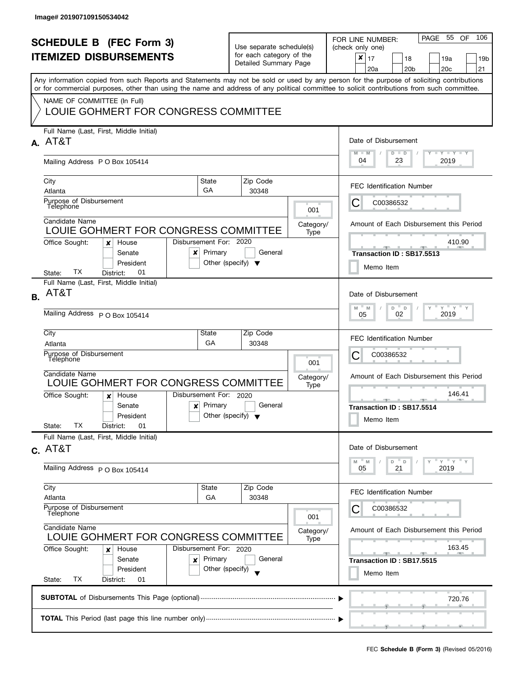| <b>SCHEDULE B (FEC Form 3)</b><br><b>ITEMIZED DISBURSEMENTS</b><br>Any information copied from such Reports and Statements may not be sold or used by any person for the purpose of soliciting contributions<br>or for commercial purposes, other than using the name and address of any political committee to solicit contributions from such committee.<br>NAME OF COMMITTEE (In Full) |                                                                                                                                                                      |                                                                           | Use separate schedule(s)<br>for each category of the<br>Detailed Summary Page |                   | PAGE 55<br>106<br><b>OF</b><br>FOR LINE NUMBER:<br>(check only one)<br>$\pmb{\times}$<br>17<br>18<br>19a<br>19 <sub>b</sub><br>20 <sub>b</sub><br>20 <sub>c</sub><br>21<br>20a                                                                                                                                                      |  |  |  |  |
|-------------------------------------------------------------------------------------------------------------------------------------------------------------------------------------------------------------------------------------------------------------------------------------------------------------------------------------------------------------------------------------------|----------------------------------------------------------------------------------------------------------------------------------------------------------------------|---------------------------------------------------------------------------|-------------------------------------------------------------------------------|-------------------|-------------------------------------------------------------------------------------------------------------------------------------------------------------------------------------------------------------------------------------------------------------------------------------------------------------------------------------|--|--|--|--|
|                                                                                                                                                                                                                                                                                                                                                                                           | LOUIE GOHMERT FOR CONGRESS COMMITTEE<br>Full Name (Last, First, Middle Initial)                                                                                      |                                                                           |                                                                               |                   |                                                                                                                                                                                                                                                                                                                                     |  |  |  |  |
|                                                                                                                                                                                                                                                                                                                                                                                           | A. AT&T<br>Mailing Address PO Box 105414                                                                                                                             |                                                                           |                                                                               |                   | Date of Disbursement<br>$T - Y - T Y - T Y$<br>$M - M$<br>$D$ $D$<br>04<br>23<br>2019                                                                                                                                                                                                                                               |  |  |  |  |
|                                                                                                                                                                                                                                                                                                                                                                                           | City<br>Atlanta                                                                                                                                                      | State<br>GA                                                               | Zip Code<br>30348                                                             |                   | <b>FEC Identification Number</b>                                                                                                                                                                                                                                                                                                    |  |  |  |  |
|                                                                                                                                                                                                                                                                                                                                                                                           | Purpose of Disbursement<br>Telephone<br>Candidate Name                                                                                                               |                                                                           |                                                                               | 001<br>Category/  | С<br>C00386532<br>Amount of Each Disbursement this Period                                                                                                                                                                                                                                                                           |  |  |  |  |
|                                                                                                                                                                                                                                                                                                                                                                                           | LOUIE GOHMERT FOR CONGRESS COMMITTEE<br>Office Sought:<br>House<br>×<br>Senate<br>x<br>President<br>ТX<br>01<br>State:<br>District:                                  | Disbursement For: 2020<br>Primary<br>Other (specify) $\blacktriangledown$ | General                                                                       | Type              | 410.90<br>Transaction ID: SB17.5513<br>Memo Item                                                                                                                                                                                                                                                                                    |  |  |  |  |
| <b>B.</b>                                                                                                                                                                                                                                                                                                                                                                                 | Full Name (Last, First, Middle Initial)<br>AT&T<br>Mailing Address P O Box 105414                                                                                    |                                                                           |                                                                               |                   | Date of Disbursement<br>$Y$ $Y$ $Y$<br>$\overline{a}$<br>M<br>D<br>M<br>2019<br>02<br>05                                                                                                                                                                                                                                            |  |  |  |  |
|                                                                                                                                                                                                                                                                                                                                                                                           | City<br>Atlanta<br>Purpose of Disbursement<br>Télephone                                                                                                              | State<br>GA                                                               | Zip Code<br>30348                                                             | 001               | <b>FEC Identification Number</b><br>С<br>C00386532                                                                                                                                                                                                                                                                                  |  |  |  |  |
|                                                                                                                                                                                                                                                                                                                                                                                           | Candidate Name<br>LOUIE GOHMERT FOR CONGRESS COMMITTEE<br>Office Sought:<br>House<br>x<br>Senate<br>$\boldsymbol{x}$<br>President<br>TХ<br>State:<br>District:<br>01 | Disbursement For: 2020<br>Primary<br>Other (specify) $\blacktriangledown$ | General                                                                       | Category/<br>Type | Amount of Each Disbursement this Period<br>146.41<br>Transaction ID: SB17.5514<br>Memo Item                                                                                                                                                                                                                                         |  |  |  |  |
|                                                                                                                                                                                                                                                                                                                                                                                           | Full Name (Last, First, Middle Initial)<br>$c.$ AT&T<br>Mailing Address P O Box 105414                                                                               |                                                                           |                                                                               |                   | Date of Disbursement<br>$Y = Y = Y$<br>D<br>" M<br>$\mathsf D$<br>M<br>21<br>2019<br>05                                                                                                                                                                                                                                             |  |  |  |  |
|                                                                                                                                                                                                                                                                                                                                                                                           | City<br>Atlanta<br>Purpose of Disbursement<br>Telephone                                                                                                              | State<br>GA                                                               | Zip Code<br>30348                                                             | 001               | <b>FEC Identification Number</b><br>C00386532                                                                                                                                                                                                                                                                                       |  |  |  |  |
|                                                                                                                                                                                                                                                                                                                                                                                           | Candidate Name<br>LOUIE GOHMERT FOR CONGRESS COMMITTEE<br>Office Sought:<br>House<br>×<br>Senate<br>×<br>President<br>ТX<br>State:<br>District:<br>01                | Disbursement For: 2020<br>Primary<br>Other (specify)                      | General                                                                       | Category/<br>Type | Amount of Each Disbursement this Period<br>163.45<br><u>and the state of the state of the state of the state of the state of the state of the state of the state of the state of the state of the state of the state of the state of the state of the state of the state of the state</u><br>Transaction ID: SB17.5515<br>Memo Item |  |  |  |  |
|                                                                                                                                                                                                                                                                                                                                                                                           | 720.76                                                                                                                                                               |                                                                           |                                                                               |                   |                                                                                                                                                                                                                                                                                                                                     |  |  |  |  |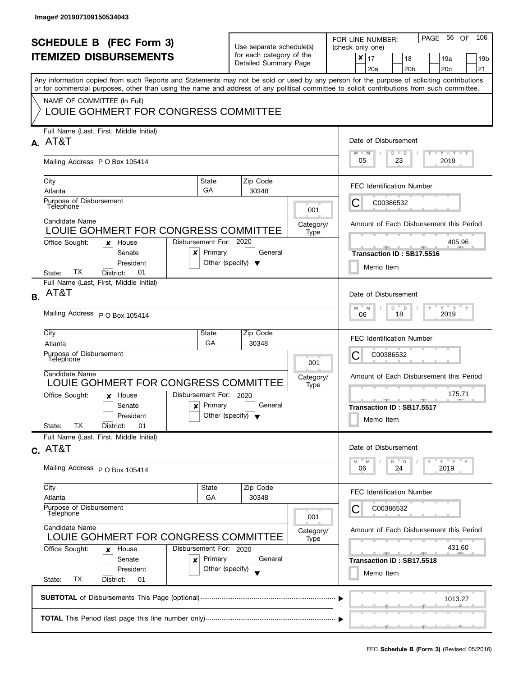| <b>SCHEDULE B (FEC Form 3)</b><br><b>ITEMIZED DISBURSEMENTS</b><br>Any information copied from such Reports and Statements may not be sold or used by any person for the purpose of soliciting contributions<br>or for commercial purposes, other than using the name and address of any political committee to solicit contributions from such committee.<br>NAME OF COMMITTEE (In Full) |                                                                                                                                                                                            |                                                                           | Use separate schedule(s)<br>for each category of the<br>Detailed Summary Page                                         |                          | PAGE 56<br>106<br><b>OF</b><br>FOR LINE NUMBER:<br>(check only one)<br>$\pmb{\times}$<br>17<br>18<br>19a<br>19 <sub>b</sub><br>20 <sub>b</sub><br>20 <sub>c</sub><br>21<br>20a |  |  |  |  |
|-------------------------------------------------------------------------------------------------------------------------------------------------------------------------------------------------------------------------------------------------------------------------------------------------------------------------------------------------------------------------------------------|--------------------------------------------------------------------------------------------------------------------------------------------------------------------------------------------|---------------------------------------------------------------------------|-----------------------------------------------------------------------------------------------------------------------|--------------------------|--------------------------------------------------------------------------------------------------------------------------------------------------------------------------------|--|--|--|--|
|                                                                                                                                                                                                                                                                                                                                                                                           | LOUIE GOHMERT FOR CONGRESS COMMITTEE<br>Full Name (Last, First, Middle Initial)<br>A. AT&T                                                                                                 | Date of Disbursement                                                      |                                                                                                                       |                          |                                                                                                                                                                                |  |  |  |  |
|                                                                                                                                                                                                                                                                                                                                                                                           | Mailing Address PO Box 105414                                                                                                                                                              |                                                                           |                                                                                                                       |                          | $T - Y - T Y - T Y$<br>$M - M$<br>$D$ $D$<br>05<br>23<br>2019                                                                                                                  |  |  |  |  |
|                                                                                                                                                                                                                                                                                                                                                                                           | City<br>Atlanta<br>Purpose of Disbursement                                                                                                                                                 | State<br>GA                                                               | Zip Code<br>30348                                                                                                     |                          | <b>FEC Identification Number</b><br>С<br>C00386532                                                                                                                             |  |  |  |  |
|                                                                                                                                                                                                                                                                                                                                                                                           | Telephone<br>Candidate Name<br>LOUIE GOHMERT FOR CONGRESS COMMITTEE                                                                                                                        |                                                                           |                                                                                                                       | 001<br>Category/<br>Type | Amount of Each Disbursement this Period                                                                                                                                        |  |  |  |  |
|                                                                                                                                                                                                                                                                                                                                                                                           | Office Sought:<br>House<br>×<br>Senate<br>x<br>President<br>ТX<br>01<br>State:<br>District:                                                                                                | Disbursement For: 2020<br>Primary<br>Other (specify) $\blacktriangledown$ | General                                                                                                               |                          | 405.96<br>Transaction ID: SB17.5516<br>Memo Item                                                                                                                               |  |  |  |  |
| <b>B.</b>                                                                                                                                                                                                                                                                                                                                                                                 | Full Name (Last, First, Middle Initial)<br>AT&T                                                                                                                                            |                                                                           |                                                                                                                       |                          | Date of Disbursement<br>$Y$ $Y$ $Y$<br>M<br>D<br>$\mathbb D$<br>M                                                                                                              |  |  |  |  |
|                                                                                                                                                                                                                                                                                                                                                                                           | Mailing Address P O Box 105414<br>City<br>State                                                                                                                                            |                                                                           | 2019<br>18<br>06                                                                                                      |                          |                                                                                                                                                                                |  |  |  |  |
|                                                                                                                                                                                                                                                                                                                                                                                           | Atlanta<br>Purpose of Disbursement<br>Télephone                                                                                                                                            | GA                                                                        | 30348                                                                                                                 | 001                      | <b>FEC Identification Number</b><br>С<br>C00386532                                                                                                                             |  |  |  |  |
|                                                                                                                                                                                                                                                                                                                                                                                           | Candidate Name<br>LOUIE GOHMERT FOR CONGRESS COMMITTEE<br>Office Sought:<br>House<br>x                                                                                                     | Disbursement For: 2020                                                    |                                                                                                                       | Category/<br>Type        | Amount of Each Disbursement this Period<br>175.71                                                                                                                              |  |  |  |  |
|                                                                                                                                                                                                                                                                                                                                                                                           | Senate<br>$\boldsymbol{x}$<br>President<br>TХ<br>State:<br>District:<br>01                                                                                                                 | Primary<br>Other (specify) $\blacktriangledown$                           | General                                                                                                               |                          | Transaction ID: SB17.5517<br>Memo Item                                                                                                                                         |  |  |  |  |
|                                                                                                                                                                                                                                                                                                                                                                                           | Full Name (Last, First, Middle Initial)<br>$c.$ AT&T                                                                                                                                       |                                                                           |                                                                                                                       |                          | Date of Disbursement<br>$Y = Y = Y$<br>$D$ $D$<br>M<br>M                                                                                                                       |  |  |  |  |
|                                                                                                                                                                                                                                                                                                                                                                                           | Mailing Address P O Box 105414<br>City                                                                                                                                                     | State                                                                     | Zip Code                                                                                                              |                          | 24<br>2019<br>06                                                                                                                                                               |  |  |  |  |
|                                                                                                                                                                                                                                                                                                                                                                                           | Atlanta<br>Purpose of Disbursement<br>Telephone                                                                                                                                            | GA                                                                        | 30348                                                                                                                 | 001                      | <b>FEC Identification Number</b><br>C00386532                                                                                                                                  |  |  |  |  |
|                                                                                                                                                                                                                                                                                                                                                                                           | Candidate Name<br>LOUIE GOHMERT FOR CONGRESS COMMITTEE<br>Office Sought:<br>Disbursement For: 2020<br>House<br>×<br>Primary<br>Senate<br>×<br>President<br>ТX<br>State:<br>District:<br>01 | Category/<br>Type                                                         | Amount of Each Disbursement this Period<br>431.60<br><u> grad de la gra</u><br>Transaction ID: SB17.5518<br>Memo Item |                          |                                                                                                                                                                                |  |  |  |  |
|                                                                                                                                                                                                                                                                                                                                                                                           |                                                                                                                                                                                            |                                                                           |                                                                                                                       |                          | 1013.27                                                                                                                                                                        |  |  |  |  |
|                                                                                                                                                                                                                                                                                                                                                                                           |                                                                                                                                                                                            |                                                                           |                                                                                                                       |                          |                                                                                                                                                                                |  |  |  |  |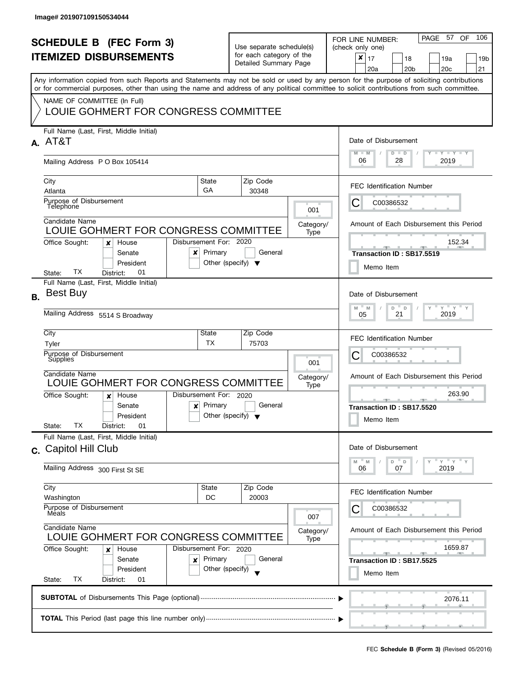| <b>SCHEDULE B (FEC Form 3)</b><br><b>ITEMIZED DISBURSEMENTS</b> |                                                                                                                                                                                                                                                                                                                                                                |                                                                       | Use separate schedule(s)<br>for each category of the<br>Detailed Summary Page |                   | PAGE 57 OF<br>106<br>FOR LINE NUMBER:<br>(check only one)<br>$\pmb{\times}$<br>17<br>18<br>19a<br>19b<br>20 <sub>c</sub><br>21<br>20a<br>20 <sub>b</sub> |
|-----------------------------------------------------------------|----------------------------------------------------------------------------------------------------------------------------------------------------------------------------------------------------------------------------------------------------------------------------------------------------------------------------------------------------------------|-----------------------------------------------------------------------|-------------------------------------------------------------------------------|-------------------|----------------------------------------------------------------------------------------------------------------------------------------------------------|
|                                                                 | Any information copied from such Reports and Statements may not be sold or used by any person for the purpose of soliciting contributions<br>or for commercial purposes, other than using the name and address of any political committee to solicit contributions from such committee.<br>NAME OF COMMITTEE (In Full)<br>LOUIE GOHMERT FOR CONGRESS COMMITTEE |                                                                       |                                                                               |                   |                                                                                                                                                          |
|                                                                 | Full Name (Last, First, Middle Initial)<br>A. AT&T                                                                                                                                                                                                                                                                                                             | Date of Disbursement<br>$T - Y = T - Y = T - Y$<br>$M - M$<br>$D$ $D$ |                                                                               |                   |                                                                                                                                                          |
|                                                                 | Mailing Address PO Box 105414<br>City<br>Atlanta                                                                                                                                                                                                                                                                                                               | State<br>GA                                                           | Zip Code<br>30348                                                             |                   | 06<br>28<br>2019<br><b>FEC Identification Number</b>                                                                                                     |
|                                                                 | Purpose of Disbursement<br>Telephone<br>Candidate Name                                                                                                                                                                                                                                                                                                         |                                                                       |                                                                               | 001               | C00386532<br>C                                                                                                                                           |
|                                                                 | LOUIE GOHMERT FOR CONGRESS COMMITTEE<br>Disbursement For: 2020<br>Office Sought:<br>House<br>×<br>Senate<br>x<br>President<br>ТX<br>01<br>District:<br>State:                                                                                                                                                                                                  | Primary                                                               | General<br>Other (specify) $\blacktriangledown$                               | Category/<br>Type | Amount of Each Disbursement this Period<br>152.34<br>Transaction ID: SB17.5519<br>Memo Item                                                              |
| <b>B.</b>                                                       | Full Name (Last, First, Middle Initial)<br><b>Best Buy</b><br>Mailing Address 5514 S Broadway                                                                                                                                                                                                                                                                  |                                                                       |                                                                               |                   | Date of Disbursement<br>$Y$ $Y$ $Y$<br>D<br>M<br>M<br>D<br>2019<br>21<br>05                                                                              |
|                                                                 | City<br>Tyler<br>Purpose of Disbursement<br>Supplies<br>Candidate Name                                                                                                                                                                                                                                                                                         | State<br><b>TX</b>                                                    | Zip Code<br>75703                                                             | 001<br>Category/  | <b>FEC Identification Number</b><br>С<br>C00386532<br>Amount of Each Disbursement this Period                                                            |
|                                                                 | LOUIE GOHMERT FOR CONGRESS COMMITTEE<br>Disbursement For: 2020<br>Office Sought:<br>House<br>x<br>Senate<br>$\mathbf{x}$<br>President<br>ТX<br>01<br>State:<br>District:                                                                                                                                                                                       | Primary                                                               | General<br>Other (specify) $\blacktriangledown$                               | Type              | 263.90<br>Transaction ID: SB17.5520<br>Memo Item                                                                                                         |
|                                                                 | Full Name (Last, First, Middle Initial)<br>c. Capitol Hill Club<br>Mailing Address 300 First St SE                                                                                                                                                                                                                                                             |                                                                       |                                                                               |                   | Date of Disbursement<br>$Y'$ $Y'$ $Y$<br>M<br>M<br>D<br>$\mathsf D$<br>2019<br>06<br>07                                                                  |
|                                                                 | City<br>Washington<br>Purpose of Disbursement<br>Meals                                                                                                                                                                                                                                                                                                         | State<br>DC                                                           | Zip Code<br>20003                                                             | 007               | <b>FEC Identification Number</b><br>C00386532                                                                                                            |
|                                                                 | Candidate Name<br>LOUIE GOHMERT FOR CONGRESS COMMITTEE<br>Office Sought:<br>Disbursement For: 2020<br>House<br>x<br>Senate<br>×<br>President<br>State:<br>ТX<br>District:<br>01                                                                                                                                                                                | Primary<br>Other (specify)                                            | General                                                                       | Category/<br>Type | Amount of Each Disbursement this Period<br>1659.87<br>Transaction ID: SB17.5525<br>Memo Item                                                             |
|                                                                 |                                                                                                                                                                                                                                                                                                                                                                | 2076.11                                                               |                                                                               |                   |                                                                                                                                                          |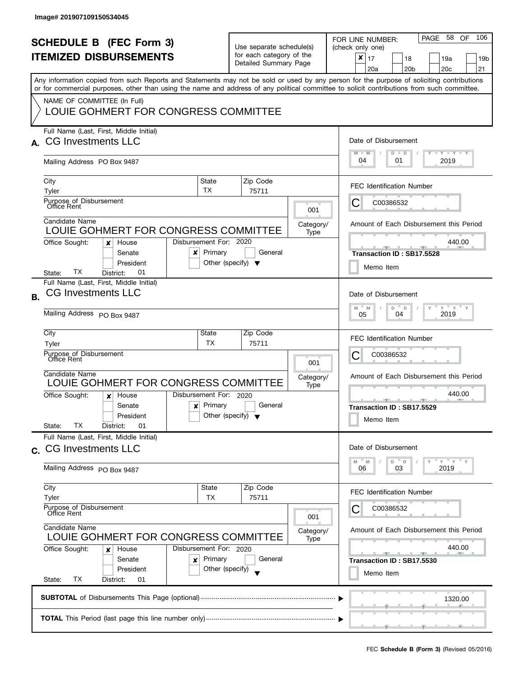| <b>SCHEDULE B (FEC Form 3)</b><br><b>ITEMIZED DISBURSEMENTS</b><br>Any information copied from such Reports and Statements may not be sold or used by any person for the purpose of soliciting contributions<br>or for commercial purposes, other than using the name and address of any political committee to solicit contributions from such committee. |                                                                                                                       |                                                      | Use separate schedule(s)<br>for each category of the<br>Detailed Summary Page |                                                                                  | 106<br>58<br>PAGE<br>OF<br>FOR LINE NUMBER:<br>(check only one)<br>$\pmb{\times}$<br>17<br>18<br>19a<br>19b<br>20 <sub>b</sub><br>20 <sub>c</sub><br>21<br>20a |
|------------------------------------------------------------------------------------------------------------------------------------------------------------------------------------------------------------------------------------------------------------------------------------------------------------------------------------------------------------|-----------------------------------------------------------------------------------------------------------------------|------------------------------------------------------|-------------------------------------------------------------------------------|----------------------------------------------------------------------------------|----------------------------------------------------------------------------------------------------------------------------------------------------------------|
|                                                                                                                                                                                                                                                                                                                                                            | NAME OF COMMITTEE (In Full)<br>LOUIE GOHMERT FOR CONGRESS COMMITTEE                                                   |                                                      |                                                                               |                                                                                  |                                                                                                                                                                |
| $\Delta$                                                                                                                                                                                                                                                                                                                                                   | Full Name (Last, First, Middle Initial)<br><b>CG Investments LLC</b><br>Mailing Address PO Box 9487                   |                                                      |                                                                               |                                                                                  | Date of Disbursement<br>$T - Y$ $T - Y$ $T - Y$<br>$M - M$<br>$D$ $D$<br>04<br>01<br>2019                                                                      |
|                                                                                                                                                                                                                                                                                                                                                            | City                                                                                                                  | State                                                | Zip Code                                                                      |                                                                                  | <b>FEC Identification Number</b>                                                                                                                               |
|                                                                                                                                                                                                                                                                                                                                                            | Tyler<br>Purpose of Disbursement<br>Office Rent                                                                       | TX.                                                  | 75711                                                                         | 001                                                                              | C<br>C00386532                                                                                                                                                 |
|                                                                                                                                                                                                                                                                                                                                                            | Candidate Name<br>LOUIE GOHMERT FOR CONGRESS COMMITTEE                                                                |                                                      |                                                                               | Category/<br>Type                                                                | Amount of Each Disbursement this Period                                                                                                                        |
|                                                                                                                                                                                                                                                                                                                                                            | Office Sought:<br>House<br>×<br>Senate<br>x<br>President<br>TХ<br>01<br>District:<br>State:                           | Disbursement For: 2020<br>Primary                    | General<br>Other (specify) $\blacktriangledown$                               |                                                                                  | 440.00<br>Transaction ID: SB17.5528<br>Memo Item                                                                                                               |
| <b>B.</b>                                                                                                                                                                                                                                                                                                                                                  | Full Name (Last, First, Middle Initial)<br><b>CG Investments LLC</b><br>Mailing Address PO Box 9487                   |                                                      |                                                                               | Date of Disbursement<br>$Y$ $Y$ $Y$<br>M<br>D<br>M<br>$\Box$<br>2019<br>04<br>05 |                                                                                                                                                                |
|                                                                                                                                                                                                                                                                                                                                                            | City<br>Tyler<br>Purpose of Disbursement<br><b>Office Rent</b>                                                        | State<br>TΧ.                                         | Zip Code<br>75711                                                             | 001                                                                              | <b>FEC Identification Number</b><br>С<br>C00386532                                                                                                             |
|                                                                                                                                                                                                                                                                                                                                                            | Candidate Name<br>LOUIE GOHMERT FOR CONGRESS COMMITTEE                                                                | Disbursement For: 2020                               |                                                                               | Category/<br>Type                                                                | Amount of Each Disbursement this Period<br>440.00                                                                                                              |
|                                                                                                                                                                                                                                                                                                                                                            | Office Sought:<br>House<br>$\boldsymbol{x}$<br>Senate<br>$\mathbf{x}$<br>President<br>TХ<br>01<br>District:<br>State: | Primary                                              | General<br>Other (specify) $\blacktriangledown$                               |                                                                                  | <b>ARCHITECT</b><br>Transaction ID: SB17.5529<br>Memo Item                                                                                                     |
|                                                                                                                                                                                                                                                                                                                                                            | Full Name (Last, First, Middle Initial)<br>c. CG Investments LLC                                                      |                                                      |                                                                               |                                                                                  | Date of Disbursement<br>$Y = Y$<br>D<br>$\mathsf D$<br>M<br>M                                                                                                  |
|                                                                                                                                                                                                                                                                                                                                                            | Mailing Address PO Box 9487<br>City                                                                                   | <b>State</b>                                         | Zip Code                                                                      |                                                                                  | 2019<br>06<br>03                                                                                                                                               |
|                                                                                                                                                                                                                                                                                                                                                            | Tyler<br>Purpose of Disbursement<br>Office Rent                                                                       | <b>TX</b>                                            | 75711                                                                         | 001                                                                              | <b>FEC Identification Number</b><br>C00386532                                                                                                                  |
|                                                                                                                                                                                                                                                                                                                                                            | Candidate Name<br>LOUIE GOHMERT FOR CONGRESS COMMITTEE                                                                |                                                      |                                                                               | Category/<br>Type                                                                | Amount of Each Disbursement this Period                                                                                                                        |
|                                                                                                                                                                                                                                                                                                                                                            | Office Sought:<br>House<br>x<br>Senate<br>×<br>President<br>ТX<br>State:<br>District:<br>01                           | Disbursement For: 2020<br>Primary<br>Other (specify) | General                                                                       |                                                                                  | 440.00<br><b>COLLECTIVE</b><br>Transaction ID: SB17.5530<br>Memo Item                                                                                          |
|                                                                                                                                                                                                                                                                                                                                                            |                                                                                                                       |                                                      |                                                                               |                                                                                  | 1320.00                                                                                                                                                        |
|                                                                                                                                                                                                                                                                                                                                                            |                                                                                                                       |                                                      |                                                                               |                                                                                  |                                                                                                                                                                |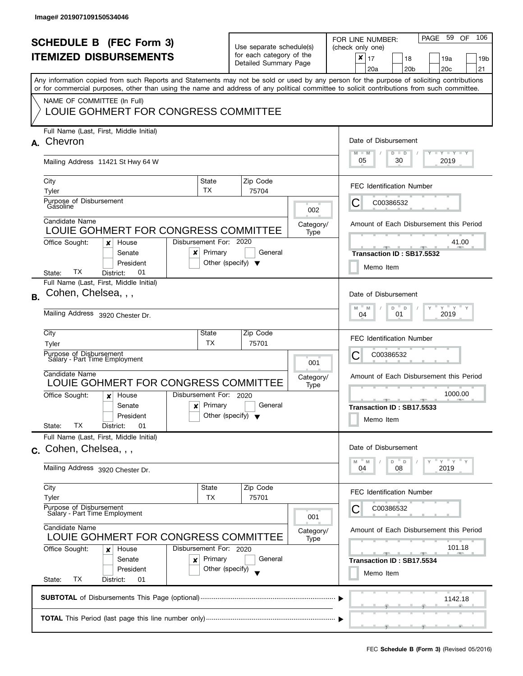| <b>SCHEDULE B (FEC Form 3)</b><br><b>ITEMIZED DISBURSEMENTS</b><br>Any information copied from such Reports and Statements may not be sold or used by any person for the purpose of soliciting contributions<br>or for commercial purposes, other than using the name and address of any political committee to solicit contributions from such committee.<br>NAME OF COMMITTEE (In Full)<br>LOUIE GOHMERT FOR CONGRESS COMMITTEE |                                                                                                                                                                                 |                                                                       | Use separate schedule(s)<br>for each category of the<br>Detailed Summary Page |                   | PAGE 59<br>106<br>OF.<br>FOR LINE NUMBER:<br>(check only one)<br>$\boldsymbol{x}$<br>17<br>18<br>19a<br>19 <sub>b</sub><br>20 <sub>b</sub><br>20 <sub>c</sub><br>21<br>20a |
|-----------------------------------------------------------------------------------------------------------------------------------------------------------------------------------------------------------------------------------------------------------------------------------------------------------------------------------------------------------------------------------------------------------------------------------|---------------------------------------------------------------------------------------------------------------------------------------------------------------------------------|-----------------------------------------------------------------------|-------------------------------------------------------------------------------|-------------------|----------------------------------------------------------------------------------------------------------------------------------------------------------------------------|
| А.                                                                                                                                                                                                                                                                                                                                                                                                                                | Full Name (Last, First, Middle Initial)<br>Chevron                                                                                                                              | Date of Disbursement<br>$M - M$<br>$T$ $Y$ $T$ $Y$ $T$ $Y$<br>$D$ $D$ |                                                                               |                   |                                                                                                                                                                            |
|                                                                                                                                                                                                                                                                                                                                                                                                                                   | Mailing Address 11421 St Hwy 64 W                                                                                                                                               |                                                                       |                                                                               |                   | 05<br>30<br>2019                                                                                                                                                           |
|                                                                                                                                                                                                                                                                                                                                                                                                                                   | City<br>TX<br>Tyler<br>Purpose of Disbursement<br>Gasoline                                                                                                                      | State                                                                 | Zip Code<br>75704                                                             | 002               | <b>FEC Identification Number</b><br>С<br>C00386532                                                                                                                         |
|                                                                                                                                                                                                                                                                                                                                                                                                                                   | Candidate Name<br>LOUIE GOHMERT FOR CONGRESS COMMITTEE<br>Disbursement For: 2020<br>Office Sought:<br>House<br>x                                                                |                                                                       |                                                                               | Category/<br>Type | Amount of Each Disbursement this Period<br>41.00                                                                                                                           |
|                                                                                                                                                                                                                                                                                                                                                                                                                                   | Senate<br>x<br>President<br>TХ<br>01<br>District:<br>State:                                                                                                                     | Primary<br>Other (specify) $\blacktriangledown$                       | General                                                                       |                   | Transaction ID: SB17.5532<br>Memo Item                                                                                                                                     |
| <b>B.</b>                                                                                                                                                                                                                                                                                                                                                                                                                         | Full Name (Last, First, Middle Initial)<br>Cohen, Chelsea, , ,                                                                                                                  |                                                                       |                                                                               |                   | Date of Disbursement<br>$Y$ $Y$ $Y$<br>$\overline{a}$<br>M<br>D<br>$\mathsf{Y}$<br>M                                                                                       |
|                                                                                                                                                                                                                                                                                                                                                                                                                                   | Mailing Address 3920 Chester Dr.<br>City<br>State                                                                                                                               | 2019<br>01<br>04                                                      |                                                                               |                   |                                                                                                                                                                            |
|                                                                                                                                                                                                                                                                                                                                                                                                                                   | Tyler<br>Purpose of Disbursement<br>Salary - Part Time Employment                                                                                                               | ТX                                                                    | 75701                                                                         | 001               | <b>FEC Identification Number</b><br>С<br>C00386532                                                                                                                         |
|                                                                                                                                                                                                                                                                                                                                                                                                                                   | Candidate Name<br>LOUIE GOHMERT FOR CONGRESS COMMITTEE                                                                                                                          |                                                                       |                                                                               | Category/<br>Type | Amount of Each Disbursement this Period                                                                                                                                    |
|                                                                                                                                                                                                                                                                                                                                                                                                                                   | Disbursement For: 2020<br>Office Sought:<br>House<br>$\boldsymbol{x}$<br>Senate<br>$\boldsymbol{x}$<br>President<br>ТX<br>State:<br>District:<br>01                             | Primary<br>Other (specify) $\blacktriangledown$                       | General                                                                       |                   | 1000.00<br>Transaction ID: SB17.5533<br>Memo Item                                                                                                                          |
| C.                                                                                                                                                                                                                                                                                                                                                                                                                                | Full Name (Last, First, Middle Initial)<br>Cohen, Chelsea, , ,                                                                                                                  |                                                                       |                                                                               |                   | Date of Disbursement<br>$Y = Y$<br>D<br>$\mathsf D$<br>M<br>M                                                                                                              |
|                                                                                                                                                                                                                                                                                                                                                                                                                                   | Mailing Address 3920 Chester Dr.<br>City                                                                                                                                        | <b>State</b>                                                          | Zip Code                                                                      |                   | 2019<br>04<br>08                                                                                                                                                           |
|                                                                                                                                                                                                                                                                                                                                                                                                                                   | Tyler<br>Purpose of Disbursement<br>Salary - Part Time Employment                                                                                                               | TX                                                                    | 75701                                                                         | 001               | <b>FEC Identification Number</b><br>C00386532                                                                                                                              |
|                                                                                                                                                                                                                                                                                                                                                                                                                                   | Candidate Name<br>LOUIE GOHMERT FOR CONGRESS COMMITTEE<br>Office Sought:<br>Disbursement For: 2020<br>House<br>x<br>Senate<br>×<br>President<br>ТX<br>State:<br>District:<br>01 | Primary<br>Other (specify)                                            | General                                                                       | Category/<br>Type | Amount of Each Disbursement this Period<br>101.18<br><b>All Contracts</b><br>Transaction ID: SB17.5534<br>Memo Item                                                        |
|                                                                                                                                                                                                                                                                                                                                                                                                                                   |                                                                                                                                                                                 |                                                                       |                                                                               |                   | 1142.18                                                                                                                                                                    |
|                                                                                                                                                                                                                                                                                                                                                                                                                                   |                                                                                                                                                                                 |                                                                       |                                                                               |                   |                                                                                                                                                                            |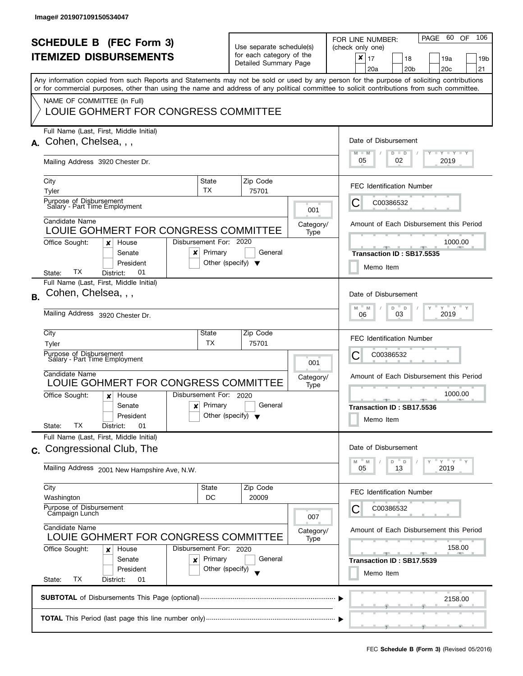|    | <b>SCHEDULE B (FEC Form 3)</b><br><b>ITEMIZED DISBURSEMENTS</b><br>Any information copied from such Reports and Statements may not be sold or used by any person for the purpose of soliciting contributions<br>or for commercial purposes, other than using the name and address of any political committee to solicit contributions from such committee.<br>NAME OF COMMITTEE (In Full) |                                                                           |                          | Use separate schedule(s)<br>for each category of the<br>Detailed Summary Page |                   | -60<br>106<br>PAGE<br>OF<br>FOR LINE NUMBER:<br>(check only one)<br>$x \mid 17$<br>18<br>19a<br>19b<br>20a<br>20 <sub>b</sub><br>20 <sub>c</sub><br>21 |
|----|-------------------------------------------------------------------------------------------------------------------------------------------------------------------------------------------------------------------------------------------------------------------------------------------------------------------------------------------------------------------------------------------|---------------------------------------------------------------------------|--------------------------|-------------------------------------------------------------------------------|-------------------|--------------------------------------------------------------------------------------------------------------------------------------------------------|
|    | LOUIE GOHMERT FOR CONGRESS COMMITTEE                                                                                                                                                                                                                                                                                                                                                      |                                                                           |                          |                                                                               |                   |                                                                                                                                                        |
| А. | Full Name (Last, First, Middle Initial)<br>Cohen, Chelsea, , ,                                                                                                                                                                                                                                                                                                                            |                                                                           |                          |                                                                               |                   | Date of Disbursement<br>$M - M$<br>$T - Y = T - Y = T - Y$<br>$D$ $D$                                                                                  |
|    | Mailing Address 3920 Chester Dr.                                                                                                                                                                                                                                                                                                                                                          |                                                                           |                          |                                                                               |                   | 05<br>02<br>2019                                                                                                                                       |
|    | City<br>Tyler                                                                                                                                                                                                                                                                                                                                                                             | State<br><b>TX</b>                                                        |                          | Zip Code<br>75701                                                             |                   | <b>FEC Identification Number</b>                                                                                                                       |
|    | Purpose of Disbursement<br>Salary - Part Time Employment                                                                                                                                                                                                                                                                                                                                  |                                                                           |                          |                                                                               | 001               | C00386532<br>Ċ                                                                                                                                         |
|    | Candidate Name<br>LOUIE GOHMERT FOR CONGRESS COMMITTEE                                                                                                                                                                                                                                                                                                                                    |                                                                           |                          |                                                                               | Category/<br>Type | Amount of Each Disbursement this Period                                                                                                                |
|    | Office Sought:<br>House<br>×<br>Senate<br>x<br>President<br>TХ<br>01<br>District:<br>State:                                                                                                                                                                                                                                                                                               | Disbursement For: 2020<br>Primary<br>Other (specify) $\blacktriangledown$ |                          | General                                                                       |                   | 1000.00<br>Transaction ID: SB17.5535<br>Memo Item                                                                                                      |
| В. | Full Name (Last, First, Middle Initial)<br>Cohen, Chelsea, , ,                                                                                                                                                                                                                                                                                                                            |                                                                           |                          |                                                                               |                   | Date of Disbursement<br>$Y$ $Y$ $Y$<br>M<br>D<br>M<br>D                                                                                                |
|    | Mailing Address 3920 Chester Dr.                                                                                                                                                                                                                                                                                                                                                          |                                                                           |                          |                                                                               |                   | 2019<br>03<br>06                                                                                                                                       |
|    | City<br>Tyler                                                                                                                                                                                                                                                                                                                                                                             | State<br>TX                                                               |                          | Zip Code<br>75701                                                             |                   | <b>FEC Identification Number</b>                                                                                                                       |
|    | Purpose of Disbursement<br>Salary - Part Time Employment                                                                                                                                                                                                                                                                                                                                  |                                                                           | 001<br>Category/<br>Type |                                                                               |                   | С<br>C00386532                                                                                                                                         |
|    | Candidate Name<br>LOUIE GOHMERT FOR CONGRESS COMMITTEE                                                                                                                                                                                                                                                                                                                                    |                                                                           |                          |                                                                               |                   | Amount of Each Disbursement this Period                                                                                                                |
|    | Office Sought:<br>House<br>x<br>Senate<br>$\boldsymbol{\mathsf{x}}$<br>President<br>ТX<br>01<br>District:<br>State:                                                                                                                                                                                                                                                                       | Disbursement For: 2020<br>Primary<br>Other (specify) $\blacktriangledown$ |                          | General                                                                       |                   | 1000.00<br>Transaction ID: SB17.5536<br>Memo Item                                                                                                      |
| C. | Full Name (Last, First, Middle Initial)<br>Congressional Club, The                                                                                                                                                                                                                                                                                                                        |                                                                           |                          |                                                                               |                   | Date of Disbursement                                                                                                                                   |
|    | Mailing Address 2001 New Hampshire Ave, N.W.                                                                                                                                                                                                                                                                                                                                              |                                                                           |                          |                                                                               |                   | Y''Y''<br>D<br>D<br>M<br>M<br>13<br>2019<br>05                                                                                                         |
|    | City<br>Washington                                                                                                                                                                                                                                                                                                                                                                        | State<br>DC                                                               |                          | Zip Code<br>20009                                                             |                   | <b>FEC Identification Number</b>                                                                                                                       |
|    | Purpose of Disbursement<br>Campaign Lunch<br>Candidate Name<br>LOUIE GOHMERT FOR CONGRESS COMMITTEE                                                                                                                                                                                                                                                                                       |                                                                           |                          |                                                                               | 007               | C00386532                                                                                                                                              |
|    |                                                                                                                                                                                                                                                                                                                                                                                           |                                                                           |                          |                                                                               | Category/<br>Type | Amount of Each Disbursement this Period                                                                                                                |
|    | Office Sought:<br>House<br>x<br>Senate<br>×<br>President<br>ТX<br>State:<br>District:<br>01                                                                                                                                                                                                                                                                                               | Disbursement For: 2020<br>Primary<br>Other (specify)                      |                          | General                                                                       |                   | 158.00<br>$-1$<br><b>COLLECTIVE</b><br>Transaction ID: SB17.5539<br>Memo Item                                                                          |
|    |                                                                                                                                                                                                                                                                                                                                                                                           |                                                                           |                          |                                                                               |                   | 2158.00                                                                                                                                                |
|    |                                                                                                                                                                                                                                                                                                                                                                                           |                                                                           |                          |                                                                               |                   |                                                                                                                                                        |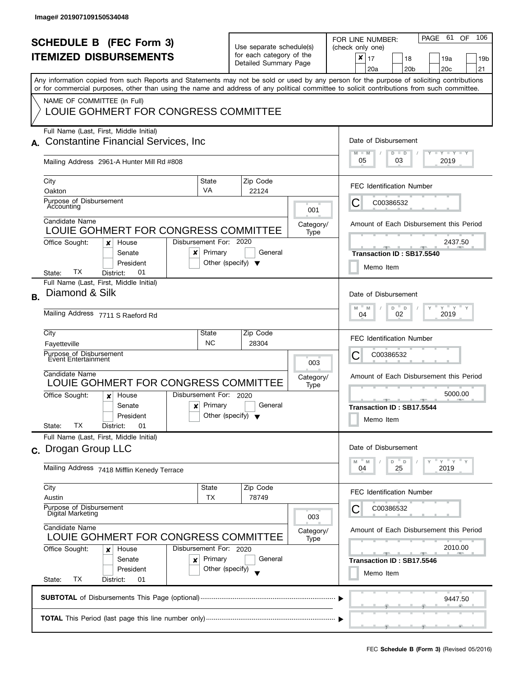| <b>SCHEDULE B</b> (FEC Form 3)<br><b>ITEMIZED DISBURSEMENTS</b><br>Any information copied from such Reports and Statements may not be sold or used by any person for the purpose of soliciting contributions<br>or for commercial purposes, other than using the name and address of any political committee to solicit contributions from such committee.<br>NAME OF COMMITTEE (In Full) |                                                                                                                                                                                 | Use separate schedule(s)<br>for each category of the<br>Detailed Summary Page |                                                 | - 61<br>106<br>PAGE<br>OF.<br>FOR LINE NUMBER:<br>(check only one)<br>×<br>17<br>18<br>19a<br>19b<br>20 <sub>c</sub><br>21<br>20a<br>20 <sub>b</sub> |                                                                                                                                         |
|-------------------------------------------------------------------------------------------------------------------------------------------------------------------------------------------------------------------------------------------------------------------------------------------------------------------------------------------------------------------------------------------|---------------------------------------------------------------------------------------------------------------------------------------------------------------------------------|-------------------------------------------------------------------------------|-------------------------------------------------|------------------------------------------------------------------------------------------------------------------------------------------------------|-----------------------------------------------------------------------------------------------------------------------------------------|
| А.                                                                                                                                                                                                                                                                                                                                                                                        | LOUIE GOHMERT FOR CONGRESS COMMITTEE<br>Full Name (Last, First, Middle Initial)<br><b>Constantine Financial Services, Inc.</b>                                                  |                                                                               |                                                 |                                                                                                                                                      | Date of Disbursement<br>$T - Y = T - Y = T - Y$<br>$M - M$<br>$D$ $D$                                                                   |
|                                                                                                                                                                                                                                                                                                                                                                                           | Mailing Address 2961-A Hunter Mill Rd #808                                                                                                                                      |                                                                               |                                                 |                                                                                                                                                      | 05<br>03<br>2019                                                                                                                        |
|                                                                                                                                                                                                                                                                                                                                                                                           | City<br>Oakton<br>Purpose of Disbursement<br>Accounting                                                                                                                         | State<br><b>VA</b>                                                            | Zip Code<br>22124                               | 001                                                                                                                                                  | <b>FEC Identification Number</b><br>C00386532<br>Ĉ                                                                                      |
|                                                                                                                                                                                                                                                                                                                                                                                           | Candidate Name<br>LOUIE GOHMERT FOR CONGRESS COMMITTEE<br>Disbursement For: 2020<br>Office Sought:<br>House<br>x                                                                |                                                                               |                                                 | Category/<br>Type                                                                                                                                    | Amount of Each Disbursement this Period<br>2437.50                                                                                      |
|                                                                                                                                                                                                                                                                                                                                                                                           | Senate<br>x<br>President<br>TХ<br>01<br>District:<br>State:                                                                                                                     | Primary                                                                       | General<br>Other (specify) $\blacktriangledown$ |                                                                                                                                                      | Transaction ID: SB17.5540<br>Memo Item                                                                                                  |
| В.                                                                                                                                                                                                                                                                                                                                                                                        | Full Name (Last, First, Middle Initial)<br>Diamond & Silk<br>Mailing Address 7711 S Raeford Rd                                                                                  |                                                                               |                                                 |                                                                                                                                                      | Date of Disbursement<br>$Y$ $Y$ $Y$<br>M<br>D<br>D<br>M<br>2019<br>02<br>04                                                             |
|                                                                                                                                                                                                                                                                                                                                                                                           | City<br>Fayetteville<br>Purpose of Disbursement                                                                                                                                 | State<br><b>NC</b>                                                            | Zip Code<br>28304                               |                                                                                                                                                      | <b>FEC Identification Number</b><br>C00386532                                                                                           |
|                                                                                                                                                                                                                                                                                                                                                                                           | Event Entertainment<br>Candidate Name<br>LOUIE GOHMERT FOR CONGRESS COMMITTEE                                                                                                   |                                                                               |                                                 | 003<br>Category/<br>Type                                                                                                                             | С<br>Amount of Each Disbursement this Period                                                                                            |
|                                                                                                                                                                                                                                                                                                                                                                                           | Disbursement For: 2020<br>Office Sought:<br>House<br>$\boldsymbol{x}$<br>Senate<br>×<br>President<br>ТX<br>01<br>State:<br>District:                                            | Primary                                                                       | General<br>Other (specify) $\blacktriangledown$ |                                                                                                                                                      | 5000.00<br>Transaction ID: SB17.5544<br>Memo Item                                                                                       |
| $\mathbf{C}$ .                                                                                                                                                                                                                                                                                                                                                                            | Full Name (Last, First, Middle Initial)<br>Drogan Group LLC<br>Mailing Address 7418 Mifflin Kenedy Terrace                                                                      |                                                                               |                                                 |                                                                                                                                                      | Date of Disbursement<br>$Y = Y$<br>D<br>$\mathbb D$<br>M<br>M<br>2019<br>04<br>25                                                       |
|                                                                                                                                                                                                                                                                                                                                                                                           | City<br>Austin                                                                                                                                                                  | State<br>ТX                                                                   | Zip Code<br>78749                               |                                                                                                                                                      | <b>FEC Identification Number</b>                                                                                                        |
|                                                                                                                                                                                                                                                                                                                                                                                           | Purpose of Disbursement<br>Digital Marketing                                                                                                                                    |                                                                               |                                                 | 003                                                                                                                                                  | C00386532                                                                                                                               |
|                                                                                                                                                                                                                                                                                                                                                                                           | Candidate Name<br>LOUIE GOHMERT FOR CONGRESS COMMITTEE<br>Office Sought:<br>Disbursement For: 2020<br>House<br>x<br>Senate<br>×<br>President<br>TX<br>State:<br>District:<br>01 | Primary<br>Other (specify)                                                    | General                                         | Category/<br>Type                                                                                                                                    | Amount of Each Disbursement this Period<br>2010.00<br>$-1$<br>_______________________________<br>Transaction ID: SB17.5546<br>Memo Item |
|                                                                                                                                                                                                                                                                                                                                                                                           |                                                                                                                                                                                 |                                                                               |                                                 |                                                                                                                                                      | 9447.50                                                                                                                                 |
|                                                                                                                                                                                                                                                                                                                                                                                           |                                                                                                                                                                                 |                                                                               |                                                 |                                                                                                                                                      |                                                                                                                                         |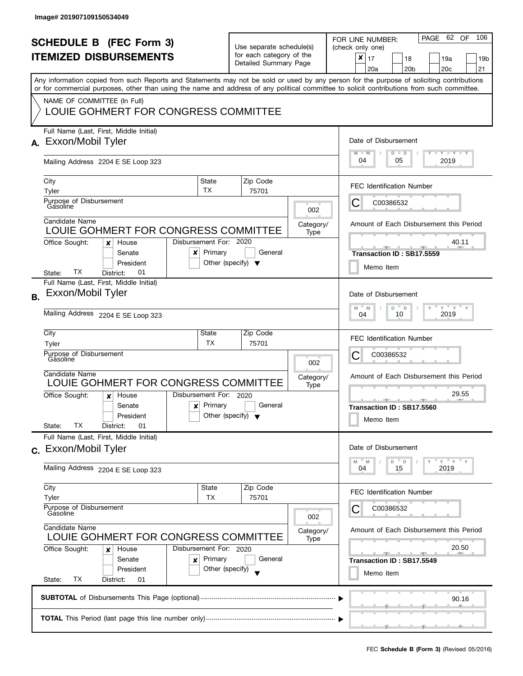| <b>SCHEDULE B (FEC Form 3)</b><br><b>ITEMIZED DISBURSEMENTS</b><br>Any information copied from such Reports and Statements may not be sold or used by any person for the purpose of soliciting contributions |                                                                                                                                                                                                                   |                                      | Use separate schedule(s)<br>for each category of the<br>Detailed Summary Page |                          | PAGE 62 OF<br>106<br>FOR LINE NUMBER:<br>(check only one)<br>$\boldsymbol{x}$<br>17<br>18<br>19a<br>19 <sub>b</sub><br>20 <sub>b</sub><br>20 <sub>c</sub><br>21<br>20a |
|--------------------------------------------------------------------------------------------------------------------------------------------------------------------------------------------------------------|-------------------------------------------------------------------------------------------------------------------------------------------------------------------------------------------------------------------|--------------------------------------|-------------------------------------------------------------------------------|--------------------------|------------------------------------------------------------------------------------------------------------------------------------------------------------------------|
|                                                                                                                                                                                                              | or for commercial purposes, other than using the name and address of any political committee to solicit contributions from such committee.<br>NAME OF COMMITTEE (In Full)<br>LOUIE GOHMERT FOR CONGRESS COMMITTEE |                                      |                                                                               |                          |                                                                                                                                                                        |
| А.                                                                                                                                                                                                           | Full Name (Last, First, Middle Initial)<br>Exxon/Mobil Tyler<br>Mailing Address 2204 E SE Loop 323                                                                                                                |                                      |                                                                               |                          | Date of Disbursement<br>$M - M$<br>$T$ $Y$ $T$ $Y$ $T$ $Y$<br>$D$ $D$<br>04<br>05<br>2019                                                                              |
|                                                                                                                                                                                                              | State<br>City<br>TX<br>Tyler<br>Purpose of Disbursement<br>Gasoline                                                                                                                                               |                                      | Zip Code<br>75701                                                             |                          | <b>FEC Identification Number</b><br>С<br>C00386532                                                                                                                     |
|                                                                                                                                                                                                              | Candidate Name<br>LOUIE GOHMERT FOR CONGRESS COMMITTEE<br>Disbursement For: 2020<br>Office Sought:<br>House<br>x<br>Primary<br>Senate<br>x                                                                        |                                      | General                                                                       | 002<br>Category/<br>Type | Amount of Each Disbursement this Period<br>40.11<br>Transaction ID: SB17.5559                                                                                          |
| <b>B.</b>                                                                                                                                                                                                    | President<br>TХ<br>01<br>District:<br>State:<br>Full Name (Last, First, Middle Initial)<br>Exxon/Mobil Tyler                                                                                                      | Other (specify) $\blacktriangledown$ |                                                                               |                          | Memo Item<br>Date of Disbursement                                                                                                                                      |
|                                                                                                                                                                                                              | Mailing Address 2204 E SE Loop 323<br>City<br>State                                                                                                                                                               |                                      | Zip Code                                                                      |                          | $Y$ $Y$ $Y$<br>$\overline{a}$<br>M<br>$-M$<br>D<br>Y<br>2019<br>10<br>04<br><b>FEC Identification Number</b>                                                           |
|                                                                                                                                                                                                              | ТX<br>Tyler<br>Purpose of Disbursement<br>Gásoline<br>Candidate Name<br>LOUIE GOHMERT FOR CONGRESS COMMITTEE                                                                                                      |                                      | 75701                                                                         | 002<br>Category/         | С<br>C00386532<br>Amount of Each Disbursement this Period                                                                                                              |
|                                                                                                                                                                                                              | Disbursement For: 2020<br>Office Sought:<br>House<br>$\boldsymbol{x}$<br>Primary<br>Senate<br>$\boldsymbol{x}$<br>President<br>TХ<br>State:<br>District:<br>01                                                    | Other (specify) $\blacktriangledown$ | General                                                                       | Type                     | 29.55<br>Transaction ID: SB17.5560<br>Memo Item                                                                                                                        |
|                                                                                                                                                                                                              | Full Name (Last, First, Middle Initial)<br>c. Exxon/Mobil Tyler<br>Mailing Address 2204 E SE Loop 323                                                                                                             |                                      |                                                                               |                          | Date of Disbursement<br>$Y = Y = Y$<br>D<br>$\mathbb D$<br>M<br>M<br>2019<br>04<br>15                                                                                  |
|                                                                                                                                                                                                              | City<br><b>State</b><br>Tyler<br>TX<br>Purpose of Disbursement<br>Gasoline                                                                                                                                        |                                      | Zip Code<br>75701                                                             | 002                      | <b>FEC Identification Number</b><br>C00386532                                                                                                                          |
|                                                                                                                                                                                                              | Candidate Name<br>LOUIE GOHMERT FOR CONGRESS COMMITTEE<br>Office Sought:<br>Disbursement For: 2020<br>House<br>x<br>Senate<br>Primary<br>×<br>President<br>ТX<br>State:<br>District:                              | Other (specify)                      | General                                                                       | Category/<br>Type        | Amount of Each Disbursement this Period<br>20.50<br>$-1$<br>- -<br>Transaction ID: SB17.5549<br>Memo Item                                                              |
|                                                                                                                                                                                                              | 01                                                                                                                                                                                                                |                                      |                                                                               |                          | 90.16                                                                                                                                                                  |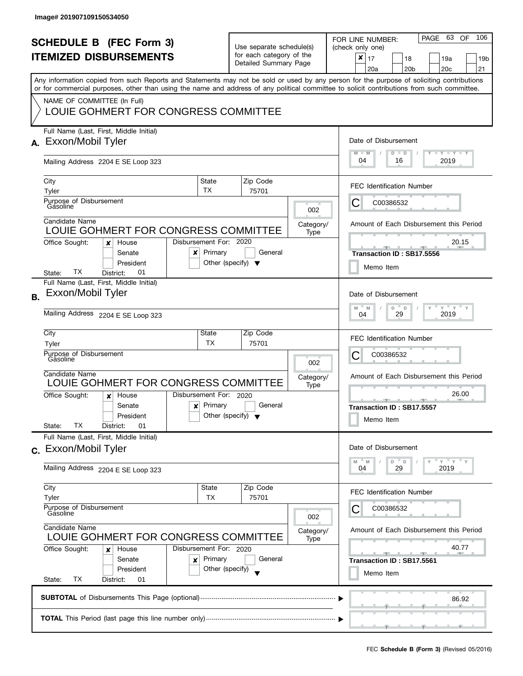| <b>SCHEDULE B</b> (FEC Form 3)<br><b>ITEMIZED DISBURSEMENTS</b><br>Any information copied from such Reports and Statements may not be sold or used by any person for the purpose of soliciting contributions<br>or for commercial purposes, other than using the name and address of any political committee to solicit contributions from such committee.<br>NAME OF COMMITTEE (In Full) |                                                                                                                      |                                                      | Use separate schedule(s)<br>for each category of the<br>Detailed Summary Page |                   | 63 OF<br>106<br>PAGE<br>FOR LINE NUMBER:<br>(check only one)<br>$\boldsymbol{x}$<br>17<br>18<br>19a<br>19b<br>20 <sub>b</sub><br>20c<br>21<br>20a |
|-------------------------------------------------------------------------------------------------------------------------------------------------------------------------------------------------------------------------------------------------------------------------------------------------------------------------------------------------------------------------------------------|----------------------------------------------------------------------------------------------------------------------|------------------------------------------------------|-------------------------------------------------------------------------------|-------------------|---------------------------------------------------------------------------------------------------------------------------------------------------|
|                                                                                                                                                                                                                                                                                                                                                                                           | LOUIE GOHMERT FOR CONGRESS COMMITTEE<br>Full Name (Last, First, Middle Initial)                                      |                                                      |                                                                               |                   |                                                                                                                                                   |
|                                                                                                                                                                                                                                                                                                                                                                                           | A. Exxon/Mobil Tyler                                                                                                 |                                                      |                                                                               |                   | Date of Disbursement<br>$T - Y - T Y - T Y$<br>$M - M$<br>$D$ $D$                                                                                 |
|                                                                                                                                                                                                                                                                                                                                                                                           | Mailing Address 2204 E SE Loop 323                                                                                   |                                                      |                                                                               |                   | 04<br>2019<br>16                                                                                                                                  |
|                                                                                                                                                                                                                                                                                                                                                                                           | City<br>Tyler                                                                                                        | State<br>TX                                          | Zip Code<br>75701                                                             |                   | <b>FEC Identification Number</b>                                                                                                                  |
|                                                                                                                                                                                                                                                                                                                                                                                           | Purpose of Disbursement<br>Gasoline                                                                                  |                                                      |                                                                               | 002               | C00386532<br>C                                                                                                                                    |
|                                                                                                                                                                                                                                                                                                                                                                                           | Candidate Name<br>LOUIE GOHMERT FOR CONGRESS COMMITTEE                                                               |                                                      |                                                                               | Category/<br>Type | Amount of Each Disbursement this Period                                                                                                           |
|                                                                                                                                                                                                                                                                                                                                                                                           | Office Sought:<br>House<br>x<br>Senate<br>×<br>President<br>TX<br>01<br>District:<br>State:                          | Disbursement For: 2020<br>Primary                    | General<br>Other (specify) $\blacktriangledown$                               |                   | 20.15<br>Transaction ID: SB17.5556<br>Memo Item                                                                                                   |
| <b>B.</b>                                                                                                                                                                                                                                                                                                                                                                                 | Full Name (Last, First, Middle Initial)<br>Exxon/Mobil Tyler<br>Mailing Address 2204 E SE Loop 323                   |                                                      |                                                                               |                   | Date of Disbursement<br>$Y$ $Y$ $Y$<br>M<br>D<br>M<br>$\mathsf D$<br>2019<br>29<br>04                                                             |
|                                                                                                                                                                                                                                                                                                                                                                                           | City                                                                                                                 | State                                                | Zip Code                                                                      |                   |                                                                                                                                                   |
|                                                                                                                                                                                                                                                                                                                                                                                           | Tyler                                                                                                                | ТX                                                   | 75701                                                                         |                   | <b>FEC Identification Number</b>                                                                                                                  |
|                                                                                                                                                                                                                                                                                                                                                                                           | Purpose of Disbursement<br>Gásoline                                                                                  |                                                      |                                                                               | 002               | С<br>C00386532                                                                                                                                    |
|                                                                                                                                                                                                                                                                                                                                                                                           | Candidate Name<br>LOUIE GOHMERT FOR CONGRESS COMMITTEE                                                               |                                                      |                                                                               | Category/<br>Type | Amount of Each Disbursement this Period                                                                                                           |
|                                                                                                                                                                                                                                                                                                                                                                                           | Office Sought:<br>House<br>x<br>Senate<br>$\boldsymbol{\mathsf{x}}$<br>President<br>TX.<br>01<br>State:<br>District: | Disbursement For: 2020<br>Primary                    | General<br>Other (specify) $\blacktriangledown$                               |                   | 26.00<br>_______________________________<br><b>ARCHITECT</b><br>Transaction ID: SB17.5557<br>Memo Item                                            |
|                                                                                                                                                                                                                                                                                                                                                                                           | Full Name (Last, First, Middle Initial)<br>c. Exxon/Mobil Tyler                                                      |                                                      |                                                                               |                   | Date of Disbursement                                                                                                                              |
|                                                                                                                                                                                                                                                                                                                                                                                           | Mailing Address 2204 E SE Loop 323                                                                                   |                                                      |                                                                               |                   | Y''Y''<br>D<br>D<br>M<br>M<br>29<br>2019<br>04                                                                                                    |
|                                                                                                                                                                                                                                                                                                                                                                                           | City<br>Tyler                                                                                                        | State<br><b>TX</b>                                   | Zip Code<br>75701                                                             |                   | <b>FEC Identification Number</b>                                                                                                                  |
|                                                                                                                                                                                                                                                                                                                                                                                           | Purpose of Disbursement<br>Gasoline                                                                                  |                                                      |                                                                               | 002               | C00386532                                                                                                                                         |
|                                                                                                                                                                                                                                                                                                                                                                                           | Candidate Name<br>LOUIE GOHMERT FOR CONGRESS COMMITTEE                                                               |                                                      |                                                                               | Category/<br>Type | Amount of Each Disbursement this Period                                                                                                           |
|                                                                                                                                                                                                                                                                                                                                                                                           | Office Sought:<br>House<br>x<br>Senate<br>×<br>President                                                             | Disbursement For: 2020<br>Primary<br>Other (specify) | General                                                                       |                   | 40.77<br><u>and the state</u><br><b>AND A</b><br>Transaction ID: SB17.5561<br>Memo Item                                                           |
|                                                                                                                                                                                                                                                                                                                                                                                           | ТX<br>State:<br>District:<br>01                                                                                      |                                                      |                                                                               |                   |                                                                                                                                                   |
|                                                                                                                                                                                                                                                                                                                                                                                           |                                                                                                                      |                                                      |                                                                               |                   | 86.92                                                                                                                                             |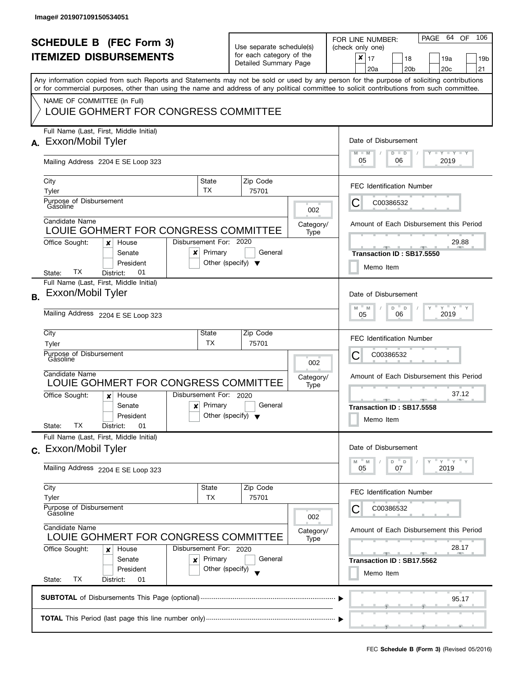| <b>SCHEDULE B</b> (FEC Form 3)<br><b>ITEMIZED DISBURSEMENTS</b><br>Any information copied from such Reports and Statements may not be sold or used by any person for the purpose of soliciting contributions<br>or for commercial purposes, other than using the name and address of any political committee to solicit contributions from such committee.<br>NAME OF COMMITTEE (In Full) |                                                                                                                                                              |                                                                           | Use separate schedule(s)<br>for each category of the<br>Detailed Summary Page |                          | 64 OF<br>106<br>PAGE<br>FOR LINE NUMBER:<br>(check only one)<br>$\boldsymbol{x}$<br>17<br>18<br>19a<br>19b<br>20 <sub>b</sub><br>20c<br>21<br>20a |
|-------------------------------------------------------------------------------------------------------------------------------------------------------------------------------------------------------------------------------------------------------------------------------------------------------------------------------------------------------------------------------------------|--------------------------------------------------------------------------------------------------------------------------------------------------------------|---------------------------------------------------------------------------|-------------------------------------------------------------------------------|--------------------------|---------------------------------------------------------------------------------------------------------------------------------------------------|
|                                                                                                                                                                                                                                                                                                                                                                                           | LOUIE GOHMERT FOR CONGRESS COMMITTEE<br>Full Name (Last, First, Middle Initial)<br>A. Exxon/Mobil Tyler                                                      |                                                                           |                                                                               |                          | Date of Disbursement                                                                                                                              |
|                                                                                                                                                                                                                                                                                                                                                                                           | Mailing Address 2204 E SE Loop 323                                                                                                                           |                                                                           |                                                                               |                          | $T - Y - T Y - T Y$<br>$M - M$<br>$D$ $D$<br>05<br>2019<br>06                                                                                     |
|                                                                                                                                                                                                                                                                                                                                                                                           | City<br>Tyler                                                                                                                                                | State<br>TX                                                               | Zip Code<br>75701                                                             |                          | <b>FEC Identification Number</b>                                                                                                                  |
|                                                                                                                                                                                                                                                                                                                                                                                           | Purpose of Disbursement<br>Gasoline<br>Candidate Name                                                                                                        |                                                                           |                                                                               | 002<br>Category/         | C00386532<br>C<br>Amount of Each Disbursement this Period                                                                                         |
|                                                                                                                                                                                                                                                                                                                                                                                           | LOUIE GOHMERT FOR CONGRESS COMMITTEE<br>Office Sought:<br>House<br>x<br>Senate<br>×<br>President<br>TX<br>01<br>District:<br>State:                          | Disbursement For: 2020<br>Primary<br>Other (specify) $\blacktriangledown$ | General                                                                       | Type                     | 29.88<br>Transaction ID: SB17.5550<br>Memo Item                                                                                                   |
| <b>B.</b>                                                                                                                                                                                                                                                                                                                                                                                 | Full Name (Last, First, Middle Initial)<br>Exxon/Mobil Tyler<br>Mailing Address 2204 E SE Loop 323                                                           |                                                                           |                                                                               |                          | Date of Disbursement<br>$Y$ $Y$ $Y$<br>M<br>D<br>M<br>$\mathsf D$<br>2019<br>06<br>05                                                             |
|                                                                                                                                                                                                                                                                                                                                                                                           | City<br>Tyler<br>Purpose of Disbursement<br>Gásoline<br>Candidate Name                                                                                       | State<br>ТX                                                               | Zip Code<br>75701                                                             | 002<br>Category/         | <b>FEC Identification Number</b><br>С<br>C00386532<br>Amount of Each Disbursement this Period                                                     |
|                                                                                                                                                                                                                                                                                                                                                                                           | LOUIE GOHMERT FOR CONGRESS COMMITTEE<br>Office Sought:<br>House<br>x<br>Senate<br>$\boldsymbol{\mathsf{x}}$<br>President<br>TX.<br>01<br>State:<br>District: | Disbursement For: 2020<br>Primary<br>Other (specify) $\blacktriangledown$ | General                                                                       | Type                     | 37.12<br><u>______</u><br>Transaction ID: SB17.5558<br>Memo Item                                                                                  |
|                                                                                                                                                                                                                                                                                                                                                                                           | Full Name (Last, First, Middle Initial)<br>c. Exxon/Mobil Tyler<br>Mailing Address 2204 E SE Loop 323                                                        |                                                                           |                                                                               |                          | Date of Disbursement<br>Y''Y''<br>D<br>D<br>M<br>M<br>07<br>2019<br>05                                                                            |
|                                                                                                                                                                                                                                                                                                                                                                                           | City<br>Tyler                                                                                                                                                | State<br><b>TX</b>                                                        | Zip Code<br>75701                                                             |                          | <b>FEC Identification Number</b>                                                                                                                  |
|                                                                                                                                                                                                                                                                                                                                                                                           | Purpose of Disbursement<br>Gasoline<br>Candidate Name<br>LOUIE GOHMERT FOR CONGRESS COMMITTEE                                                                |                                                                           |                                                                               | 002<br>Category/<br>Type | C00386532<br>Amount of Each Disbursement this Period                                                                                              |
|                                                                                                                                                                                                                                                                                                                                                                                           | Office Sought:<br>House<br>x<br>Senate<br>×<br>President<br>ТX<br>State:<br>District:<br>01                                                                  | Disbursement For: 2020<br>Primary<br>Other (specify)                      | General                                                                       |                          | 28.17<br><b>ARTISTS</b><br>Transaction ID: SB17.5562<br>Memo Item                                                                                 |
|                                                                                                                                                                                                                                                                                                                                                                                           |                                                                                                                                                              |                                                                           |                                                                               |                          | 95.17                                                                                                                                             |
|                                                                                                                                                                                                                                                                                                                                                                                           |                                                                                                                                                              |                                                                           |                                                                               |                          |                                                                                                                                                   |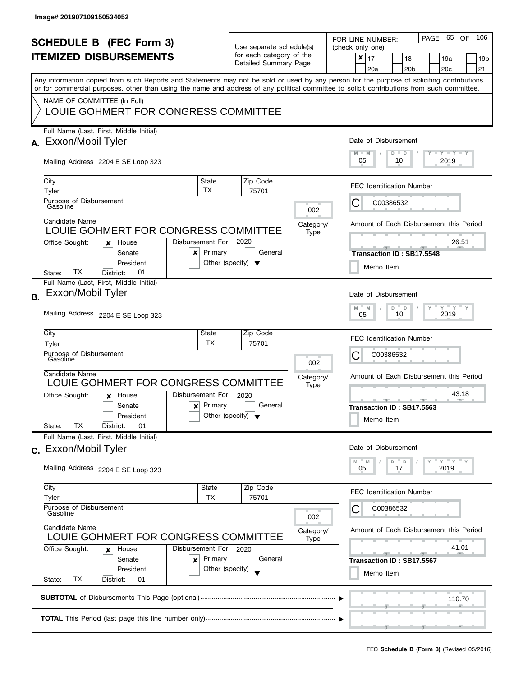| <b>SCHEDULE B</b> (FEC Form 3)<br><b>ITEMIZED DISBURSEMENTS</b> |                                                                                                                                                                                                                                                                                                                                                                |                                                      | Use separate schedule(s)<br>for each category of the<br>Detailed Summary Page |                          | PAGE 65 OF<br>106<br>FOR LINE NUMBER:<br>(check only one)<br>$\mathbf{x}$   17<br>18<br>19a<br>19 <sub>b</sub><br>20 <sub>b</sub><br>20 <sub>c</sub><br>21<br>20a |
|-----------------------------------------------------------------|----------------------------------------------------------------------------------------------------------------------------------------------------------------------------------------------------------------------------------------------------------------------------------------------------------------------------------------------------------------|------------------------------------------------------|-------------------------------------------------------------------------------|--------------------------|-------------------------------------------------------------------------------------------------------------------------------------------------------------------|
|                                                                 | Any information copied from such Reports and Statements may not be sold or used by any person for the purpose of soliciting contributions<br>or for commercial purposes, other than using the name and address of any political committee to solicit contributions from such committee.<br>NAME OF COMMITTEE (In Full)<br>LOUIE GOHMERT FOR CONGRESS COMMITTEE |                                                      |                                                                               |                          |                                                                                                                                                                   |
| А.                                                              | Full Name (Last, First, Middle Initial)<br>Exxon/Mobil Tyler<br>Mailing Address 2204 E SE Loop 323                                                                                                                                                                                                                                                             |                                                      |                                                                               |                          | Date of Disbursement<br>Y TY TY TY<br>$M - M$<br>$D$ $D$<br>05<br>10<br>2019                                                                                      |
|                                                                 | City<br>Tyler<br>Purpose of Disbursement<br>Gasoline                                                                                                                                                                                                                                                                                                           | State<br><b>TX</b>                                   | Zip Code<br>75701                                                             | 002                      | <b>FEC Identification Number</b><br>С<br>C00386532                                                                                                                |
|                                                                 | Candidate Name<br>LOUIE GOHMERT FOR CONGRESS COMMITTEE<br>Office Sought:<br>House<br>×<br>Senate<br>x<br>President<br>ТX<br>01<br>District:<br>State:                                                                                                                                                                                                          | Disbursement For: 2020<br>Primary                    | General<br>Other (specify) $\blacktriangledown$                               | Category/<br>Type        | Amount of Each Disbursement this Period<br>26.51<br>Transaction ID: SB17.5548<br>Memo Item                                                                        |
| <b>B.</b>                                                       | Full Name (Last, First, Middle Initial)<br>Exxon/Mobil Tyler<br>Mailing Address 2204 E SE Loop 323                                                                                                                                                                                                                                                             |                                                      |                                                                               |                          | Date of Disbursement<br>$Y = Y = Y$<br>M<br>D<br>$\Box$<br>M<br>2019<br>10<br>05                                                                                  |
|                                                                 | City<br>Tyler<br>Purpose of Disbursement<br>Gásoline<br>Candidate Name<br>LOUIE GOHMERT FOR CONGRESS COMMITTEE                                                                                                                                                                                                                                                 | State<br><b>TX</b>                                   | Zip Code<br>75701                                                             | 002<br>Category/<br>Type | <b>FEC Identification Number</b><br>С<br>C00386532<br>Amount of Each Disbursement this Period                                                                     |
|                                                                 | Office Sought:<br>House<br>x<br>Senate<br>$\boldsymbol{x}$<br>President<br>ТX<br>01<br>State:<br>District:                                                                                                                                                                                                                                                     | Disbursement For: 2020<br>Primary                    | General<br>Other (specify) $\blacktriangledown$                               |                          | 43.18<br>48.7<br>Transaction ID: SB17.5563<br>Memo Item                                                                                                           |
|                                                                 | Full Name (Last, First, Middle Initial)<br>c. Exxon/Mobil Tyler<br>Mailing Address 2204 E SE Loop 323                                                                                                                                                                                                                                                          |                                                      |                                                                               |                          | Date of Disbursement<br>$Y = Y = Y$<br>M<br>D<br>$\mathsf{D}$<br>M<br>2019<br>05<br>17                                                                            |
|                                                                 | City<br>Tyler<br>Purpose of Disbursement<br>Gasoline                                                                                                                                                                                                                                                                                                           | <b>State</b><br>ТX                                   | Zip Code<br>75701                                                             | 002                      | <b>FEC Identification Number</b><br>C00386532                                                                                                                     |
|                                                                 | Candidate Name<br>LOUIE GOHMERT FOR CONGRESS COMMITTEE<br>Office Sought:<br>House<br>x<br>Senate<br>x<br>President<br>TX<br>State:<br>District:<br>01                                                                                                                                                                                                          | Disbursement For: 2020<br>Primary<br>Other (specify) | General                                                                       | Category/<br>Type        | Amount of Each Disbursement this Period<br>41.01<br><b>Allen</b><br><b>Property</b><br>-40<br>Transaction ID: SB17.5567<br>Memo Item                              |
|                                                                 |                                                                                                                                                                                                                                                                                                                                                                |                                                      |                                                                               |                          | 110.70                                                                                                                                                            |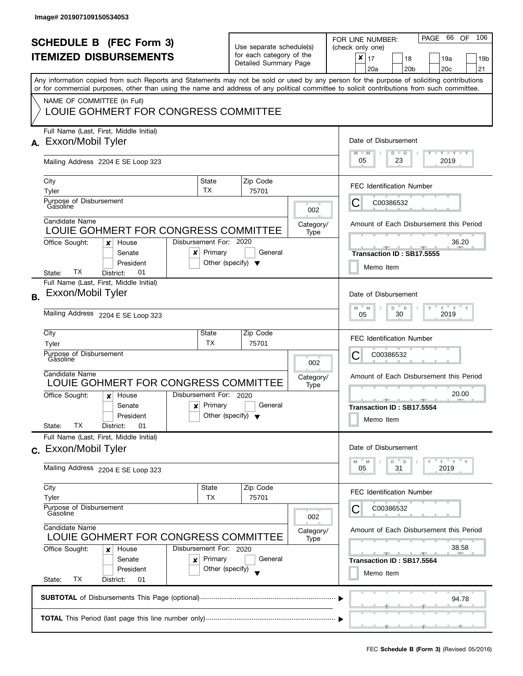| <b>SCHEDULE B</b> (FEC Form 3)<br><b>ITEMIZED DISBURSEMENTS</b> |                                                                                                                                                                                                                                                                                                                                                                |                                                      | Use separate schedule(s)<br>for each category of the<br>Detailed Summary Page |                          | PAGE 66 OF<br>106<br>FOR LINE NUMBER:<br>(check only one)<br>$\pmb{\times}$<br>17<br>18<br>19a<br>19 <sub>b</sub><br>20 <sub>b</sub><br>20 <sub>c</sub><br>21<br>20a |
|-----------------------------------------------------------------|----------------------------------------------------------------------------------------------------------------------------------------------------------------------------------------------------------------------------------------------------------------------------------------------------------------------------------------------------------------|------------------------------------------------------|-------------------------------------------------------------------------------|--------------------------|----------------------------------------------------------------------------------------------------------------------------------------------------------------------|
|                                                                 | Any information copied from such Reports and Statements may not be sold or used by any person for the purpose of soliciting contributions<br>or for commercial purposes, other than using the name and address of any political committee to solicit contributions from such committee.<br>NAME OF COMMITTEE (In Full)<br>LOUIE GOHMERT FOR CONGRESS COMMITTEE |                                                      |                                                                               |                          |                                                                                                                                                                      |
|                                                                 | Full Name (Last, First, Middle Initial)<br>A. Exxon/Mobil Tyler<br>Mailing Address 2204 E SE Loop 323                                                                                                                                                                                                                                                          |                                                      |                                                                               |                          | Date of Disbursement<br>$T - Y = Y + Y$<br>$M - M$<br>$D$ $D$<br>05<br>23<br>2019                                                                                    |
|                                                                 | City<br>Tyler<br>Purpose of Disbursement<br>Gasoline<br>Candidate Name                                                                                                                                                                                                                                                                                         | State<br><b>TX</b>                                   | Zip Code<br>75701                                                             | 002                      | <b>FEC Identification Number</b><br>C<br>C00386532                                                                                                                   |
|                                                                 | LOUIE GOHMERT FOR CONGRESS COMMITTEE<br>Office Sought:<br>House<br>x<br>Senate<br>x<br>President<br>ТX<br>01<br>District:<br>State:                                                                                                                                                                                                                            | Disbursement For: 2020<br>Primary                    | General<br>Other (specify) $\blacktriangledown$                               | Category/<br>Type        | Amount of Each Disbursement this Period<br>36.20<br>Transaction ID: SB17.5555<br>Memo Item                                                                           |
| В.                                                              | Full Name (Last, First, Middle Initial)<br>Exxon/Mobil Tyler<br>Mailing Address 2204 E SE Loop 323                                                                                                                                                                                                                                                             |                                                      |                                                                               |                          | Date of Disbursement<br>$Y = Y$<br>D<br>M<br>M<br>D<br>30<br>2019<br>05                                                                                              |
|                                                                 | City<br>Tyler<br>Purpose of Disbursement<br>Gásoline<br>Candidate Name<br>LOUIE GOHMERT FOR CONGRESS COMMITTEE                                                                                                                                                                                                                                                 | State<br>TX                                          | Zip Code<br>75701                                                             | 002<br>Category/<br>Type | <b>FEC Identification Number</b><br>С<br>C00386532<br>Amount of Each Disbursement this Period                                                                        |
|                                                                 | Office Sought:<br>House<br>x<br>Senate<br>$\boldsymbol{\mathsf{x}}$<br>President<br>ТX<br>01<br>State:<br>District:                                                                                                                                                                                                                                            | Disbursement For: 2020<br>Primary                    | General<br>Other (specify) $\blacktriangledown$                               |                          | 20.00<br><b>ARCHITECT</b><br>Transaction ID: SB17.5554<br>Memo Item                                                                                                  |
|                                                                 | Full Name (Last, First, Middle Initial)<br>c. Exxon/Mobil Tyler<br>Mailing Address 2204 E SE Loop 323                                                                                                                                                                                                                                                          |                                                      |                                                                               |                          | Date of Disbursement<br>$Y = Y = Y$<br>D<br>D<br>M<br>M<br>31<br>2019<br>05                                                                                          |
|                                                                 | City<br>Tyler<br>Purpose of Disbursement<br>Gasoline                                                                                                                                                                                                                                                                                                           | State<br>TX                                          | Zip Code<br>75701                                                             | 002                      | <b>FEC Identification Number</b><br>C00386532                                                                                                                        |
|                                                                 | Candidate Name<br>LOUIE GOHMERT FOR CONGRESS COMMITTEE<br>Office Sought:<br>House<br>x<br>Senate<br>×<br>President<br>ТX<br>State:<br>District:<br>01                                                                                                                                                                                                          | Disbursement For: 2020<br>Primary<br>Other (specify) | General                                                                       | Category/<br>Type        | Amount of Each Disbursement this Period<br>38.58<br>Transaction ID: SB17.5564<br>Memo Item                                                                           |
|                                                                 |                                                                                                                                                                                                                                                                                                                                                                |                                                      |                                                                               |                          | 94.78                                                                                                                                                                |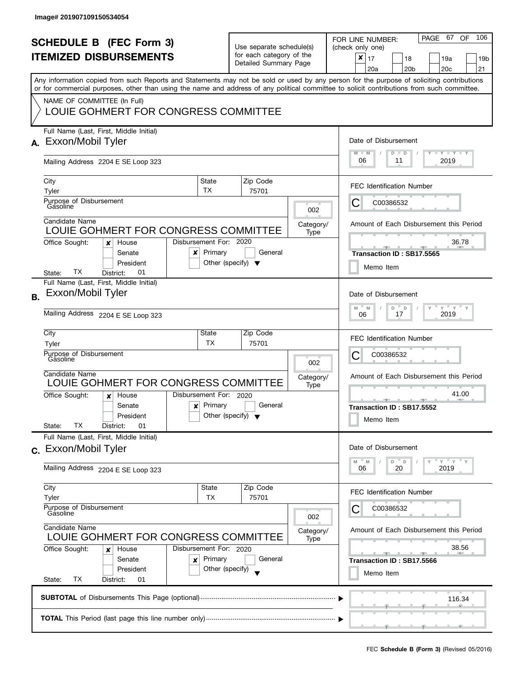l

| <b>SCHEDULE B (FEC Form 3)</b><br><b>ITEMIZED DISBURSEMENTS</b> |                                                                                                                                                                                                                                                                                                                                                                |                                                      | Use separate schedule(s)<br>for each category of the<br>Detailed Summary Page |                          | PAGE 67 OF<br>106<br>FOR LINE NUMBER:<br>(check only one)<br>$\mathbf{x}$   17<br>18<br>19a<br>19 <sub>b</sub><br>20 <sub>b</sub><br>20 <sub>c</sub><br>21<br>20a |
|-----------------------------------------------------------------|----------------------------------------------------------------------------------------------------------------------------------------------------------------------------------------------------------------------------------------------------------------------------------------------------------------------------------------------------------------|------------------------------------------------------|-------------------------------------------------------------------------------|--------------------------|-------------------------------------------------------------------------------------------------------------------------------------------------------------------|
|                                                                 | Any information copied from such Reports and Statements may not be sold or used by any person for the purpose of soliciting contributions<br>or for commercial purposes, other than using the name and address of any political committee to solicit contributions from such committee.<br>NAME OF COMMITTEE (In Full)<br>LOUIE GOHMERT FOR CONGRESS COMMITTEE |                                                      |                                                                               |                          |                                                                                                                                                                   |
| А.                                                              | Full Name (Last, First, Middle Initial)<br>Exxon/Mobil Tyler<br>Mailing Address 2204 E SE Loop 323                                                                                                                                                                                                                                                             |                                                      |                                                                               |                          | Date of Disbursement<br>Y TY TY TY<br>$M - M$<br>$D$ $D$<br>06<br>2019<br>11                                                                                      |
|                                                                 | City<br>Tyler<br>Purpose of Disbursement<br>Gasoline<br>Candidate Name                                                                                                                                                                                                                                                                                         | State<br><b>TX</b>                                   | Zip Code<br>75701                                                             | 002                      | <b>FEC Identification Number</b><br>С<br>C00386532                                                                                                                |
|                                                                 | LOUIE GOHMERT FOR CONGRESS COMMITTEE<br>Office Sought:<br>House<br>×<br>Senate<br>x<br>President<br>ТX<br>01<br>District:<br>State:                                                                                                                                                                                                                            | Disbursement For: 2020<br>Primary                    | General<br>Other (specify) $\blacktriangledown$                               | Category/<br>Type        | Amount of Each Disbursement this Period<br>36.78<br>Transaction ID: SB17.5565<br>Memo Item                                                                        |
| <b>B.</b>                                                       | Full Name (Last, First, Middle Initial)<br>Exxon/Mobil Tyler<br>Mailing Address 2204 E SE Loop 323                                                                                                                                                                                                                                                             |                                                      |                                                                               |                          | Date of Disbursement<br>$Y = Y = Y$<br>M<br>D<br>$\mathsf D$<br>M<br>2019<br>17<br>06                                                                             |
|                                                                 | City<br>Tyler<br>Purpose of Disbursement<br>Gásoline<br>Candidate Name<br>LOUIE GOHMERT FOR CONGRESS COMMITTEE                                                                                                                                                                                                                                                 | State<br><b>TX</b>                                   | Zip Code<br>75701                                                             | 002<br>Category/<br>Type | <b>FEC Identification Number</b><br>С<br>C00386532<br>Amount of Each Disbursement this Period                                                                     |
|                                                                 | Office Sought:<br>House<br>x<br>Senate<br>$\boldsymbol{x}$<br>President<br>ТX<br>01<br>State:<br>District:                                                                                                                                                                                                                                                     | Disbursement For: 2020<br>Primary                    | General<br>Other (specify) $\blacktriangledown$                               |                          | 41.00<br><b>ARCHITECT</b><br><b>All 200</b><br>Transaction ID: SB17.5552<br>Memo Item                                                                             |
|                                                                 | Full Name (Last, First, Middle Initial)<br>c. Exxon/Mobil Tyler<br>Mailing Address 2204 E SE Loop 323                                                                                                                                                                                                                                                          |                                                      |                                                                               |                          | Date of Disbursement<br>$Y = Y = Y$<br>M<br>M<br>D<br>$\mathsf{D}$<br>2019<br>06<br>20                                                                            |
|                                                                 | City<br>Tyler<br>Purpose of Disbursement<br>Gasoline                                                                                                                                                                                                                                                                                                           | <b>State</b><br>ТX                                   | Zip Code<br>75701                                                             | 002                      | <b>FEC Identification Number</b><br>C00386532                                                                                                                     |
|                                                                 | Candidate Name<br>LOUIE GOHMERT FOR CONGRESS COMMITTEE<br>Office Sought:<br>House<br>x<br>Senate<br>x<br>President<br>TX<br>State:<br>District:<br>01                                                                                                                                                                                                          | Disbursement For: 2020<br>Primary<br>Other (specify) | General                                                                       | Category/<br>Type        | Amount of Each Disbursement this Period<br>38.56<br><b>Allen</b><br>-<br>- 1<br>Transaction ID: SB17.5566<br>Memo Item                                            |
|                                                                 |                                                                                                                                                                                                                                                                                                                                                                |                                                      |                                                                               |                          | 116.34                                                                                                                                                            |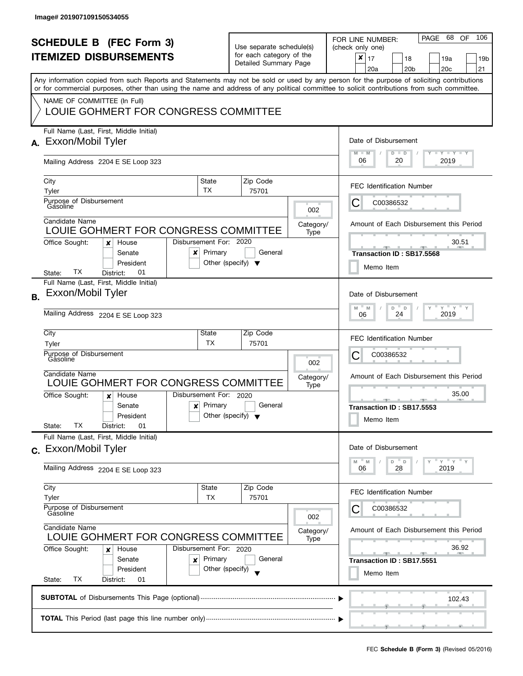| <b>SCHEDULE B (FEC Form 3)</b><br><b>ITEMIZED DISBURSEMENTS</b><br>Any information copied from such Reports and Statements may not be sold or used by any person for the purpose of soliciting contributions |                                                                                                                                                                                                                          |                                      | Use separate schedule(s)<br>for each category of the<br>Detailed Summary Page |                          | PAGE 68<br>106<br><b>OF</b><br>FOR LINE NUMBER:<br>(check only one)<br>$\boldsymbol{x}$<br>17<br>18<br>19a<br>19 <sub>b</sub><br>20 <sub>b</sub><br>20 <sub>c</sub><br>21<br>20a |
|--------------------------------------------------------------------------------------------------------------------------------------------------------------------------------------------------------------|--------------------------------------------------------------------------------------------------------------------------------------------------------------------------------------------------------------------------|--------------------------------------|-------------------------------------------------------------------------------|--------------------------|----------------------------------------------------------------------------------------------------------------------------------------------------------------------------------|
|                                                                                                                                                                                                              | or for commercial purposes, other than using the name and address of any political committee to solicit contributions from such committee.<br>NAME OF COMMITTEE (In Full)<br>LOUIE GOHMERT FOR CONGRESS COMMITTEE        |                                      |                                                                               |                          |                                                                                                                                                                                  |
| А.                                                                                                                                                                                                           | Full Name (Last, First, Middle Initial)<br>Exxon/Mobil Tyler<br>Mailing Address 2204 E SE Loop 323                                                                                                                       |                                      |                                                                               |                          | Date of Disbursement<br>$M - M$<br><b>LY LY LY</b><br>$D$ $D$<br>06<br>20<br>2019                                                                                                |
|                                                                                                                                                                                                              | State<br>City<br>TX<br>Tyler<br>Purpose of Disbursement                                                                                                                                                                  |                                      | Zip Code<br>75701                                                             |                          | <b>FEC Identification Number</b><br>С<br>C00386532                                                                                                                               |
|                                                                                                                                                                                                              | Gasoline<br>Candidate Name<br>LOUIE GOHMERT FOR CONGRESS COMMITTEE<br>Disbursement For: 2020<br>Office Sought:<br>House<br>x                                                                                             |                                      |                                                                               | 002<br>Category/<br>Type | Amount of Each Disbursement this Period<br>30.51                                                                                                                                 |
|                                                                                                                                                                                                              | Primary<br>Senate<br>x<br>President<br>TХ<br>01<br>District:<br>State:<br>Full Name (Last, First, Middle Initial)                                                                                                        | Other (specify) $\blacktriangledown$ | General                                                                       |                          | Transaction ID: SB17.5568<br>Memo Item                                                                                                                                           |
| <b>B.</b>                                                                                                                                                                                                    | Exxon/Mobil Tyler<br>Mailing Address 2204 E SE Loop 323                                                                                                                                                                  |                                      |                                                                               |                          | Date of Disbursement<br>$Y$ $Y$ $Y$<br>$-M$<br>$\overline{a}$<br>M<br>D<br>Y<br>2019<br>24<br>06                                                                                 |
|                                                                                                                                                                                                              | City<br>State<br>ТX<br>Tyler<br>Purpose of Disbursement<br>Gásoline                                                                                                                                                      |                                      | Zip Code<br>75701                                                             | 002                      | <b>FEC Identification Number</b><br>С<br>C00386532                                                                                                                               |
|                                                                                                                                                                                                              | Candidate Name<br>LOUIE GOHMERT FOR CONGRESS COMMITTEE<br>Disbursement For: 2020<br>Office Sought:<br>House<br>$\boldsymbol{x}$<br>Primary<br>Senate<br>$\boldsymbol{x}$<br>President<br>TХ<br>State:<br>District:<br>01 | Other (specify) $\blacktriangledown$ | General                                                                       | Category/<br>Type        | Amount of Each Disbursement this Period<br>35.00<br>Transaction ID: SB17.5553<br>Memo Item                                                                                       |
|                                                                                                                                                                                                              | Full Name (Last, First, Middle Initial)<br>c. Exxon/Mobil Tyler<br>Mailing Address 2204 E SE Loop 323                                                                                                                    |                                      |                                                                               |                          | Date of Disbursement<br>$Y = Y = Y$<br>D<br>M<br>$\mathsf D$<br>M<br>28<br>2019<br>06                                                                                            |
|                                                                                                                                                                                                              | City<br>State<br>Tyler<br>TX<br>Purpose of Disbursement<br>Gasoline                                                                                                                                                      |                                      | Zip Code<br>75701                                                             | 002                      | <b>FEC Identification Number</b><br>C00386532                                                                                                                                    |
|                                                                                                                                                                                                              | Candidate Name<br>LOUIE GOHMERT FOR CONGRESS COMMITTEE<br>Office Sought:<br>Disbursement For: 2020<br>House<br>x<br>Senate<br>Primary<br>×<br>President<br>ТX<br>State:<br>District:<br>01                               | Other (specify)                      | General                                                                       | Category/<br>Type        | Amount of Each Disbursement this Period<br>36.92<br>$-1$<br>Transaction ID: SB17.5551<br>Memo Item                                                                               |
|                                                                                                                                                                                                              |                                                                                                                                                                                                                          |                                      |                                                                               |                          | 102.43                                                                                                                                                                           |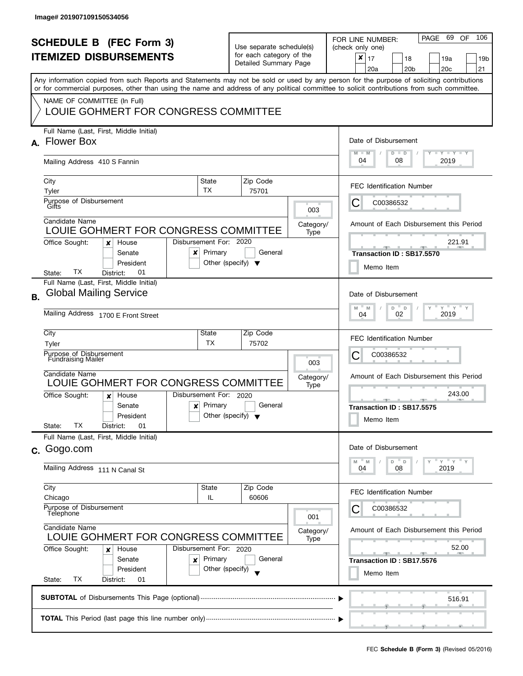| <b>SCHEDULE B</b> (FEC Form 3)<br><b>ITEMIZED DISBURSEMENTS</b><br>Any information copied from such Reports and Statements may not be sold or used by any person for the purpose of soliciting contributions<br>or for commercial purposes, other than using the name and address of any political committee to solicit contributions from such committee.<br>NAME OF COMMITTEE (In Full) |                                                                                                            |                                                                           | Use separate schedule(s)<br>for each category of the<br>Detailed Summary Page |                          | PAGE 69<br>106<br><b>OF</b><br>FOR LINE NUMBER:<br>(check only one)<br>$\pmb{\times}$<br>17<br>18<br>19a<br>19 <sub>b</sub><br>20 <sub>b</sub><br>20 <sub>c</sub><br>21<br>20a |
|-------------------------------------------------------------------------------------------------------------------------------------------------------------------------------------------------------------------------------------------------------------------------------------------------------------------------------------------------------------------------------------------|------------------------------------------------------------------------------------------------------------|---------------------------------------------------------------------------|-------------------------------------------------------------------------------|--------------------------|--------------------------------------------------------------------------------------------------------------------------------------------------------------------------------|
|                                                                                                                                                                                                                                                                                                                                                                                           | LOUIE GOHMERT FOR CONGRESS COMMITTEE<br>Full Name (Last, First, Middle Initial)                            |                                                                           |                                                                               |                          |                                                                                                                                                                                |
| A.                                                                                                                                                                                                                                                                                                                                                                                        | <b>Flower Box</b><br>Mailing Address 410 S Fannin                                                          |                                                                           |                                                                               |                          | Date of Disbursement<br>$T - Y = T - Y$<br>$M - M$<br>$D$ $D$<br>04<br>08<br>2019                                                                                              |
|                                                                                                                                                                                                                                                                                                                                                                                           | City                                                                                                       | State<br>TX                                                               | Zip Code                                                                      |                          | <b>FEC Identification Number</b>                                                                                                                                               |
|                                                                                                                                                                                                                                                                                                                                                                                           | Tyler<br>Purpose of Disbursement<br>Gifts                                                                  |                                                                           | 75701                                                                         | 003                      | С<br>C00386532                                                                                                                                                                 |
|                                                                                                                                                                                                                                                                                                                                                                                           | Candidate Name<br>LOUIE GOHMERT FOR CONGRESS COMMITTEE<br>Office Sought:<br>House<br>×                     | Disbursement For: 2020                                                    |                                                                               | Category/<br>Type        | Amount of Each Disbursement this Period<br>221.91                                                                                                                              |
|                                                                                                                                                                                                                                                                                                                                                                                           | Senate<br>x<br>President<br>ТX<br>01<br>State:<br>District:                                                | Primary                                                                   | General<br>Other (specify) $\blacktriangledown$                               |                          | Transaction ID: SB17.5570<br>Memo Item                                                                                                                                         |
| <b>B.</b>                                                                                                                                                                                                                                                                                                                                                                                 | Full Name (Last, First, Middle Initial)<br><b>Global Mailing Service</b>                                   |                                                                           |                                                                               |                          | Date of Disbursement                                                                                                                                                           |
|                                                                                                                                                                                                                                                                                                                                                                                           | Mailing Address 1700 E Front Street                                                                        | $Y = Y$<br>M<br>D<br>M<br>$\Box$<br>2019<br>02<br>04                      |                                                                               |                          |                                                                                                                                                                                |
|                                                                                                                                                                                                                                                                                                                                                                                           | City<br>Tyler<br>Purpose of Disbursement                                                                   | State<br>ТX                                                               | Zip Code<br>75702                                                             |                          | <b>FEC Identification Number</b><br>С<br>C00386532                                                                                                                             |
|                                                                                                                                                                                                                                                                                                                                                                                           | <b>Fundraising Mailer</b><br>Candidate Name<br>LOUIE GOHMERT FOR CONGRESS COMMITTEE                        |                                                                           |                                                                               | 003<br>Category/         | Amount of Each Disbursement this Period                                                                                                                                        |
|                                                                                                                                                                                                                                                                                                                                                                                           | Office Sought:<br>House<br>x<br>Senate<br>$\boldsymbol{x}$<br>President<br>TХ<br>State:<br>District:<br>01 | Disbursement For: 2020<br>Primary<br>Other (specify) $\blacktriangledown$ | General                                                                       | Type                     | 243.00<br>Transaction ID: SB17.5575<br>Memo Item                                                                                                                               |
| С.                                                                                                                                                                                                                                                                                                                                                                                        | Full Name (Last, First, Middle Initial)<br>Gogo.com                                                        |                                                                           |                                                                               |                          | Date of Disbursement                                                                                                                                                           |
|                                                                                                                                                                                                                                                                                                                                                                                           | Mailing Address 111 N Canal St                                                                             |                                                                           |                                                                               |                          | $Y = Y = Y$<br>D<br>$\mathbb D$<br>M<br>M<br>2019<br>04<br>08                                                                                                                  |
|                                                                                                                                                                                                                                                                                                                                                                                           | City<br>Chicago<br>Purpose of Disbursement                                                                 | State<br>IL                                                               | Zip Code<br>60606                                                             |                          | <b>FEC Identification Number</b><br>C00386532                                                                                                                                  |
|                                                                                                                                                                                                                                                                                                                                                                                           | Telephone<br>Candidate Name<br>LOUIE GOHMERT FOR CONGRESS COMMITTEE                                        |                                                                           |                                                                               | 001<br>Category/<br>Type | Amount of Each Disbursement this Period                                                                                                                                        |
|                                                                                                                                                                                                                                                                                                                                                                                           | Office Sought:<br>House<br>×<br>Senate<br>×<br>President<br>ТX<br>State:<br>District:<br>01                | Disbursement For: 2020<br>Primary<br>Other (specify)                      | General                                                                       |                          | 52.00<br>$-$<br>Transaction ID: SB17.5576<br>Memo Item                                                                                                                         |
|                                                                                                                                                                                                                                                                                                                                                                                           |                                                                                                            |                                                                           |                                                                               |                          | 516.91                                                                                                                                                                         |
|                                                                                                                                                                                                                                                                                                                                                                                           |                                                                                                            |                                                                           |                                                                               |                          |                                                                                                                                                                                |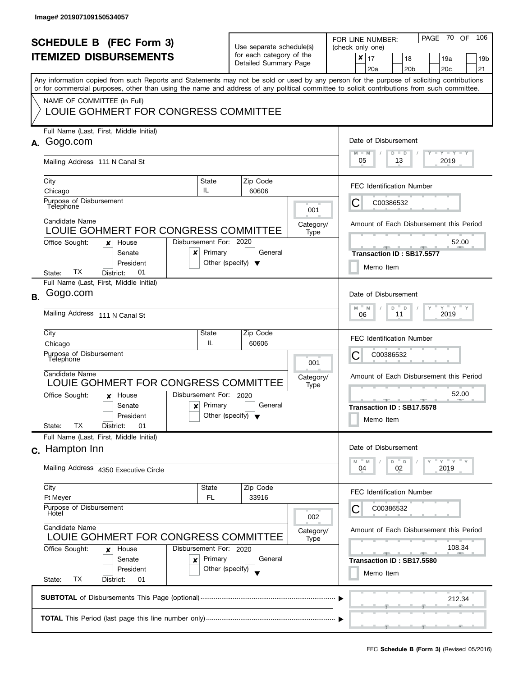| <b>SCHEDULE B (FEC Form 3)</b><br><b>ITEMIZED DISBURSEMENTS</b><br>Any information copied from such Reports and Statements may not be sold or used by any person for the purpose of soliciting contributions<br>or for commercial purposes, other than using the name and address of any political committee to solicit contributions from such committee.<br>NAME OF COMMITTEE (In Full) |                                                                                                            |                                   | Use separate schedule(s)<br>for each category of the<br>Detailed Summary Page |                   | 70<br>106<br>PAGE<br>OF<br>FOR LINE NUMBER:<br>(check only one)<br>$\boldsymbol{x}$<br>17<br>18<br>19a<br>19b<br>20a<br>20 <sub>b</sub><br>20 <sub>c</sub><br>21 |
|-------------------------------------------------------------------------------------------------------------------------------------------------------------------------------------------------------------------------------------------------------------------------------------------------------------------------------------------------------------------------------------------|------------------------------------------------------------------------------------------------------------|-----------------------------------|-------------------------------------------------------------------------------|-------------------|------------------------------------------------------------------------------------------------------------------------------------------------------------------|
|                                                                                                                                                                                                                                                                                                                                                                                           | LOUIE GOHMERT FOR CONGRESS COMMITTEE                                                                       |                                   |                                                                               |                   |                                                                                                                                                                  |
| А.                                                                                                                                                                                                                                                                                                                                                                                        | Full Name (Last, First, Middle Initial)<br>Gogo.com                                                        |                                   |                                                                               |                   | Date of Disbursement<br>$M - M$<br><b>LYLYLY</b><br>$D$ $D$                                                                                                      |
|                                                                                                                                                                                                                                                                                                                                                                                           | Mailing Address 111 N Canal St                                                                             |                                   |                                                                               |                   | 05<br>13<br>2019                                                                                                                                                 |
|                                                                                                                                                                                                                                                                                                                                                                                           | City<br>Chicago                                                                                            | State<br>IL                       | Zip Code<br>60606                                                             |                   | <b>FEC Identification Number</b>                                                                                                                                 |
|                                                                                                                                                                                                                                                                                                                                                                                           | Purpose of Disbursement<br>Telephone                                                                       |                                   |                                                                               | 001               | C00386532<br>Ĉ                                                                                                                                                   |
|                                                                                                                                                                                                                                                                                                                                                                                           | Candidate Name<br>LOUIE GOHMERT FOR CONGRESS COMMITTEE                                                     |                                   |                                                                               | Category/<br>Type | Amount of Each Disbursement this Period                                                                                                                          |
|                                                                                                                                                                                                                                                                                                                                                                                           | Office Sought:<br>House<br>x<br>Senate<br>x<br>President<br>TХ<br>01<br>District:                          | Disbursement For: 2020<br>Primary | General<br>Other (specify) $\blacktriangledown$                               |                   | 52.00<br>Transaction ID: SB17.5577<br>Memo Item                                                                                                                  |
|                                                                                                                                                                                                                                                                                                                                                                                           | State:<br>Full Name (Last, First, Middle Initial)                                                          |                                   |                                                                               |                   |                                                                                                                                                                  |
| <b>B.</b>                                                                                                                                                                                                                                                                                                                                                                                 | Gogo.com                                                                                                   |                                   |                                                                               |                   | Date of Disbursement<br>$Y$ $Y$ $Y$<br>M<br>$\mathsf D$<br>M<br>D                                                                                                |
|                                                                                                                                                                                                                                                                                                                                                                                           | Mailing Address 111 N Canal St                                                                             |                                   |                                                                               |                   | 11<br>2019<br>06                                                                                                                                                 |
|                                                                                                                                                                                                                                                                                                                                                                                           | City<br>Chicago                                                                                            | State<br>IL.                      | Zip Code<br>60606                                                             |                   | <b>FEC Identification Number</b>                                                                                                                                 |
|                                                                                                                                                                                                                                                                                                                                                                                           | Purpose of Disbursement<br>Telephone                                                                       |                                   |                                                                               | 001               | С<br>C00386532                                                                                                                                                   |
|                                                                                                                                                                                                                                                                                                                                                                                           | Candidate Name<br>LOUIE GOHMERT FOR CONGRESS COMMITTEE                                                     |                                   |                                                                               | Category/         | Amount of Each Disbursement this Period                                                                                                                          |
|                                                                                                                                                                                                                                                                                                                                                                                           | Office Sought:<br>House<br>x<br>Senate<br>$\boldsymbol{x}$<br>President<br>ТX<br>01<br>State:<br>District: | Disbursement For: 2020<br>Primary | General<br>Other (specify) $\blacktriangledown$                               | Type              | 52.00<br><b>ARCHITECT</b><br>_______________________________<br>Transaction ID: SB17.5578<br>Memo Item                                                           |
|                                                                                                                                                                                                                                                                                                                                                                                           | Full Name (Last, First, Middle Initial)<br>c. Hampton Inn                                                  |                                   |                                                                               |                   | Date of Disbursement                                                                                                                                             |
|                                                                                                                                                                                                                                                                                                                                                                                           | Mailing Address 4350 Executive Circle                                                                      |                                   |                                                                               |                   | "ү "ү "ү<br>D<br>D<br>M<br>M<br>04<br>02<br>2019                                                                                                                 |
|                                                                                                                                                                                                                                                                                                                                                                                           | City<br>Ft Meyer                                                                                           | State<br><b>FL</b>                | Zip Code<br>33916                                                             |                   | <b>FEC Identification Number</b>                                                                                                                                 |
|                                                                                                                                                                                                                                                                                                                                                                                           | Purpose of Disbursement<br>Hotel                                                                           |                                   |                                                                               | 002               | C00386532                                                                                                                                                        |
|                                                                                                                                                                                                                                                                                                                                                                                           | Candidate Name<br>LOUIE GOHMERT FOR CONGRESS COMMITTEE                                                     |                                   |                                                                               | Category/<br>Type | Amount of Each Disbursement this Period                                                                                                                          |
|                                                                                                                                                                                                                                                                                                                                                                                           | Office Sought:<br>House<br>x                                                                               | Disbursement For: 2020            |                                                                               |                   | 108.34<br><u> 20 - 1 20 </u><br><b>COLLECTIVE</b>                                                                                                                |
|                                                                                                                                                                                                                                                                                                                                                                                           | Senate<br>×<br>President<br>ТX<br>State:<br>District:<br>01                                                | Primary<br>Other (specify)        | General                                                                       |                   | Transaction ID: SB17.5580<br>Memo Item                                                                                                                           |
|                                                                                                                                                                                                                                                                                                                                                                                           |                                                                                                            |                                   |                                                                               |                   | 212.34                                                                                                                                                           |
|                                                                                                                                                                                                                                                                                                                                                                                           |                                                                                                            |                                   |                                                                               |                   |                                                                                                                                                                  |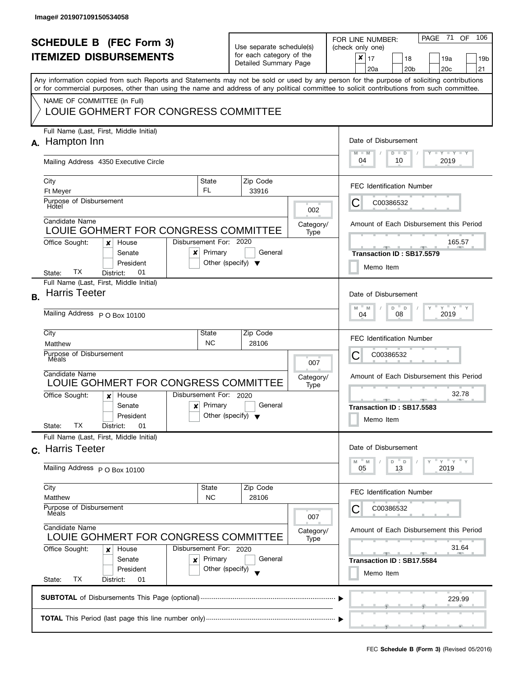|                                                                 |                                                                                                                                            |                                      |                                                      |                       |                   | 106                                                     |  |  |
|-----------------------------------------------------------------|--------------------------------------------------------------------------------------------------------------------------------------------|--------------------------------------|------------------------------------------------------|-----------------------|-------------------|---------------------------------------------------------|--|--|
| <b>SCHEDULE B (FEC Form 3)</b><br><b>ITEMIZED DISBURSEMENTS</b> |                                                                                                                                            |                                      | Use separate schedule(s)<br>for each category of the |                       |                   | PAGE 71<br>OF<br>FOR LINE NUMBER:<br>(check only one)   |  |  |
|                                                                 |                                                                                                                                            |                                      |                                                      |                       |                   | ×<br>17<br>18<br>19a<br>19b                             |  |  |
|                                                                 |                                                                                                                                            |                                      |                                                      | Detailed Summary Page |                   | 20 <sub>c</sub><br>20a<br>20 <sub>b</sub><br>21         |  |  |
|                                                                 | Any information copied from such Reports and Statements may not be sold or used by any person for the purpose of soliciting contributions  |                                      |                                                      |                       |                   |                                                         |  |  |
|                                                                 | or for commercial purposes, other than using the name and address of any political committee to solicit contributions from such committee. |                                      |                                                      |                       |                   |                                                         |  |  |
|                                                                 | NAME OF COMMITTEE (In Full)                                                                                                                |                                      |                                                      |                       |                   |                                                         |  |  |
|                                                                 | LOUIE GOHMERT FOR CONGRESS COMMITTEE                                                                                                       |                                      |                                                      |                       |                   |                                                         |  |  |
|                                                                 |                                                                                                                                            |                                      |                                                      |                       |                   |                                                         |  |  |
|                                                                 | Full Name (Last, First, Middle Initial)                                                                                                    |                                      |                                                      |                       |                   |                                                         |  |  |
| А.                                                              | Hampton Inn                                                                                                                                |                                      |                                                      |                       |                   | Date of Disbursement                                    |  |  |
|                                                                 |                                                                                                                                            |                                      |                                                      |                       |                   | $T - Y = T - Y$<br>$M - M$<br>$D$ $D$                   |  |  |
|                                                                 | Mailing Address 4350 Executive Circle                                                                                                      |                                      |                                                      |                       |                   | 04<br>2019<br>10                                        |  |  |
|                                                                 |                                                                                                                                            |                                      |                                                      |                       |                   |                                                         |  |  |
|                                                                 | City<br><b>Ft Meyer</b>                                                                                                                    | State<br><b>FL</b>                   |                                                      | Zip Code<br>33916     |                   | <b>FEC Identification Number</b>                        |  |  |
|                                                                 | Purpose of Disbursement                                                                                                                    |                                      |                                                      |                       |                   | C00386532<br>C                                          |  |  |
|                                                                 | Hotel                                                                                                                                      |                                      |                                                      |                       | 002               |                                                         |  |  |
|                                                                 | Candidate Name                                                                                                                             |                                      |                                                      |                       | Category/         | Amount of Each Disbursement this Period                 |  |  |
|                                                                 | LOUIE GOHMERT FOR CONGRESS COMMITTEE                                                                                                       |                                      |                                                      |                       | Type              |                                                         |  |  |
|                                                                 | Office Sought:<br>House<br>x                                                                                                               | Disbursement For: 2020               |                                                      |                       |                   | 165.57                                                  |  |  |
|                                                                 | Senate<br>x                                                                                                                                | Primary                              |                                                      | General               |                   | Transaction ID: SB17.5579                               |  |  |
|                                                                 | President                                                                                                                                  | Other (specify) $\blacktriangledown$ |                                                      |                       |                   | Memo Item                                               |  |  |
|                                                                 | TХ<br>01<br>State:<br>District:                                                                                                            |                                      |                                                      |                       |                   |                                                         |  |  |
|                                                                 | Full Name (Last, First, Middle Initial)<br><b>Harris Teeter</b>                                                                            |                                      |                                                      |                       |                   |                                                         |  |  |
| В.                                                              |                                                                                                                                            |                                      |                                                      |                       |                   | Date of Disbursement                                    |  |  |
|                                                                 | Mailing Address P O Box 10100                                                                                                              |                                      |                                                      |                       |                   | $Y$ $Y$ $Y$ $Y$<br>M<br>D<br>D<br>M<br>2019<br>08<br>04 |  |  |
|                                                                 |                                                                                                                                            |                                      |                                                      |                       |                   |                                                         |  |  |
|                                                                 | City                                                                                                                                       | State                                |                                                      | Zip Code              |                   | <b>FEC Identification Number</b>                        |  |  |
|                                                                 | Matthew                                                                                                                                    | <b>NC</b>                            |                                                      | 28106                 |                   |                                                         |  |  |
|                                                                 | Purpose of Disbursement<br>Meals                                                                                                           |                                      |                                                      |                       |                   | С<br>C00386532                                          |  |  |
|                                                                 | Candidate Name                                                                                                                             |                                      |                                                      |                       | 007               |                                                         |  |  |
|                                                                 | LOUIE GOHMERT FOR CONGRESS COMMITTEE                                                                                                       |                                      |                                                      |                       | Category/<br>Type | Amount of Each Disbursement this Period                 |  |  |
|                                                                 | Office Sought:<br>House<br>x                                                                                                               | Disbursement For: 2020               |                                                      |                       |                   | 32.78                                                   |  |  |
|                                                                 | Senate<br>$\boldsymbol{x}$                                                                                                                 | Primary                              |                                                      | General               |                   | <u>.</u><br>A<br>Transaction ID: SB17.5583              |  |  |
|                                                                 | President                                                                                                                                  | Other (specify) $\blacktriangledown$ |                                                      |                       |                   |                                                         |  |  |
|                                                                 | ТX<br>01<br>State:<br>District:                                                                                                            |                                      |                                                      |                       |                   | Memo Item                                               |  |  |
|                                                                 | Full Name (Last, First, Middle Initial)                                                                                                    |                                      |                                                      |                       |                   |                                                         |  |  |
|                                                                 | c. Harris Teeter                                                                                                                           |                                      |                                                      |                       |                   | Date of Disbursement                                    |  |  |
|                                                                 |                                                                                                                                            |                                      |                                                      |                       |                   | $Y = Y$<br>D<br>D<br>M<br>M                             |  |  |
|                                                                 | Mailing Address P O Box 10100                                                                                                              |                                      |                                                      |                       |                   | 2019<br>05<br>13                                        |  |  |
|                                                                 | City                                                                                                                                       | State                                |                                                      | Zip Code              |                   |                                                         |  |  |
|                                                                 | Matthew                                                                                                                                    | <b>NC</b>                            |                                                      | 28106                 |                   | <b>FEC Identification Number</b>                        |  |  |
|                                                                 | Purpose of Disbursement                                                                                                                    |                                      |                                                      |                       |                   | C00386532                                               |  |  |
|                                                                 | Méals<br>Candidate Name<br>LOUIE GOHMERT FOR CONGRESS COMMITTEE                                                                            |                                      |                                                      |                       | 007               |                                                         |  |  |
|                                                                 |                                                                                                                                            |                                      |                                                      |                       | Category/         | Amount of Each Disbursement this Period                 |  |  |
|                                                                 |                                                                                                                                            |                                      |                                                      |                       | Type              |                                                         |  |  |
|                                                                 | Office Sought:<br>House<br>x                                                                                                               | Disbursement For: 2020               |                                                      |                       |                   | 31.64<br>$-$<br><u>____</u>                             |  |  |
|                                                                 | Senate<br>×                                                                                                                                | Primary                              |                                                      | General               |                   | Transaction ID: SB17.5584                               |  |  |
|                                                                 | President                                                                                                                                  | Other (specify)                      |                                                      |                       |                   | Memo Item                                               |  |  |
|                                                                 | ТX<br>State:<br>District:<br>01                                                                                                            |                                      |                                                      |                       |                   |                                                         |  |  |
|                                                                 |                                                                                                                                            |                                      |                                                      |                       |                   | 229.99                                                  |  |  |
|                                                                 |                                                                                                                                            |                                      |                                                      |                       |                   |                                                         |  |  |
|                                                                 |                                                                                                                                            |                                      |                                                      |                       |                   |                                                         |  |  |
|                                                                 |                                                                                                                                            |                                      |                                                      |                       |                   |                                                         |  |  |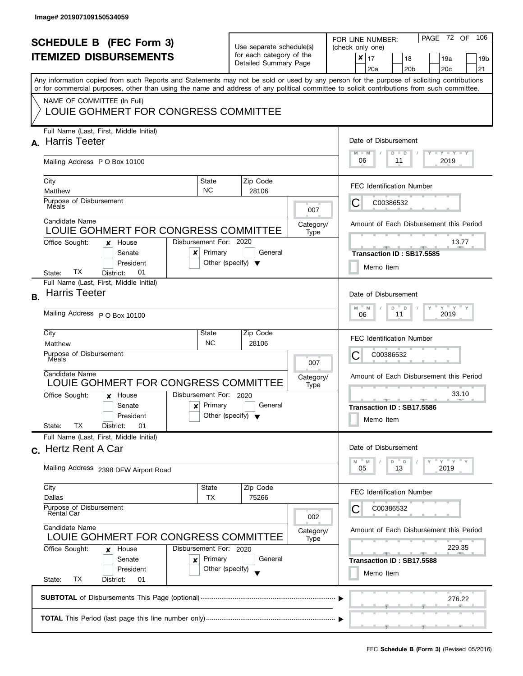|                                |                                                                                                                                            |                                                 |                          |                          |           | PAGE 72 OF<br>106                               |  |  |
|--------------------------------|--------------------------------------------------------------------------------------------------------------------------------------------|-------------------------------------------------|--------------------------|--------------------------|-----------|-------------------------------------------------|--|--|
| <b>SCHEDULE B (FEC Form 3)</b> |                                                                                                                                            |                                                 | Use separate schedule(s) |                          |           | FOR LINE NUMBER:<br>(check only one)            |  |  |
|                                | <b>ITEMIZED DISBURSEMENTS</b>                                                                                                              |                                                 |                          | for each category of the |           | $\boldsymbol{x}$<br>17<br>18<br>19a<br>19b      |  |  |
|                                |                                                                                                                                            |                                                 |                          | Detailed Summary Page    |           | 20 <sub>c</sub><br>20a<br>20 <sub>b</sub><br>21 |  |  |
|                                | Any information copied from such Reports and Statements may not be sold or used by any person for the purpose of soliciting contributions  |                                                 |                          |                          |           |                                                 |  |  |
|                                | or for commercial purposes, other than using the name and address of any political committee to solicit contributions from such committee. |                                                 |                          |                          |           |                                                 |  |  |
|                                | NAME OF COMMITTEE (In Full)                                                                                                                |                                                 |                          |                          |           |                                                 |  |  |
|                                | LOUIE GOHMERT FOR CONGRESS COMMITTEE                                                                                                       |                                                 |                          |                          |           |                                                 |  |  |
|                                | Full Name (Last, First, Middle Initial)                                                                                                    |                                                 |                          |                          |           |                                                 |  |  |
| A.                             | <b>Harris Teeter</b>                                                                                                                       |                                                 |                          |                          |           | Date of Disbursement                            |  |  |
|                                |                                                                                                                                            |                                                 |                          |                          |           | $T$ $Y$ $T$ $Y$ $T$ $Y$<br>$M - M$<br>$D$ $D$   |  |  |
|                                | Mailing Address PO Box 10100                                                                                                               |                                                 |                          |                          |           | 06<br>2019<br>11                                |  |  |
|                                |                                                                                                                                            |                                                 |                          |                          |           |                                                 |  |  |
|                                | City<br>Matthew                                                                                                                            | State<br><b>NC</b>                              |                          | Zip Code<br>28106        |           | <b>FEC Identification Number</b>                |  |  |
|                                | Purpose of Disbursement                                                                                                                    |                                                 |                          |                          |           | C00386532                                       |  |  |
|                                | Mėals                                                                                                                                      |                                                 |                          |                          | 007       | C                                               |  |  |
|                                | Candidate Name                                                                                                                             |                                                 |                          |                          | Category/ | Amount of Each Disbursement this Period         |  |  |
|                                | LOUIE GOHMERT FOR CONGRESS COMMITTEE                                                                                                       |                                                 |                          |                          | Type      |                                                 |  |  |
|                                | Office Sought:<br>House<br>x                                                                                                               | Disbursement For: 2020                          |                          |                          |           | 13.77                                           |  |  |
|                                | Senate<br>x                                                                                                                                | Primary                                         |                          | General                  |           | Transaction ID: SB17.5585                       |  |  |
|                                | President<br>TХ<br>01<br>District:<br>State:                                                                                               | Other (specify) $\blacktriangledown$            |                          |                          |           | Memo Item                                       |  |  |
|                                | Full Name (Last, First, Middle Initial)                                                                                                    |                                                 |                          |                          |           |                                                 |  |  |
| В.                             | <b>Harris Teeter</b>                                                                                                                       |                                                 |                          |                          |           | Date of Disbursement                            |  |  |
|                                |                                                                                                                                            |                                                 |                          |                          |           | $Y$ $Y$ $Y$ $Y$<br>M<br>M<br>D<br>$\mathsf D$   |  |  |
|                                | Mailing Address P O Box 10100                                                                                                              |                                                 |                          |                          |           | 2019<br>11<br>06                                |  |  |
|                                | City                                                                                                                                       | State                                           |                          | Zip Code                 |           |                                                 |  |  |
|                                | Matthew                                                                                                                                    | <b>NC</b>                                       |                          | 28106                    |           | <b>FEC Identification Number</b>                |  |  |
|                                | Purpose of Disbursement                                                                                                                    |                                                 |                          |                          |           | С<br>C00386532                                  |  |  |
|                                | Meals                                                                                                                                      |                                                 |                          |                          | 007       |                                                 |  |  |
|                                | Candidate Name                                                                                                                             |                                                 |                          |                          | Category/ | Amount of Each Disbursement this Period         |  |  |
|                                | LOUIE GOHMERT FOR CONGRESS COMMITTEE                                                                                                       |                                                 |                          |                          | Type      |                                                 |  |  |
|                                | Office Sought:<br>House<br>x                                                                                                               | Disbursement For: 2020                          |                          | General                  |           | 33.10<br><u>_____</u><br>A                      |  |  |
|                                | Senate<br>$\boldsymbol{x}$<br>President                                                                                                    | Primary<br>Other (specify) $\blacktriangledown$ |                          |                          |           | Transaction ID: SB17.5586                       |  |  |
|                                | ТX<br>01<br>State:<br>District:                                                                                                            |                                                 |                          |                          |           | Memo Item                                       |  |  |
|                                | Full Name (Last, First, Middle Initial)                                                                                                    |                                                 |                          |                          |           |                                                 |  |  |
|                                | c. Hertz Rent A Car                                                                                                                        |                                                 |                          |                          |           | Date of Disbursement                            |  |  |
|                                |                                                                                                                                            |                                                 |                          |                          |           | $Y = Y$<br>D<br>D<br>M<br>M                     |  |  |
|                                | Mailing Address 2398 DFW Airport Road                                                                                                      |                                                 |                          |                          |           | 2019<br>05<br>13                                |  |  |
|                                | City                                                                                                                                       | State                                           |                          | Zip Code                 |           |                                                 |  |  |
|                                | Dallas                                                                                                                                     | TX                                              |                          | 75266                    |           | <b>FEC Identification Number</b>                |  |  |
|                                | Purpose of Disbursement                                                                                                                    |                                                 |                          |                          |           | C00386532                                       |  |  |
|                                | Rental Car<br>Candidate Name<br>LOUIE GOHMERT FOR CONGRESS COMMITTEE                                                                       |                                                 |                          |                          | 002       |                                                 |  |  |
|                                |                                                                                                                                            |                                                 |                          |                          | Category/ | Amount of Each Disbursement this Period         |  |  |
|                                | Office Sought:<br>House<br>x                                                                                                               | Disbursement For: 2020                          |                          |                          | Type      | 229.35                                          |  |  |
|                                | Senate<br>×                                                                                                                                | Primary                                         |                          | General                  |           | Transaction ID: SB17.5588                       |  |  |
|                                | President                                                                                                                                  | Other (specify)                                 |                          |                          |           | Memo Item                                       |  |  |
|                                | ТX<br>State:<br>District:<br>01                                                                                                            |                                                 |                          |                          |           |                                                 |  |  |
|                                |                                                                                                                                            |                                                 |                          |                          |           |                                                 |  |  |
|                                |                                                                                                                                            |                                                 |                          |                          |           | 276.22                                          |  |  |
|                                |                                                                                                                                            |                                                 |                          |                          |           |                                                 |  |  |
|                                |                                                                                                                                            |                                                 |                          |                          |           |                                                 |  |  |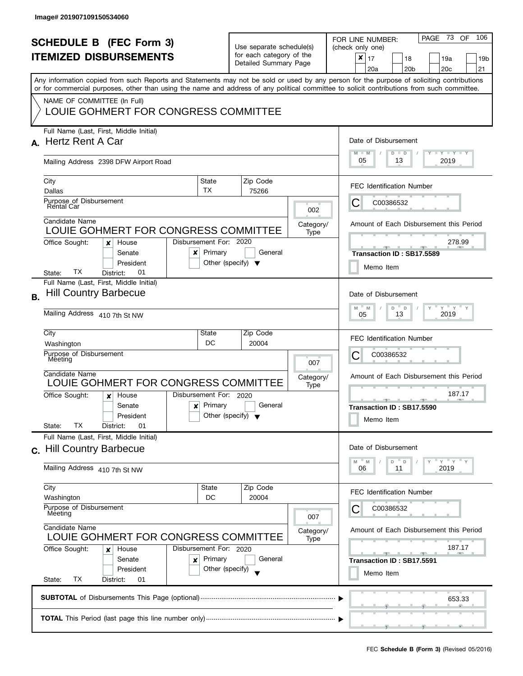| <b>SCHEDULE B (FEC Form 3)</b><br><b>ITEMIZED DISBURSEMENTS</b><br>Any information copied from such Reports and Statements may not be sold or used by any person for the purpose of soliciting contributions<br>or for commercial purposes, other than using the name and address of any political committee to solicit contributions from such committee.<br>NAME OF COMMITTEE (In Full) |                                                                                                          |                                                                           | Use separate schedule(s)<br>for each category of the<br>Detailed Summary Page |                   |                                                                                               | - 73<br>106<br>PAGE<br>OF.<br>FOR LINE NUMBER:<br>(check only one)<br>$\pmb{\times}$<br>17<br>18<br>19a<br>19 <sub>b</sub><br>20 <sub>b</sub><br>20 <sub>c</sub><br>21<br>20a |
|-------------------------------------------------------------------------------------------------------------------------------------------------------------------------------------------------------------------------------------------------------------------------------------------------------------------------------------------------------------------------------------------|----------------------------------------------------------------------------------------------------------|---------------------------------------------------------------------------|-------------------------------------------------------------------------------|-------------------|-----------------------------------------------------------------------------------------------|-------------------------------------------------------------------------------------------------------------------------------------------------------------------------------|
|                                                                                                                                                                                                                                                                                                                                                                                           | LOUIE GOHMERT FOR CONGRESS COMMITTEE                                                                     |                                                                           |                                                                               |                   |                                                                                               |                                                                                                                                                                               |
| А.                                                                                                                                                                                                                                                                                                                                                                                        | Full Name (Last, First, Middle Initial)<br><b>Hertz Rent A Car</b>                                       |                                                                           |                                                                               |                   | Date of Disbursement<br>$\Box$ $\gamma$ $\Box$ $\gamma$ $\Box$ $\gamma$<br>$M - M$<br>$D$ $D$ |                                                                                                                                                                               |
|                                                                                                                                                                                                                                                                                                                                                                                           | Mailing Address 2398 DFW Airport Road                                                                    |                                                                           |                                                                               |                   |                                                                                               | 05<br>13<br>2019                                                                                                                                                              |
|                                                                                                                                                                                                                                                                                                                                                                                           | City<br>Dallas                                                                                           | State<br>TX                                                               |                                                                               | Zip Code<br>75266 |                                                                                               | <b>FEC Identification Number</b>                                                                                                                                              |
|                                                                                                                                                                                                                                                                                                                                                                                           | Purpose of Disbursement<br>Rental Car                                                                    |                                                                           |                                                                               |                   | 002                                                                                           | C00386532<br>Ĉ                                                                                                                                                                |
|                                                                                                                                                                                                                                                                                                                                                                                           | Candidate Name<br>LOUIE GOHMERT FOR CONGRESS COMMITTEE                                                   |                                                                           |                                                                               |                   | Category/<br>Type                                                                             | Amount of Each Disbursement this Period                                                                                                                                       |
|                                                                                                                                                                                                                                                                                                                                                                                           | Office Sought:<br>House<br>×<br>Senate<br>x<br>President<br>TХ<br>01<br>District:<br>State:              | Disbursement For: 2020<br>Primary<br>Other (specify) $\blacktriangledown$ |                                                                               | General           |                                                                                               | 278.99<br>Transaction ID: SB17.5589<br>Memo Item                                                                                                                              |
| <b>B.</b>                                                                                                                                                                                                                                                                                                                                                                                 | Full Name (Last, First, Middle Initial)<br><b>Hill Country Barbecue</b><br>Mailing Address 410 7th St NW |                                                                           | Date of Disbursement<br>$Y$ $Y$ $Y$<br>M<br>M<br>D<br>D<br>2019<br>13<br>05   |                   |                                                                                               |                                                                                                                                                                               |
|                                                                                                                                                                                                                                                                                                                                                                                           | City                                                                                                     | State                                                                     |                                                                               | Zip Code          |                                                                                               |                                                                                                                                                                               |
|                                                                                                                                                                                                                                                                                                                                                                                           | Washington<br>Purpose of Disbursement                                                                    | DC                                                                        |                                                                               | 20004             |                                                                                               | <b>FEC Identification Number</b><br>С<br>C00386532                                                                                                                            |
|                                                                                                                                                                                                                                                                                                                                                                                           | Meeting<br>Candidate Name                                                                                |                                                                           |                                                                               |                   | 007<br>Category/                                                                              | Amount of Each Disbursement this Period                                                                                                                                       |
|                                                                                                                                                                                                                                                                                                                                                                                           | LOUIE GOHMERT FOR CONGRESS COMMITTEE<br>Office Sought:<br>House<br>$\boldsymbol{x}$                      | Disbursement For: 2020                                                    |                                                                               |                   | Type                                                                                          | 187.17<br><b>AND A</b>                                                                                                                                                        |
|                                                                                                                                                                                                                                                                                                                                                                                           | Senate<br>×<br>President<br>ТX<br>01<br>State:<br>District:                                              | Primary<br>Other (specify) $\blacktriangledown$                           |                                                                               | General           |                                                                                               | Transaction ID: SB17.5590<br>Memo Item                                                                                                                                        |
| $\mathbf{C}$                                                                                                                                                                                                                                                                                                                                                                              | Full Name (Last, First, Middle Initial)<br><b>Hill Country Barbecue</b>                                  |                                                                           |                                                                               |                   |                                                                                               | Date of Disbursement                                                                                                                                                          |
|                                                                                                                                                                                                                                                                                                                                                                                           | Mailing Address 410 7th St NW                                                                            |                                                                           |                                                                               |                   |                                                                                               | $Y = Y$<br>M<br>D<br>D<br>M<br>2019<br>06<br>11                                                                                                                               |
|                                                                                                                                                                                                                                                                                                                                                                                           | City<br>Washington                                                                                       | State<br>DC                                                               |                                                                               | Zip Code<br>20004 |                                                                                               | <b>FEC Identification Number</b>                                                                                                                                              |
|                                                                                                                                                                                                                                                                                                                                                                                           | Purpose of Disbursement<br>Meeting                                                                       |                                                                           |                                                                               | 007               | C00386532                                                                                     |                                                                                                                                                                               |
|                                                                                                                                                                                                                                                                                                                                                                                           | Candidate Name<br>LOUIE GOHMERT FOR CONGRESS COMMITTEE                                                   |                                                                           |                                                                               | Category/<br>Type | Amount of Each Disbursement this Period                                                       |                                                                                                                                                                               |
|                                                                                                                                                                                                                                                                                                                                                                                           | Office Sought:<br>House<br>x<br>Senate<br>×<br>President                                                 | Disbursement For: 2020<br>Primary<br>Other (specify)                      |                                                                               | General           |                                                                                               | 187.17<br>Transaction ID: SB17.5591<br>Memo Item                                                                                                                              |
|                                                                                                                                                                                                                                                                                                                                                                                           | ТX<br>State:<br>District:<br>01                                                                          |                                                                           |                                                                               |                   |                                                                                               |                                                                                                                                                                               |
|                                                                                                                                                                                                                                                                                                                                                                                           |                                                                                                          |                                                                           |                                                                               |                   |                                                                                               | 653.33                                                                                                                                                                        |
|                                                                                                                                                                                                                                                                                                                                                                                           |                                                                                                          |                                                                           |                                                                               |                   |                                                                                               |                                                                                                                                                                               |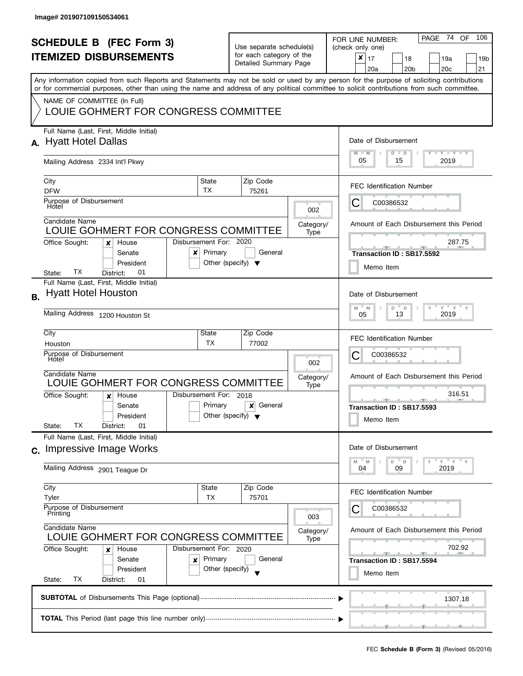I

|           |                                                                                                                                            |                                      |                                                      |                       |           | 106<br>PAGE 74 OF                                             |  |  |
|-----------|--------------------------------------------------------------------------------------------------------------------------------------------|--------------------------------------|------------------------------------------------------|-----------------------|-----------|---------------------------------------------------------------|--|--|
|           | <b>SCHEDULE B</b> (FEC Form 3)                                                                                                             |                                      | Use separate schedule(s)<br>for each category of the |                       |           | FOR LINE NUMBER:<br>(check only one)                          |  |  |
|           | <b>ITEMIZED DISBURSEMENTS</b>                                                                                                              |                                      |                                                      |                       |           | $\boldsymbol{x}$<br>17<br>18<br>19a<br>19b                    |  |  |
|           |                                                                                                                                            |                                      |                                                      | Detailed Summary Page |           | 20 <sub>c</sub><br>20a<br>20 <sub>b</sub><br>21               |  |  |
|           | Any information copied from such Reports and Statements may not be sold or used by any person for the purpose of soliciting contributions  |                                      |                                                      |                       |           |                                                               |  |  |
|           | or for commercial purposes, other than using the name and address of any political committee to solicit contributions from such committee. |                                      |                                                      |                       |           |                                                               |  |  |
|           | NAME OF COMMITTEE (In Full)                                                                                                                |                                      |                                                      |                       |           |                                                               |  |  |
|           | LOUIE GOHMERT FOR CONGRESS COMMITTEE                                                                                                       |                                      |                                                      |                       |           |                                                               |  |  |
|           |                                                                                                                                            |                                      |                                                      |                       |           |                                                               |  |  |
|           | Full Name (Last, First, Middle Initial)                                                                                                    |                                      |                                                      |                       |           |                                                               |  |  |
|           | A. Hyatt Hotel Dallas                                                                                                                      |                                      |                                                      |                       |           | Date of Disbursement                                          |  |  |
|           |                                                                                                                                            |                                      |                                                      |                       |           | $T - Y = T - Y$<br>$M - M$<br>$D$ $D$                         |  |  |
|           | Mailing Address 2334 Int'l Pkwy                                                                                                            |                                      |                                                      |                       |           | 05<br>15<br>2019                                              |  |  |
|           | City                                                                                                                                       | State                                |                                                      | Zip Code              |           |                                                               |  |  |
|           | <b>DFW</b>                                                                                                                                 | <b>TX</b>                            |                                                      | 75261                 |           | <b>FEC Identification Number</b>                              |  |  |
|           | Purpose of Disbursement                                                                                                                    |                                      |                                                      |                       |           | C00386532<br>C                                                |  |  |
|           | Hotel                                                                                                                                      |                                      |                                                      |                       | 002       |                                                               |  |  |
|           | Candidate Name                                                                                                                             |                                      |                                                      |                       | Category/ | Amount of Each Disbursement this Period                       |  |  |
|           | LOUIE GOHMERT FOR CONGRESS COMMITTEE                                                                                                       |                                      |                                                      |                       | Type      |                                                               |  |  |
|           | Office Sought:<br>House<br>x                                                                                                               | Disbursement For: 2020               |                                                      |                       |           | 287.75                                                        |  |  |
|           | Senate<br>x                                                                                                                                | Primary                              |                                                      | General               |           | Transaction ID: SB17.5592                                     |  |  |
|           | President                                                                                                                                  | Other (specify) $\blacktriangledown$ |                                                      |                       |           | Memo Item                                                     |  |  |
|           | ТX<br>01<br>District:<br>State:                                                                                                            |                                      |                                                      |                       |           |                                                               |  |  |
|           | Full Name (Last, First, Middle Initial)<br><b>Hyatt Hotel Houston</b>                                                                      |                                      |                                                      |                       |           |                                                               |  |  |
| <b>B.</b> |                                                                                                                                            |                                      |                                                      |                       |           | Date of Disbursement                                          |  |  |
|           | Mailing Address 1200 Houston St                                                                                                            |                                      |                                                      |                       |           | $Y$ $Y$ $Y$<br>M<br>M<br>D<br>$\mathsf D$<br>2019<br>13<br>05 |  |  |
|           |                                                                                                                                            |                                      |                                                      |                       |           |                                                               |  |  |
|           | City                                                                                                                                       | State                                |                                                      | Zip Code              |           | <b>FEC Identification Number</b>                              |  |  |
|           | Houston                                                                                                                                    | <b>TX</b>                            |                                                      | 77002                 |           |                                                               |  |  |
|           | Purpose of Disbursement<br>Hotel                                                                                                           |                                      | 002                                                  |                       |           | С<br>C00386532                                                |  |  |
|           | Candidate Name                                                                                                                             |                                      |                                                      |                       |           |                                                               |  |  |
|           | LOUIE GOHMERT FOR CONGRESS COMMITTEE                                                                                                       |                                      | Category/<br>Type                                    |                       |           | Amount of Each Disbursement this Period                       |  |  |
|           | Office Sought:<br>House<br>x                                                                                                               | Disbursement For: 2018               |                                                      |                       |           | 316.51                                                        |  |  |
|           | Senate                                                                                                                                     | Primary                              |                                                      | General<br>×          |           | $- - -$<br><b>AND</b><br>Transaction ID: SB17.5593            |  |  |
|           | President                                                                                                                                  | Other (specify) $\blacktriangledown$ |                                                      |                       |           | Memo Item                                                     |  |  |
|           | ТX<br>01<br>State:<br>District:                                                                                                            |                                      |                                                      |                       |           |                                                               |  |  |
|           | Full Name (Last, First, Middle Initial)                                                                                                    |                                      |                                                      |                       |           |                                                               |  |  |
|           | c. Impressive Image Works                                                                                                                  |                                      |                                                      |                       |           | Date of Disbursement                                          |  |  |
|           |                                                                                                                                            |                                      |                                                      |                       |           | $Y = Y = Y$<br>D<br>D<br>M<br>M                               |  |  |
|           | Mailing Address 2901 Teague Dr                                                                                                             |                                      |                                                      |                       |           | 09<br>2019<br>04                                              |  |  |
|           | City                                                                                                                                       | State                                |                                                      | Zip Code              |           |                                                               |  |  |
|           | Tyler                                                                                                                                      | <b>TX</b>                            |                                                      | 75701                 |           | <b>FEC Identification Number</b>                              |  |  |
|           | Purpose of Disbursement<br>Printing                                                                                                        |                                      |                                                      |                       |           | C00386532                                                     |  |  |
|           |                                                                                                                                            |                                      |                                                      |                       | 003       |                                                               |  |  |
|           | Candidate Name<br>LOUIE GOHMERT FOR CONGRESS COMMITTEE                                                                                     |                                      |                                                      |                       | Category/ | Amount of Each Disbursement this Period                       |  |  |
|           | Disbursement For: 2020<br>Office Sought:<br>House<br>x<br>Primary<br>Senate                                                                |                                      |                                                      |                       | Type      | 702.92                                                        |  |  |
|           |                                                                                                                                            |                                      |                                                      | General               |           |                                                               |  |  |
|           | ×<br>Other (specify)<br>President                                                                                                          |                                      |                                                      |                       |           | Transaction ID: SB17.5594                                     |  |  |
|           | ТX<br>State:<br>District:<br>01                                                                                                            |                                      |                                                      |                       |           | Memo Item                                                     |  |  |
|           |                                                                                                                                            |                                      |                                                      |                       |           |                                                               |  |  |
|           |                                                                                                                                            |                                      |                                                      |                       |           | 1307.18                                                       |  |  |
|           |                                                                                                                                            |                                      |                                                      |                       |           |                                                               |  |  |
|           |                                                                                                                                            |                                      |                                                      |                       |           |                                                               |  |  |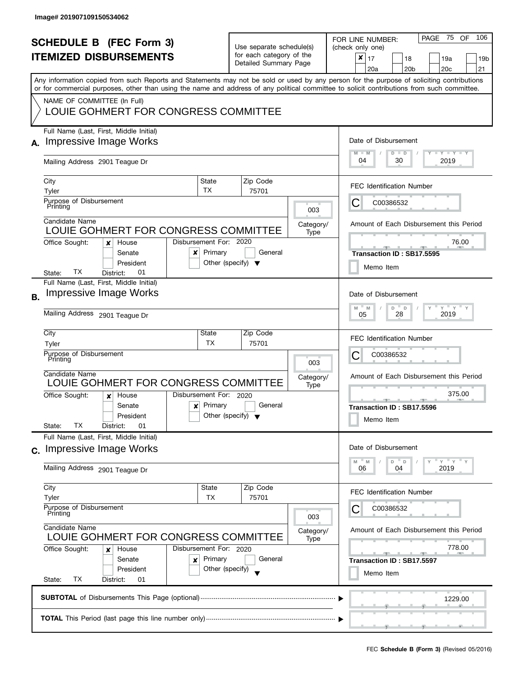|                |                                                                                                                                            |                                      |                          |                                                   |                                         | 106<br>PAGE 75<br><b>OF</b><br>FOR LINE NUMBER:                                                                                           |  |  |
|----------------|--------------------------------------------------------------------------------------------------------------------------------------------|--------------------------------------|--------------------------|---------------------------------------------------|-----------------------------------------|-------------------------------------------------------------------------------------------------------------------------------------------|--|--|
|                | <b>SCHEDULE B (FEC Form 3)</b>                                                                                                             |                                      | Use separate schedule(s) |                                                   |                                         | (check only one)                                                                                                                          |  |  |
|                | <b>ITEMIZED DISBURSEMENTS</b>                                                                                                              |                                      |                          | for each category of the<br>Detailed Summary Page |                                         | ×<br>17<br>18<br>19a<br>19b                                                                                                               |  |  |
|                |                                                                                                                                            |                                      |                          |                                                   |                                         | 20 <sub>c</sub><br>21<br>20a<br>20 <sub>b</sub>                                                                                           |  |  |
|                |                                                                                                                                            |                                      |                          |                                                   |                                         | Any information copied from such Reports and Statements may not be sold or used by any person for the purpose of soliciting contributions |  |  |
|                | or for commercial purposes, other than using the name and address of any political committee to solicit contributions from such committee. |                                      |                          |                                                   |                                         |                                                                                                                                           |  |  |
|                | NAME OF COMMITTEE (In Full)<br>LOUIE GOHMERT FOR CONGRESS COMMITTEE                                                                        |                                      |                          |                                                   |                                         |                                                                                                                                           |  |  |
|                |                                                                                                                                            |                                      |                          |                                                   |                                         |                                                                                                                                           |  |  |
|                | Full Name (Last, First, Middle Initial)                                                                                                    |                                      |                          |                                                   |                                         |                                                                                                                                           |  |  |
|                | Impressive Image Works                                                                                                                     |                                      |                          |                                                   |                                         | Date of Disbursement                                                                                                                      |  |  |
|                |                                                                                                                                            |                                      |                          |                                                   |                                         | $T - Y = T - Y$<br>$D$ $D$<br>$M - M$                                                                                                     |  |  |
|                | Mailing Address 2901 Teague Dr                                                                                                             |                                      |                          |                                                   |                                         | 04<br>30<br>2019                                                                                                                          |  |  |
|                | City                                                                                                                                       | State                                |                          | Zip Code                                          |                                         |                                                                                                                                           |  |  |
|                | Tyler                                                                                                                                      | <b>TX</b>                            |                          | 75701                                             |                                         | <b>FEC Identification Number</b>                                                                                                          |  |  |
|                | Purpose of Disbursement                                                                                                                    |                                      |                          |                                                   |                                         | C00386532<br>C                                                                                                                            |  |  |
|                | Printing                                                                                                                                   |                                      |                          |                                                   | 003                                     |                                                                                                                                           |  |  |
|                | Candidate Name                                                                                                                             |                                      |                          |                                                   | Category/                               | Amount of Each Disbursement this Period                                                                                                   |  |  |
|                | LOUIE GOHMERT FOR CONGRESS COMMITTEE                                                                                                       |                                      |                          |                                                   | Type                                    |                                                                                                                                           |  |  |
|                | Office Sought:<br>House<br>x<br>Senate                                                                                                     | Disbursement For: 2020<br>Primary    |                          | General                                           |                                         | 76.00                                                                                                                                     |  |  |
|                | x<br>President                                                                                                                             | Other (specify) $\blacktriangledown$ |                          |                                                   |                                         | Transaction ID: SB17.5595                                                                                                                 |  |  |
|                | ТX<br>01<br>District:<br>State:                                                                                                            |                                      |                          |                                                   |                                         | Memo Item                                                                                                                                 |  |  |
|                | Full Name (Last, First, Middle Initial)                                                                                                    |                                      |                          |                                                   |                                         |                                                                                                                                           |  |  |
| <b>B.</b>      | <b>Impressive Image Works</b>                                                                                                              |                                      |                          |                                                   |                                         | Date of Disbursement                                                                                                                      |  |  |
|                |                                                                                                                                            |                                      |                          |                                                   |                                         | $Y$ $Y$ $Y$<br>M<br>D<br>D<br>M                                                                                                           |  |  |
|                | Mailing Address 2901 Teague Dr                                                                                                             |                                      |                          |                                                   |                                         | 2019<br>28<br>05                                                                                                                          |  |  |
|                | City                                                                                                                                       | State                                |                          | Zip Code                                          |                                         |                                                                                                                                           |  |  |
|                | Tyler                                                                                                                                      | ТX                                   |                          | 75701                                             |                                         | <b>FEC Identification Number</b>                                                                                                          |  |  |
|                | Purpose of Disbursement                                                                                                                    |                                      | 003                      |                                                   |                                         | С<br>C00386532                                                                                                                            |  |  |
|                | Printing                                                                                                                                   |                                      |                          |                                                   |                                         |                                                                                                                                           |  |  |
|                | Candidate Name<br>LOUIE GOHMERT FOR CONGRESS COMMITTEE                                                                                     |                                      |                          |                                                   | Category/                               | Amount of Each Disbursement this Period                                                                                                   |  |  |
|                | Office Sought:<br>House                                                                                                                    | Disbursement For: 2020               |                          |                                                   | Type                                    | 375.00                                                                                                                                    |  |  |
|                | $\boldsymbol{x}$<br>Senate<br>x                                                                                                            | Primary                              | General                  |                                                   |                                         | <b>AND IN</b><br>Transaction ID: SB17.5596                                                                                                |  |  |
|                | President                                                                                                                                  | Other (specify) $\blacktriangledown$ |                          |                                                   |                                         |                                                                                                                                           |  |  |
|                | ТX<br>01<br>State:<br>District:                                                                                                            |                                      |                          |                                                   |                                         | Memo Item                                                                                                                                 |  |  |
|                | Full Name (Last, First, Middle Initial)                                                                                                    |                                      |                          |                                                   |                                         |                                                                                                                                           |  |  |
| $\mathbf{C}$ . | Impressive Image Works                                                                                                                     |                                      |                          |                                                   |                                         | Date of Disbursement                                                                                                                      |  |  |
|                |                                                                                                                                            |                                      |                          |                                                   |                                         | $Y = Y$<br>D<br>$\Box$<br>M<br>M                                                                                                          |  |  |
|                | Mailing Address 2901 Teague Dr                                                                                                             |                                      |                          |                                                   |                                         | 2019<br>06<br>04                                                                                                                          |  |  |
|                | City                                                                                                                                       | State                                |                          | Zip Code                                          |                                         |                                                                                                                                           |  |  |
|                | Tyler                                                                                                                                      | ТX                                   |                          | 75701                                             |                                         | <b>FEC Identification Number</b>                                                                                                          |  |  |
|                | Purpose of Disbursement<br>Printing                                                                                                        |                                      |                          |                                                   | C00386532                               |                                                                                                                                           |  |  |
|                | Candidate Name                                                                                                                             |                                      |                          | 003                                               |                                         |                                                                                                                                           |  |  |
|                | LOUIE GOHMERT FOR CONGRESS COMMITTEE                                                                                                       |                                      |                          | Category/<br>Type                                 | Amount of Each Disbursement this Period |                                                                                                                                           |  |  |
|                | Office Sought:<br>Disbursement For: 2020<br>House<br>x                                                                                     |                                      |                          |                                                   |                                         | 778.00                                                                                                                                    |  |  |
|                | Senate<br>x                                                                                                                                | Primary                              |                          | General                                           |                                         | $-$<br><b>Property</b><br>Transaction ID: SB17.5597                                                                                       |  |  |
|                | President                                                                                                                                  | Other (specify)                      |                          |                                                   |                                         | Memo Item                                                                                                                                 |  |  |
|                | ТX<br>State:<br>District:<br>01                                                                                                            |                                      |                          |                                                   |                                         |                                                                                                                                           |  |  |
|                |                                                                                                                                            | 1229.00                              |                          |                                                   |                                         |                                                                                                                                           |  |  |
|                |                                                                                                                                            |                                      |                          |                                                   |                                         |                                                                                                                                           |  |  |
|                |                                                                                                                                            |                                      |                          |                                                   |                                         |                                                                                                                                           |  |  |
|                |                                                                                                                                            |                                      |                          |                                                   |                                         |                                                                                                                                           |  |  |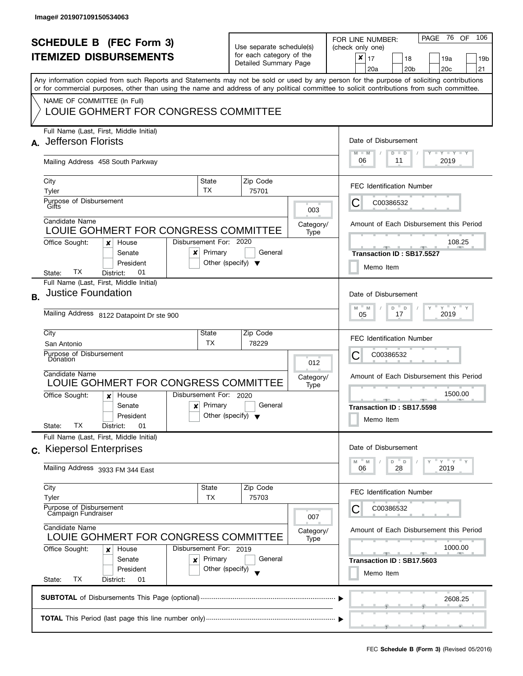| <b>SCHEDULE B (FEC Form 3)</b><br><b>ITEMIZED DISBURSEMENTS</b> |                                                                                                                                                                                                                                                                                                                                                                |                                                 | Use separate schedule(s)<br>for each category of the<br>Detailed Summary Page     |                          | - 76<br>106<br>PAGE<br><b>OF</b><br>FOR LINE NUMBER:<br>(check only one)<br>×<br>17<br>18<br>19a<br>19b<br>20 <sub>c</sub><br>21<br>20a<br>20 <sub>b</sub> |
|-----------------------------------------------------------------|----------------------------------------------------------------------------------------------------------------------------------------------------------------------------------------------------------------------------------------------------------------------------------------------------------------------------------------------------------------|-------------------------------------------------|-----------------------------------------------------------------------------------|--------------------------|------------------------------------------------------------------------------------------------------------------------------------------------------------|
|                                                                 | Any information copied from such Reports and Statements may not be sold or used by any person for the purpose of soliciting contributions<br>or for commercial purposes, other than using the name and address of any political committee to solicit contributions from such committee.<br>NAME OF COMMITTEE (In Full)<br>LOUIE GOHMERT FOR CONGRESS COMMITTEE |                                                 |                                                                                   |                          |                                                                                                                                                            |
| A.                                                              | Full Name (Last, First, Middle Initial)<br><b>Jefferson Florists</b><br>Mailing Address 458 South Parkway                                                                                                                                                                                                                                                      |                                                 | Date of Disbursement<br>$T - Y = T - Y$<br>$M - M$<br>$D$ $D$<br>06<br>2019<br>11 |                          |                                                                                                                                                            |
|                                                                 | City<br>Tyler<br>Purpose of Disbursement<br>Gifts<br>Candidate Name                                                                                                                                                                                                                                                                                            | State<br><b>TX</b>                              | Zip Code<br>75701                                                                 | 003<br>Category/         | <b>FEC Identification Number</b><br>C00386532<br>Ĉ<br>Amount of Each Disbursement this Period                                                              |
|                                                                 | LOUIE GOHMERT FOR CONGRESS COMMITTEE<br>Disbursement For: 2020<br>Office Sought:<br>House<br>×<br>Senate<br>x<br>President<br>TХ<br>01<br>District:<br>State:                                                                                                                                                                                                  | Primary<br>Other (specify) $\blacktriangledown$ | General                                                                           | Type                     | 108.25<br>Transaction ID: SB17.5527<br>Memo Item                                                                                                           |
| В.                                                              | Full Name (Last, First, Middle Initial)<br><b>Justice Foundation</b><br>Mailing Address 8122 Datapoint Dr ste 900                                                                                                                                                                                                                                              |                                                 |                                                                                   |                          | Date of Disbursement<br>$Y$ $Y$ $Y$<br>M<br>M<br>D<br>D<br>2019<br>17<br>05                                                                                |
|                                                                 | City<br>San Antonio<br>Purpose of Disbursement<br>Donation<br>Candidate Name<br>LOUIE GOHMERT FOR CONGRESS COMMITTEE                                                                                                                                                                                                                                           | State<br>ТX                                     | Zip Code<br>78229                                                                 | 012<br>Category/<br>Type | <b>FEC Identification Number</b><br>С<br>C00386532<br>Amount of Each Disbursement this Period                                                              |
|                                                                 | Disbursement For: 2020<br>Office Sought:<br>House<br>$\boldsymbol{x}$<br>Senate<br>$\boldsymbol{x}$<br>President<br>ТX<br>01<br>District:<br>State:                                                                                                                                                                                                            | Primary<br>Other (specify) $\blacktriangledown$ | General                                                                           |                          | 1500.00<br>Transaction ID: SB17.5598<br>Memo Item                                                                                                          |
|                                                                 | Full Name (Last, First, Middle Initial)<br>c. Kiepersol Enterprises<br>Mailing Address 3933 FM 344 East                                                                                                                                                                                                                                                        |                                                 |                                                                                   |                          | Date of Disbursement<br>$Y = Y$<br>D<br>$\mathsf D$<br>M<br>M<br>2019<br>06<br>28                                                                          |
|                                                                 | City<br>Tyler<br>Purpose of Disbursement<br>Campaign Fundraiser<br>Candidate Name                                                                                                                                                                                                                                                                              | State<br><b>TX</b>                              | Zip Code<br>75703                                                                 | 007                      | <b>FEC Identification Number</b><br>C00386532                                                                                                              |
|                                                                 | LOUIE GOHMERT FOR CONGRESS COMMITTEE<br>Office Sought:<br>Disbursement For: 2019<br>House<br>x<br>Senate<br>×<br>President<br>ТX<br>State:<br>District:<br>01                                                                                                                                                                                                  | Primary<br>Other (specify)                      | General                                                                           | Category/<br>Type        | Amount of Each Disbursement this Period<br>1000.00<br><u>_______</u><br>Transaction ID: SB17.5603<br>Memo Item                                             |
|                                                                 |                                                                                                                                                                                                                                                                                                                                                                | 2608.25                                         |                                                                                   |                          |                                                                                                                                                            |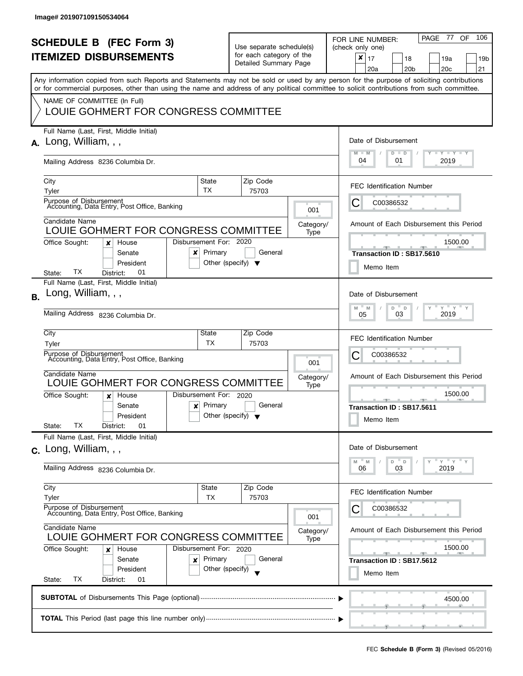| <b>SCHEDULE B</b> (FEC Form 3)<br><b>ITEMIZED DISBURSEMENTS</b> |                                                                                                                                                                                                                                                                                         |                                                 | Use separate schedule(s)<br>for each category of the                                          |                       |                   | PAGE 77<br>106<br>OF<br>FOR LINE NUMBER:<br>(check only one)<br>×<br>17<br>18<br>19a<br>19b |  |  |
|-----------------------------------------------------------------|-----------------------------------------------------------------------------------------------------------------------------------------------------------------------------------------------------------------------------------------------------------------------------------------|-------------------------------------------------|-----------------------------------------------------------------------------------------------|-----------------------|-------------------|---------------------------------------------------------------------------------------------|--|--|
|                                                                 |                                                                                                                                                                                                                                                                                         |                                                 |                                                                                               | Detailed Summary Page |                   | 20 <sub>c</sub><br>21<br>20a<br>20 <sub>b</sub>                                             |  |  |
|                                                                 | Any information copied from such Reports and Statements may not be sold or used by any person for the purpose of soliciting contributions<br>or for commercial purposes, other than using the name and address of any political committee to solicit contributions from such committee. |                                                 |                                                                                               |                       |                   |                                                                                             |  |  |
|                                                                 | NAME OF COMMITTEE (In Full)<br>LOUIE GOHMERT FOR CONGRESS COMMITTEE                                                                                                                                                                                                                     |                                                 |                                                                                               |                       |                   |                                                                                             |  |  |
| А.                                                              | Full Name (Last, First, Middle Initial)<br>Long, William, $,$ ,                                                                                                                                                                                                                         |                                                 | Date of Disbursement<br>$\Box$ $\gamma$ $\Box$ $\gamma$ $\Box$ $\gamma$<br>$M - M$<br>$D$ $D$ |                       |                   |                                                                                             |  |  |
|                                                                 | Mailing Address 8236 Columbia Dr.                                                                                                                                                                                                                                                       |                                                 |                                                                                               |                       |                   | 04<br>2019<br>01                                                                            |  |  |
|                                                                 | City<br>Tyler                                                                                                                                                                                                                                                                           | State<br>TX                                     |                                                                                               | Zip Code<br>75703     |                   | <b>FEC Identification Number</b>                                                            |  |  |
|                                                                 | Purpose of Disbursement<br>Accounting, Data Entry, Post Office, Banking                                                                                                                                                                                                                 |                                                 |                                                                                               |                       | 001               | C00386532<br>Ĉ                                                                              |  |  |
|                                                                 | Candidate Name<br>LOUIE GOHMERT FOR CONGRESS COMMITTEE                                                                                                                                                                                                                                  |                                                 |                                                                                               |                       | Category/<br>Type | Amount of Each Disbursement this Period                                                     |  |  |
|                                                                 | Disbursement For: 2020<br>Office Sought:<br>House<br>×<br>Senate<br>x<br>President<br>TХ<br>01<br>District:<br>State:                                                                                                                                                                   | Primary<br>Other (specify) $\blacktriangledown$ |                                                                                               | General               |                   | 1500.00<br>Transaction ID: SB17.5610<br>Memo Item                                           |  |  |
|                                                                 | Full Name (Last, First, Middle Initial)                                                                                                                                                                                                                                                 |                                                 |                                                                                               |                       |                   |                                                                                             |  |  |
| <b>B.</b>                                                       | Long, William, , ,                                                                                                                                                                                                                                                                      |                                                 |                                                                                               |                       |                   | Date of Disbursement<br>$Y$ $Y$ $Y$<br>D<br>M<br>D<br>M                                     |  |  |
|                                                                 | Mailing Address 8236 Columbia Dr.                                                                                                                                                                                                                                                       |                                                 |                                                                                               |                       |                   | 2019<br>03<br>05                                                                            |  |  |
|                                                                 | City<br>Tyler                                                                                                                                                                                                                                                                           | State<br><b>TX</b>                              |                                                                                               | Zip Code<br>75703     |                   | <b>FEC Identification Number</b>                                                            |  |  |
|                                                                 | Purpose of Disbursement<br>Accounting, Data Entry, Post Office, Banking                                                                                                                                                                                                                 |                                                 |                                                                                               |                       | 001               | С<br>C00386532                                                                              |  |  |
|                                                                 | Candidate Name<br>LOUIE GOHMERT FOR CONGRESS COMMITTEE                                                                                                                                                                                                                                  |                                                 |                                                                                               |                       | Category/<br>Type | Amount of Each Disbursement this Period                                                     |  |  |
|                                                                 | Disbursement For: 2020<br>Office Sought:<br>House<br>x                                                                                                                                                                                                                                  |                                                 |                                                                                               |                       |                   | 1500.00<br><u>____</u>                                                                      |  |  |
|                                                                 | Senate<br>$\mathbf{x}$<br>President<br>ТX<br>01<br>District:<br>State:                                                                                                                                                                                                                  | Primary<br>Other (specify) $\blacktriangledown$ |                                                                                               | General               |                   | Transaction ID: SB17.5611<br>Memo Item                                                      |  |  |
|                                                                 | Full Name (Last, First, Middle Initial)<br>$c.$ Long, William, , ,                                                                                                                                                                                                                      |                                                 |                                                                                               |                       |                   | Date of Disbursement                                                                        |  |  |
|                                                                 | Mailing Address 8236 Columbia Dr.                                                                                                                                                                                                                                                       |                                                 |                                                                                               |                       |                   | $Y$ $Y$ $Y$<br>D<br>$\mathsf D$<br>M<br>M<br>2019<br>06<br>03                               |  |  |
|                                                                 | City                                                                                                                                                                                                                                                                                    | <b>State</b>                                    |                                                                                               | Zip Code              |                   |                                                                                             |  |  |
|                                                                 | Tyler                                                                                                                                                                                                                                                                                   | <b>TX</b>                                       |                                                                                               | 75703                 |                   | <b>FEC Identification Number</b>                                                            |  |  |
|                                                                 | Purpose of Disbursement<br>Accounting, Data Entry, Post Office, Banking<br>Candidate Name                                                                                                                                                                                               |                                                 |                                                                                               | 001                   | C00386532         |                                                                                             |  |  |
|                                                                 | LOUIE GOHMERT FOR CONGRESS COMMITTEE                                                                                                                                                                                                                                                    |                                                 |                                                                                               |                       | Category/<br>Type | Amount of Each Disbursement this Period                                                     |  |  |
|                                                                 | Office Sought:<br>Disbursement For: 2020<br>House<br>x<br>Senate<br>×                                                                                                                                                                                                                   | Primary                                         |                                                                                               | General               |                   | 1500.00<br>Transaction ID: SB17.5612                                                        |  |  |
|                                                                 | President<br>ТX<br>State:<br>District:<br>01                                                                                                                                                                                                                                            | Other (specify)                                 |                                                                                               |                       |                   | Memo Item                                                                                   |  |  |
|                                                                 |                                                                                                                                                                                                                                                                                         |                                                 |                                                                                               |                       |                   | 4500.00                                                                                     |  |  |
|                                                                 |                                                                                                                                                                                                                                                                                         |                                                 |                                                                                               |                       |                   |                                                                                             |  |  |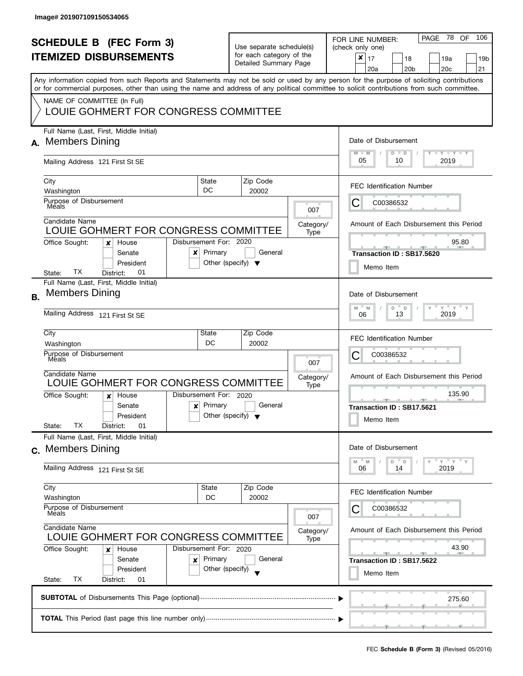|           |                                                                                                                                            |                                      |                        |                          |                   | 106<br>PAGE 78<br>OF                                    |  |  |
|-----------|--------------------------------------------------------------------------------------------------------------------------------------------|--------------------------------------|------------------------|--------------------------|-------------------|---------------------------------------------------------|--|--|
|           | <b>SCHEDULE B (FEC Form 3)</b>                                                                                                             |                                      |                        | Use separate schedule(s) |                   | FOR LINE NUMBER:<br>(check only one)                    |  |  |
|           | <b>ITEMIZED DISBURSEMENTS</b>                                                                                                              |                                      |                        | for each category of the |                   | $\boldsymbol{x}$<br>17<br>18<br>19a<br>19b              |  |  |
|           |                                                                                                                                            |                                      |                        | Detailed Summary Page    |                   | 20 <sub>c</sub><br>20a<br>20 <sub>b</sub><br>21         |  |  |
|           | Any information copied from such Reports and Statements may not be sold or used by any person for the purpose of soliciting contributions  |                                      |                        |                          |                   |                                                         |  |  |
|           | or for commercial purposes, other than using the name and address of any political committee to solicit contributions from such committee. |                                      |                        |                          |                   |                                                         |  |  |
|           | NAME OF COMMITTEE (In Full)                                                                                                                |                                      |                        |                          |                   |                                                         |  |  |
|           | LOUIE GOHMERT FOR CONGRESS COMMITTEE                                                                                                       |                                      |                        |                          |                   |                                                         |  |  |
|           | Full Name (Last, First, Middle Initial)                                                                                                    |                                      |                        |                          |                   |                                                         |  |  |
|           | A. Members Dining                                                                                                                          |                                      |                        |                          |                   | Date of Disbursement                                    |  |  |
|           |                                                                                                                                            |                                      |                        |                          |                   | $T - Y = T - Y$<br>$M - M$<br>$D$ $D$<br>05<br>2019     |  |  |
|           | Mailing Address 121 First St SE                                                                                                            |                                      |                        |                          |                   | 10                                                      |  |  |
|           | City                                                                                                                                       | State                                |                        | Zip Code                 |                   | <b>FEC Identification Number</b>                        |  |  |
|           | Washington                                                                                                                                 | DC                                   |                        | 20002                    |                   |                                                         |  |  |
|           | Purpose of Disbursement<br>Méals                                                                                                           |                                      |                        |                          | 007               | C00386532<br>C                                          |  |  |
|           | Candidate Name                                                                                                                             |                                      |                        |                          |                   |                                                         |  |  |
|           | LOUIE GOHMERT FOR CONGRESS COMMITTEE                                                                                                       |                                      |                        |                          | Category/<br>Type | Amount of Each Disbursement this Period                 |  |  |
|           | Office Sought:<br>House<br>×                                                                                                               | Disbursement For: 2020               |                        |                          |                   | 95.80                                                   |  |  |
|           | Senate<br>x                                                                                                                                | Primary                              |                        | General                  |                   | Transaction ID: SB17.5620                               |  |  |
|           | President                                                                                                                                  | Other (specify) $\blacktriangledown$ |                        |                          |                   | Memo Item                                               |  |  |
|           | TХ<br>01<br>State:<br>District:                                                                                                            |                                      |                        |                          |                   |                                                         |  |  |
|           | Full Name (Last, First, Middle Initial)<br><b>Members Dining</b>                                                                           |                                      |                        |                          |                   |                                                         |  |  |
| <b>B.</b> |                                                                                                                                            |                                      |                        |                          |                   | Date of Disbursement                                    |  |  |
|           | Mailing Address 121 First St SE                                                                                                            |                                      |                        |                          |                   | $Y$ $Y$ $Y$ $Y$<br>M<br>M<br>D<br>D<br>2019<br>13<br>06 |  |  |
|           |                                                                                                                                            |                                      |                        |                          |                   |                                                         |  |  |
|           | City                                                                                                                                       | State                                |                        | Zip Code                 |                   | <b>FEC Identification Number</b>                        |  |  |
|           | Washington<br>Purpose of Disbursement                                                                                                      | DC                                   |                        | 20002                    |                   |                                                         |  |  |
|           | Meals                                                                                                                                      |                                      | 007                    |                          |                   | С<br>C00386532                                          |  |  |
|           | Candidate Name                                                                                                                             |                                      |                        |                          | Category/         | Amount of Each Disbursement this Period                 |  |  |
|           | LOUIE GOHMERT FOR CONGRESS COMMITTEE                                                                                                       |                                      |                        |                          | Type              |                                                         |  |  |
|           | Office Sought:<br>House<br>x                                                                                                               |                                      | Disbursement For: 2020 |                          |                   | 135.90<br>$- - -$<br><b>AND</b>                         |  |  |
|           | Senate<br>$\boldsymbol{x}$                                                                                                                 | Primary                              |                        | General                  |                   | Transaction ID: SB17.5621                               |  |  |
|           | President<br>ТX                                                                                                                            | Other (specify) $\blacktriangledown$ |                        |                          |                   | Memo Item                                               |  |  |
|           | 01<br>State:<br>District:<br>Full Name (Last, First, Middle Initial)                                                                       |                                      |                        |                          |                   |                                                         |  |  |
|           | c. Members Dining                                                                                                                          |                                      |                        |                          |                   | Date of Disbursement                                    |  |  |
|           |                                                                                                                                            |                                      |                        |                          |                   | $Y = Y$<br>D<br>D<br>M<br>M                             |  |  |
|           | Mailing Address 121 First St SE                                                                                                            |                                      |                        |                          |                   | 2019<br>06<br>14                                        |  |  |
|           | City                                                                                                                                       | State                                |                        | Zip Code                 |                   |                                                         |  |  |
|           | Washington                                                                                                                                 | DC                                   |                        | 20002                    |                   | <b>FEC Identification Number</b>                        |  |  |
|           | Purpose of Disbursement                                                                                                                    |                                      |                        |                          |                   | C00386532                                               |  |  |
|           | Méals                                                                                                                                      |                                      |                        |                          | 007               |                                                         |  |  |
|           | Candidate Name<br>LOUIE GOHMERT FOR CONGRESS COMMITTEE<br>Disbursement For: 2020<br>Office Sought:<br>House<br>x<br>Primary<br>Senate<br>× |                                      |                        |                          | Category/         | Amount of Each Disbursement this Period                 |  |  |
|           |                                                                                                                                            |                                      |                        |                          | Type              | 43.90                                                   |  |  |
|           |                                                                                                                                            |                                      |                        | General                  |                   | $-$<br>$\alpha=1$                                       |  |  |
|           | President                                                                                                                                  | Other (specify)                      |                        |                          |                   | Transaction ID: SB17.5622                               |  |  |
|           | ТX<br>State:<br>District:<br>01                                                                                                            |                                      |                        |                          |                   | Memo Item                                               |  |  |
|           |                                                                                                                                            |                                      |                        |                          |                   |                                                         |  |  |
|           |                                                                                                                                            |                                      |                        |                          |                   | 275.60                                                  |  |  |
|           |                                                                                                                                            |                                      |                        |                          |                   |                                                         |  |  |
|           |                                                                                                                                            |                                      |                        |                          |                   |                                                         |  |  |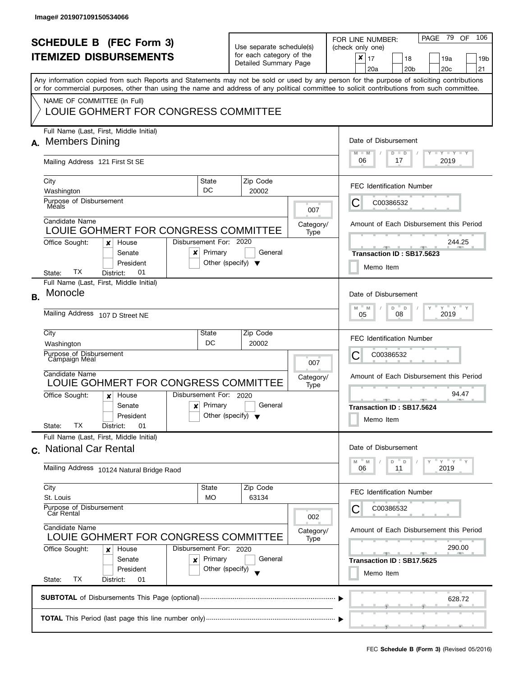|           | <b>SCHEDULE B (FEC Form 3)</b><br><b>ITEMIZED DISBURSEMENTS</b><br>Any information copied from such Reports and Statements may not be sold or used by any person for the purpose of soliciting contributions<br>or for commercial purposes, other than using the name and address of any political committee to solicit contributions from such committee. |                                                                                   | Use separate schedule(s)<br>for each category of the<br>Detailed Summary Page |                          | - 79<br>OF<br>106<br>PAGE<br>FOR LINE NUMBER:<br>(check only one)<br>$\pmb{\times}$<br>17<br>18<br>19a<br>19b<br>20 <sub>c</sub><br>21<br>20a<br>20 <sub>b</sub> |
|-----------|------------------------------------------------------------------------------------------------------------------------------------------------------------------------------------------------------------------------------------------------------------------------------------------------------------------------------------------------------------|-----------------------------------------------------------------------------------|-------------------------------------------------------------------------------|--------------------------|------------------------------------------------------------------------------------------------------------------------------------------------------------------|
|           | NAME OF COMMITTEE (In Full)<br>LOUIE GOHMERT FOR CONGRESS COMMITTEE                                                                                                                                                                                                                                                                                        |                                                                                   |                                                                               |                          |                                                                                                                                                                  |
| А.        | Full Name (Last, First, Middle Initial)<br><b>Members Dining</b><br>Mailing Address 121 First St SE                                                                                                                                                                                                                                                        | Date of Disbursement<br>$T - Y = T - Y$<br>$M - M$<br>$D$ $D$<br>06<br>2019<br>17 |                                                                               |                          |                                                                                                                                                                  |
|           | City<br>Washington<br>Purpose of Disbursement<br>Méals                                                                                                                                                                                                                                                                                                     | State<br>DC                                                                       | Zip Code<br>20002                                                             |                          | <b>FEC Identification Number</b><br>C00386532<br>Ĉ                                                                                                               |
|           | Candidate Name<br>LOUIE GOHMERT FOR CONGRESS COMMITTEE<br>Disbursement For: 2020<br>Office Sought:<br>House<br>x<br>Senate<br>x                                                                                                                                                                                                                            | Primary                                                                           | General                                                                       | 007<br>Category/<br>Type | Amount of Each Disbursement this Period<br>244.25<br>Transaction ID: SB17.5623                                                                                   |
|           | President<br>ТX<br>01<br>District:<br>State:<br>Full Name (Last, First, Middle Initial)<br>Monocle                                                                                                                                                                                                                                                         | Other (specify) $\blacktriangledown$                                              |                                                                               |                          | Memo Item<br>Date of Disbursement                                                                                                                                |
| <b>B.</b> | Mailing Address 107 D Street NE                                                                                                                                                                                                                                                                                                                            | $Y$ $Y$ $Y$<br>D<br>M<br>M<br>D<br>2019<br>08<br>05                               |                                                                               |                          |                                                                                                                                                                  |
|           | City<br>Washington<br>Purpose of Disbursement<br>Campaign Meal                                                                                                                                                                                                                                                                                             | State<br>DC                                                                       | Zip Code<br>20002                                                             | 007                      | <b>FEC Identification Number</b><br>С<br>C00386532                                                                                                               |
|           | Candidate Name<br>LOUIE GOHMERT FOR CONGRESS COMMITTEE<br>Disbursement For: 2020<br>Office Sought:<br>House<br>x<br>Senate<br>$\mathbf{x}$<br>President<br>ТX<br>01<br>State:<br>District:                                                                                                                                                                 | Primary<br>Other (specify) $\blacktriangledown$                                   | General                                                                       | Category/<br>Type        | Amount of Each Disbursement this Period<br>94.47<br>$-1$ $-1$ $-1$<br><b>COLLECTIVE</b><br>Transaction ID: SB17.5624<br>Memo Item                                |
|           | Full Name (Last, First, Middle Initial)<br>c. National Car Rental<br>Mailing Address 10124 Natural Bridge Raod                                                                                                                                                                                                                                             |                                                                                   |                                                                               |                          | Date of Disbursement<br>$Y$ $Y$ $Y$<br>M<br>M<br>D<br>$\mathsf{D}$<br>2019<br>06<br>11                                                                           |
|           | City<br>St. Louis<br>Purpose of Disbursement<br>Car Rental                                                                                                                                                                                                                                                                                                 | State<br><b>MO</b>                                                                | Zip Code<br>63134                                                             | 002                      | <b>FEC Identification Number</b><br>C00386532                                                                                                                    |
|           | Candidate Name<br>LOUIE GOHMERT FOR CONGRESS COMMITTEE<br>Office Sought:<br>Disbursement For: 2020<br>House<br>x<br>Senate<br>×<br>President<br>ТX<br>State:<br>District:<br>01                                                                                                                                                                            | Primary<br>Other (specify)                                                        | General                                                                       | Category/<br>Type        | Amount of Each Disbursement this Period<br>290.00<br>Transaction ID: SB17.5625<br>Memo Item                                                                      |
|           |                                                                                                                                                                                                                                                                                                                                                            |                                                                                   |                                                                               |                          | 628.72                                                                                                                                                           |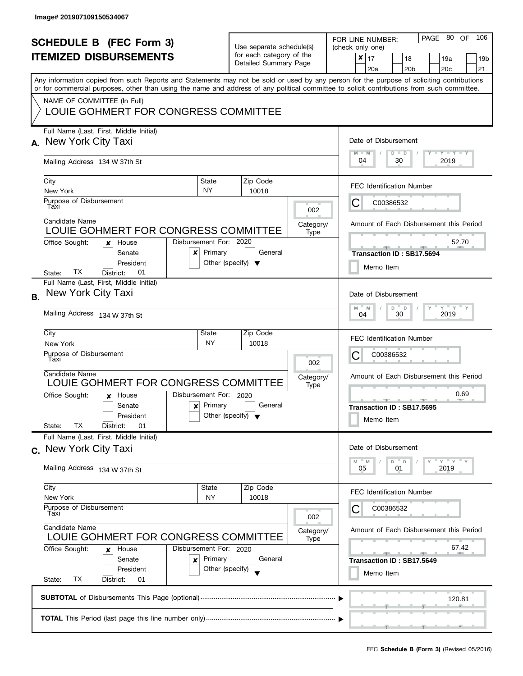| <b>SCHEDULE B (FEC Form 3)</b><br><b>ITEMIZED DISBURSEMENTS</b><br>Any information copied from such Reports and Statements may not be sold or used by any person for the purpose of soliciting contributions<br>or for commercial purposes, other than using the name and address of any political committee to solicit contributions from such committee.<br>NAME OF COMMITTEE (In Full)<br>LOUIE GOHMERT FOR CONGRESS COMMITTEE |                                                                                                                                                                                                                                        |                                                                       | Use separate schedule(s)<br>for each category of the<br>Detailed Summary Page             |                              |                          | PAGE 80 OF<br>106<br>FOR LINE NUMBER:<br>(check only one)<br>$\pmb{\times}$<br>17<br>18<br>19a<br>19 <sub>b</sub><br>20 <sub>b</sub><br>20c<br>21<br>20a                                  |
|-----------------------------------------------------------------------------------------------------------------------------------------------------------------------------------------------------------------------------------------------------------------------------------------------------------------------------------------------------------------------------------------------------------------------------------|----------------------------------------------------------------------------------------------------------------------------------------------------------------------------------------------------------------------------------------|-----------------------------------------------------------------------|-------------------------------------------------------------------------------------------|------------------------------|--------------------------|-------------------------------------------------------------------------------------------------------------------------------------------------------------------------------------------|
|                                                                                                                                                                                                                                                                                                                                                                                                                                   | Full Name (Last, First, Middle Initial)<br>A. New York City Taxi<br>Mailing Address 134 W 37th St                                                                                                                                      |                                                                       | Date of Disbursement<br>$M - M$<br>$T$ $Y$ $Y$ $Y$ $Y$ $Y$<br>$D$ $D$<br>04<br>30<br>2019 |                              |                          |                                                                                                                                                                                           |
|                                                                                                                                                                                                                                                                                                                                                                                                                                   | City<br>New York<br>Purpose of Disbursement<br>Taxi<br>Candidate Name<br>LOUIE GOHMERT FOR CONGRESS COMMITTEE<br>Disbursement For: 2020<br>Office Sought:<br>House<br>×<br>Senate<br>x<br>President                                    | State<br><b>NY</b><br>Primary<br>Other (specify) $\blacktriangledown$ |                                                                                           | Zip Code<br>10018<br>General | 002<br>Category/<br>Type | <b>FEC Identification Number</b><br>С<br>C00386532<br>Amount of Each Disbursement this Period<br>52.70<br><b>The Contract Contract Contract</b><br>Transaction ID: SB17.5694<br>Memo Item |
| <b>B.</b>                                                                                                                                                                                                                                                                                                                                                                                                                         | TX.<br>01<br>State:<br>District:<br>Full Name (Last, First, Middle Initial)<br>New York City Taxi<br>Mailing Address 134 W 37th St<br>City<br>New York<br>Purpose of Disbursement<br>Taxi<br>Candidate Name                            | State<br><b>NY</b>                                                    |                                                                                           | Zip Code<br>10018            | 002                      | Date of Disbursement<br>$Y = Y = Y$<br>$-M$<br>$D$ $D$<br>M<br>2019<br>30<br>04<br><b>FEC Identification Number</b><br>С<br>C00386532<br>Amount of Each Disbursement this Period          |
|                                                                                                                                                                                                                                                                                                                                                                                                                                   | LOUIE GOHMERT FOR CONGRESS COMMITTEE<br>Disbursement For: 2020<br>Office Sought:<br>House<br>$\boldsymbol{x}$<br>Senate<br>x<br>President<br>ТX<br>State:<br>01<br>District:                                                           | Primary<br>Other (specify) $\blacktriangledown$                       |                                                                                           | General                      | Category/<br>Type        | 0.69<br>Transaction ID: SB17.5695<br>Memo Item                                                                                                                                            |
|                                                                                                                                                                                                                                                                                                                                                                                                                                   | Full Name (Last, First, Middle Initial)<br>New York City Taxi<br>$\mathbf{C}$ .<br>Mailing Address 134 W 37th St                                                                                                                       |                                                                       |                                                                                           |                              |                          | Date of Disbursement<br>" γ " γ " γ<br>$-M$<br>$D$ $D$<br>M<br>2019<br>05<br>01                                                                                                           |
|                                                                                                                                                                                                                                                                                                                                                                                                                                   | City<br>New York<br>Purpose of Disbursement<br>Taxi<br>Candidate Name<br>LOUIE GOHMERT FOR CONGRESS COMMITTEE<br>Office Sought:<br>Disbursement For: 2020<br>House<br>×<br>Senate<br>x<br>President<br>TX<br>State:<br>District:<br>01 | State<br>NY<br>Primary<br>Other (specify)                             |                                                                                           | Zip Code<br>10018<br>General | 002<br>Category/<br>Type | <b>FEC Identification Number</b><br>C00386532<br>Amount of Each Disbursement this Period<br>67.42<br>$-1$<br>Transaction ID: SB17.5649<br>Memo Item                                       |
|                                                                                                                                                                                                                                                                                                                                                                                                                                   |                                                                                                                                                                                                                                        | 120.81                                                                |                                                                                           |                              |                          |                                                                                                                                                                                           |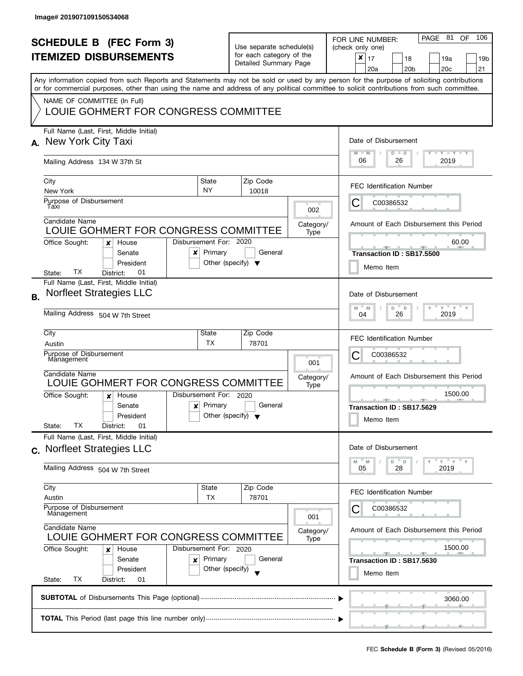| <b>SCHEDULE B (FEC Form 3)</b><br><b>ITEMIZED DISBURSEMENTS</b><br>Any information copied from such Reports and Statements may not be sold or used by any person for the purpose of soliciting contributions<br>or for commercial purposes, other than using the name and address of any political committee to solicit contributions from such committee.<br>NAME OF COMMITTEE (In Full) |                                                                                                            |                                                                           | Use separate schedule(s)<br>for each category of the<br>Detailed Summary Page |                   |                          | 106<br>PAGE 81<br><b>OF</b><br>FOR LINE NUMBER:<br>(check only one)<br>$\pmb{\times}$<br>17<br>18<br>19a<br>19 <sub>b</sub><br>20 <sub>c</sub><br>20 <sub>b</sub><br>21<br>20a |  |  |
|-------------------------------------------------------------------------------------------------------------------------------------------------------------------------------------------------------------------------------------------------------------------------------------------------------------------------------------------------------------------------------------------|------------------------------------------------------------------------------------------------------------|---------------------------------------------------------------------------|-------------------------------------------------------------------------------|-------------------|--------------------------|--------------------------------------------------------------------------------------------------------------------------------------------------------------------------------|--|--|
|                                                                                                                                                                                                                                                                                                                                                                                           | LOUIE GOHMERT FOR CONGRESS COMMITTEE<br>Full Name (Last, First, Middle Initial)                            |                                                                           |                                                                               |                   |                          |                                                                                                                                                                                |  |  |
| А.                                                                                                                                                                                                                                                                                                                                                                                        | New York City Taxi<br>Mailing Address 134 W 37th St                                                        |                                                                           |                                                                               |                   |                          | Date of Disbursement<br>$\Box$ $\gamma$ $\Box$ $\gamma$ $\Box$ $\gamma$<br>$M - M$<br>$D$ $D$<br>06<br>26<br>2019                                                              |  |  |
|                                                                                                                                                                                                                                                                                                                                                                                           | City                                                                                                       | State                                                                     |                                                                               | Zip Code          |                          | <b>FEC Identification Number</b>                                                                                                                                               |  |  |
|                                                                                                                                                                                                                                                                                                                                                                                           | New York<br>Purpose of Disbursement<br>Taxi                                                                | <b>NY</b>                                                                 |                                                                               | 10018             | 002                      | C00386532<br>C                                                                                                                                                                 |  |  |
|                                                                                                                                                                                                                                                                                                                                                                                           | Candidate Name<br>LOUIE GOHMERT FOR CONGRESS COMMITTEE<br>Office Sought:<br>House<br>×                     | Disbursement For: 2020                                                    |                                                                               |                   | Category/<br>Type        | Amount of Each Disbursement this Period<br>60.00                                                                                                                               |  |  |
|                                                                                                                                                                                                                                                                                                                                                                                           | Senate<br>x<br>President<br>TХ<br>01<br>District:<br>State:                                                | Primary<br>Other (specify) $\blacktriangledown$                           |                                                                               | General           |                          | Transaction ID: SB17.5500<br>Memo Item                                                                                                                                         |  |  |
| <b>B.</b>                                                                                                                                                                                                                                                                                                                                                                                 | Full Name (Last, First, Middle Initial)<br><b>Norfleet Strategies LLC</b>                                  |                                                                           |                                                                               |                   |                          | Date of Disbursement                                                                                                                                                           |  |  |
|                                                                                                                                                                                                                                                                                                                                                                                           | Mailing Address 504 W 7th Street                                                                           |                                                                           |                                                                               |                   |                          | $Y$ $Y$ $Y$<br>D<br>M<br>M<br>D<br>26<br>2019<br>04                                                                                                                            |  |  |
|                                                                                                                                                                                                                                                                                                                                                                                           | City<br>Austin<br>Purpose of Disbursement                                                                  | State<br>ТX                                                               |                                                                               | Zip Code<br>78701 |                          | <b>FEC Identification Number</b><br>С<br>C00386532                                                                                                                             |  |  |
|                                                                                                                                                                                                                                                                                                                                                                                           | Management<br>Candidate Name<br>LOUIE GOHMERT FOR CONGRESS COMMITTEE                                       |                                                                           |                                                                               |                   | 001<br>Category/<br>Type | Amount of Each Disbursement this Period                                                                                                                                        |  |  |
|                                                                                                                                                                                                                                                                                                                                                                                           | Office Sought:<br>House<br>$\boldsymbol{x}$<br>Senate<br>×<br>President<br>ТX<br>01<br>State:<br>District: | Disbursement For: 2020<br>Primary<br>Other (specify) $\blacktriangledown$ |                                                                               | General           |                          | 1500.00<br>Transaction ID: SB17.5629<br>Memo Item                                                                                                                              |  |  |
| $\mathbf{C}$                                                                                                                                                                                                                                                                                                                                                                              | Full Name (Last, First, Middle Initial)<br><b>Norfleet Strategies LLC</b>                                  |                                                                           |                                                                               |                   |                          | Date of Disbursement<br>$Y = Y$<br>D<br>D<br>M<br>M                                                                                                                            |  |  |
|                                                                                                                                                                                                                                                                                                                                                                                           | Mailing Address 504 W 7th Street<br>City                                                                   | State                                                                     |                                                                               | Zip Code          |                          | 28<br>2019<br>05                                                                                                                                                               |  |  |
|                                                                                                                                                                                                                                                                                                                                                                                           | Austin<br>Purpose of Disbursement<br>Management                                                            | <b>TX</b>                                                                 |                                                                               | 78701             |                          | <b>FEC Identification Number</b><br>C00386532                                                                                                                                  |  |  |
|                                                                                                                                                                                                                                                                                                                                                                                           | Candidate Name<br>LOUIE GOHMERT FOR CONGRESS COMMITTEE                                                     |                                                                           |                                                                               |                   | 001<br>Category/<br>Type | Amount of Each Disbursement this Period                                                                                                                                        |  |  |
|                                                                                                                                                                                                                                                                                                                                                                                           | Office Sought:<br>House<br>x<br>Senate<br>×<br>President<br>ТX<br>State:<br>District:<br>01                | Disbursement For: 2020<br>Primary<br>Other (specify)                      |                                                                               | General           |                          | 1500.00<br>$-1$<br>Transaction ID: SB17.5630<br>Memo Item                                                                                                                      |  |  |
|                                                                                                                                                                                                                                                                                                                                                                                           |                                                                                                            |                                                                           |                                                                               |                   |                          | 3060.00                                                                                                                                                                        |  |  |
|                                                                                                                                                                                                                                                                                                                                                                                           |                                                                                                            |                                                                           |                                                                               |                   |                          |                                                                                                                                                                                |  |  |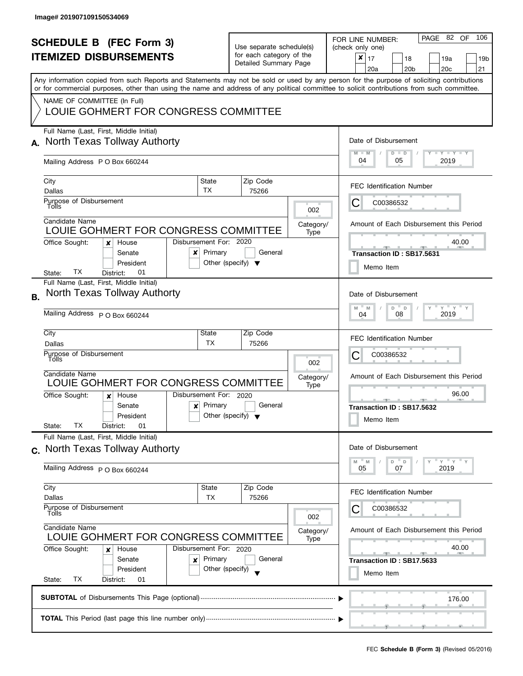| <b>SCHEDULE B (FEC Form 3)</b><br><b>ITEMIZED DISBURSEMENTS</b><br>Any information copied from such Reports and Statements may not be sold or used by any person for the purpose of soliciting contributions<br>or for commercial purposes, other than using the name and address of any political committee to solicit contributions from such committee.<br>NAME OF COMMITTEE (In Full)<br>LOUIE GOHMERT FOR CONGRESS COMMITTEE |                                                                                                                                                                                                                                                                                                                                                                                                            |                                      | Use separate schedule(s)<br>for each category of the<br>Detailed Summary Page |                          | 106<br>PAGE 82 OF<br>FOR LINE NUMBER:<br>(check only one)<br>$\pmb{\times}$<br>17<br>18<br>19a<br>19b<br>20a<br>20 <sub>b</sub><br>20c<br>21                                                                                              |
|-----------------------------------------------------------------------------------------------------------------------------------------------------------------------------------------------------------------------------------------------------------------------------------------------------------------------------------------------------------------------------------------------------------------------------------|------------------------------------------------------------------------------------------------------------------------------------------------------------------------------------------------------------------------------------------------------------------------------------------------------------------------------------------------------------------------------------------------------------|--------------------------------------|-------------------------------------------------------------------------------|--------------------------|-------------------------------------------------------------------------------------------------------------------------------------------------------------------------------------------------------------------------------------------|
| А.                                                                                                                                                                                                                                                                                                                                                                                                                                | Full Name (Last, First, Middle Initial)<br>North Texas Tollway Authorty<br>Mailing Address P O Box 660244<br>City<br>State<br>TX<br>Dallas<br>Purpose of Disbursement<br>Tolls<br>Candidate Name<br>LOUIE GOHMERT FOR CONGRESS COMMITTEE<br>Disbursement For: 2020<br>Office Sought:<br>House<br>x<br>Primary<br>Senate<br>x<br>President<br>TX.<br>01<br>District:<br>State:                              | Other (specify) $\blacktriangledown$ | Zip Code<br>75266<br>General                                                  | 002<br>Category/<br>Type | Date of Disbursement<br><b>LY LY LY</b><br>$M - M$<br>$D$ $D$<br>04<br>05<br>2019<br><b>FEC Identification Number</b><br>С<br>C00386532<br>Amount of Each Disbursement this Period<br>40.00<br>Transaction ID: SB17.5631<br>Memo Item     |
| В.                                                                                                                                                                                                                                                                                                                                                                                                                                | Full Name (Last, First, Middle Initial)<br>North Texas Tollway Authorty<br>Mailing Address P O Box 660244<br>City<br>State<br>ТX<br>Dallas<br>Purpose of Disbursement<br>Tólls<br>Candidate Name<br>LOUIE GOHMERT FOR CONGRESS COMMITTEE<br>Disbursement For: 2020<br>Office Sought:<br>House<br>$\boldsymbol{x}$<br>Primary<br>Senate<br>$\boldsymbol{x}$<br>President<br>ТX<br>State:<br>District:<br>01 | Other (specify) $\blacktriangledown$ | Zip Code<br>75266<br>General                                                  | 002<br>Category/<br>Type | Date of Disbursement<br>$Y$ $Y$ $Y$<br>D "<br>M<br>$-M$<br>$\Box$<br>2019<br>08<br>04<br><b>FEC Identification Number</b><br>С<br>C00386532<br>Amount of Each Disbursement this Period<br>96.00<br>Transaction ID: SB17.5632<br>Memo Item |
|                                                                                                                                                                                                                                                                                                                                                                                                                                   | Full Name (Last, First, Middle Initial)<br>c. North Texas Tollway Authorty<br>Mailing Address P O Box 660244<br>City<br>State<br>Dallas<br>ТX<br>Purpose of Disbursement<br>Tolls<br>Candidate Name<br>LOUIE GOHMERT FOR CONGRESS COMMITTEE<br>Office Sought:<br>Disbursement For: 2020<br>House<br>x<br>Primary<br>Senate<br>x<br>President<br>TX<br>State:<br>District:<br>01                            | Other (specify)                      | Zip Code<br>75266<br>General                                                  | 002<br>Category/<br>Type | Date of Disbursement<br>" γ " γ " γ<br>D<br>D<br>M<br>M<br>07<br>2019<br>05<br><b>FEC Identification Number</b><br>C00386532<br>Amount of Each Disbursement this Period<br>40.00<br>Transaction ID: SB17.5633<br>Memo Item                |
|                                                                                                                                                                                                                                                                                                                                                                                                                                   |                                                                                                                                                                                                                                                                                                                                                                                                            | 176.00                               |                                                                               |                          |                                                                                                                                                                                                                                           |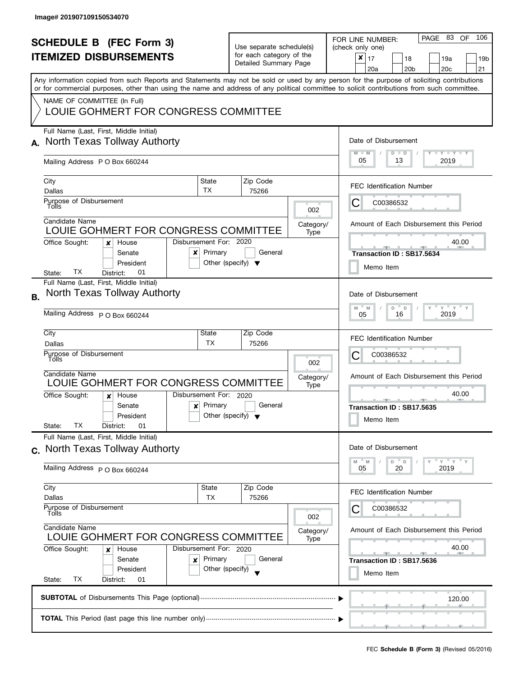l

|    | <b>SCHEDULE B (FEC Form 3)</b><br><b>ITEMIZED DISBURSEMENTS</b><br>Any information copied from such Reports and Statements may not be sold or used by any person for the purpose of soliciting contributions<br>or for commercial purposes, other than using the name and address of any political committee to solicit contributions from such committee.<br>NAME OF COMMITTEE (In Full)<br>LOUIE GOHMERT FOR CONGRESS COMMITTEE |                                                                     | Use separate schedule(s)<br>for each category of the<br>Detailed Summary Page |                          | PAGE 83 OF 106<br>FOR LINE NUMBER:<br>(check only one)<br>$\boldsymbol{x}$<br>17<br>18<br>19a<br>19 <sub>b</sub><br>20a<br>20 <sub>b</sub><br>20 <sub>c</sub><br>21 |
|----|-----------------------------------------------------------------------------------------------------------------------------------------------------------------------------------------------------------------------------------------------------------------------------------------------------------------------------------------------------------------------------------------------------------------------------------|---------------------------------------------------------------------|-------------------------------------------------------------------------------|--------------------------|---------------------------------------------------------------------------------------------------------------------------------------------------------------------|
| А. | Full Name (Last, First, Middle Initial)<br>North Texas Tollway Authorty<br>Mailing Address P O Box 660244                                                                                                                                                                                                                                                                                                                         |                                                                     |                                                                               |                          | Date of Disbursement<br>$Y - Y - Y - Y - Y$<br>$M - M$<br>$D$ $D$<br>05<br>2019<br>13                                                                               |
|    | City<br>Dallas<br>Purpose of Disbursement<br>Tolls<br>Candidate Name<br>LOUIE GOHMERT FOR CONGRESS COMMITTEE<br>Office Sought:<br>House<br>x                                                                                                                                                                                                                                                                                      | State<br>TX<br>Disbursement For: 2020                               | Zip Code<br>75266                                                             | 002<br>Category/<br>Type | <b>FEC Identification Number</b><br>C00386532<br>С<br>Amount of Each Disbursement this Period<br>40.00                                                              |
| В. | Senate<br>x<br>President<br>TХ<br>01<br>State:<br>District:<br>Full Name (Last, First, Middle Initial)<br>North Texas Tollway Authorty                                                                                                                                                                                                                                                                                            | Primary                                                             | General<br>Other (specify) $\blacktriangledown$                               |                          | Transaction ID: SB17.5634<br>Memo Item<br>Date of Disbursement<br>$Y$ $Y$ $Y$<br>M<br>$\mathsf D$<br>M<br>D                                                         |
|    | Mailing Address P O Box 660244<br>City<br>Dallas<br>Purpose of Disbursement<br>Tolls<br>Candidate Name<br>LOUIE GOHMERT FOR CONGRESS COMMITTEE<br>Office Sought:<br>House<br>$\boldsymbol{x}$<br>Senate<br>$\boldsymbol{\mathsf{x}}$<br>President                                                                                                                                                                                 | State<br><b>TX</b><br>Disbursement For: 2020<br>Primary             | Zip Code<br>75266<br>General<br>Other (specify) $\blacktriangledown$          | 002<br>Category/<br>Type | 2019<br>05<br>16<br><b>FEC Identification Number</b><br>С<br>C00386532<br>Amount of Each Disbursement this Period<br>40.00<br>A<br>Transaction ID: SB17.5635        |
|    | ТX<br>01<br>State:<br>District:<br>Full Name (Last, First, Middle Initial)<br>c. North Texas Tollway Authorty<br>Mailing Address P O Box 660244                                                                                                                                                                                                                                                                                   |                                                                     |                                                                               |                          | Memo Item<br>Date of Disbursement<br>" γ " γ " γ<br>D<br>D<br>M<br>M<br>05<br>20<br>2019                                                                            |
|    | City<br>Dallas<br>Purpose of Disbursement<br>Tolls<br>Candidate Name<br>LOUIE GOHMERT FOR CONGRESS COMMITTEE<br>Office Sought:<br>House<br>x<br>Senate<br>x<br>President<br>ТX<br>State:<br>District:<br>01                                                                                                                                                                                                                       | State<br>ТX<br>Disbursement For: 2020<br>Primary<br>Other (specify) | Zip Code<br>75266<br>General                                                  | 002<br>Category/<br>Type | <b>FEC Identification Number</b><br>C00386532<br>Amount of Each Disbursement this Period<br>40.00<br>Transaction ID: SB17.5636<br>Memo Item                         |
|    |                                                                                                                                                                                                                                                                                                                                                                                                                                   | 120.00                                                              |                                                                               |                          |                                                                                                                                                                     |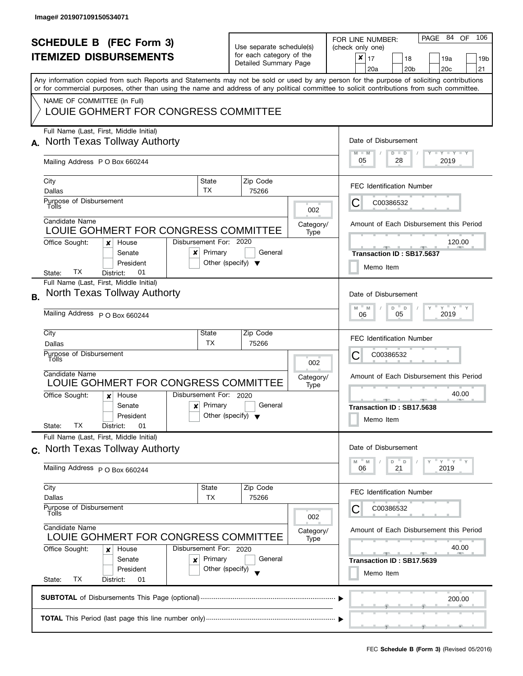|           | <b>SCHEDULE B (FEC Form 3)</b><br><b>ITEMIZED DISBURSEMENTS</b><br>Any information copied from such Reports and Statements may not be sold or used by any person for the purpose of soliciting contributions<br>or for commercial purposes, other than using the name and address of any political committee to solicit contributions from such committee.<br>NAME OF COMMITTEE (In Full)<br>LOUIE GOHMERT FOR CONGRESS COMMITTEE |                                                                     | Use separate schedule(s)<br>for each category of the<br>Detailed Summary Page |                          | PAGE 84 OF 106<br>FOR LINE NUMBER:<br>(check only one)<br>$\boldsymbol{x}$<br>17<br>18<br>19a<br>19 <sub>b</sub><br>20a<br>20 <sub>b</sub><br>20 <sub>c</sub><br>21 |
|-----------|-----------------------------------------------------------------------------------------------------------------------------------------------------------------------------------------------------------------------------------------------------------------------------------------------------------------------------------------------------------------------------------------------------------------------------------|---------------------------------------------------------------------|-------------------------------------------------------------------------------|--------------------------|---------------------------------------------------------------------------------------------------------------------------------------------------------------------|
| А.        | Full Name (Last, First, Middle Initial)<br>North Texas Tollway Authorty<br>Mailing Address P O Box 660244                                                                                                                                                                                                                                                                                                                         |                                                                     |                                                                               |                          | Date of Disbursement<br>$T$ $Y$ $T$ $Y$ $T$ $Y$<br>$M - M$<br>$D$ $D$<br>05<br>2019<br>28                                                                           |
|           | City<br>Dallas<br>Purpose of Disbursement<br>Tolls<br>Candidate Name<br>LOUIE GOHMERT FOR CONGRESS COMMITTEE                                                                                                                                                                                                                                                                                                                      | State<br>TX                                                         | Zip Code<br>75266                                                             | 002<br>Category/<br>Type | <b>FEC Identification Number</b><br>C00386532<br>С<br>Amount of Each Disbursement this Period                                                                       |
|           | Office Sought:<br>House<br>x<br>Senate<br>x<br>President<br>TХ<br>01<br>State:<br>District:<br>Full Name (Last, First, Middle Initial)                                                                                                                                                                                                                                                                                            | Disbursement For: 2020<br>Primary                                   | General<br>Other (specify) $\blacktriangledown$                               |                          | 120.00<br>Transaction ID: SB17.5637<br>Memo Item                                                                                                                    |
| <b>B.</b> | North Texas Tollway Authorty<br>Mailing Address P O Box 660244<br>City<br>Dallas<br>Purpose of Disbursement<br>Tolls                                                                                                                                                                                                                                                                                                              | State<br><b>TX</b>                                                  | Zip Code<br>75266                                                             |                          | Date of Disbursement<br>$Y$ $Y$ $Y$<br>M<br>D<br>$\mathsf D$<br>M<br>2019<br>05<br>06<br><b>FEC Identification Number</b><br>С<br>C00386532                         |
|           | Candidate Name<br>LOUIE GOHMERT FOR CONGRESS COMMITTEE<br>Office Sought:<br>House<br>$\boldsymbol{x}$<br>Senate<br>$\boldsymbol{\mathsf{x}}$<br>President<br>ТX<br>01<br>State:<br>District:                                                                                                                                                                                                                                      | Disbursement For: 2020<br>Primary                                   | General<br>Other (specify) $\blacktriangledown$                               | 002<br>Category/<br>Type | Amount of Each Disbursement this Period<br>40.00<br><u>____</u><br>A<br>Transaction ID: SB17.5638<br>Memo Item                                                      |
|           | Full Name (Last, First, Middle Initial)<br>c. North Texas Tollway Authorty<br>Mailing Address P O Box 660244                                                                                                                                                                                                                                                                                                                      |                                                                     |                                                                               |                          | Date of Disbursement<br>" γ " γ " γ<br>D<br>D<br>M<br>M<br>21<br>06<br>2019                                                                                         |
|           | City<br>Dallas<br>Purpose of Disbursement<br>Tolls<br>Candidate Name<br>LOUIE GOHMERT FOR CONGRESS COMMITTEE<br>Office Sought:<br>House<br>x<br>Senate<br>x<br>President                                                                                                                                                                                                                                                          | State<br>ТX<br>Disbursement For: 2020<br>Primary<br>Other (specify) | Zip Code<br>75266<br>General                                                  | 002<br>Category/<br>Type | <b>FEC Identification Number</b><br>C00386532<br>Amount of Each Disbursement this Period<br>40.00<br>Transaction ID: SB17.5639                                      |
|           | ТX<br>State:<br>District:<br>01                                                                                                                                                                                                                                                                                                                                                                                                   | Memo Item<br>200.00                                                 |                                                                               |                          |                                                                                                                                                                     |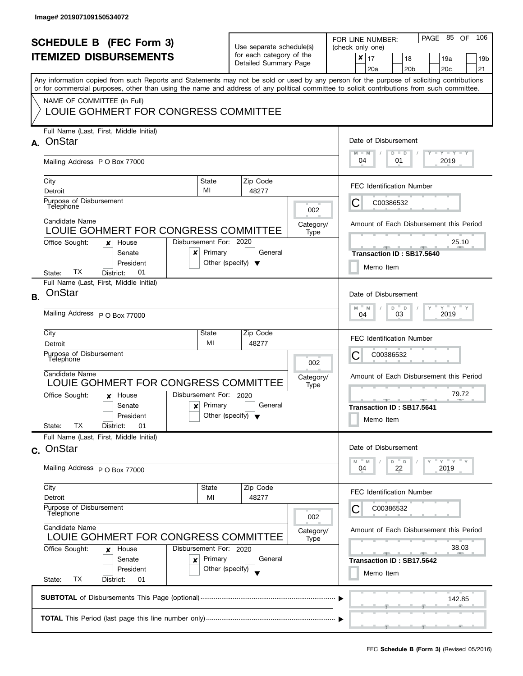| <b>SCHEDULE B</b> (FEC Form 3)<br><b>ITEMIZED DISBURSEMENTS</b><br>Any information copied from such Reports and Statements may not be sold or used by any person for the purpose of soliciting contributions<br>or for commercial purposes, other than using the name and address of any political committee to solicit contributions from such committee.<br>NAME OF COMMITTEE (In Full)<br>LOUIE GOHMERT FOR CONGRESS COMMITTEE |                                                                                                                                                                                                                                                                                                                                |                                                                     | Use separate schedule(s)<br>for each category of the<br>Detailed Summary Page |                          | 106<br>PAGE 85<br>OF<br>FOR LINE NUMBER:<br>(check only one)<br>$\boldsymbol{x}$<br>17<br>18<br>19a<br>19 <sub>b</sub><br>20 <sub>b</sub><br>20 <sub>c</sub><br>21<br>20a                                                                                         |
|-----------------------------------------------------------------------------------------------------------------------------------------------------------------------------------------------------------------------------------------------------------------------------------------------------------------------------------------------------------------------------------------------------------------------------------|--------------------------------------------------------------------------------------------------------------------------------------------------------------------------------------------------------------------------------------------------------------------------------------------------------------------------------|---------------------------------------------------------------------|-------------------------------------------------------------------------------|--------------------------|-------------------------------------------------------------------------------------------------------------------------------------------------------------------------------------------------------------------------------------------------------------------|
|                                                                                                                                                                                                                                                                                                                                                                                                                                   | Full Name (Last, First, Middle Initial)<br>A. OnStar<br>Mailing Address P O Box 77000                                                                                                                                                                                                                                          |                                                                     |                                                                               |                          | Date of Disbursement<br>$T - Y = Y + Y$<br>$M - M$<br>$D$ $D$<br>04<br>01<br>2019                                                                                                                                                                                 |
|                                                                                                                                                                                                                                                                                                                                                                                                                                   | City<br>Detroit<br>Purpose of Disbursement<br>Telephone<br>Candidate Name<br>LOUIE GOHMERT FOR CONGRESS COMMITTEE<br>Office Sought:<br>House<br>x<br>Senate<br>×<br>President<br>TX<br>01<br>District:<br>State:                                                                                                               | State<br>MI<br>Disbursement For: 2020<br>Primary                    | Zip Code<br>48277<br>General<br>Other (specify) $\blacktriangledown$          | 002<br>Category/<br>Type | <b>FEC Identification Number</b><br>C00386532<br>C<br>Amount of Each Disbursement this Period<br>25.10<br>Transaction ID: SB17.5640<br>Memo Item                                                                                                                  |
| <b>B.</b>                                                                                                                                                                                                                                                                                                                                                                                                                         | Full Name (Last, First, Middle Initial)<br>OnStar<br>Mailing Address P O Box 77000<br>City<br>Detroit<br>Purpose of Disbursement<br>Telephone<br>Candidate Name<br>LOUIE GOHMERT FOR CONGRESS COMMITTEE<br>Office Sought:<br>House<br>x<br>Senate<br>$\boldsymbol{\mathsf{x}}$<br>President<br>ТX<br>01<br>State:<br>District: | State<br>MI<br>Disbursement For: 2020<br>Primary                    | Zip Code<br>48277<br>General<br>Other (specify) $\blacktriangledown$          | 002<br>Category/<br>Type | Date of Disbursement<br>$Y$ $Y$ $Y$<br>M<br>D<br>M<br>$\mathsf D$<br>2019<br>03<br>04<br><b>FEC Identification Number</b><br>С<br>C00386532<br>Amount of Each Disbursement this Period<br>79.72<br><b>AND A</b><br>Transaction ID: SB17.5641<br>Memo Item         |
|                                                                                                                                                                                                                                                                                                                                                                                                                                   | Full Name (Last, First, Middle Initial)<br>c. OnStar<br>Mailing Address P O Box 77000<br>City<br>Detroit<br>Purpose of Disbursement<br>Telephone<br>Candidate Name<br>LOUIE GOHMERT FOR CONGRESS COMMITTEE<br>Office Sought:<br>House<br>x<br>Senate<br>×<br>President<br>State:<br>ТX<br>District:<br>01                      | State<br>MI<br>Disbursement For: 2020<br>Primary<br>Other (specify) | Zip Code<br>48277<br>General                                                  | 002<br>Category/<br>Type | Date of Disbursement<br>$Y = Y = Y$<br>D<br>D<br>M<br>M<br>22<br>2019<br>04<br><b>FEC Identification Number</b><br>C00386532<br>Amount of Each Disbursement this Period<br>38.03<br><u>and the second second second</u><br>Transaction ID: SB17.5642<br>Memo Item |
|                                                                                                                                                                                                                                                                                                                                                                                                                                   |                                                                                                                                                                                                                                                                                                                                |                                                                     |                                                                               |                          | 142.85                                                                                                                                                                                                                                                            |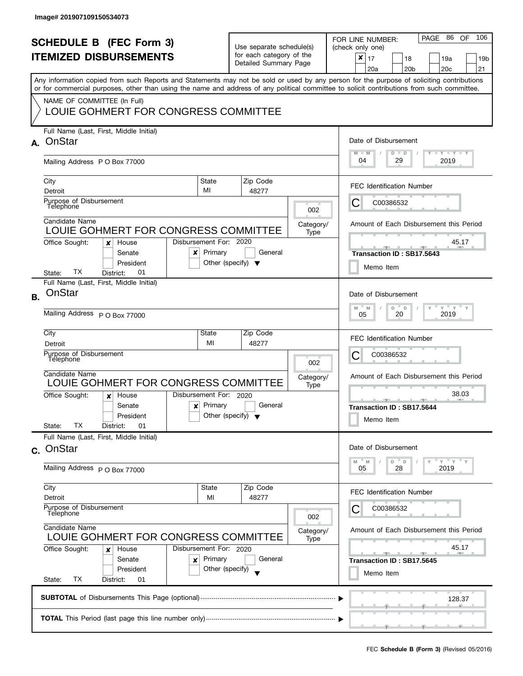|           | <b>SCHEDULE B (FEC Form 3)</b><br><b>ITEMIZED DISBURSEMENTS</b><br>Any information copied from such Reports and Statements may not be sold or used by any person for the purpose of soliciting contributions<br>or for commercial purposes, other than using the name and address of any political committee to solicit contributions from such committee.<br>NAME OF COMMITTEE (In Full)<br>LOUIE GOHMERT FOR CONGRESS COMMITTEE |                                           | Use separate schedule(s)<br>for each category of the<br>Detailed Summary Page |                          | PAGE 86 OF<br>106<br>FOR LINE NUMBER:<br>(check only one)<br>$\boldsymbol{x}$<br>17<br>18<br>19a<br>19b<br>20a<br>20 <sub>b</sub><br>20 <sub>c</sub><br>21                                                                                                           |
|-----------|-----------------------------------------------------------------------------------------------------------------------------------------------------------------------------------------------------------------------------------------------------------------------------------------------------------------------------------------------------------------------------------------------------------------------------------|-------------------------------------------|-------------------------------------------------------------------------------|--------------------------|----------------------------------------------------------------------------------------------------------------------------------------------------------------------------------------------------------------------------------------------------------------------|
|           | Full Name (Last, First, Middle Initial)<br>A. OnStar<br>Mailing Address P O Box 77000                                                                                                                                                                                                                                                                                                                                             |                                           |                                                                               |                          | Date of Disbursement<br><b>LY LY LY</b><br>$M - M$<br>$D$ $D$<br>04<br>29<br>2019                                                                                                                                                                                    |
|           | City<br>Detroit<br>Purpose of Disbursement<br>Telephone<br>Candidate Name<br>LOUIE GOHMERT FOR CONGRESS COMMITTEE<br>Disbursement For: 2020<br>Office Sought:<br>House<br>x<br>Senate<br>x<br>President                                                                                                                                                                                                                           | State<br>MI<br>Primary                    | Zip Code<br>48277<br>General<br>Other (specify) $\blacktriangledown$          | 002<br>Category/<br>Type | <b>FEC Identification Number</b><br>C00386532<br>Ĉ<br>Amount of Each Disbursement this Period<br>45.17<br>Transaction ID: SB17.5643<br>Memo Item                                                                                                                     |
| <b>B.</b> | TХ<br>01<br>District:<br>State:<br>Full Name (Last, First, Middle Initial)<br>OnStar<br>Mailing Address P O Box 77000<br>City<br>Detroit<br>Purpose of Disbursement<br>Télephone<br>Candidate Name<br>LOUIE GOHMERT FOR CONGRESS COMMITTEE<br>Disbursement For: 2020<br>Office Sought:<br>House<br>x<br>Senate<br>$\boldsymbol{x}$<br>President                                                                                   | State<br>MI<br>Primary                    | Zip Code<br>48277<br>General<br>Other (specify) $\blacktriangledown$          | 002<br>Category/<br>Type | Date of Disbursement<br>$Y$ $Y$ $Y$<br>D<br>M<br>M<br>D<br>20<br>2019<br>05<br>FEC Identification Number<br>С<br>C00386532<br>Amount of Each Disbursement this Period<br>38.03<br><b>COLLECTIVE</b><br>Transaction ID: SB17.5644<br>Memo Item                        |
|           | ТX<br>01<br>State:<br>District:<br>Full Name (Last, First, Middle Initial)<br>c. OnStar<br>Mailing Address P O Box 77000<br>City<br>Detroit<br>Purpose of Disbursement<br>Telephone<br>Candidate Name<br>LOUIE GOHMERT FOR CONGRESS COMMITTEE<br>Office Sought:<br>Disbursement For: 2020<br>House<br>x<br>Senate<br>×<br>President<br>ТX<br>State:<br>District:<br>01                                                            | State<br>MI<br>Primary<br>Other (specify) | Zip Code<br>48277<br>General                                                  | 002<br>Category/<br>Type | Date of Disbursement<br>"ү "ү "ү<br>D<br>D<br>M<br>M<br>28<br>2019<br>05<br><b>FEC Identification Number</b><br>C00386532<br>Amount of Each Disbursement this Period<br>45.17<br><u> 1955 - Jan 1956</u><br><b>ARTISED</b><br>Transaction ID: SB17.5645<br>Memo Item |
|           |                                                                                                                                                                                                                                                                                                                                                                                                                                   |                                           |                                                                               |                          | 128.37                                                                                                                                                                                                                                                               |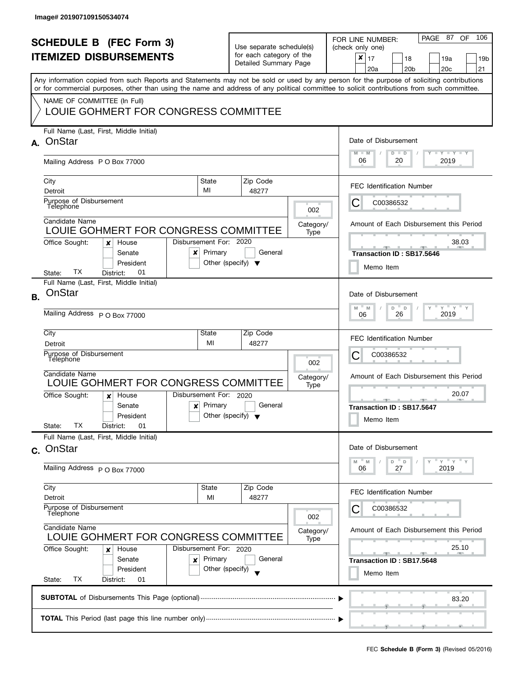| <b>SCHEDULE B</b> (FEC Form 3)<br><b>ITEMIZED DISBURSEMENTS</b> |                                                                                                                                                                                                                                                                                                                                                                |                                                      | Use separate schedule(s)<br>for each category of the<br>Detailed Summary Page |                          | PAGE 87 OF<br>106<br>FOR LINE NUMBER:<br>(check only one)<br>$\pmb{\times}$<br>17<br>18<br>19a<br>19 <sub>b</sub><br>20 <sub>b</sub><br>20c<br>21<br>20a |
|-----------------------------------------------------------------|----------------------------------------------------------------------------------------------------------------------------------------------------------------------------------------------------------------------------------------------------------------------------------------------------------------------------------------------------------------|------------------------------------------------------|-------------------------------------------------------------------------------|--------------------------|----------------------------------------------------------------------------------------------------------------------------------------------------------|
|                                                                 | Any information copied from such Reports and Statements may not be sold or used by any person for the purpose of soliciting contributions<br>or for commercial purposes, other than using the name and address of any political committee to solicit contributions from such committee.<br>NAME OF COMMITTEE (In Full)<br>LOUIE GOHMERT FOR CONGRESS COMMITTEE |                                                      |                                                                               |                          |                                                                                                                                                          |
| A.                                                              | Full Name (Last, First, Middle Initial)<br>OnStar<br>Mailing Address P O Box 77000                                                                                                                                                                                                                                                                             |                                                      |                                                                               |                          | Date of Disbursement<br>$T$ $Y$ $T$ $Y$ $T$ $Y$<br>$M - M$<br>$D$ $D$<br>06<br>20<br>2019                                                                |
|                                                                 | City<br>Detroit<br>Purpose of Disbursement<br>Telephone                                                                                                                                                                                                                                                                                                        | State<br>MI                                          | Zip Code<br>48277                                                             | 002                      | <b>FEC Identification Number</b><br>С<br>C00386532                                                                                                       |
|                                                                 | Candidate Name<br>LOUIE GOHMERT FOR CONGRESS COMMITTEE<br>Office Sought:<br>House<br>x<br>Senate<br>x<br>President<br>ТX<br>01<br>District:<br>State:                                                                                                                                                                                                          | Disbursement For: 2020<br>Primary                    | General<br>Other (specify) $\blacktriangledown$                               | Category/<br>Type        | Amount of Each Disbursement this Period<br>38.03<br>Transaction ID: SB17.5646<br>Memo Item                                                               |
| <b>B.</b>                                                       | Full Name (Last, First, Middle Initial)<br>OnStar<br>Mailing Address P O Box 77000                                                                                                                                                                                                                                                                             |                                                      |                                                                               |                          | Date of Disbursement<br>$Y$ $Y$ $Y$ $Y$<br>M<br>D<br>$\mathsf D$<br>M<br>2019<br>26<br>06                                                                |
|                                                                 | City<br>Detroit<br>Purpose of Disbursement<br>Télephone<br>Candidate Name<br>LOUIE GOHMERT FOR CONGRESS COMMITTEE                                                                                                                                                                                                                                              | State<br>MI                                          | Zip Code<br>48277                                                             | 002<br>Category/<br>Type | <b>FEC Identification Number</b><br>С<br>C00386532<br>Amount of Each Disbursement this Period                                                            |
|                                                                 | Office Sought:<br>House<br>x<br>Senate<br>$\boldsymbol{\mathsf{x}}$<br>President<br>ТX<br>01<br>State:<br>District:                                                                                                                                                                                                                                            | Disbursement For: 2020<br>Primary                    | General<br>Other (specify) $\blacktriangledown$                               |                          | 20.07<br>A<br><b>Transaction ID: SB17.5647</b><br>Memo Item                                                                                              |
|                                                                 | Full Name (Last, First, Middle Initial)<br>c. OnStar<br>Mailing Address P O Box 77000                                                                                                                                                                                                                                                                          |                                                      |                                                                               |                          | Date of Disbursement<br>$Y = Y = Y$<br>M<br>D<br>$\mathsf{D}$<br>M<br>27<br>2019<br>06                                                                   |
|                                                                 | City<br>Detroit<br>Purpose of Disbursement<br>Telephone                                                                                                                                                                                                                                                                                                        | State<br>MI                                          | Zip Code<br>48277                                                             | 002                      | <b>FEC Identification Number</b><br>C00386532<br>C                                                                                                       |
|                                                                 | Candidate Name<br>LOUIE GOHMERT FOR CONGRESS COMMITTEE<br>Office Sought:<br>House<br>x<br>Senate<br>×<br>President<br>TX<br>State:<br>District:<br>01                                                                                                                                                                                                          | Disbursement For: 2020<br>Primary<br>Other (specify) | General                                                                       | Category/<br>Type        | Amount of Each Disbursement this Period<br>25.10<br><b>All Contracts</b><br>Transaction ID: SB17.5648<br>Memo Item                                       |
|                                                                 |                                                                                                                                                                                                                                                                                                                                                                |                                                      |                                                                               |                          | 83.20                                                                                                                                                    |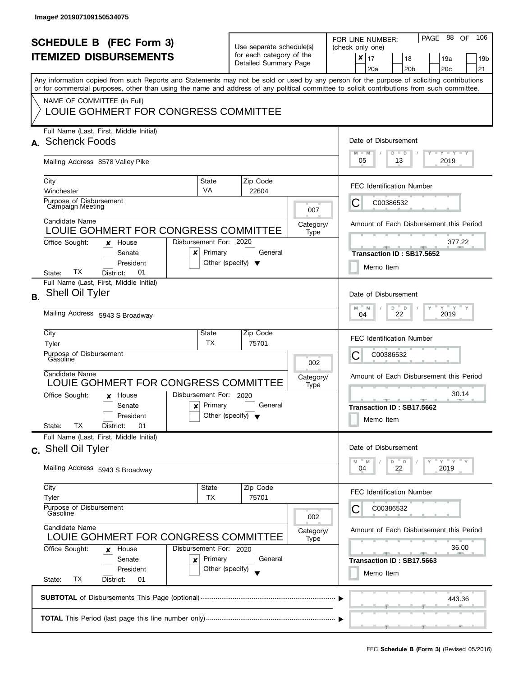| <b>SCHEDULE B</b> (FEC Form 3)<br><b>ITEMIZED DISBURSEMENTS</b> |                                                                                                                                                                                                                   |                                                      | Use separate schedule(s)<br>for each category of the<br>Detailed Summary Page |                          | 106<br>PAGE 88<br>OF.<br>FOR LINE NUMBER:<br>(check only one)<br>$\pmb{\times}$<br>17<br>18<br>19a<br>19 <sub>b</sub><br>20 <sub>b</sub><br>20c<br>21<br>20a |
|-----------------------------------------------------------------|-------------------------------------------------------------------------------------------------------------------------------------------------------------------------------------------------------------------|------------------------------------------------------|-------------------------------------------------------------------------------|--------------------------|--------------------------------------------------------------------------------------------------------------------------------------------------------------|
|                                                                 | or for commercial purposes, other than using the name and address of any political committee to solicit contributions from such committee.<br>NAME OF COMMITTEE (In Full)<br>LOUIE GOHMERT FOR CONGRESS COMMITTEE |                                                      |                                                                               |                          | Any information copied from such Reports and Statements may not be sold or used by any person for the purpose of soliciting contributions                    |
|                                                                 | Full Name (Last, First, Middle Initial)<br>A. Schenck Foods<br>Mailing Address 8578 Valley Pike                                                                                                                   |                                                      |                                                                               |                          | Date of Disbursement<br>$T - Y = T - Y$<br>$M - M$<br>$D$ $D$<br>05<br>2019<br>13                                                                            |
|                                                                 | City<br>Winchester<br>Purpose of Disbursement<br><b>Campaign Meeting</b>                                                                                                                                          | <b>State</b><br>VA                                   | Zip Code<br>22604                                                             | 007                      | <b>FEC Identification Number</b><br>C00386532<br>C                                                                                                           |
|                                                                 | Candidate Name<br>LOUIE GOHMERT FOR CONGRESS COMMITTEE<br>Office Sought:<br>House<br>x<br>Senate<br>x<br>President                                                                                                | Disbursement For: 2020<br>Primary                    | General<br>Other (specify) $\blacktriangledown$                               | Category/<br>Type        | Amount of Each Disbursement this Period<br>377.22<br>Transaction ID: SB17.5652<br>Memo Item                                                                  |
| <b>B.</b>                                                       | ТX<br>01<br>District:<br>State:<br>Full Name (Last, First, Middle Initial)<br>Shell Oil Tyler<br>Mailing Address 5943 S Broadway                                                                                  |                                                      |                                                                               |                          | Date of Disbursement<br>$Y = Y$<br>D<br>M<br>M<br>D<br>22<br>2019<br>04                                                                                      |
|                                                                 | City<br>Tyler<br>Purpose of Disbursement<br>Gásoline<br>Candidate Name<br>LOUIE GOHMERT FOR CONGRESS COMMITTEE                                                                                                    | State<br>TX                                          | Zip Code<br>75701                                                             | 002<br>Category/<br>Type | <b>FEC Identification Number</b><br>С<br>C00386532<br>Amount of Each Disbursement this Period                                                                |
|                                                                 | Office Sought:<br>House<br>x<br>Senate<br>$\boldsymbol{\mathsf{x}}$<br>President<br>TХ<br>01<br>State:<br>District:                                                                                               | Disbursement For: 2020<br>Primary                    | General<br>Other (specify) $\blacktriangledown$                               |                          | 30.14<br><b>ARCHITECT</b><br>Transaction ID: SB17.5662<br>Memo Item                                                                                          |
|                                                                 | Full Name (Last, First, Middle Initial)<br>c. Shell Oil Tyler<br>Mailing Address 5943 S Broadway                                                                                                                  |                                                      |                                                                               |                          | Date of Disbursement<br>$Y = Y = Y$<br>D<br>$\mathsf D$<br>M<br>M<br>22<br>2019<br>04                                                                        |
|                                                                 | City<br>Tyler<br>Purpose of Disbursement<br>Gasoline                                                                                                                                                              | State<br>TX                                          | Zip Code<br>75701                                                             | 002                      | <b>FEC Identification Number</b><br>C00386532                                                                                                                |
|                                                                 | Candidate Name<br>LOUIE GOHMERT FOR CONGRESS COMMITTEE<br>Office Sought:<br>House<br>x<br>Senate<br>×<br>President<br>ТX<br>State:<br>District:<br>01                                                             | Disbursement For: 2020<br>Primary<br>Other (specify) | General                                                                       | Category/<br>Type        | Amount of Each Disbursement this Period<br>36.00<br>Transaction ID: SB17.5663<br>Memo Item                                                                   |
|                                                                 |                                                                                                                                                                                                                   |                                                      |                                                                               |                          | 443.36                                                                                                                                                       |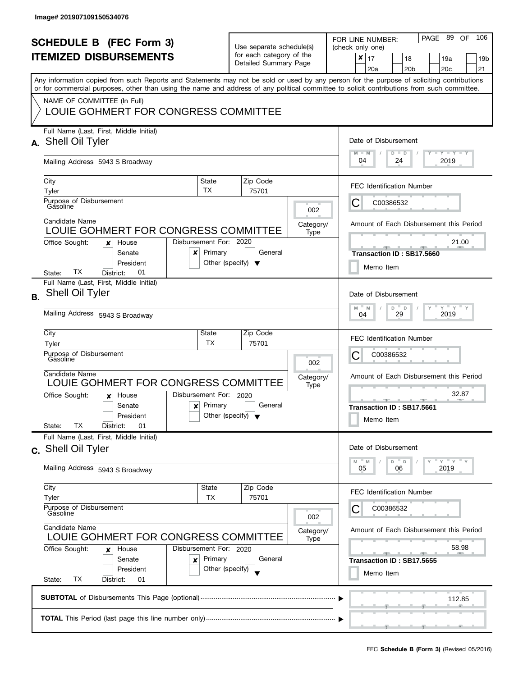| <b>SCHEDULE B</b> (FEC Form 3)<br><b>ITEMIZED DISBURSEMENTS</b><br>Any information copied from such Reports and Statements may not be sold or used by any person for the purpose of soliciting contributions<br>or for commercial purposes, other than using the name and address of any political committee to solicit contributions from such committee. |                                                                                                                     |                                   | Use separate schedule(s)<br>for each category of the<br>Detailed Summary Page |                                                                                   | PAGE 89<br>106<br>OF<br>FOR LINE NUMBER:<br>(check only one)<br>$\boldsymbol{x}$<br>17<br>18<br>19a<br>19b<br>20 <sub>b</sub><br>20 <sub>c</sub><br>21<br>20a |
|------------------------------------------------------------------------------------------------------------------------------------------------------------------------------------------------------------------------------------------------------------------------------------------------------------------------------------------------------------|---------------------------------------------------------------------------------------------------------------------|-----------------------------------|-------------------------------------------------------------------------------|-----------------------------------------------------------------------------------|---------------------------------------------------------------------------------------------------------------------------------------------------------------|
|                                                                                                                                                                                                                                                                                                                                                            | NAME OF COMMITTEE (In Full)<br>LOUIE GOHMERT FOR CONGRESS COMMITTEE                                                 |                                   |                                                                               |                                                                                   |                                                                                                                                                               |
|                                                                                                                                                                                                                                                                                                                                                            | Full Name (Last, First, Middle Initial)<br>A. Shell Oil Tyler<br>Mailing Address 5943 S Broadway                    |                                   |                                                                               | Date of Disbursement<br>$T - Y = T - Y$<br>$M - M$<br>$D$ $D$<br>04<br>24<br>2019 |                                                                                                                                                               |
|                                                                                                                                                                                                                                                                                                                                                            | City                                                                                                                | State<br><b>TX</b>                | Zip Code                                                                      |                                                                                   | <b>FEC Identification Number</b>                                                                                                                              |
|                                                                                                                                                                                                                                                                                                                                                            | Tyler<br>Purpose of Disbursement<br>Gasoline                                                                        |                                   | 75701                                                                         | 002                                                                               | C00386532<br>C                                                                                                                                                |
|                                                                                                                                                                                                                                                                                                                                                            | Candidate Name<br>LOUIE GOHMERT FOR CONGRESS COMMITTEE                                                              |                                   |                                                                               | Category/<br>Type                                                                 | Amount of Each Disbursement this Period                                                                                                                       |
|                                                                                                                                                                                                                                                                                                                                                            | Office Sought:<br>House<br>x<br>Senate<br>×<br>President<br>ТX<br>01<br>District:<br>State:                         | Disbursement For: 2020<br>Primary | General<br>Other (specify) $\blacktriangledown$                               |                                                                                   | 21.00<br>Transaction ID: SB17.5660<br>Memo Item                                                                                                               |
| <b>B.</b>                                                                                                                                                                                                                                                                                                                                                  | Full Name (Last, First, Middle Initial)<br>Shell Oil Tyler<br>Mailing Address 5943 S Broadway                       |                                   |                                                                               |                                                                                   | Date of Disbursement<br>$Y$ $Y$ $Y$<br>M<br>D<br>M<br>$\mathsf D$<br>2019<br>29<br>04                                                                         |
|                                                                                                                                                                                                                                                                                                                                                            | City<br>Tyler                                                                                                       | State<br>ТX                       | Zip Code<br>75701                                                             |                                                                                   | <b>FEC Identification Number</b>                                                                                                                              |
|                                                                                                                                                                                                                                                                                                                                                            | Purpose of Disbursement<br>Gásoline                                                                                 |                                   |                                                                               | 002                                                                               | С<br>C00386532                                                                                                                                                |
|                                                                                                                                                                                                                                                                                                                                                            | Candidate Name<br>LOUIE GOHMERT FOR CONGRESS COMMITTEE                                                              |                                   |                                                                               | Category/<br>Type                                                                 | Amount of Each Disbursement this Period                                                                                                                       |
|                                                                                                                                                                                                                                                                                                                                                            | Office Sought:<br>House<br>x<br>Senate<br>$\boldsymbol{\mathsf{x}}$<br>President<br>TХ<br>01<br>State:<br>District: | Disbursement For: 2020<br>Primary | General<br>Other (specify) $\blacktriangledown$                               |                                                                                   | 32.87<br><u>and a series and a series are al</u><br><b>COLLECTIVE</b><br>Transaction ID: SB17.5661<br>Memo Item                                               |
|                                                                                                                                                                                                                                                                                                                                                            | Full Name (Last, First, Middle Initial)<br>c. Shell Oil Tyler                                                       |                                   |                                                                               |                                                                                   | Date of Disbursement                                                                                                                                          |
|                                                                                                                                                                                                                                                                                                                                                            | Mailing Address 5943 S Broadway                                                                                     |                                   |                                                                               |                                                                                   | $Y = Y = Y$<br>D<br>D<br>M<br>M<br>2019<br>05<br>06                                                                                                           |
|                                                                                                                                                                                                                                                                                                                                                            | City<br>Tyler                                                                                                       | State<br><b>TX</b>                | Zip Code<br>75701                                                             |                                                                                   | <b>FEC Identification Number</b>                                                                                                                              |
|                                                                                                                                                                                                                                                                                                                                                            | Purpose of Disbursement<br>Gasoline<br>Candidate Name                                                               |                                   |                                                                               | 002<br>Category/                                                                  | C00386532<br>Amount of Each Disbursement this Period                                                                                                          |
|                                                                                                                                                                                                                                                                                                                                                            | LOUIE GOHMERT FOR CONGRESS COMMITTEE<br>Office Sought:<br>House<br>x                                                | Disbursement For: 2020            |                                                                               | Type                                                                              | 58.98<br><u> 20 - 1 20 -</u>                                                                                                                                  |
|                                                                                                                                                                                                                                                                                                                                                            | Senate<br>×<br>President<br>ТX<br>State:<br>District:<br>01                                                         | Primary<br>Other (specify)        | General                                                                       |                                                                                   | Transaction ID: SB17.5655<br>Memo Item                                                                                                                        |
|                                                                                                                                                                                                                                                                                                                                                            |                                                                                                                     |                                   |                                                                               |                                                                                   | 112.85                                                                                                                                                        |
|                                                                                                                                                                                                                                                                                                                                                            |                                                                                                                     |                                   |                                                                               |                                                                                   |                                                                                                                                                               |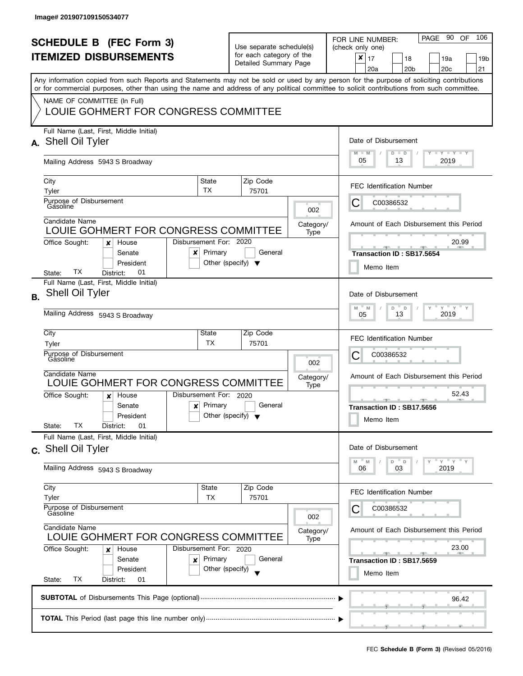| <b>SCHEDULE B</b> (FEC Form 3)<br><b>ITEMIZED DISBURSEMENTS</b> |                                                                                                                                                                                                                                                                                         |                                                              | Use separate schedule(s)<br>for each category of the |                   | PAGE 90<br>106<br><b>OF</b><br>FOR LINE NUMBER:<br>(check only one)                         |
|-----------------------------------------------------------------|-----------------------------------------------------------------------------------------------------------------------------------------------------------------------------------------------------------------------------------------------------------------------------------------|--------------------------------------------------------------|------------------------------------------------------|-------------------|---------------------------------------------------------------------------------------------|
|                                                                 |                                                                                                                                                                                                                                                                                         |                                                              | Detailed Summary Page                                |                   | $\pmb{\times}$<br>17<br>18<br>19a<br>19 <sub>b</sub><br>20 <sub>b</sub><br>20c<br>21<br>20a |
|                                                                 | Any information copied from such Reports and Statements may not be sold or used by any person for the purpose of soliciting contributions<br>or for commercial purposes, other than using the name and address of any political committee to solicit contributions from such committee. |                                                              |                                                      |                   |                                                                                             |
|                                                                 | NAME OF COMMITTEE (In Full)<br>LOUIE GOHMERT FOR CONGRESS COMMITTEE                                                                                                                                                                                                                     |                                                              |                                                      |                   |                                                                                             |
|                                                                 | Full Name (Last, First, Middle Initial)<br>A. Shell Oil Tyler                                                                                                                                                                                                                           |                                                              |                                                      |                   | Date of Disbursement                                                                        |
|                                                                 | Mailing Address 5943 S Broadway                                                                                                                                                                                                                                                         |                                                              |                                                      |                   | $T - Y = T - Y$<br>$M - M$<br>$D$ $D$<br>05<br>13<br>2019                                   |
|                                                                 | City<br>Tyler                                                                                                                                                                                                                                                                           | State<br>TX                                                  | Zip Code<br>75701                                    |                   | <b>FEC Identification Number</b>                                                            |
|                                                                 | Purpose of Disbursement<br>Gasoline                                                                                                                                                                                                                                                     |                                                              |                                                      | 002               | С<br>C00386532                                                                              |
|                                                                 | Candidate Name<br>LOUIE GOHMERT FOR CONGRESS COMMITTEE                                                                                                                                                                                                                                  |                                                              |                                                      | Category/<br>Type | Amount of Each Disbursement this Period                                                     |
|                                                                 | Disbursement For: 2020<br>Office Sought:<br>House<br>×<br>Senate<br>x<br>President<br>ТX<br>01<br>District:<br>State:                                                                                                                                                                   | Primary                                                      | General<br>Other (specify) $\blacktriangledown$      |                   | 20.99<br>Transaction ID: SB17.5654<br>Memo Item                                             |
| <b>B.</b>                                                       | Full Name (Last, First, Middle Initial)<br><b>Shell Oil Tyler</b>                                                                                                                                                                                                                       |                                                              |                                                      |                   | Date of Disbursement                                                                        |
|                                                                 | Mailing Address 5943 S Broadway                                                                                                                                                                                                                                                         | $\overline{a}$<br>$Y = Y$<br>M<br>D<br>M<br>2019<br>13<br>05 |                                                      |                   |                                                                                             |
|                                                                 | City<br>Tyler                                                                                                                                                                                                                                                                           | State<br>ТX                                                  | Zip Code<br>75701                                    |                   | <b>FEC Identification Number</b>                                                            |
|                                                                 | Purpose of Disbursement<br>Gásoline                                                                                                                                                                                                                                                     |                                                              |                                                      | 002               | С<br>C00386532                                                                              |
|                                                                 | Candidate Name<br>LOUIE GOHMERT FOR CONGRESS COMMITTEE                                                                                                                                                                                                                                  |                                                              |                                                      | Category/<br>Type | Amount of Each Disbursement this Period                                                     |
|                                                                 | Disbursement For: 2020<br>Office Sought:<br>House<br>x<br>Senate<br>$\boldsymbol{x}$<br>President<br>TХ<br>State:<br>District:<br>01                                                                                                                                                    | Primary                                                      | General<br>Other (specify) $\blacktriangledown$      |                   | 52.43<br>Transaction ID: SB17.5656<br>Memo Item                                             |
|                                                                 | Full Name (Last, First, Middle Initial)<br>c. Shell Oil Tyler                                                                                                                                                                                                                           |                                                              |                                                      |                   | Date of Disbursement                                                                        |
|                                                                 | Mailing Address 5943 S Broadway                                                                                                                                                                                                                                                         |                                                              |                                                      |                   | $D$ $D$<br>$Y = Y = Y$<br>M<br>M<br>2019<br>06<br>03                                        |
|                                                                 | City<br>Tyler                                                                                                                                                                                                                                                                           | State<br>TX                                                  | Zip Code<br>75701                                    |                   | <b>FEC Identification Number</b>                                                            |
|                                                                 | Purpose of Disbursement<br>Gasoline<br>Candidate Name<br>LOUIE GOHMERT FOR CONGRESS COMMITTEE                                                                                                                                                                                           |                                                              |                                                      | 002               | C00386532                                                                                   |
|                                                                 |                                                                                                                                                                                                                                                                                         |                                                              |                                                      | Category/<br>Type | Amount of Each Disbursement this Period                                                     |
|                                                                 | Office Sought:<br>Disbursement For: 2020<br>House<br>×<br>Senate<br>×<br>President<br>ТX<br>State:<br>District:<br>01                                                                                                                                                                   | Primary<br>Other (specify)                                   | General                                              |                   | 23.00<br>$-1$<br>Transaction ID: SB17.5659<br>Memo Item                                     |
|                                                                 |                                                                                                                                                                                                                                                                                         |                                                              |                                                      |                   | 96.42                                                                                       |
|                                                                 |                                                                                                                                                                                                                                                                                         |                                                              |                                                      |                   |                                                                                             |
|                                                                 |                                                                                                                                                                                                                                                                                         |                                                              |                                                      |                   | a.                                                                                          |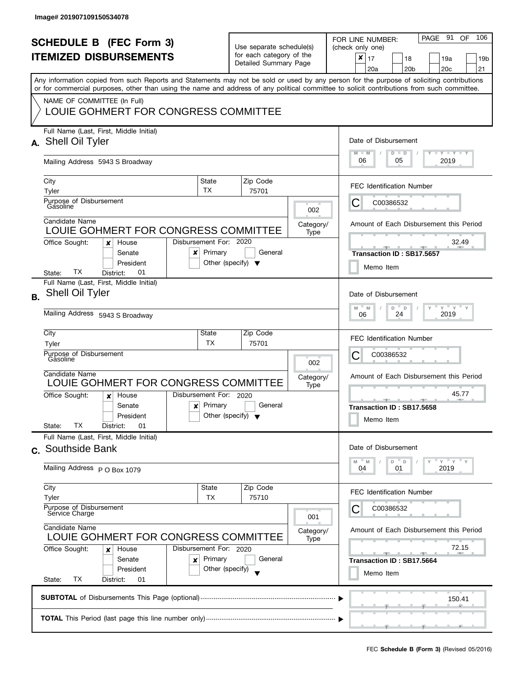| <b>SCHEDULE B</b> (FEC Form 3) |                                                                                                                                            |                                                 |                                                                               |                   |                   | PAGE 91<br>- 106<br>OF.<br>FOR LINE NUMBER:                                                                                               |  |  |
|--------------------------------|--------------------------------------------------------------------------------------------------------------------------------------------|-------------------------------------------------|-------------------------------------------------------------------------------|-------------------|-------------------|-------------------------------------------------------------------------------------------------------------------------------------------|--|--|
| <b>ITEMIZED DISBURSEMENTS</b>  |                                                                                                                                            |                                                 | Use separate schedule(s)<br>for each category of the<br>Detailed Summary Page |                   |                   | (check only one)                                                                                                                          |  |  |
|                                |                                                                                                                                            |                                                 |                                                                               |                   |                   | x<br>17<br>18<br>19a<br>19 <sub>b</sub><br>20 <sub>c</sub><br>20a<br>20 <sub>b</sub><br>21                                                |  |  |
|                                |                                                                                                                                            |                                                 |                                                                               |                   |                   | Any information copied from such Reports and Statements may not be sold or used by any person for the purpose of soliciting contributions |  |  |
|                                | or for commercial purposes, other than using the name and address of any political committee to solicit contributions from such committee. |                                                 |                                                                               |                   |                   |                                                                                                                                           |  |  |
|                                | NAME OF COMMITTEE (In Full)<br>LOUIE GOHMERT FOR CONGRESS COMMITTEE                                                                        |                                                 |                                                                               |                   |                   |                                                                                                                                           |  |  |
|                                | Full Name (Last, First, Middle Initial)                                                                                                    |                                                 |                                                                               |                   |                   |                                                                                                                                           |  |  |
|                                | A. Shell Oil Tyler                                                                                                                         |                                                 |                                                                               |                   |                   | Date of Disbursement                                                                                                                      |  |  |
|                                | Mailing Address 5943 S Broadway                                                                                                            |                                                 |                                                                               |                   |                   | $T$ $Y$ $T$ $Y$ $T$ $Y$<br>$M - M$<br>$D$ $D$<br>06<br>2019<br>05                                                                         |  |  |
|                                | City                                                                                                                                       | State                                           |                                                                               | Zip Code          |                   | <b>FEC Identification Number</b>                                                                                                          |  |  |
|                                | Tyler<br>Purpose of Disbursement                                                                                                           | <b>TX</b>                                       |                                                                               | 75701             |                   |                                                                                                                                           |  |  |
|                                | Gásoline                                                                                                                                   |                                                 |                                                                               |                   | 002               | C<br>C00386532                                                                                                                            |  |  |
|                                | Candidate Name<br>LOUIE GOHMERT FOR CONGRESS COMMITTEE                                                                                     |                                                 |                                                                               |                   | Category/         | Amount of Each Disbursement this Period                                                                                                   |  |  |
|                                | Office Sought:<br>House<br>x                                                                                                               | Disbursement For: 2020                          |                                                                               |                   | Type              | 32.49                                                                                                                                     |  |  |
|                                | Senate<br>x                                                                                                                                | Primary                                         |                                                                               | General           |                   | Transaction ID: SB17.5657                                                                                                                 |  |  |
|                                | President<br>ТX<br>01<br>District:<br>State:                                                                                               | Other (specify) $\blacktriangledown$            |                                                                               |                   |                   | Memo Item                                                                                                                                 |  |  |
|                                | Full Name (Last, First, Middle Initial)                                                                                                    |                                                 |                                                                               |                   |                   |                                                                                                                                           |  |  |
| <b>B.</b>                      | <b>Shell Oil Tyler</b>                                                                                                                     |                                                 |                                                                               |                   |                   | Date of Disbursement                                                                                                                      |  |  |
|                                | Mailing Address 5943 S Broadway                                                                                                            |                                                 |                                                                               |                   |                   | $Y = Y$<br>D<br>M<br>M<br>$\mathsf D$<br>2019<br>24<br>06                                                                                 |  |  |
|                                | City                                                                                                                                       | State                                           |                                                                               | Zip Code          |                   | <b>FEC Identification Number</b>                                                                                                          |  |  |
|                                | Tyler<br>Purpose of Disbursement                                                                                                           | TX                                              |                                                                               | 75701             |                   |                                                                                                                                           |  |  |
|                                | Gasoline                                                                                                                                   |                                                 |                                                                               |                   | 002               | С<br>C00386532                                                                                                                            |  |  |
|                                | Candidate Name<br>LOUIE GOHMERT FOR CONGRESS COMMITTEE                                                                                     |                                                 |                                                                               |                   | Category/<br>Type | Amount of Each Disbursement this Period                                                                                                   |  |  |
|                                | Office Sought:<br>House<br>x                                                                                                               | Disbursement For: 2020                          |                                                                               |                   |                   | 45.77<br><b>ARCHITECTS</b>                                                                                                                |  |  |
|                                | Senate<br>$\boldsymbol{x}$<br>President                                                                                                    | Primary<br>Other (specify) $\blacktriangledown$ |                                                                               | General           |                   | Transaction ID: SB17.5658                                                                                                                 |  |  |
|                                | ТX<br>01<br>State:<br>District:                                                                                                            |                                                 |                                                                               |                   |                   | Memo Item                                                                                                                                 |  |  |
|                                | Full Name (Last, First, Middle Initial)                                                                                                    |                                                 |                                                                               |                   |                   | Date of Disbursement                                                                                                                      |  |  |
|                                | c. Southside Bank                                                                                                                          |                                                 |                                                                               |                   |                   |                                                                                                                                           |  |  |
|                                | Mailing Address P O Box 1079                                                                                                               |                                                 |                                                                               |                   |                   | $Y = Y = Y$<br>D<br>D<br>M<br>M<br>2019<br>04<br>01                                                                                       |  |  |
|                                | City                                                                                                                                       | State<br>ТX                                     |                                                                               | Zip Code<br>75710 |                   | <b>FEC Identification Number</b>                                                                                                          |  |  |
|                                | Tyler<br>Purpose of Disbursement                                                                                                           |                                                 |                                                                               |                   |                   | C00386532                                                                                                                                 |  |  |
|                                | Service Charge<br>Candidate Name<br>LOUIE GOHMERT FOR CONGRESS COMMITTEE                                                                   |                                                 |                                                                               |                   | 001               |                                                                                                                                           |  |  |
|                                |                                                                                                                                            |                                                 |                                                                               |                   | Category/<br>Type | Amount of Each Disbursement this Period                                                                                                   |  |  |
|                                | Office Sought:<br>House<br>x                                                                                                               | Disbursement For: 2020                          |                                                                               |                   |                   | 72.15<br><u>_______</u><br><b>AND</b>                                                                                                     |  |  |
|                                | Senate<br>×<br>President                                                                                                                   | Primary<br>Other (specify)                      |                                                                               | General           |                   | Transaction ID: SB17.5664                                                                                                                 |  |  |
|                                | ТX<br>State:<br>District:<br>01                                                                                                            |                                                 |                                                                               |                   |                   | Memo Item                                                                                                                                 |  |  |
|                                |                                                                                                                                            |                                                 |                                                                               |                   |                   | 150.41                                                                                                                                    |  |  |
|                                |                                                                                                                                            |                                                 |                                                                               |                   |                   |                                                                                                                                           |  |  |
|                                |                                                                                                                                            |                                                 |                                                                               |                   |                   |                                                                                                                                           |  |  |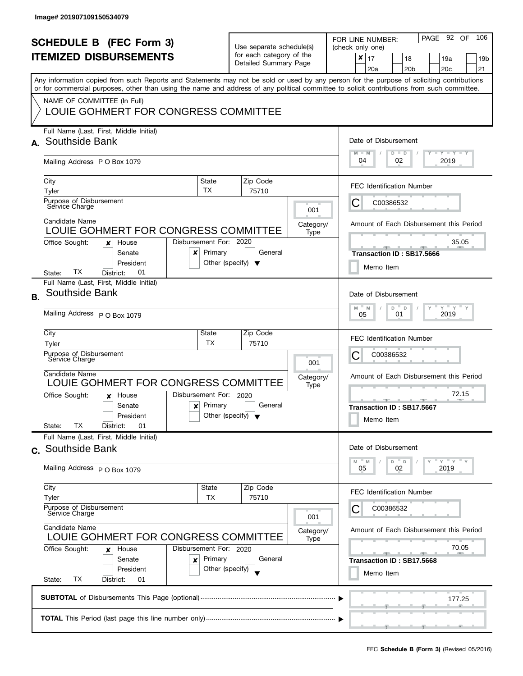| <b>SCHEDULE B</b> (FEC Form 3)<br><b>ITEMIZED DISBURSEMENTS</b> |                                                                                                                                                                                                                                                                                                                                                                |                                                      | Use separate schedule(s)<br>for each category of the<br>Detailed Summary Page |                          | PAGE 92 OF<br>106<br>FOR LINE NUMBER:<br>(check only one)<br>$\pmb{\times}$<br>17<br>18<br>19a<br>19 <sub>b</sub><br>20 <sub>b</sub><br>20 <sub>c</sub><br>21<br>20a |
|-----------------------------------------------------------------|----------------------------------------------------------------------------------------------------------------------------------------------------------------------------------------------------------------------------------------------------------------------------------------------------------------------------------------------------------------|------------------------------------------------------|-------------------------------------------------------------------------------|--------------------------|----------------------------------------------------------------------------------------------------------------------------------------------------------------------|
|                                                                 | Any information copied from such Reports and Statements may not be sold or used by any person for the purpose of soliciting contributions<br>or for commercial purposes, other than using the name and address of any political committee to solicit contributions from such committee.<br>NAME OF COMMITTEE (In Full)<br>LOUIE GOHMERT FOR CONGRESS COMMITTEE |                                                      |                                                                               |                          |                                                                                                                                                                      |
|                                                                 | Full Name (Last, First, Middle Initial)<br>A. Southside Bank<br>Mailing Address P O Box 1079                                                                                                                                                                                                                                                                   |                                                      |                                                                               |                          | Date of Disbursement<br>$T - Y = T - Y$<br>$M - M$<br>$D$ $D$<br>04<br>02<br>2019                                                                                    |
|                                                                 | City<br>Tyler<br>Purpose of Disbursement<br>Service Charge                                                                                                                                                                                                                                                                                                     | State<br><b>TX</b>                                   | Zip Code<br>75710                                                             | 001                      | <b>FEC Identification Number</b><br>C<br>C00386532                                                                                                                   |
|                                                                 | Candidate Name<br>LOUIE GOHMERT FOR CONGRESS COMMITTEE<br>Office Sought:<br>House<br>×<br>Senate<br>x<br>President<br>ТX<br>01<br>District:<br>State:                                                                                                                                                                                                          | Disbursement For: 2020<br>Primary                    | General<br>Other (specify) $\blacktriangledown$                               | Category/<br>Type        | Amount of Each Disbursement this Period<br>35.05<br>Transaction ID: SB17.5666<br>Memo Item                                                                           |
| <b>B.</b>                                                       | Full Name (Last, First, Middle Initial)<br>Southside Bank<br>Mailing Address P O Box 1079                                                                                                                                                                                                                                                                      |                                                      |                                                                               |                          | Date of Disbursement<br>$Y = Y$<br>M<br>D<br>M<br>$\mathsf D$<br>2019<br>01<br>05                                                                                    |
|                                                                 | City<br>Tyler<br>Purpose of Disbursement<br>Sérvice Charge<br>Candidate Name<br>LOUIE GOHMERT FOR CONGRESS COMMITTEE                                                                                                                                                                                                                                           | State<br>TX                                          | Zip Code<br>75710                                                             | 001<br>Category/<br>Type | <b>FEC Identification Number</b><br>С<br>C00386532<br>Amount of Each Disbursement this Period                                                                        |
|                                                                 | Office Sought:<br>House<br>x<br>Senate<br>$\boldsymbol{\mathsf{x}}$<br>President<br>TХ<br>01<br>District:<br>State:                                                                                                                                                                                                                                            | Disbursement For: 2020<br>Primary                    | General<br>Other (specify) $\blacktriangledown$                               |                          | 72.15<br><b>ARCHITECT</b><br>Transaction ID: SB17.5667<br>Memo Item                                                                                                  |
|                                                                 | Full Name (Last, First, Middle Initial)<br>c. Southside Bank<br>Mailing Address P O Box 1079                                                                                                                                                                                                                                                                   |                                                      |                                                                               |                          | Date of Disbursement<br>$Y = Y$<br>D<br>$\mathsf D$<br>M<br>M<br>2019<br>05<br>02                                                                                    |
|                                                                 | City<br>Tyler<br>Purpose of Disbursement<br>Service Charge                                                                                                                                                                                                                                                                                                     | State<br>TX                                          | Zip Code<br>75710                                                             | 001                      | <b>FEC Identification Number</b><br>C00386532                                                                                                                        |
|                                                                 | Candidate Name<br>LOUIE GOHMERT FOR CONGRESS COMMITTEE<br>Office Sought:<br>House<br>x<br>Senate<br>×<br>President<br>ТX<br>State:<br>District:<br>01                                                                                                                                                                                                          | Disbursement For: 2020<br>Primary<br>Other (specify) | General                                                                       | Category/<br>Type        | Amount of Each Disbursement this Period<br>70.05<br><b>ARCHITECT</b><br>Transaction ID: SB17.5668<br>Memo Item                                                       |
|                                                                 |                                                                                                                                                                                                                                                                                                                                                                |                                                      |                                                                               |                          | 177.25                                                                                                                                                               |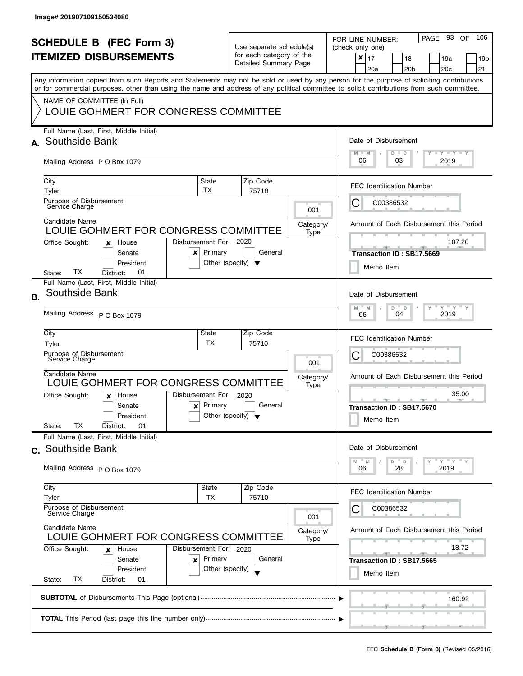| <b>SCHEDULE B</b> (FEC Form 3)<br><b>ITEMIZED DISBURSEMENTS</b> |                                                                                                                                                                                                                                                                                         |                                                                  | Use separate schedule(s)<br>for each category of the |                   | PAGE 93<br>106<br><b>OF</b><br>FOR LINE NUMBER:<br>(check only one)                                     |
|-----------------------------------------------------------------|-----------------------------------------------------------------------------------------------------------------------------------------------------------------------------------------------------------------------------------------------------------------------------------------|------------------------------------------------------------------|------------------------------------------------------|-------------------|---------------------------------------------------------------------------------------------------------|
|                                                                 |                                                                                                                                                                                                                                                                                         |                                                                  | Detailed Summary Page                                |                   | $\pmb{\times}$<br>17<br>18<br>19a<br>19 <sub>b</sub><br>20 <sub>b</sub><br>20 <sub>c</sub><br>21<br>20a |
|                                                                 | Any information copied from such Reports and Statements may not be sold or used by any person for the purpose of soliciting contributions<br>or for commercial purposes, other than using the name and address of any political committee to solicit contributions from such committee. |                                                                  |                                                      |                   |                                                                                                         |
|                                                                 | NAME OF COMMITTEE (In Full)<br>LOUIE GOHMERT FOR CONGRESS COMMITTEE                                                                                                                                                                                                                     |                                                                  |                                                      |                   |                                                                                                         |
|                                                                 | Full Name (Last, First, Middle Initial)<br>A. Southside Bank                                                                                                                                                                                                                            |                                                                  |                                                      |                   | Date of Disbursement<br>$T - Y = T - Y$<br>$M - M$<br>$D$ $D$                                           |
|                                                                 | Mailing Address P O Box 1079                                                                                                                                                                                                                                                            |                                                                  |                                                      |                   | 06<br>03<br>2019                                                                                        |
|                                                                 | City<br>Tyler                                                                                                                                                                                                                                                                           | State<br>TX                                                      | Zip Code<br>75710                                    |                   | <b>FEC Identification Number</b>                                                                        |
|                                                                 | Purpose of Disbursement<br>Service Charge                                                                                                                                                                                                                                               |                                                                  |                                                      | 001               | С<br>C00386532                                                                                          |
|                                                                 | Candidate Name<br>LOUIE GOHMERT FOR CONGRESS COMMITTEE                                                                                                                                                                                                                                  |                                                                  |                                                      | Category/<br>Type | Amount of Each Disbursement this Period                                                                 |
|                                                                 | Office Sought:<br>House<br>×<br>Senate<br>x<br>President<br>ТX<br>01<br>District:<br>State:                                                                                                                                                                                             | Disbursement For: 2020<br>Primary                                | General<br>Other (specify) $\blacktriangledown$      |                   | 107.20<br>Transaction ID: SB17.5669<br>Memo Item                                                        |
| <b>B.</b>                                                       | Full Name (Last, First, Middle Initial)<br>Southside Bank                                                                                                                                                                                                                               |                                                                  |                                                      |                   | Date of Disbursement                                                                                    |
|                                                                 | Mailing Address P O Box 1079                                                                                                                                                                                                                                                            | $Y$ $Y$ $Y$<br>$\overline{a}$<br>M<br>D<br>M<br>2019<br>04<br>06 |                                                      |                   |                                                                                                         |
|                                                                 | City<br>Tyler                                                                                                                                                                                                                                                                           | State<br>ТX                                                      | Zip Code<br>75710                                    |                   | <b>FEC Identification Number</b>                                                                        |
|                                                                 | Purpose of Disbursement<br>Service Charge                                                                                                                                                                                                                                               |                                                                  |                                                      | 001               | С<br>C00386532                                                                                          |
|                                                                 | Candidate Name<br>LOUIE GOHMERT FOR CONGRESS COMMITTEE                                                                                                                                                                                                                                  |                                                                  |                                                      | Category/<br>Type | Amount of Each Disbursement this Period                                                                 |
|                                                                 | Office Sought:<br>House<br>x<br>Senate<br>$\boldsymbol{\mathsf{x}}$<br>President<br>TХ<br>State:<br>District:<br>01                                                                                                                                                                     | Disbursement For: 2020<br>Primary                                | General<br>Other (specify) $\blacktriangledown$      |                   | 35.00<br>Transaction ID: SB17.5670<br>Memo Item                                                         |
|                                                                 | Full Name (Last, First, Middle Initial)<br>c. Southside Bank                                                                                                                                                                                                                            |                                                                  |                                                      |                   | Date of Disbursement                                                                                    |
|                                                                 | Mailing Address P O Box 1079                                                                                                                                                                                                                                                            |                                                                  |                                                      |                   | D<br>$Y = Y$<br>M<br>$\mathsf D$<br>M<br>2019<br>06<br>28                                               |
|                                                                 | City<br>Tyler                                                                                                                                                                                                                                                                           | State<br>TX                                                      | Zip Code<br>75710                                    |                   | <b>FEC Identification Number</b>                                                                        |
|                                                                 | Purpose of Disbursement<br>Service Charge<br>Candidate Name<br>LOUIE GOHMERT FOR CONGRESS COMMITTEE                                                                                                                                                                                     |                                                                  |                                                      | 001               | C00386532                                                                                               |
|                                                                 |                                                                                                                                                                                                                                                                                         |                                                                  |                                                      | Category/<br>Type | Amount of Each Disbursement this Period                                                                 |
|                                                                 | Office Sought:<br>House<br>×<br>Senate<br>×<br>President                                                                                                                                                                                                                                | Disbursement For: 2020<br>Primary<br>Other (specify)             | General                                              |                   | 18.72<br>$-$<br>المستقبل<br>Transaction ID: SB17.5665<br>Memo Item                                      |
|                                                                 | ТX<br>State:<br>District:<br>01                                                                                                                                                                                                                                                         |                                                                  |                                                      |                   |                                                                                                         |
|                                                                 |                                                                                                                                                                                                                                                                                         |                                                                  |                                                      |                   | 160.92                                                                                                  |
|                                                                 |                                                                                                                                                                                                                                                                                         |                                                                  |                                                      |                   |                                                                                                         |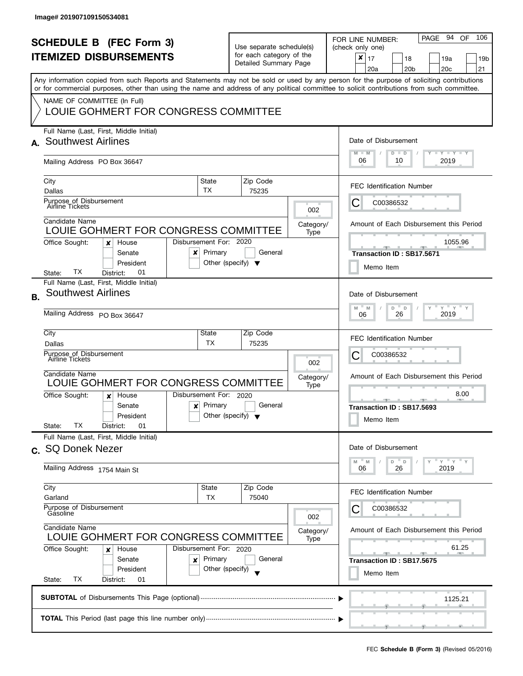| <b>SCHEDULE B</b> (FEC Form 3)<br><b>ITEMIZED DISBURSEMENTS</b> |                                                                                                                                                                                                                   |                                                                                   | Use separate schedule(s)<br>for each category of the<br>Detailed Summary Page |                   | PAGE 94 OF<br>106<br>FOR LINE NUMBER:<br>(check only one)<br>×<br>17<br>18<br>19a<br>19 <sub>b</sub><br>20c<br>20a<br>20 <sub>b</sub><br>21<br>Any information copied from such Reports and Statements may not be sold or used by any person for the purpose of soliciting contributions |
|-----------------------------------------------------------------|-------------------------------------------------------------------------------------------------------------------------------------------------------------------------------------------------------------------|-----------------------------------------------------------------------------------|-------------------------------------------------------------------------------|-------------------|------------------------------------------------------------------------------------------------------------------------------------------------------------------------------------------------------------------------------------------------------------------------------------------|
|                                                                 | or for commercial purposes, other than using the name and address of any political committee to solicit contributions from such committee.<br>NAME OF COMMITTEE (In Full)<br>LOUIE GOHMERT FOR CONGRESS COMMITTEE |                                                                                   |                                                                               |                   |                                                                                                                                                                                                                                                                                          |
|                                                                 | Full Name (Last, First, Middle Initial)<br>A. Southwest Airlines<br>Mailing Address PO Box 36647                                                                                                                  | Date of Disbursement<br>$T - Y = T - Y$<br>$M - M$<br>$D$ $D$<br>06<br>2019<br>10 |                                                                               |                   |                                                                                                                                                                                                                                                                                          |
|                                                                 | City<br>Dallas<br>Purpose_of Disbursement<br>Airline Tickets                                                                                                                                                      | State<br>TX                                                                       | Zip Code<br>75235                                                             | 002               | FEC Identification Number<br>C00386532<br>C                                                                                                                                                                                                                                              |
|                                                                 | Candidate Name<br>LOUIE GOHMERT FOR CONGRESS COMMITTEE<br>Office Sought:<br>House<br>x<br>Senate<br>x<br>President                                                                                                | Disbursement For: 2020<br>Primary                                                 | General<br>Other (specify) $\blacktriangledown$                               | Category/<br>Type | Amount of Each Disbursement this Period<br>1055.96<br>Transaction ID: SB17.5671<br>Memo Item                                                                                                                                                                                             |
| <b>B.</b>                                                       | TХ<br>01<br>District:<br>State:<br>Full Name (Last, First, Middle Initial)<br><b>Southwest Airlines</b><br>Mailing Address PO Box 36647                                                                           |                                                                                   |                                                                               |                   | Date of Disbursement<br>$Y$ $Y$ $Y$<br>M<br>D<br>M<br>$\mathsf D$<br>2019<br>26<br>06                                                                                                                                                                                                    |
|                                                                 | City<br>Dallas<br>Purpose of Disbursement<br>Airline Tickets<br>Candidate Name<br>LOUIE GOHMERT FOR CONGRESS COMMITTEE                                                                                            | State<br>TΧ.                                                                      | Zip Code<br>75235                                                             | 002<br>Category/  | <b>FEC Identification Number</b><br>С<br>C00386532<br>Amount of Each Disbursement this Period                                                                                                                                                                                            |
|                                                                 | Office Sought:<br>House<br>x<br>Senate<br>$\boldsymbol{x}$<br>President<br>ТX<br>01<br>State:<br>District:                                                                                                        | Disbursement For: 2020<br>Primary                                                 | General<br>Other (specify) $\blacktriangledown$                               | Type              | 8.00<br>$-$<br>دو با ب<br>Transaction ID: SB17.5693<br>Memo Item                                                                                                                                                                                                                         |
|                                                                 | Full Name (Last, First, Middle Initial)<br>c. SQ Donek Nezer<br>Mailing Address 1754 Main St                                                                                                                      |                                                                                   |                                                                               |                   | Date of Disbursement<br>= γ = γ = γ<br>D<br>D<br>M<br>M<br>2019<br>06<br>26                                                                                                                                                                                                              |
|                                                                 | City<br>Garland<br>Purpose of Disbursement<br>Gasoline                                                                                                                                                            | State<br>ТX                                                                       | Zip Code<br>75040                                                             | 002               | <b>FEC Identification Number</b><br>C00386532                                                                                                                                                                                                                                            |
|                                                                 | Candidate Name<br>LOUIE GOHMERT FOR CONGRESS COMMITTEE<br>Office Sought:<br>House<br>x<br>Senate<br>×<br>President<br><b>TX</b><br>State:<br>District:<br>01                                                      | Disbursement For: 2020<br>Primary<br>Other (specify)                              | General                                                                       | Category/<br>Type | Amount of Each Disbursement this Period<br>61.25<br><b>ALC: NO</b><br>Transaction ID: SB17.5675<br>Memo Item                                                                                                                                                                             |
|                                                                 |                                                                                                                                                                                                                   |                                                                                   |                                                                               |                   | 1125.21                                                                                                                                                                                                                                                                                  |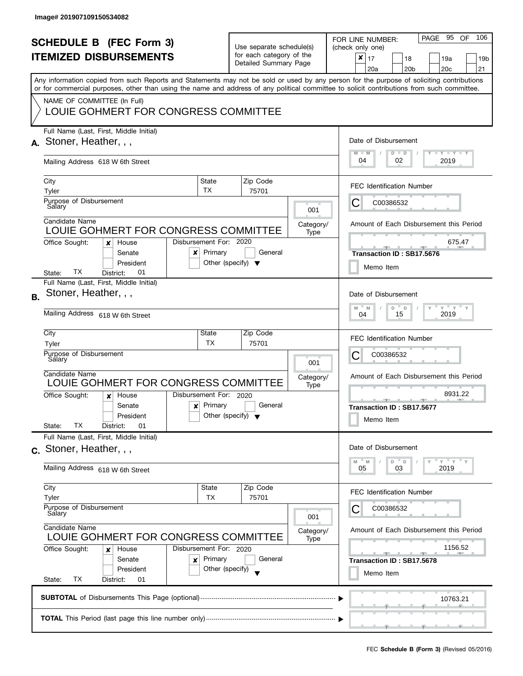| <b>SCHEDULE B</b> (FEC Form 3)<br><b>ITEMIZED DISBURSEMENTS</b><br>Any information copied from such Reports and Statements may not be sold or used by any person for the purpose of soliciting contributions<br>or for commercial purposes, other than using the name and address of any political committee to solicit contributions from such committee.<br>NAME OF COMMITTEE (In Full)<br>LOUIE GOHMERT FOR CONGRESS COMMITTEE |                                                                                                                                                                                                                                                                                                                                                                                               |                                                                                                        | Use separate schedule(s)<br>for each category of the<br>Detailed Summary Page |                          | PAGE 95 OF<br>106<br>FOR LINE NUMBER:<br>(check only one)<br>$\boldsymbol{x}$<br>17<br>18<br>19a<br>19 <sub>b</sub><br>20 <sub>c</sub><br>21<br>20a<br>20 <sub>b</sub>                                                                                                               |
|-----------------------------------------------------------------------------------------------------------------------------------------------------------------------------------------------------------------------------------------------------------------------------------------------------------------------------------------------------------------------------------------------------------------------------------|-----------------------------------------------------------------------------------------------------------------------------------------------------------------------------------------------------------------------------------------------------------------------------------------------------------------------------------------------------------------------------------------------|--------------------------------------------------------------------------------------------------------|-------------------------------------------------------------------------------|--------------------------|--------------------------------------------------------------------------------------------------------------------------------------------------------------------------------------------------------------------------------------------------------------------------------------|
|                                                                                                                                                                                                                                                                                                                                                                                                                                   | Full Name (Last, First, Middle Initial)<br>$A.$ Stoner, Heather, $, ,$<br>Mailing Address 618 W 6th Street<br>City<br>Tyler<br>Purpose of Disbursement<br>Salary<br>Candidate Name<br>LOUIE GOHMERT FOR CONGRESS COMMITTEE<br>Disbursement For: 2020<br>Office Sought:<br>House<br>×<br>Senate<br>x                                                                                           | State<br>TX<br>Primary                                                                                 | Zip Code<br>75701<br>General                                                  | 001<br>Category/<br>Type | Date of Disbursement<br>$T$ $Y$ $T$ $Y$ $T$ $Y$<br>$M - M$<br>$D$ $D$<br>04<br>02<br>2019<br>FEC Identification Number<br>C<br>C00386532<br>Amount of Each Disbursement this Period<br>675.47<br>Transaction ID: SB17.5676                                                           |
| <b>B.</b>                                                                                                                                                                                                                                                                                                                                                                                                                         | President<br>TХ<br>01<br>District:<br>State:<br>Full Name (Last, First, Middle Initial)<br>Stoner, Heather, , ,<br>Mailing Address 618 W 6th Street<br>City<br>Tyler<br>Purpose of Disbursement<br>Sálary<br>Candidate Name<br>LOUIE GOHMERT FOR CONGRESS COMMITTEE<br>Disbursement For: 2020<br>Office Sought:<br>House<br>x<br>Senate<br>$\boldsymbol{\mathsf{x}}$<br>President<br>ТX<br>01 | Other (specify) $\blacktriangledown$<br>State<br>ТX<br>Primary<br>Other (specify) $\blacktriangledown$ | Zip Code<br>75701<br>General                                                  | 001<br>Category/<br>Type | Memo Item<br>Date of Disbursement<br>$Y = Y = Y$<br>M<br>D<br>$\Box$<br>M<br>2019<br>15<br>04<br><b>FEC Identification Number</b><br>С<br>C00386532<br>Amount of Each Disbursement this Period<br>8931.22<br><u>______</u><br><b>STATE</b><br>Transaction ID: SB17.5677<br>Memo Item |
|                                                                                                                                                                                                                                                                                                                                                                                                                                   | State:<br>District:<br>Full Name (Last, First, Middle Initial)<br>c. Stoner, Heather, , ,<br>Mailing Address 618 W 6th Street<br>City<br>Tyler<br>Purpose of Disbursement<br>Salary<br>Candidate Name<br>LOUIE GOHMERT FOR CONGRESS COMMITTEE<br>Office Sought:<br>Disbursement For: 2020<br>House<br>x<br>Senate<br>x<br>President<br>ТX<br>State:<br>District:<br>01                        | State<br>ТX<br>Primary<br>Other (specify)                                                              | Zip Code<br>75701<br>General                                                  | 001<br>Category/<br>Type | Date of Disbursement<br>$Y = Y = Y$<br>D<br>$\mathsf{D}$<br>M<br>M<br>2019<br>05<br>03<br><b>FEC Identification Number</b><br>C00386532<br>Amount of Each Disbursement this Period<br>1156.52<br>Transaction ID: SB17.5678<br>Memo Item                                              |
|                                                                                                                                                                                                                                                                                                                                                                                                                                   |                                                                                                                                                                                                                                                                                                                                                                                               |                                                                                                        |                                                                               |                          | 10763.21                                                                                                                                                                                                                                                                             |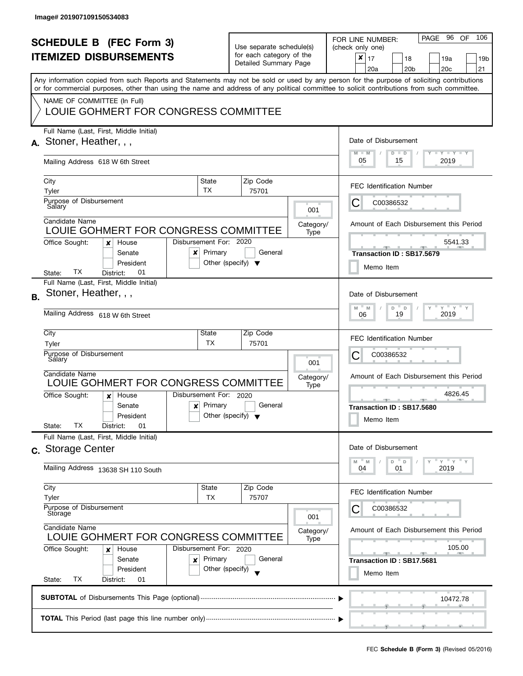| <b>SCHEDULE B (FEC Form 3)</b><br><b>ITEMIZED DISBURSEMENTS</b><br>Any information copied from such Reports and Statements may not be sold or used by any person for the purpose of soliciting contributions<br>or for commercial purposes, other than using the name and address of any political committee to solicit contributions from such committee. |                                                                                                                                                                                                           |                                                 | Use separate schedule(s)<br>for each category of the<br>Detailed Summary Page |                          | PAGE 96 OF<br>106<br>FOR LINE NUMBER:<br>(check only one)<br>$\pmb{\times}$<br>17<br>18<br>19a<br>19b<br>20a<br>20 <sub>b</sub><br>20 <sub>c</sub><br>21 |
|------------------------------------------------------------------------------------------------------------------------------------------------------------------------------------------------------------------------------------------------------------------------------------------------------------------------------------------------------------|-----------------------------------------------------------------------------------------------------------------------------------------------------------------------------------------------------------|-------------------------------------------------|-------------------------------------------------------------------------------|--------------------------|----------------------------------------------------------------------------------------------------------------------------------------------------------|
|                                                                                                                                                                                                                                                                                                                                                            | NAME OF COMMITTEE (In Full)<br>LOUIE GOHMERT FOR CONGRESS COMMITTEE                                                                                                                                       |                                                 |                                                                               |                          |                                                                                                                                                          |
|                                                                                                                                                                                                                                                                                                                                                            | Full Name (Last, First, Middle Initial)<br>A. Stoner, Heather, , ,<br>Mailing Address 618 W 6th Street                                                                                                    |                                                 |                                                                               |                          | Date of Disbursement<br>$M - M$<br>$T - Y = T - Y$<br>$D$ $D$<br>05<br>2019<br>15                                                                        |
|                                                                                                                                                                                                                                                                                                                                                            | City<br>Tyler<br>Purpose of Disbursement                                                                                                                                                                  | State<br>TX                                     | Zip Code<br>75701                                                             |                          | <b>FEC Identification Number</b><br>С<br>C00386532                                                                                                       |
|                                                                                                                                                                                                                                                                                                                                                            | Salary<br>Candidate Name<br>LOUIE GOHMERT FOR CONGRESS COMMITTEE<br>Disbursement For: 2020                                                                                                                |                                                 |                                                                               | 001<br>Category/<br>Type | Amount of Each Disbursement this Period<br>5541.33                                                                                                       |
|                                                                                                                                                                                                                                                                                                                                                            | Office Sought:<br>House<br>x<br>Senate<br>$\boldsymbol{\mathsf{x}}$<br>President<br>TХ<br>01<br>District:<br>State:                                                                                       | Primary<br>Other (specify) $\blacktriangledown$ | General                                                                       |                          | Transaction ID: SB17.5679<br>Memo Item                                                                                                                   |
| <b>B.</b>                                                                                                                                                                                                                                                                                                                                                  | Full Name (Last, First, Middle Initial)<br>Stoner, Heather, , ,<br>Mailing Address 618 W 6th Street                                                                                                       |                                                 |                                                                               |                          | Date of Disbursement<br>$Y$ $Y$ $Y$<br>$-M$<br>$D$ $D$<br>M<br>Y<br>2019<br>19<br>06                                                                     |
|                                                                                                                                                                                                                                                                                                                                                            | City<br>Tyler<br>Purpose of Disbursement<br>Salary                                                                                                                                                        | State<br>ТX                                     | Zip Code<br>75701                                                             | 001                      | <b>FEC Identification Number</b><br>С<br>C00386532                                                                                                       |
|                                                                                                                                                                                                                                                                                                                                                            | Candidate Name<br>LOUIE GOHMERT FOR CONGRESS COMMITTEE<br>Disbursement For: 2020<br>Office Sought:<br>House<br>$\boldsymbol{x}$<br>Senate<br>$\mathbf{x}$<br>President<br>TХ<br>State:<br>District:<br>01 | Primary<br>Other (specify) $\blacktriangledown$ | General                                                                       | Category/<br>Type        | Amount of Each Disbursement this Period<br>4826.45<br>___<br>Transaction ID: SB17.5680<br>Memo Item                                                      |
|                                                                                                                                                                                                                                                                                                                                                            | Full Name (Last, First, Middle Initial)<br>c. Storage Center<br>Mailing Address 13638 SH 110 South                                                                                                        |                                                 |                                                                               |                          | Date of Disbursement<br>$Y = Y = Y$<br>D<br>$\mathsf D$<br>M<br>M<br>01<br>2019<br>04                                                                    |
|                                                                                                                                                                                                                                                                                                                                                            | City<br>Tyler<br>Purpose of Disbursement<br>Storage                                                                                                                                                       | State<br>TX                                     | Zip Code<br>75707                                                             | 001                      | <b>FEC Identification Number</b><br>C00386532                                                                                                            |
|                                                                                                                                                                                                                                                                                                                                                            | Candidate Name<br>LOUIE GOHMERT FOR CONGRESS COMMITTEE<br>Office Sought:<br>Disbursement For: 2020<br>House<br>×<br>Senate<br>×<br>President<br>ТX<br>State:<br>District:<br>01                           | Primary<br>Other (specify)                      | General                                                                       | Category/<br>Type        | Amount of Each Disbursement this Period<br>105.00<br>Transaction ID: SB17.5681<br>Memo Item                                                              |
|                                                                                                                                                                                                                                                                                                                                                            |                                                                                                                                                                                                           |                                                 |                                                                               |                          | 10472.78                                                                                                                                                 |
|                                                                                                                                                                                                                                                                                                                                                            |                                                                                                                                                                                                           |                                                 |                                                                               |                          |                                                                                                                                                          |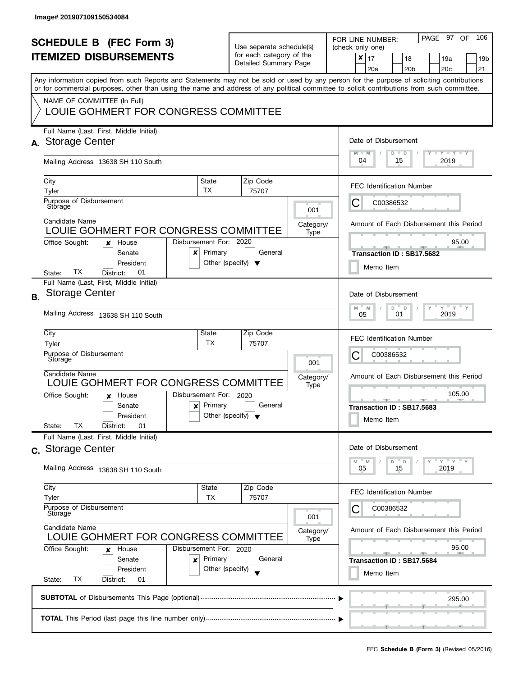| <b>SCHEDULE B (FEC Form 3)</b><br><b>ITEMIZED DISBURSEMENTS</b><br>Any information copied from such Reports and Statements may not be sold or used by any person for the purpose of soliciting contributions |                                                                                                                                                                                                                   |                                                                                   | Use separate schedule(s)<br>for each category of the<br>Detailed Summary Page |         |                          | PAGE 97<br>106<br>OF<br>FOR LINE NUMBER:<br>(check only one)<br>×<br>17<br>18<br>19a<br>19b<br>20 <sub>c</sub><br>21<br>20a<br>20 <sub>b</sub> |
|--------------------------------------------------------------------------------------------------------------------------------------------------------------------------------------------------------------|-------------------------------------------------------------------------------------------------------------------------------------------------------------------------------------------------------------------|-----------------------------------------------------------------------------------|-------------------------------------------------------------------------------|---------|--------------------------|------------------------------------------------------------------------------------------------------------------------------------------------|
|                                                                                                                                                                                                              | or for commercial purposes, other than using the name and address of any political committee to solicit contributions from such committee.<br>NAME OF COMMITTEE (In Full)<br>LOUIE GOHMERT FOR CONGRESS COMMITTEE |                                                                                   |                                                                               |         |                          |                                                                                                                                                |
| А.                                                                                                                                                                                                           | Full Name (Last, First, Middle Initial)<br><b>Storage Center</b><br>Mailing Address 13638 SH 110 South                                                                                                            | Date of Disbursement<br>$T - Y = T - Y$<br>$M - M$<br>$D$ $D$<br>04<br>2019<br>15 |                                                                               |         |                          |                                                                                                                                                |
|                                                                                                                                                                                                              | City<br>Tyler<br>Purpose of Disbursement<br>Storage<br>Candidate Name                                                                                                                                             | State<br>TX                                                                       | Zip Code<br>75707                                                             |         | 001                      | <b>FEC Identification Number</b><br>C00386532<br>Ĉ                                                                                             |
|                                                                                                                                                                                                              | LOUIE GOHMERT FOR CONGRESS COMMITTEE<br>Disbursement For: 2020<br>Office Sought:<br>House<br>×<br>Senate<br>x<br>President<br>TХ<br>01<br>District:<br>State:                                                     | Primary                                                                           | Other (specify) $\blacktriangledown$                                          | General | Category/<br>Type        | Amount of Each Disbursement this Period<br>95.00<br>Transaction ID: SB17.5682<br>Memo Item                                                     |
| <b>B.</b>                                                                                                                                                                                                    | Full Name (Last, First, Middle Initial)<br>Storage Center<br>Mailing Address 13638 SH 110 South                                                                                                                   |                                                                                   |                                                                               |         |                          | Date of Disbursement<br>$Y$ $Y$ $Y$<br>D<br>M<br>M<br>D<br>2019<br>01<br>05                                                                    |
|                                                                                                                                                                                                              | City<br>Tyler<br>Purpose of Disbursement<br>Storage<br>Candidate Name<br>LOUIE GOHMERT FOR CONGRESS COMMITTEE                                                                                                     | State<br>TX                                                                       | Zip Code<br>75707                                                             |         | 001<br>Category/<br>Type | <b>FEC Identification Number</b><br>С<br>C00386532<br>Amount of Each Disbursement this Period                                                  |
|                                                                                                                                                                                                              | Disbursement For: 2020<br>Office Sought:<br>House<br>$\boldsymbol{x}$<br>Senate<br>$\boldsymbol{x}$<br>President<br>TХ<br>01<br>District:<br>State:                                                               | Primary                                                                           | Other (specify) $\blacktriangledown$                                          | General |                          | 105.00<br>$-1$ $-1$ $-1$<br><b>AND IN</b><br>Transaction ID: SB17.5683<br>Memo Item                                                            |
|                                                                                                                                                                                                              | Full Name (Last, First, Middle Initial)<br>c. Storage Center<br>Mailing Address 13638 SH 110 South                                                                                                                |                                                                                   |                                                                               |         |                          | Date of Disbursement<br>$Y'$ $Y'$<br>D<br>$\mathbb D$<br>M<br>M<br>2019<br>05<br>15                                                            |
|                                                                                                                                                                                                              | City<br>Tyler<br>Purpose of Disbursement<br>Storage<br>Candidate Name<br>LOUIE GOHMERT FOR CONGRESS COMMITTEE                                                                                                     | State<br><b>TX</b>                                                                | Zip Code<br>75707                                                             |         | 001<br>Category/         | <b>FEC Identification Number</b><br>C00386532<br>Amount of Each Disbursement this Period                                                       |
|                                                                                                                                                                                                              | Office Sought:<br>Disbursement For: 2020<br>House<br>x<br>Senate<br>×<br>President<br>ТX<br>State:<br>District:<br>01                                                                                             | Primary<br>Other (specify)                                                        |                                                                               | General | Type                     | 95.00<br><u>ga i i ga</u><br>Transaction ID: SB17.5684<br>Memo Item                                                                            |
|                                                                                                                                                                                                              |                                                                                                                                                                                                                   | 295.00                                                                            |                                                                               |         |                          |                                                                                                                                                |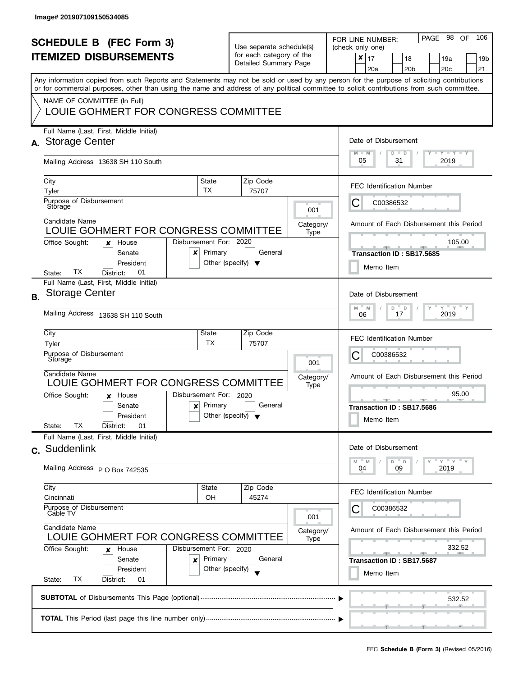|           | <b>SCHEDULE B (FEC Form 3)</b><br><b>ITEMIZED DISBURSEMENTS</b><br>Any information copied from such Reports and Statements may not be sold or used by any person for the purpose of soliciting contributions<br>or for commercial purposes, other than using the name and address of any political committee to solicit contributions from such committee. |                                                                                                                                  | Use separate schedule(s)<br>for each category of the<br>Detailed Summary Page                |                                               | PAGE 98<br>106<br><b>OF</b><br>FOR LINE NUMBER:<br>(check only one)<br>$\boldsymbol{x}$<br>17<br>18<br>19a<br>19 <sub>b</sub><br>20 <sub>b</sub><br>20 <sub>c</sub><br>21<br>20a |
|-----------|------------------------------------------------------------------------------------------------------------------------------------------------------------------------------------------------------------------------------------------------------------------------------------------------------------------------------------------------------------|----------------------------------------------------------------------------------------------------------------------------------|----------------------------------------------------------------------------------------------|-----------------------------------------------|----------------------------------------------------------------------------------------------------------------------------------------------------------------------------------|
|           | NAME OF COMMITTEE (In Full)<br>LOUIE GOHMERT FOR CONGRESS COMMITTEE                                                                                                                                                                                                                                                                                        |                                                                                                                                  |                                                                                              |                                               |                                                                                                                                                                                  |
|           | Full Name (Last, First, Middle Initial)<br>A. Storage Center<br>Mailing Address 13638 SH 110 South                                                                                                                                                                                                                                                         | Date of Disbursement<br>$T - Y = T - Y$<br>$M - M$<br>$D$ $D$<br>05<br>31<br>2019                                                |                                                                                              |                                               |                                                                                                                                                                                  |
|           | City<br>Tyler<br>Purpose of Disbursement                                                                                                                                                                                                                                                                                                                   | State<br>TX                                                                                                                      | Zip Code<br>75707                                                                            |                                               | <b>FEC Identification Number</b>                                                                                                                                                 |
|           | Storage<br>Candidate Name<br>LOUIE GOHMERT FOR CONGRESS COMMITTEE                                                                                                                                                                                                                                                                                          |                                                                                                                                  |                                                                                              | 001<br>Category/<br>Type                      | С<br>C00386532<br>Amount of Each Disbursement this Period                                                                                                                        |
|           | Disbursement For: 2020<br>Office Sought:<br>House<br>x<br>Senate<br>x<br>President<br>ТX<br>01<br>District:<br>State:                                                                                                                                                                                                                                      | Primary<br>Other (specify) $\blacktriangledown$                                                                                  | General                                                                                      |                                               | 105.00<br>Transaction ID: SB17.5685<br>Memo Item                                                                                                                                 |
| <b>B.</b> | Full Name (Last, First, Middle Initial)<br><b>Storage Center</b><br>Mailing Address 13638 SH 110 South                                                                                                                                                                                                                                                     |                                                                                                                                  | Date of Disbursement<br>$Y$ $Y$<br>$-M$<br>$\overline{a}$<br>M<br>D<br>Y<br>2019<br>17<br>06 |                                               |                                                                                                                                                                                  |
|           | City<br>Tyler<br>Purpose of Disbursement<br>Storage                                                                                                                                                                                                                                                                                                        | State<br><b>TX</b>                                                                                                               | Zip Code<br>75707                                                                            | 001                                           | <b>FEC Identification Number</b><br>С<br>C00386532                                                                                                                               |
|           | Candidate Name<br>LOUIE GOHMERT FOR CONGRESS COMMITTEE<br>Disbursement For: 2020<br>Office Sought:<br>House<br>$\boldsymbol{x}$<br>Senate<br>$\boldsymbol{x}$<br>President<br>TХ<br>State:<br>District:<br>01                                                                                                                                              | Primary<br>Other (specify) $\blacktriangledown$                                                                                  | General                                                                                      | Category/<br>Type                             | Amount of Each Disbursement this Period<br>95.00<br>Transaction ID: SB17.5686<br>Memo Item                                                                                       |
|           | Full Name (Last, First, Middle Initial)<br>c. Suddenlink<br>Mailing Address P O Box 742535                                                                                                                                                                                                                                                                 |                                                                                                                                  |                                                                                              |                                               | Date of Disbursement<br>$Y = Y$<br>$- M$<br>D<br>$\mathsf D$<br>M<br>09<br>2019<br>04                                                                                            |
|           | City<br>State<br>Cincinnati<br>OН<br>Purpose of Disbursement<br>Cable TV                                                                                                                                                                                                                                                                                   | Zip Code<br>45274                                                                                                                | 001                                                                                          | <b>FEC Identification Number</b><br>C00386532 |                                                                                                                                                                                  |
|           | Candidate Name<br>LOUIE GOHMERT FOR CONGRESS COMMITTEE<br>Office Sought:<br>Disbursement For: 2020<br>House<br>x<br>Primary<br>Senate<br>×<br>President<br>Other (specify)<br>TX<br>State:<br>District:<br>01                                                                                                                                              | Amount of Each Disbursement this Period<br>Category/<br>332.52<br>$-1$<br><u>_____</u><br>Transaction ID: SB17.5687<br>Memo Item |                                                                                              |                                               |                                                                                                                                                                                  |
|           |                                                                                                                                                                                                                                                                                                                                                            |                                                                                                                                  |                                                                                              |                                               | 532.52                                                                                                                                                                           |
|           |                                                                                                                                                                                                                                                                                                                                                            |                                                                                                                                  |                                                                                              |                                               |                                                                                                                                                                                  |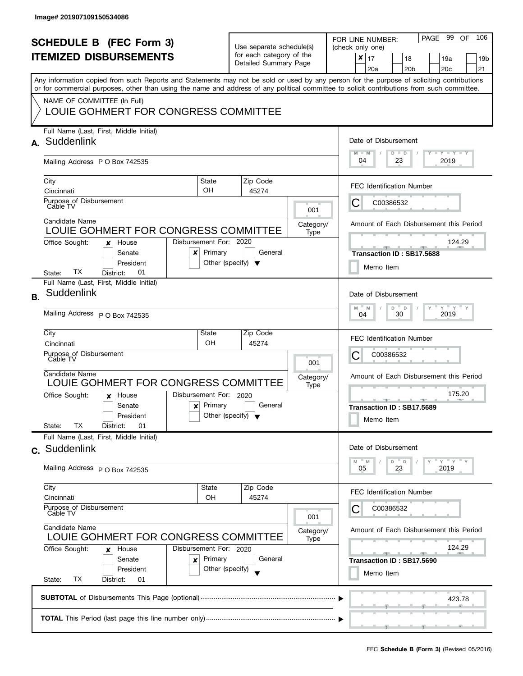| <b>SCHEDULE B (FEC Form 3)</b><br><b>ITEMIZED DISBURSEMENTS</b><br>Any information copied from such Reports and Statements may not be sold or used by any person for the purpose of soliciting contributions<br>or for commercial purposes, other than using the name and address of any political committee to solicit contributions from such committee.<br>NAME OF COMMITTEE (In Full) |                                                                                                                                                                                 |                                   | Use separate schedule(s)<br>for each category of the<br>Detailed Summary Page                                   |                          | 106<br>PAGE 99<br>0F<br>FOR LINE NUMBER:<br>(check only one)<br>$\pmb{\times}$<br>17<br>18<br>19a<br>19 <sub>b</sub><br>20 <sub>b</sub><br>20 <sub>c</sub><br>21<br>20a |  |  |  |  |
|-------------------------------------------------------------------------------------------------------------------------------------------------------------------------------------------------------------------------------------------------------------------------------------------------------------------------------------------------------------------------------------------|---------------------------------------------------------------------------------------------------------------------------------------------------------------------------------|-----------------------------------|-----------------------------------------------------------------------------------------------------------------|--------------------------|-------------------------------------------------------------------------------------------------------------------------------------------------------------------------|--|--|--|--|
|                                                                                                                                                                                                                                                                                                                                                                                           | LOUIE GOHMERT FOR CONGRESS COMMITTEE<br>Full Name (Last, First, Middle Initial)<br>A. Suddenlink                                                                                | Date of Disbursement              |                                                                                                                 |                          |                                                                                                                                                                         |  |  |  |  |
|                                                                                                                                                                                                                                                                                                                                                                                           | Mailing Address P O Box 742535                                                                                                                                                  |                                   |                                                                                                                 |                          | $T - Y = Y + Y$<br>$M - M$<br>$D$ $D$<br>04<br>23<br>2019                                                                                                               |  |  |  |  |
|                                                                                                                                                                                                                                                                                                                                                                                           | City<br>Cincinnati<br>Purpose of Disbursement<br>Cable TV                                                                                                                       | State<br><b>OH</b>                | Zip Code<br>45274                                                                                               |                          | <b>FEC Identification Number</b><br>C00386532<br>C                                                                                                                      |  |  |  |  |
|                                                                                                                                                                                                                                                                                                                                                                                           | Candidate Name<br>LOUIE GOHMERT FOR CONGRESS COMMITTEE<br>Office Sought:<br>House<br>×                                                                                          | Disbursement For: 2020            |                                                                                                                 | 001<br>Category/<br>Type | Amount of Each Disbursement this Period<br>124.29                                                                                                                       |  |  |  |  |
|                                                                                                                                                                                                                                                                                                                                                                                           | Senate<br>x<br>President<br>ТX<br>01<br>District:<br>State:<br>Full Name (Last, First, Middle Initial)                                                                          | Primary                           | General<br>Other (specify) $\blacktriangledown$                                                                 |                          | Transaction ID: SB17.5688<br>Memo Item                                                                                                                                  |  |  |  |  |
| <b>B.</b>                                                                                                                                                                                                                                                                                                                                                                                 | Suddenlink<br>Mailing Address P O Box 742535                                                                                                                                    |                                   | Date of Disbursement<br>$Y = Y$<br>D<br>M<br>M<br>D<br>30<br>2019<br>04                                         |                          |                                                                                                                                                                         |  |  |  |  |
|                                                                                                                                                                                                                                                                                                                                                                                           | City<br>Cincinnati<br>Purpose of Disbursement<br>Cáble TV                                                                                                                       | State<br>OH                       | Zip Code<br>45274                                                                                               | 001                      | <b>FEC Identification Number</b><br>С<br>C00386532                                                                                                                      |  |  |  |  |
|                                                                                                                                                                                                                                                                                                                                                                                           | Candidate Name<br>LOUIE GOHMERT FOR CONGRESS COMMITTEE<br>Office Sought:<br>House<br>x<br>Senate<br>$\boldsymbol{\mathsf{x}}$<br>President<br>TX.<br>01<br>State:<br>District:  | Disbursement For: 2020<br>Primary | General<br>Other (specify) $\blacktriangledown$                                                                 | Category/<br>Type        | Amount of Each Disbursement this Period<br>175.20<br><b>AND A</b><br>Transaction ID: SB17.5689<br>Memo Item                                                             |  |  |  |  |
|                                                                                                                                                                                                                                                                                                                                                                                           | Full Name (Last, First, Middle Initial)<br>c. Suddenlink<br>Mailing Address P O Box 742535                                                                                      |                                   |                                                                                                                 |                          | Date of Disbursement<br>$Y = Y = Y$<br>D<br>D<br>M<br>M<br>23<br>2019<br>05                                                                                             |  |  |  |  |
|                                                                                                                                                                                                                                                                                                                                                                                           | City<br>Cincinnati<br>Purpose of Disbursement<br>Cable TV                                                                                                                       | State<br>OH                       | Zip Code<br>45274                                                                                               | 001                      | <b>FEC Identification Number</b><br>C00386532                                                                                                                           |  |  |  |  |
|                                                                                                                                                                                                                                                                                                                                                                                           | Candidate Name<br>LOUIE GOHMERT FOR CONGRESS COMMITTEE<br>Office Sought:<br>Disbursement For: 2020<br>House<br>x<br>Senate<br>×<br>President<br>ТX<br>State:<br>District:<br>01 | Category/<br>Type                 | Amount of Each Disbursement this Period<br>124.29<br><b>Britannia</b><br>Transaction ID: SB17.5690<br>Memo Item |                          |                                                                                                                                                                         |  |  |  |  |
|                                                                                                                                                                                                                                                                                                                                                                                           | 423.78                                                                                                                                                                          |                                   |                                                                                                                 |                          |                                                                                                                                                                         |  |  |  |  |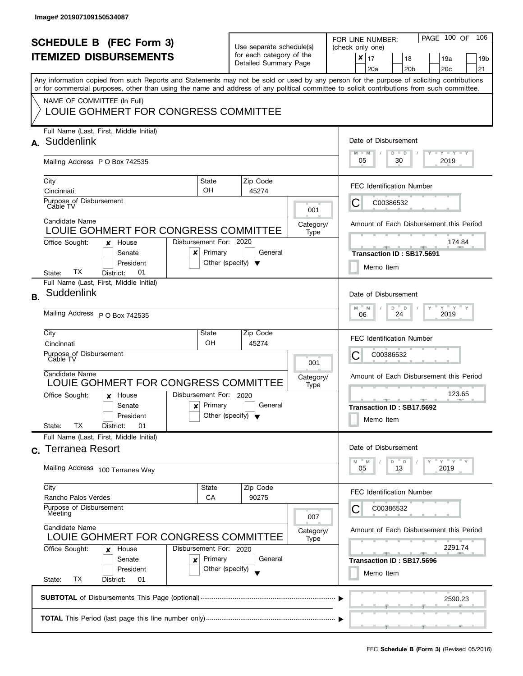| <b>SCHEDULE B (FEC Form 3)</b><br><b>ITEMIZED DISBURSEMENTS</b> |                                                                                                                                                                                                                                                                                         |                                                           | Use separate schedule(s)<br>for each category of the |                       |                   | PAGE 100 OF<br>106<br>FOR LINE NUMBER:<br>(check only one)<br>$\pmb{\times}$          |  |  |
|-----------------------------------------------------------------|-----------------------------------------------------------------------------------------------------------------------------------------------------------------------------------------------------------------------------------------------------------------------------------------|-----------------------------------------------------------|------------------------------------------------------|-----------------------|-------------------|---------------------------------------------------------------------------------------|--|--|
|                                                                 |                                                                                                                                                                                                                                                                                         |                                                           |                                                      | Detailed Summary Page |                   | 17<br>18<br>19a<br>19 <sub>b</sub><br>20 <sub>b</sub><br>20 <sub>c</sub><br>21<br>20a |  |  |
|                                                                 | Any information copied from such Reports and Statements may not be sold or used by any person for the purpose of soliciting contributions<br>or for commercial purposes, other than using the name and address of any political committee to solicit contributions from such committee. |                                                           |                                                      |                       |                   |                                                                                       |  |  |
|                                                                 | NAME OF COMMITTEE (In Full)                                                                                                                                                                                                                                                             |                                                           |                                                      |                       |                   |                                                                                       |  |  |
|                                                                 | LOUIE GOHMERT FOR CONGRESS COMMITTEE                                                                                                                                                                                                                                                    |                                                           |                                                      |                       |                   |                                                                                       |  |  |
|                                                                 | Full Name (Last, First, Middle Initial)<br>A. Suddenlink                                                                                                                                                                                                                                |                                                           |                                                      |                       |                   | Date of Disbursement                                                                  |  |  |
|                                                                 | Mailing Address P O Box 742535                                                                                                                                                                                                                                                          |                                                           |                                                      |                       |                   | $T - Y = Y + Y$<br>$M - M$<br>$D$ $D$<br>05<br>30<br>2019                             |  |  |
|                                                                 | City                                                                                                                                                                                                                                                                                    | State<br><b>OH</b>                                        |                                                      | Zip Code              |                   | <b>FEC Identification Number</b>                                                      |  |  |
|                                                                 | Cincinnati<br>Purpose of Disbursement                                                                                                                                                                                                                                                   |                                                           |                                                      | 45274                 |                   | C00386532<br>C                                                                        |  |  |
|                                                                 | Cable TV                                                                                                                                                                                                                                                                                |                                                           |                                                      |                       | 001               |                                                                                       |  |  |
|                                                                 | Candidate Name<br>LOUIE GOHMERT FOR CONGRESS COMMITTEE                                                                                                                                                                                                                                  |                                                           |                                                      |                       | Category/<br>Type | Amount of Each Disbursement this Period                                               |  |  |
|                                                                 | Office Sought:<br>House<br>×                                                                                                                                                                                                                                                            | Disbursement For: 2020                                    |                                                      |                       |                   | 174.84                                                                                |  |  |
|                                                                 | Senate<br>x                                                                                                                                                                                                                                                                             | Primary                                                   |                                                      | General               |                   | Transaction ID: SB17.5691                                                             |  |  |
|                                                                 | President<br>ТX<br>01<br>District:<br>State:                                                                                                                                                                                                                                            | Other (specify) $\blacktriangledown$                      |                                                      |                       |                   | Memo Item                                                                             |  |  |
|                                                                 | Full Name (Last, First, Middle Initial)                                                                                                                                                                                                                                                 |                                                           |                                                      |                       |                   | Date of Disbursement                                                                  |  |  |
| <b>B.</b>                                                       |                                                                                                                                                                                                                                                                                         | Suddenlink                                                |                                                      |                       |                   |                                                                                       |  |  |
|                                                                 | Mailing Address P O Box 742535                                                                                                                                                                                                                                                          | $Y = Y$<br>M<br>D<br>M<br>$\mathsf D$<br>2019<br>24<br>06 |                                                      |                       |                   |                                                                                       |  |  |
|                                                                 | City                                                                                                                                                                                                                                                                                    | State<br>OH                                               |                                                      | Zip Code              |                   | <b>FEC Identification Number</b>                                                      |  |  |
|                                                                 | Cincinnati<br>Purpose of Disbursement                                                                                                                                                                                                                                                   |                                                           |                                                      | 45274                 |                   | С<br>C00386532                                                                        |  |  |
|                                                                 | Cáble TV                                                                                                                                                                                                                                                                                |                                                           |                                                      |                       | 001               |                                                                                       |  |  |
|                                                                 | Candidate Name<br>LOUIE GOHMERT FOR CONGRESS COMMITTEE                                                                                                                                                                                                                                  |                                                           |                                                      |                       | Category/<br>Type | Amount of Each Disbursement this Period                                               |  |  |
|                                                                 | Office Sought:<br>House<br>x                                                                                                                                                                                                                                                            | Disbursement For: 2020                                    |                                                      |                       |                   | 123.65<br><b>AND A</b>                                                                |  |  |
|                                                                 | Senate<br>$\boldsymbol{\mathsf{x}}$<br>President                                                                                                                                                                                                                                        | Primary<br>Other (specify) $\blacktriangledown$           |                                                      | General               |                   | Transaction ID: SB17.5692                                                             |  |  |
|                                                                 | TX.<br>01<br>State:<br>District:                                                                                                                                                                                                                                                        |                                                           |                                                      |                       |                   | Memo Item                                                                             |  |  |
|                                                                 | Full Name (Last, First, Middle Initial)                                                                                                                                                                                                                                                 |                                                           |                                                      |                       |                   |                                                                                       |  |  |
|                                                                 | c. Terranea Resort                                                                                                                                                                                                                                                                      |                                                           |                                                      |                       |                   | Date of Disbursement                                                                  |  |  |
|                                                                 | Mailing Address 100 Terranea Way                                                                                                                                                                                                                                                        |                                                           |                                                      |                       |                   | $Y = Y$<br>D<br>D<br>M<br>M<br>2019<br>05<br>13                                       |  |  |
|                                                                 | City                                                                                                                                                                                                                                                                                    | State                                                     |                                                      | Zip Code              |                   | <b>FEC Identification Number</b>                                                      |  |  |
|                                                                 | Rancho Palos Verdes<br>CA<br>Purpose of Disbursement<br>Meeting<br>Candidate Name<br>LOUIE GOHMERT FOR CONGRESS COMMITTEE                                                                                                                                                               |                                                           |                                                      | 90275                 | 007               | C00386532                                                                             |  |  |
|                                                                 |                                                                                                                                                                                                                                                                                         |                                                           |                                                      |                       | Category/<br>Type | Amount of Each Disbursement this Period                                               |  |  |
|                                                                 | Office Sought:<br>Disbursement For: 2020<br>House<br>x                                                                                                                                                                                                                                  |                                                           |                                                      |                       |                   | 2291.74<br><u>- 11</u><br><b>COLLEGE</b>                                              |  |  |
|                                                                 | Primary<br>Senate<br>×<br>Other (specify)<br>President                                                                                                                                                                                                                                  |                                                           |                                                      | General               |                   | Transaction ID: SB17.5696                                                             |  |  |
|                                                                 | ТX<br>State:<br>District:<br>01                                                                                                                                                                                                                                                         |                                                           |                                                      |                       |                   | Memo Item                                                                             |  |  |
|                                                                 |                                                                                                                                                                                                                                                                                         |                                                           |                                                      |                       |                   | 2590.23                                                                               |  |  |
|                                                                 |                                                                                                                                                                                                                                                                                         |                                                           |                                                      |                       |                   |                                                                                       |  |  |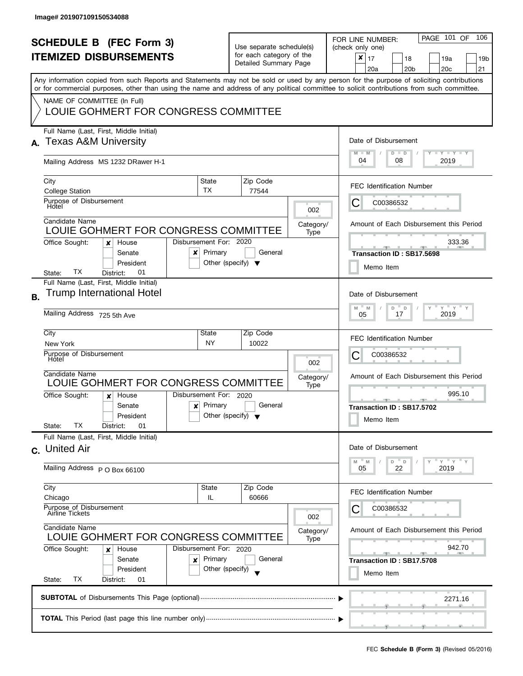|           | <b>SCHEDULE B (FEC Form 3)</b><br><b>ITEMIZED DISBURSEMENTS</b>                                                                                                                                                                                                                                                                                                |                                                 | Use separate schedule(s)<br>for each category of the<br>Detailed Summary Page                                                                               |                                                                                                             | PAGE 101 OF<br>106<br>FOR LINE NUMBER:<br>(check only one)<br>$\boldsymbol{x}$<br>17<br>18<br>19a<br>19 <sub>b</sub><br>20 <sub>b</sub><br>20 <sub>c</sub><br>21<br>20a |
|-----------|----------------------------------------------------------------------------------------------------------------------------------------------------------------------------------------------------------------------------------------------------------------------------------------------------------------------------------------------------------------|-------------------------------------------------|-------------------------------------------------------------------------------------------------------------------------------------------------------------|-------------------------------------------------------------------------------------------------------------|-------------------------------------------------------------------------------------------------------------------------------------------------------------------------|
|           | Any information copied from such Reports and Statements may not be sold or used by any person for the purpose of soliciting contributions<br>or for commercial purposes, other than using the name and address of any political committee to solicit contributions from such committee.<br>NAME OF COMMITTEE (In Full)<br>LOUIE GOHMERT FOR CONGRESS COMMITTEE |                                                 |                                                                                                                                                             |                                                                                                             |                                                                                                                                                                         |
|           | Full Name (Last, First, Middle Initial)<br><b>Texas A&amp;M University</b><br>Mailing Address MS 1232 DRawer H-1                                                                                                                                                                                                                                               |                                                 |                                                                                                                                                             |                                                                                                             | Date of Disbursement<br>$M - M$<br>$T$ $Y$ $T$ $Y$ $T$ $Y$<br>$D$ $D$<br>04<br>08<br>2019                                                                               |
|           | State<br>City<br>TX<br><b>College Station</b><br>Purpose of Disbursement<br>Hotel<br>Candidate Name                                                                                                                                                                                                                                                            |                                                 | Zip Code<br>77544                                                                                                                                           | 002                                                                                                         | <b>FEC Identification Number</b><br>С<br>C00386532                                                                                                                      |
|           | LOUIE GOHMERT FOR CONGRESS COMMITTEE<br>Disbursement For: 2020<br>Office Sought:<br>House<br>x<br>Primary<br>Senate<br>x<br>President<br>TХ<br>01<br>District:<br>State:                                                                                                                                                                                       | General<br>Other (specify) $\blacktriangledown$ | Category/<br>Type                                                                                                                                           | Amount of Each Disbursement this Period<br>333.36<br>Transaction ID: SB17.5698<br>Memo Item                 |                                                                                                                                                                         |
| <b>B.</b> | Full Name (Last, First, Middle Initial)<br><b>Trump International Hotel</b><br>Mailing Address 725 5th Ave                                                                                                                                                                                                                                                     |                                                 |                                                                                                                                                             | Date of Disbursement<br>$Y$ $Y$ $Y$<br>$-M$<br>$\overline{a}$<br>M<br>D<br>$\mathsf{Y}$<br>2019<br>17<br>05 |                                                                                                                                                                         |
|           | City<br>State<br><b>NY</b><br>New York<br>Purpose of Disbursement<br>Hotel<br>Candidate Name<br>LOUIE GOHMERT FOR CONGRESS COMMITTEE<br>Disbursement For: 2020<br>Office Sought:<br>House<br>$\boldsymbol{x}$<br>Primary<br>Senate<br>$\boldsymbol{x}$<br>President                                                                                            | Other (specify) $\blacktriangledown$            | Zip Code<br>10022<br>General                                                                                                                                | 002<br>Category/<br>Type                                                                                    | <b>FEC Identification Number</b><br>С<br>C00386532<br>Amount of Each Disbursement this Period<br>995.10<br>Transaction ID: SB17.5702                                    |
|           | TХ<br>State:<br>District:<br>01<br>Full Name (Last, First, Middle Initial)<br>c. United Air<br>Mailing Address P O Box 66100                                                                                                                                                                                                                                   |                                                 |                                                                                                                                                             |                                                                                                             | Memo Item<br>Date of Disbursement<br>$Y = Y = Y$<br>$-M$<br>D<br>M<br>$\mathsf D$<br>22<br>2019<br>05                                                                   |
|           | City<br>State<br>Chicago<br>IL<br>Purpose of Disbursement<br>Airline Tickets<br>Candidate Name<br>LOUIE GOHMERT FOR CONGRESS COMMITTEE<br>Office Sought:<br>Disbursement For: 2020<br>House<br>x<br>Primary<br>Senate<br>×<br>President<br>Other (specify)                                                                                                     | 002<br>Category/<br>Type                        | <b>FEC Identification Number</b><br>C00386532<br>Amount of Each Disbursement this Period<br>942.70<br>$-1$<br>- -<br>Transaction ID: SB17.5708<br>Memo Item |                                                                                                             |                                                                                                                                                                         |
|           | ТX<br>State:<br>District:<br>01                                                                                                                                                                                                                                                                                                                                | 2271.16                                         |                                                                                                                                                             |                                                                                                             |                                                                                                                                                                         |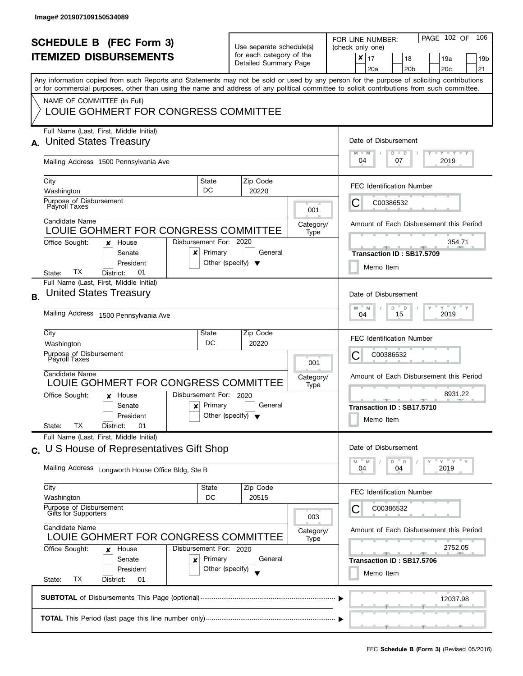| <b>SCHEDULE B (FEC Form 3)</b><br><b>ITEMIZED DISBURSEMENTS</b><br>Any information copied from such Reports and Statements may not be sold or used by any person for the purpose of soliciting contributions<br>or for commercial purposes, other than using the name and address of any political committee to solicit contributions from such committee.<br>NAME OF COMMITTEE (In Full) |                                                                                                                                                                                                |                                                                                                                   | Use separate schedule(s)<br>for each category of the<br>Detailed Summary Page |                          | PAGE 102 OF<br>106<br>FOR LINE NUMBER:<br>(check only one)<br>$\boldsymbol{x}$<br>17<br>18<br>19a<br>19 <sub>b</sub><br>20 <sub>b</sub><br>20 <sub>c</sub><br>21<br>20a |
|-------------------------------------------------------------------------------------------------------------------------------------------------------------------------------------------------------------------------------------------------------------------------------------------------------------------------------------------------------------------------------------------|------------------------------------------------------------------------------------------------------------------------------------------------------------------------------------------------|-------------------------------------------------------------------------------------------------------------------|-------------------------------------------------------------------------------|--------------------------|-------------------------------------------------------------------------------------------------------------------------------------------------------------------------|
|                                                                                                                                                                                                                                                                                                                                                                                           | LOUIE GOHMERT FOR CONGRESS COMMITTEE                                                                                                                                                           |                                                                                                                   |                                                                               |                          |                                                                                                                                                                         |
|                                                                                                                                                                                                                                                                                                                                                                                           | Full Name (Last, First, Middle Initial)<br><b>United States Treasury</b><br>Mailing Address 1500 Pennsylvania Ave                                                                              | Date of Disbursement<br>$\Box$ $\gamma$ $\Box$ $\gamma$ $\Box$ $\gamma$<br>$M - M$<br>$D$ $D$<br>04<br>2019<br>07 |                                                                               |                          |                                                                                                                                                                         |
|                                                                                                                                                                                                                                                                                                                                                                                           | City<br>State<br><b>DC</b><br>Washington<br>Purpose of Disbursement                                                                                                                            |                                                                                                                   | Zip Code<br>20220                                                             |                          | <b>FEC Identification Number</b><br>C00386532                                                                                                                           |
|                                                                                                                                                                                                                                                                                                                                                                                           | Payroll Taxes<br>Candidate Name<br>LOUIE GOHMERT FOR CONGRESS COMMITTEE<br>Disbursement For: 2020<br>Office Sought:<br>House<br>×                                                              |                                                                                                                   |                                                                               | 001<br>Category/<br>Type | Ĉ<br>Amount of Each Disbursement this Period<br>354.71                                                                                                                  |
|                                                                                                                                                                                                                                                                                                                                                                                           | Senate<br>x<br>President<br>TХ<br>01<br>District:<br>State:<br>Full Name (Last, First, Middle Initial)                                                                                         | Primary<br>Other (specify) $\blacktriangledown$                                                                   | General                                                                       |                          | Transaction ID: SB17.5709<br>Memo Item                                                                                                                                  |
| <b>B.</b>                                                                                                                                                                                                                                                                                                                                                                                 | <b>United States Treasury</b><br>Mailing Address 1500 Pennsylvania Ave                                                                                                                         | Date of Disbursement<br>$Y$ $Y$ $Y$<br>M<br>D<br>D<br>M<br>2019<br>15<br>04                                       |                                                                               |                          |                                                                                                                                                                         |
|                                                                                                                                                                                                                                                                                                                                                                                           | City<br>State<br>Washington<br>Purpose of Disbursement<br>Payroll Taxes                                                                                                                        | DC                                                                                                                | Zip Code<br>20220                                                             | 001                      | <b>FEC Identification Number</b><br>С<br>C00386532                                                                                                                      |
|                                                                                                                                                                                                                                                                                                                                                                                           | Candidate Name<br>LOUIE GOHMERT FOR CONGRESS COMMITTEE<br>Disbursement For: 2020<br>Office Sought:<br>House<br>$\boldsymbol{x}$<br>Senate<br>×<br>President<br>ТX<br>01<br>State:<br>District: | Primary<br>Other (specify) $\blacktriangledown$                                                                   | General                                                                       | Category/<br>Type        | Amount of Each Disbursement this Period<br>8931.22<br><u>____</u><br>Transaction ID: SB17.5710<br>Memo Item                                                             |
| $\mathbf{C}$                                                                                                                                                                                                                                                                                                                                                                              | Full Name (Last, First, Middle Initial)<br>U S House of Representatives Gift Shop<br>Mailing Address Longworth House Office Bldg, Ste B                                                        |                                                                                                                   |                                                                               |                          | Date of Disbursement<br>$Y = Y$<br>D<br>D<br>M<br>M<br>04<br>2019<br>04                                                                                                 |
|                                                                                                                                                                                                                                                                                                                                                                                           | City<br>Washington<br>Purpose of Disbursement<br>Gifts for Supporters                                                                                                                          | State<br>DC                                                                                                       | Zip Code<br>20515                                                             | 003                      | <b>FEC Identification Number</b><br>C00386532                                                                                                                           |
|                                                                                                                                                                                                                                                                                                                                                                                           | Candidate Name<br>LOUIE GOHMERT FOR CONGRESS COMMITTEE<br>Office Sought:<br>Disbursement For: 2020<br>House<br>x<br>Senate<br>×<br>President<br>ТX<br>State:<br>District:<br>01                | Primary<br>Other (specify)                                                                                        | General                                                                       | Category/<br>Type        | Amount of Each Disbursement this Period<br>2752.05<br>Transaction ID: SB17.5706<br>Memo Item                                                                            |
|                                                                                                                                                                                                                                                                                                                                                                                           |                                                                                                                                                                                                |                                                                                                                   |                                                                               |                          | 12037.98                                                                                                                                                                |
|                                                                                                                                                                                                                                                                                                                                                                                           |                                                                                                                                                                                                |                                                                                                                   |                                                                               |                          |                                                                                                                                                                         |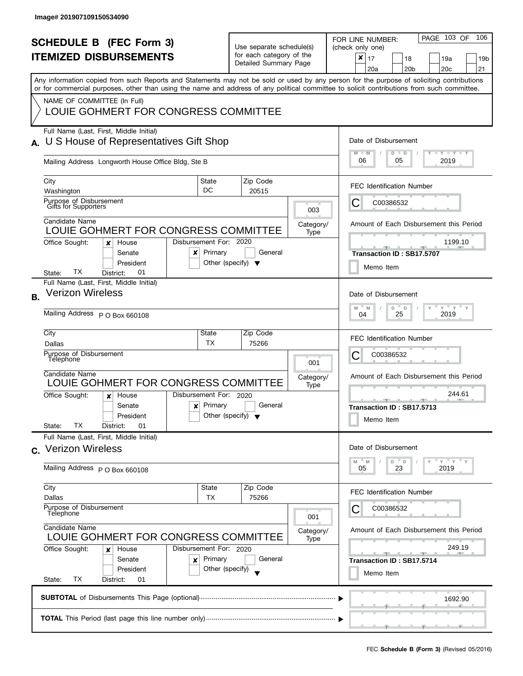|                | <b>SCHEDULE B (FEC Form 3)</b><br><b>ITEMIZED DISBURSEMENTS</b>                                                                                                                                                                                                                                                                                                |                                                                                                   | Use separate schedule(s)<br>for each category of the<br>Detailed Summary Page         |                          | PAGE 103 OF<br>106<br>FOR LINE NUMBER:<br>(check only one)<br>$\boldsymbol{x}$<br>17<br>18<br>19a<br>19 <sub>b</sub><br>20 <sub>b</sub><br>20 <sub>c</sub><br>21<br>20a |  |  |  |
|----------------|----------------------------------------------------------------------------------------------------------------------------------------------------------------------------------------------------------------------------------------------------------------------------------------------------------------------------------------------------------------|---------------------------------------------------------------------------------------------------|---------------------------------------------------------------------------------------|--------------------------|-------------------------------------------------------------------------------------------------------------------------------------------------------------------------|--|--|--|
|                | Any information copied from such Reports and Statements may not be sold or used by any person for the purpose of soliciting contributions<br>or for commercial purposes, other than using the name and address of any political committee to solicit contributions from such committee.<br>NAME OF COMMITTEE (In Full)<br>LOUIE GOHMERT FOR CONGRESS COMMITTEE |                                                                                                   |                                                                                       |                          |                                                                                                                                                                         |  |  |  |
| А.             | Full Name (Last, First, Middle Initial)<br>U S House of Representatives Gift Shop<br>Mailing Address Longworth House Office Bldg, Ste B                                                                                                                                                                                                                        |                                                                                                   |                                                                                       |                          | Date of Disbursement<br>$M - M$<br>$\bot$ $\gamma$ $\bot$ $\gamma$ $\bot$ $\gamma$<br>$D$ $D$<br>06<br>05<br>2019                                                       |  |  |  |
|                | City<br>State<br>DC<br>Washington<br>Purpose of Disbursement<br>Gifts for Supporters                                                                                                                                                                                                                                                                           |                                                                                                   | Zip Code<br>20515                                                                     | 003                      | <b>FEC Identification Number</b><br>С<br>C00386532                                                                                                                      |  |  |  |
|                | Candidate Name<br>LOUIE GOHMERT FOR CONGRESS COMMITTEE<br>Disbursement For: 2020<br>Office Sought:<br>House<br>x<br>Senate<br>x<br>President<br>TХ<br>01<br>District:<br>State:                                                                                                                                                                                | Primary<br>Other (specify) $\blacktriangledown$                                                   | General                                                                               | Category/<br>Type        | Amount of Each Disbursement this Period<br>1199.10<br>Transaction ID: SB17.5707<br>Memo Item                                                                            |  |  |  |
| <b>B.</b>      | Full Name (Last, First, Middle Initial)<br><b>Verizon Wireless</b><br>Mailing Address P O Box 660108                                                                                                                                                                                                                                                           |                                                                                                   | Date of Disbursement<br>$Y$ $Y$ $Y$<br>M<br>D<br>Y<br>M<br>$\Box$<br>2019<br>25<br>04 |                          |                                                                                                                                                                         |  |  |  |
|                | City<br>State<br>ТX<br>Dallas<br>Purpose of Disbursement<br>Télephone<br>Candidate Name<br>LOUIE GOHMERT FOR CONGRESS COMMITTEE<br>Disbursement For: 2020<br>House                                                                                                                                                                                             |                                                                                                   | Zip Code<br>75266                                                                     | 001<br>Category/<br>Type | <b>FEC Identification Number</b><br>С<br>C00386532<br>Amount of Each Disbursement this Period<br>244.61                                                                 |  |  |  |
|                | Office Sought:<br>$\boldsymbol{x}$<br>Senate<br>$\boldsymbol{x}$<br>President<br>TХ<br>State:<br>District:<br>01                                                                                                                                                                                                                                               | Primary<br>Other (specify) $\blacktriangledown$                                                   | General                                                                               |                          | Transaction ID: SB17.5713<br>Memo Item                                                                                                                                  |  |  |  |
| $\mathbf{C}$ . | Full Name (Last, First, Middle Initial)<br><b>Verizon Wireless</b><br>Mailing Address P O Box 660108                                                                                                                                                                                                                                                           |                                                                                                   |                                                                                       |                          | Date of Disbursement<br>$Y = Y = Y$<br>$-M$<br>D<br>$\mathsf D$<br>M<br>23<br>2019<br>05                                                                                |  |  |  |
|                | City<br>State<br>Dallas<br>TX<br>Purpose of Disbursement<br>Telephone<br>Candidate Name                                                                                                                                                                                                                                                                        |                                                                                                   | Zip Code<br>75266                                                                     | 001<br>Category/         | <b>FEC Identification Number</b><br>C00386532                                                                                                                           |  |  |  |
|                | LOUIE GOHMERT FOR CONGRESS COMMITTEE<br>Office Sought:<br>Disbursement For: 2020<br>House<br>x<br>Primary<br>Senate<br>x<br>President<br>Other (specify)<br>ТX<br>State:<br>District:<br>01                                                                                                                                                                    | Amount of Each Disbursement this Period<br>249.19<br>--<br>Transaction ID: SB17.5714<br>Memo Item |                                                                                       |                          |                                                                                                                                                                         |  |  |  |
|                | 1692.90                                                                                                                                                                                                                                                                                                                                                        |                                                                                                   |                                                                                       |                          |                                                                                                                                                                         |  |  |  |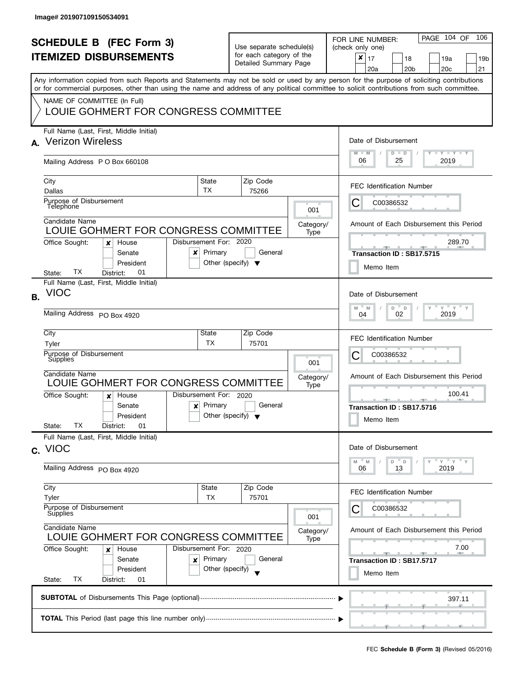| <b>SCHEDULE B (FEC Form 3)</b><br><b>ITEMIZED DISBURSEMENTS</b> |                                                                                                                                                                                                                                                                                                                                                                |                                                                                                                        | Use separate schedule(s)<br>for each category of the<br>Detailed Summary Page |                          | PAGE 104 OF<br>106<br>FOR LINE NUMBER:<br>(check only one)<br>x<br>17<br>18<br>19a<br>19 <sub>b</sub><br>20 <sub>c</sub><br>21<br>20a<br>20 <sub>b</sub> |  |  |  |  |
|-----------------------------------------------------------------|----------------------------------------------------------------------------------------------------------------------------------------------------------------------------------------------------------------------------------------------------------------------------------------------------------------------------------------------------------------|------------------------------------------------------------------------------------------------------------------------|-------------------------------------------------------------------------------|--------------------------|----------------------------------------------------------------------------------------------------------------------------------------------------------|--|--|--|--|
|                                                                 | Any information copied from such Reports and Statements may not be sold or used by any person for the purpose of soliciting contributions<br>or for commercial purposes, other than using the name and address of any political committee to solicit contributions from such committee.<br>NAME OF COMMITTEE (In Full)<br>LOUIE GOHMERT FOR CONGRESS COMMITTEE |                                                                                                                        |                                                                               |                          |                                                                                                                                                          |  |  |  |  |
| A.                                                              | Full Name (Last, First, Middle Initial)<br><b>Verizon Wireless</b><br>Mailing Address P O Box 660108                                                                                                                                                                                                                                                           |                                                                                                                        |                                                                               |                          | Date of Disbursement<br>$T$ $Y$ $T$ $Y$ $T$ $Y$<br>$M - M$<br>$D$ $D$<br>06<br>25<br>2019                                                                |  |  |  |  |
|                                                                 | City<br>Dallas<br>Purpose of Disbursement<br>Telephone<br>Candidate Name                                                                                                                                                                                                                                                                                       | State<br><b>TX</b>                                                                                                     | Zip Code<br>75266                                                             | 001<br>Category/         | <b>FEC Identification Number</b><br>C<br>C00386532<br>Amount of Each Disbursement this Period                                                            |  |  |  |  |
|                                                                 | LOUIE GOHMERT FOR CONGRESS COMMITTEE<br>Disbursement For: 2020<br>Office Sought:<br>House<br>x<br>Senate<br>x<br>President<br>ТX<br>01<br>District:<br>State:                                                                                                                                                                                                  | Type                                                                                                                   | 289.70<br>$-1$<br>Transaction ID: SB17.5715<br>Memo Item                      |                          |                                                                                                                                                          |  |  |  |  |
| <b>B.</b>                                                       | Full Name (Last, First, Middle Initial)<br><b>VIOC</b><br>Mailing Address PO Box 4920                                                                                                                                                                                                                                                                          |                                                                                                                        |                                                                               |                          | Date of Disbursement<br>$Y = Y$<br>D<br>M<br>M<br>$\mathsf D$<br>2019<br>02<br>04                                                                        |  |  |  |  |
|                                                                 | City<br>Tyler<br>Purpose of Disbursement<br>Supplies<br>Candidate Name<br>LOUIE GOHMERT FOR CONGRESS COMMITTEE<br>Office Sought:<br>House<br>x                                                                                                                                                                                                                 | State<br><b>TX</b><br>Disbursement For: 2020                                                                           | Zip Code<br>75701                                                             | 001<br>Category/<br>Type | <b>FEC Identification Number</b><br>С<br>C00386532<br>Amount of Each Disbursement this Period<br>100.41                                                  |  |  |  |  |
|                                                                 | Senate<br>President<br>ТX<br>01<br>State:<br>District:<br>Full Name (Last, First, Middle Initial)                                                                                                                                                                                                                                                              | $x$ Primary                                                                                                            | General<br>Other (specify) $\blacktriangledown$                               |                          | <u>______</u><br><b>STATE</b><br>Transaction ID: SB17.5716<br>Memo Item                                                                                  |  |  |  |  |
|                                                                 | c. VIOC<br>Mailing Address PO Box 4920                                                                                                                                                                                                                                                                                                                         |                                                                                                                        |                                                                               |                          | Date of Disbursement<br>$Y = Y = Y$<br>D<br>$\mathsf{D}$<br>M<br>M<br>2019<br>06<br>13                                                                   |  |  |  |  |
|                                                                 | City<br>Tyler<br>Purpose of Disbursement<br>Supplies                                                                                                                                                                                                                                                                                                           | State<br>TX                                                                                                            | Zip Code<br>75701                                                             | 001                      | <b>FEC Identification Number</b><br>C00386532                                                                                                            |  |  |  |  |
|                                                                 | Candidate Name<br>LOUIE GOHMERT FOR CONGRESS COMMITTEE<br>Office Sought:<br>Disbursement For: 2020<br>House<br>x<br>Senate<br>×<br>President<br>ТX<br>State:<br>District:<br>01                                                                                                                                                                                | Amount of Each Disbursement this Period<br>Category/<br>7.00<br><b>AND A</b><br>Transaction ID: SB17.5717<br>Memo Item |                                                                               |                          |                                                                                                                                                          |  |  |  |  |
|                                                                 | 397.11                                                                                                                                                                                                                                                                                                                                                         |                                                                                                                        |                                                                               |                          |                                                                                                                                                          |  |  |  |  |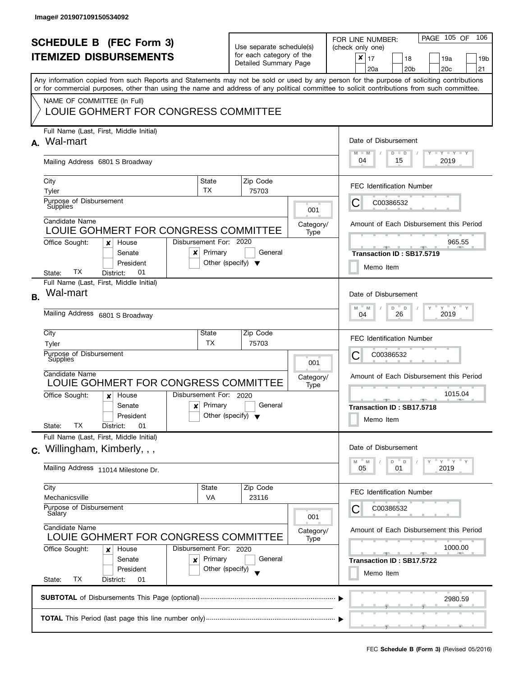| <b>SCHEDULE B</b> (FEC Form 3)<br><b>ITEMIZED DISBURSEMENTS</b><br>Any information copied from such Reports and Statements may not be sold or used by any person for the purpose of soliciting contributions<br>or for commercial purposes, other than using the name and address of any political committee to solicit contributions from such committee.<br>NAME OF COMMITTEE (In Full) |                                                                                                                                                                                                                      |                                                                                                                                                | Use separate schedule(s)<br>for each category of the<br>Detailed Summary Page    | PAGE 105 OF<br>106<br>FOR LINE NUMBER:<br>(check only one)<br>$\boldsymbol{x}$<br>17<br>18<br>19a<br>19 <sub>b</sub><br>20 <sub>c</sub><br>20 <sub>b</sub><br>21<br>20a |  |  |  |  |
|-------------------------------------------------------------------------------------------------------------------------------------------------------------------------------------------------------------------------------------------------------------------------------------------------------------------------------------------------------------------------------------------|----------------------------------------------------------------------------------------------------------------------------------------------------------------------------------------------------------------------|------------------------------------------------------------------------------------------------------------------------------------------------|----------------------------------------------------------------------------------|-------------------------------------------------------------------------------------------------------------------------------------------------------------------------|--|--|--|--|
| A.                                                                                                                                                                                                                                                                                                                                                                                        | LOUIE GOHMERT FOR CONGRESS COMMITTEE<br>Full Name (Last, First, Middle Initial)<br>Wal-mart                                                                                                                          | Date of Disbursement                                                                                                                           |                                                                                  |                                                                                                                                                                         |  |  |  |  |
|                                                                                                                                                                                                                                                                                                                                                                                           | Mailing Address 6801 S Broadway                                                                                                                                                                                      | $\Box$ $\gamma$ $\Box$ $\gamma$ $\Box$ $\gamma$<br>$M - M$<br>$D$ $D$<br>04<br>15<br>2019                                                      |                                                                                  |                                                                                                                                                                         |  |  |  |  |
|                                                                                                                                                                                                                                                                                                                                                                                           | State<br>City<br>TX<br>Tyler<br>Purpose of Disbursement<br>Supplies                                                                                                                                                  |                                                                                                                                                | Zip Code<br>75703<br>001                                                         | <b>FEC Identification Number</b><br>С<br>C00386532                                                                                                                      |  |  |  |  |
|                                                                                                                                                                                                                                                                                                                                                                                           | Candidate Name<br>LOUIE GOHMERT FOR CONGRESS COMMITTEE<br>Disbursement For: 2020<br>Office Sought:<br>House<br>×<br>Senate<br>x                                                                                      | Primary                                                                                                                                        | Category/<br>Type<br>General                                                     | Amount of Each Disbursement this Period<br>965.55<br>Transaction ID: SB17.5719                                                                                          |  |  |  |  |
|                                                                                                                                                                                                                                                                                                                                                                                           | President<br>TХ<br>01<br>District:<br>State:<br>Full Name (Last, First, Middle Initial)<br>Wal-mart                                                                                                                  | Other (specify) $\blacktriangledown$                                                                                                           |                                                                                  | Memo Item                                                                                                                                                               |  |  |  |  |
| <b>B.</b>                                                                                                                                                                                                                                                                                                                                                                                 | Mailing Address 6801 S Broadway                                                                                                                                                                                      |                                                                                                                                                | Date of Disbursement<br>$Y$ $Y$ $Y$<br>M<br>D<br>Y<br>M<br>D<br>26<br>2019<br>04 |                                                                                                                                                                         |  |  |  |  |
|                                                                                                                                                                                                                                                                                                                                                                                           | City<br>State<br><b>TX</b><br>Tyler<br>Purpose of Disbursement<br>Supplies                                                                                                                                           |                                                                                                                                                | Zip Code<br>75703<br>001                                                         | <b>FEC Identification Number</b><br>С<br>C00386532                                                                                                                      |  |  |  |  |
|                                                                                                                                                                                                                                                                                                                                                                                           | Candidate Name<br>LOUIE GOHMERT FOR CONGRESS COMMITTEE<br>Disbursement For: 2020<br>Office Sought:<br>House<br>$\boldsymbol{x}$<br>Primary<br>Senate<br>$\mathbf{x}$<br>President<br>ТX<br>01<br>State:<br>District: | Other (specify) $\blacktriangledown$                                                                                                           | Category/<br>Type<br>General                                                     | Amount of Each Disbursement this Period<br>1015.04<br><u>an ann an an </u><br><b>AND A</b><br>Transaction ID: SB17.5718<br>Memo Item                                    |  |  |  |  |
|                                                                                                                                                                                                                                                                                                                                                                                           | Full Name (Last, First, Middle Initial)<br>c. Willingham, Kimberly, , ,<br>Mailing Address 11014 Milestone Dr.                                                                                                       |                                                                                                                                                |                                                                                  | Date of Disbursement<br>$Y = Y$<br>D<br>$\mathsf D$<br>M<br>M<br>2019<br>05<br>01                                                                                       |  |  |  |  |
|                                                                                                                                                                                                                                                                                                                                                                                           | City<br>State<br>Mechanicsville<br><b>VA</b><br>Purpose of Disbursement<br>Salary                                                                                                                                    |                                                                                                                                                | Zip Code<br>23116<br>001                                                         | <b>FEC Identification Number</b><br>C00386532                                                                                                                           |  |  |  |  |
|                                                                                                                                                                                                                                                                                                                                                                                           | Candidate Name<br>LOUIE GOHMERT FOR CONGRESS COMMITTEE<br>Office Sought:<br>Disbursement For: 2020<br>House<br>x<br>Primary<br>Senate<br>×<br>Other (specify)<br>President<br>State:<br>ТX<br>District:<br>01        | Amount of Each Disbursement this Period<br>Category/<br>Type<br>1000.00<br><u> general de la gen</u><br>Transaction ID: SB17.5722<br>Memo Item |                                                                                  |                                                                                                                                                                         |  |  |  |  |
|                                                                                                                                                                                                                                                                                                                                                                                           |                                                                                                                                                                                                                      |                                                                                                                                                |                                                                                  | 2980.59                                                                                                                                                                 |  |  |  |  |
|                                                                                                                                                                                                                                                                                                                                                                                           |                                                                                                                                                                                                                      |                                                                                                                                                |                                                                                  |                                                                                                                                                                         |  |  |  |  |